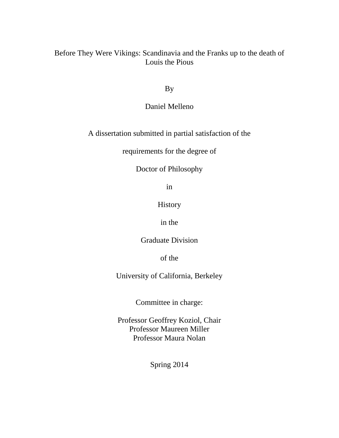## Before They Were Vikings: Scandinavia and the Franks up to the death of Louis the Pious

By

Daniel Melleno

A dissertation submitted in partial satisfaction of the

requirements for the degree of

Doctor of Philosophy

in

History

in the

Graduate Division

of the

University of California, Berkeley

Committee in charge:

Professor Geoffrey Koziol, Chair Professor Maureen Miller Professor Maura Nolan

Spring 2014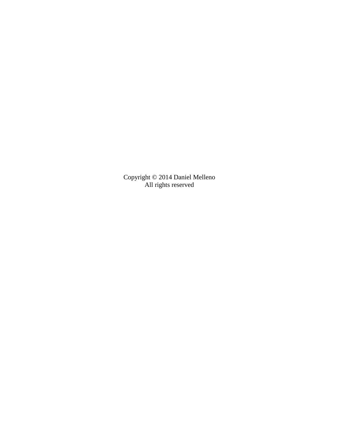Copyright © 2014 Daniel Melleno All rights reserved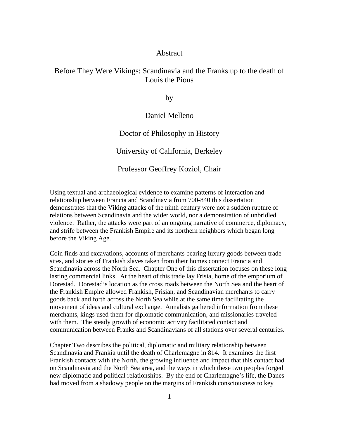### Abstract

## Before They Were Vikings: Scandinavia and the Franks up to the death of Louis the Pious

by

## Daniel Melleno

### Doctor of Philosophy in History

### University of California, Berkeley

## Professor Geoffrey Koziol, Chair

Using textual and archaeological evidence to examine patterns of interaction and relationship between Francia and Scandinavia from 700-840 this dissertation demonstrates that the Viking attacks of the ninth century were not a sudden rupture of relations between Scandinavia and the wider world, nor a demonstration of unbridled violence. Rather, the attacks were part of an ongoing narrative of commerce, diplomacy, and strife between the Frankish Empire and its northern neighbors which began long before the Viking Age.

Coin finds and excavations, accounts of merchants bearing luxury goods between trade sites, and stories of Frankish slaves taken from their homes connect Francia and Scandinavia across the North Sea. Chapter One of this dissertation focuses on these long lasting commercial links. At the heart of this trade lay Frisia, home of the emporium of Dorestad. Dorestad's location as the cross roads between the North Sea and the heart of the Frankish Empire allowed Frankish, Frisian, and Scandinavian merchants to carry goods back and forth across the North Sea while at the same time facilitating the movement of ideas and cultural exchange. Annalists gathered information from these merchants, kings used them for diplomatic communication, and missionaries traveled with them. The steady growth of economic activity facilitated contact and communication between Franks and Scandinavians of all stations over several centuries.

Chapter Two describes the political, diplomatic and military relationship between Scandinavia and Frankia until the death of Charlemagne in 814. It examines the first Frankish contacts with the North, the growing influence and impact that this contact had on Scandinavia and the North Sea area, and the ways in which these two peoples forged new diplomatic and political relationships. By the end of Charlemagne's life, the Danes had moved from a shadowy people on the margins of Frankish consciousness to key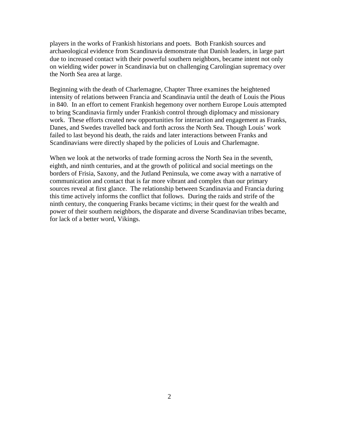players in the works of Frankish historians and poets. Both Frankish sources and archaeological evidence from Scandinavia demonstrate that Danish leaders, in large part due to increased contact with their powerful southern neighbors, became intent not only on wielding wider power in Scandinavia but on challenging Carolingian supremacy over the North Sea area at large.

Beginning with the death of Charlemagne, Chapter Three examines the heightened intensity of relations between Francia and Scandinavia until the death of Louis the Pious in 840. In an effort to cement Frankish hegemony over northern Europe Louis attempted to bring Scandinavia firmly under Frankish control through diplomacy and missionary work. These efforts created new opportunities for interaction and engagement as Franks, Danes, and Swedes travelled back and forth across the North Sea. Though Louis' work failed to last beyond his death, the raids and later interactions between Franks and Scandinavians were directly shaped by the policies of Louis and Charlemagne.

When we look at the networks of trade forming across the North Sea in the seventh, eighth, and ninth centuries, and at the growth of political and social meetings on the borders of Frisia, Saxony, and the Jutland Peninsula, we come away with a narrative of communication and contact that is far more vibrant and complex than our primary sources reveal at first glance. The relationship between Scandinavia and Francia during this time actively informs the conflict that follows. During the raids and strife of the ninth century, the conquering Franks became victims; in their quest for the wealth and power of their southern neighbors, the disparate and diverse Scandinavian tribes became, for lack of a better word, Vikings.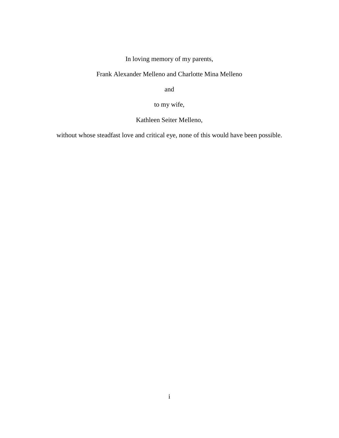In loving memory of my parents,

Frank Alexander Melleno and Charlotte Mina Melleno

and

to my wife,

Kathleen Seiter Melleno,

without whose steadfast love and critical eye, none of this would have been possible.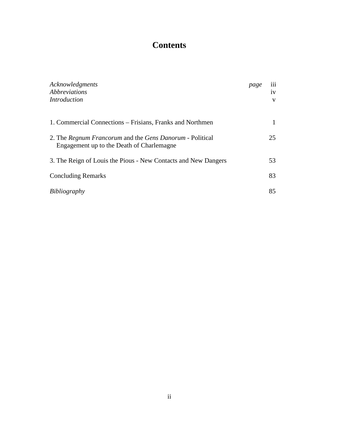# **Contents**

| Acknowledgments<br>Abbreviations                                                                      | page | iii<br>iv |
|-------------------------------------------------------------------------------------------------------|------|-----------|
| <i>Introduction</i>                                                                                   |      | V         |
| 1. Commercial Connections – Frisians, Franks and Northmen                                             |      | 1         |
| 2. The Regnum Francorum and the Gens Danorum - Political<br>Engagement up to the Death of Charlemagne |      | 25        |
| 3. The Reign of Louis the Pious - New Contacts and New Dangers                                        |      | 53        |
| <b>Concluding Remarks</b>                                                                             |      | 83        |
| Bibliography                                                                                          |      | 85        |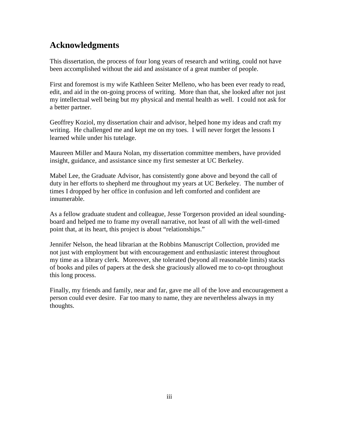## **Acknowledgments**

This dissertation, the process of four long years of research and writing, could not have been accomplished without the aid and assistance of a great number of people.

First and foremost is my wife Kathleen Seiter Melleno, who has been ever ready to read, edit, and aid in the on-going process of writing. More than that, she looked after not just my intellectual well being but my physical and mental health as well. I could not ask for a better partner.

Geoffrey Koziol, my dissertation chair and advisor, helped hone my ideas and craft my writing. He challenged me and kept me on my toes. I will never forget the lessons I learned while under his tutelage.

Maureen Miller and Maura Nolan, my dissertation committee members, have provided insight, guidance, and assistance since my first semester at UC Berkeley.

Mabel Lee, the Graduate Advisor, has consistently gone above and beyond the call of duty in her efforts to shepherd me throughout my years at UC Berkeley. The number of times I dropped by her office in confusion and left comforted and confident are innumerable.

As a fellow graduate student and colleague, Jesse Torgerson provided an ideal soundingboard and helped me to frame my overall narrative, not least of all with the well-timed point that, at its heart, this project is about "relationships."

Jennifer Nelson, the head librarian at the Robbins Manuscript Collection, provided me not just with employment but with encouragement and enthusiastic interest throughout my time as a library clerk. Moreover, she tolerated (beyond all reasonable limits) stacks of books and piles of papers at the desk she graciously allowed me to co-opt throughout this long process.

Finally, my friends and family, near and far, gave me all of the love and encouragement a person could ever desire. Far too many to name, they are nevertheless always in my thoughts.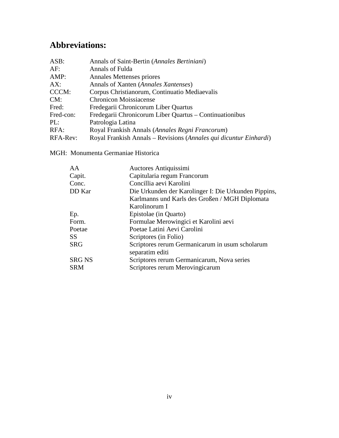# **Abbreviations:**

| ASB:      | Annals of Saint-Bertin (Annales Bertiniani)                       |
|-----------|-------------------------------------------------------------------|
| AF:       | Annals of Fulda                                                   |
| AMP:      | Annales Mettenses priores                                         |
| AX:       | Annals of Xanten (Annales Xantenses)                              |
| CCCM:     | Corpus Christianorum, Continuatio Mediaevalis                     |
| CM:       | <b>Chronicon Moissiacense</b>                                     |
| Fred:     | Fredegarii Chronicorum Liber Quartus                              |
| Fred-con: | Fredegarii Chronicorum Liber Quartus – Continuationibus           |
| PL:       | Patrologia Latina                                                 |
| RFA:      | Royal Frankish Annals (Annales Regni Francorum)                   |
| RFA-Rev:  | Royal Frankish Annals – Revisions (Annales qui dicuntur Einhardi) |

MGH: Monumenta Germaniae Historica

| AA            | Auctores Antiquissimi                                              |
|---------------|--------------------------------------------------------------------|
| Capit.        | Capitularia regum Francorum                                        |
| Conc.         | Concillia aevi Karolini                                            |
| DD Kar        | Die Urkunden der Karolinger I: Die Urkunden Pippins,               |
|               | Karlmanns und Karls des Großen / MGH Diplomata                     |
|               | Karolinorum I                                                      |
| Ep.           | Epistolae (in Quarto)                                              |
| Form.         | Formulae Merowingici et Karolini aevi                              |
| Poetae        | Poetae Latini Aevi Carolini                                        |
| <b>SS</b>     | Scriptores (in Folio)                                              |
| <b>SRG</b>    | Scriptores rerum Germanicarum in usum scholarum<br>separatim editi |
| <b>SRG NS</b> | Scriptores rerum Germanicarum, Nova series                         |
| <b>SRM</b>    | Scriptores rerum Merovingicarum                                    |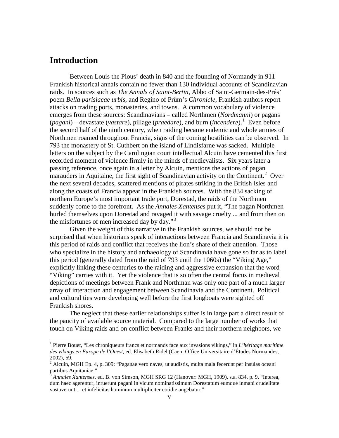## **Introduction**

Between Louis the Pious' death in 840 and the founding of Normandy in 911 Frankish historical annals contain no fewer than 130 individual accounts of Scandinavian raids. In sources such as *The Annals of Saint-Bertin*, Abbo of Saint-Germain-des-Prés' poem *Bella parisiacae urbis*, and Regino of Prüm's *Chronicle*, Frankish authors report attacks on trading ports, monasteries, and towns. A common vocabulary of violence emerges from these sources: Scandinavians – called Northmen (*Nordmanni*) or pagans (*pagani*) – devastate (*vastare*), pillage (*praedare*), and burn (*incendere*).[1](#page-8-0) Even before the second half of the ninth century, when raiding became endemic and whole armies of Northmen roamed throughout Francia, signs of the coming hostilities can be observed. In 793 the monastery of St. Cuthbert on the island of Lindisfarne was sacked. Multiple letters on the subject by the Carolingian court intellectual Alcuin have cemented this first recorded moment of violence firmly in the minds of medievalists. Six years later a passing reference, once again in a letter by Alcuin, mentions the actions of pagan marauders in Aquitaine, the first sight of Scandinavian activity on the Continent.<sup>[2](#page-8-1)</sup> Over the next several decades, scattered mentions of pirates striking in the British Isles and along the coasts of Francia appear in the Frankish sources. With the 834 sacking of northern Europe's most important trade port, Dorestad, the raids of the Northmen suddenly come to the forefront. As the *Annales Xantenses* put it, "The pagan Northmen hurled themselves upon Dorestad and ravaged it with savage cruelty ... and from then on the misfortunes of men increased day by day."<sup>[3](#page-8-2)</sup>

Given the weight of this narrative in the Frankish sources, we should not be surprised that when historians speak of interactions between Francia and Scandinavia it is this period of raids and conflict that receives the lion's share of their attention. Those who specialize in the history and archaeology of Scandinavia have gone so far as to label this period (generally dated from the raid of 793 until the 1060s) the "Viking Age," explicitly linking these centuries to the raiding and aggressive expansion that the word "Viking" carries with it. Yet the violence that is so often the central focus in medieval depictions of meetings between Frank and Northman was only one part of a much larger array of interaction and engagement between Scandinavia and the Continent. Political and cultural ties were developing well before the first longboats were sighted off Frankish shores.

The neglect that these earlier relationships suffer is in large part a direct result of the paucity of available source material. Compared to the large number of works that touch on Viking raids and on conflict between Franks and their northern neighbors, we

<span id="page-8-0"></span> <sup>1</sup> Pierre Bouet, "Les chroniqueurs francs et normands face aux invasions vikings," in *L'héritage maritime des vikings en Europe de l'Ouest*, ed. Elisabeth Ridel (Caen: Office Universitaire d'Études Normandes, 2002), 59.

<span id="page-8-1"></span><sup>2002), 32.&</sup>lt;br>
<sup>2</sup> Alcuin, MGH Ep. 4, p. 309: "Paganae vero naves, ut audistis, multa mala fecerunt per insulas oceani<br>
partibus Aquitaniae."

<span id="page-8-2"></span>partibus Aquitaniae." 3 *Annales Xantenses,* ed. B. von Simson, MGH SRG 12 (Hanover: MGH, 1909), s.a. 834, p. 9, "Interea, dum haec agerentur, inruerunt pagani in vicum nominatissimum Dorestatum eumque inmani crudelitate vastaverunt ... et infelicitas hominum multipliciter cotidie augebatur."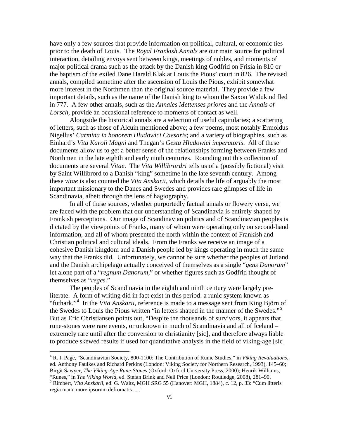have only a few sources that provide information on political, cultural, or economic ties prior to the death of Louis. The *Royal Frankish Annals* are our main source for political interaction, detailing envoys sent between kings, meetings of nobles, and moments of major political drama such as the attack by the Danish king Godfrid on Frisia in 810 or the baptism of the exiled Dane Harald Klak at Louis the Pious' court in 826. The revised annals, compiled sometime after the ascension of Louis the Pious, exhibit somewhat more interest in the Northmen than the original source material. They provide a few important details, such as the name of the Danish king to whom the Saxon Widukind fled in 777. A few other annals, such as the *Annales Mettenses priores* and the *Annals of Lorsch*, provide an occasional reference to moments of contact as well.

Alongside the historical annals are a selection of useful capitularies; a scattering of letters, such as those of Alcuin mentioned above; a few poems, most notably Ermoldus Nigellus' *Carmina in honorem Hludowici Caesaris*; and a variety of biographies, such as Einhard's *Vita Karoli Magni* and Thegan's *Gesta Hludowici imperatoris*. All of these documents allow us to get a better sense of the relationships forming between Franks and Northmen in the late eighth and early ninth centuries. Rounding out this collection of documents are several *Vitae*. The *Vita Willibrordri* tells us of a (possibly fictional) visit by Saint Willibrord to a Danish "king" sometime in the late seventh century. Among these *vitae* is also counted the *Vita Anskarii*, which details the life of arguably the most important missionary to the Danes and Swedes and provides rare glimpses of life in Scandinavia, albeit through the lens of hagiography.

In all of these sources, whether purportedly factual annals or flowery verse, we are faced with the problem that our understanding of Scandinavia is entirely shaped by Frankish perceptions. Our image of Scandinavian politics and of Scandinavian peoples is dictated by the viewpoints of Franks, many of whom were operating only on second-hand information, and all of whom presented the north within the context of Frankish and Christian political and cultural ideals. From the Franks we receive an image of a cohesive Danish kingdom and a Danish people led by kings operating in much the same way that the Franks did. Unfortunately, we cannot be sure whether the peoples of Jutland and the Danish archipelago actually conceived of themselves as a single "*gens Danorum*" let alone part of a "*regnum Danorum,*" or whether figures such as Godfrid thought of themselves as "*reges*."

The peoples of Scandinavia in the eighth and ninth century were largely preliterate. A form of writing did in fact exist in this period: a runic system known as "futhark."<sup>[4](#page-9-0)</sup> In the *Vita Anskarii*, reference is made to a message sent from King Björn of the Swedes to Louis the Pious written "in letters shaped in the manner of the Swedes."[5](#page-9-1) But as Eric Christiansen points out, "Despite the thousands of survivors, it appears that rune-stones were rare events, or unknown in much of Scandinavia and all of Iceland – extremely rare until after the conversion to christianity [sic], and therefore always liable to produce skewed results if used for quantitative analysis in the field of viking-age [sic]

<span id="page-9-0"></span> <sup>4</sup> R. I. Page, "Scandinavian Society, 800-1100: The Contribution of Runic Studies," in *Viking Revaluations*, ed. Anthony Faulkes and Richard Perkins (London: Viking Society for Northern Research, 1993), 145–60; Birgit Sawyer, *The Viking-Age Rune-Stones* (Oxford: Oxford University Press, 2000); Henrik Williams,

<span id="page-9-1"></span><sup>&</sup>lt;sup>5</sup> Rimbert, Vita Anskarii, ed. G. Waitz, MGH SRG 55 (Hanover: MGH, 1884), c. 12, p. 33: "Cum litteris regia manu more ipsorum defromatis ... ."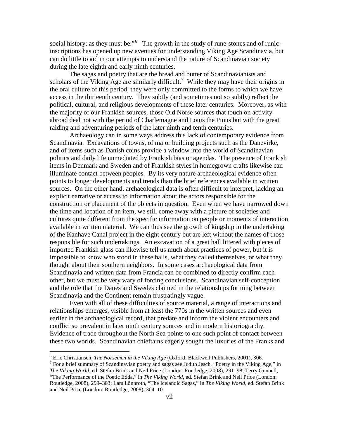social history; as they must be."<sup>[6](#page-10-0)</sup> The growth in the study of rune-stones and of runicinscriptions has opened up new avenues for understanding Viking Age Scandinavia, but can do little to aid in our attempts to understand the nature of Scandinavian society during the late eighth and early ninth centuries.

The sagas and poetry that are the bread and butter of Scandinavianists and scholars of the Viking Age are similarly difficult.<sup>[7](#page-10-1)</sup> While they may have their origins in the oral culture of this period, they were only committed to the forms to which we have access in the thirteenth century. They subtly (and sometimes not so subtly) reflect the political, cultural, and religious developments of these later centuries. Moreover, as with the majority of our Frankish sources, those Old Norse sources that touch on activity abroad deal not with the period of Charlemagne and Louis the Pious but with the great raiding and adventuring periods of the later ninth and tenth centuries.

Archaeology can in some ways address this lack of contemporary evidence from Scandinavia. Excavations of towns, of major building projects such as the Danevirke, and of items such as Danish coins provide a window into the world of Scandinavian politics and daily life unmediated by Frankish bias or agendas. The presence of Frankish items in Denmark and Sweden and of Frankish styles in homegrown crafts likewise can illuminate contact between peoples. By its very nature archaeological evidence often points to longer developments and trends than the brief references available in written sources. On the other hand, archaeological data is often difficult to interpret, lacking an explicit narrative or access to information about the actors responsible for the construction or placement of the objects in question. Even when we have narrowed down the time and location of an item, we still come away with a picture of societies and cultures quite different from the specific information on people or moments of interaction available in written material. We can thus see the growth of kingship in the undertaking of the Kanhave Canal project in the eight century but are left without the names of those responsible for such undertakings. An excavation of a great hall littered with pieces of imported Frankish glass can likewise tell us much about practices of power, but it is impossible to know who stood in these halls, what they called themselves, or what they thought about their southern neighbors. In some cases archaeological data from Scandinavia and written data from Francia can be combined to directly confirm each other, but we must be very wary of forcing conclusions. Scandinavian self-conception and the role that the Danes and Swedes claimed in the relationships forming between Scandinavia and the Continent remain frustratingly vague.

Even with all of these difficulties of source material, a range of interactions and relationships emerges, visible from at least the 770s in the written sources and even earlier in the archaeological record, that predate and inform the violent encounters and conflict so prevalent in later ninth century sources and in modern historiography. Evidence of trade throughout the North Sea points to one such point of contact between these two worlds. Scandinavian chieftains eagerly sought the luxuries of the Franks and

<span id="page-10-1"></span><span id="page-10-0"></span><sup>&</sup>lt;sup>6</sup> Eric Christiansen, *The Norsemen in the Viking Age* (Oxford: Blackwell Publishers, 2001), 306. <sup>7</sup> For a brief summary of Scandinavian poetry and sagas see Judith Jesch, "Poetry in the Viking Age," in *The Viking World*, ed. Stefan Brink and Neil Price (London: Routledge, 2008), 291–98; Terry Gunnell, "The Performance of the Poetic Edda," in *The Viking World*, ed. Stefan Brink and Neil Price (London:

Routledge, 2008), 299–303; Lars Lönnroth, "The Icelandic Sagas," in *The Viking World*, ed. Stefan Brink and Neil Price (London: Routledge, 2008), 304–10.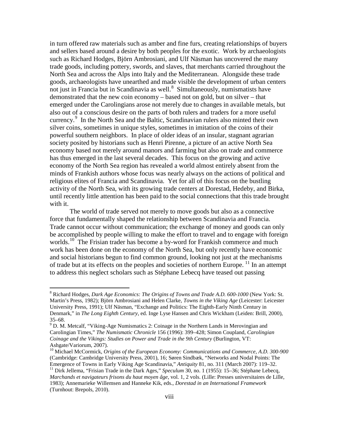in turn offered raw materials such as amber and fine furs, creating relationships of buyers and sellers based around a desire by both peoples for the exotic. Work by archaeologists such as Richard Hodges, Björn Ambrosiani, and Ulf Näsman has uncovered the many trade goods, including pottery, swords, and slaves, that merchants carried throughout the North Sea and across the Alps into Italy and the Mediterranean. Alongside these trade goods, archaeologists have unearthed and made visible the development of urban centers not just in Francia but in Scandinavia as well.<sup>[8](#page-11-0)</sup> Simultaneously, numismatists have demonstrated that the new coin economy – based not on gold, but on silver – that emerged under the Carolingians arose not merely due to changes in available metals, but also out of a conscious desire on the parts of both rulers and traders for a more useful currency.<sup>[9](#page-11-1)</sup> In the North Sea and the Baltic, Scandinavian rulers also minted their own silver coins, sometimes in unique styles, sometimes in imitation of the coins of their powerful southern neighbors. In place of older ideas of an insular, stagnant agrarian society posited by historians such as Henri Pirenne, a picture of an active North Sea economy based not merely around manors and farming but also on trade and commerce has thus emerged in the last several decades. This focus on the growing and active economy of the North Sea region has revealed a world almost entirely absent from the minds of Frankish authors whose focus was nearly always on the actions of political and religious elites of Francia and Scandinavia. Yet for all of this focus on the bustling activity of the North Sea, with its growing trade centers at Dorestad, Hedeby, and Birka, until recently little attention has been paid to the social connections that this trade brought with it.

The world of trade served not merely to move goods but also as a connective force that fundamentally shaped the relationship between Scandinavia and Francia. Trade cannot occur without communication; the exchange of money and goods can only be accomplished by people willing to make the effort to travel and to engage with foreign worlds.<sup>[10](#page-11-2)</sup> The Frisian trader has become a by-word for Frankish commerce and much work has been done on the economy of the North Sea, but only recently have economic and social historians begun to find common ground, looking not just at the mechanisms of trade but at its effects on the peoples and societies of northern Europe.  $^{11}$  $^{11}$  $^{11}$  In an attempt to address this neglect scholars such as Stéphane Lebecq have teased out passing

<span id="page-11-0"></span> <sup>8</sup> Richard Hodges, *Dark Age Economics: The Origins of Towns and Trade A.D. 600-1000* (New York: St. Martin's Press, 1982); Björn Ambrosiani and Helen Clarke, *Towns in the Viking Age* (Leicester: Leicester University Press, 1991); Ulf Näsman, "Exchange and Politics: The Eighth-Early Ninth Century in Denmark," in *The Long Eighth Century*, ed. Inge Lyse Hansen and Chris Wickham (Leiden: Brill, 2000),

<span id="page-11-1"></span><sup>35–68.</sup> <sup>9</sup> D. M. Metcalf, "Viking-Age Numismatics 2: Coinage in the Northern Lands in Merovingian and Carolingian Times," *The Numismatic Chronicle* 156 (1996): 399–428; Simon Coupland, *Carolingian Coinage and the Vikings: Studies on Power and Trade in the 9th Century* (Burlington, VT: Ashgate/Variorum, 2007).

<span id="page-11-2"></span><sup>10</sup> Michael McCormick, *Origins of the European Economy: Communications and Commerce, A.D. 300-900* (Cambridge: Cambridge University Press, 2001), 16; Søren Sindbæk, "Networks and Nodal Points: The Emergence of Towns in Early Viking Age Scandinavia," *Antiquity* 81, no. 311 (March 2007): 119–32. <sup>11</sup> Dirk Jellema, "Frisian Trade in the Dark Ages," *Speculum* 30, no. 1 (1955): 15–36; Stéphane Lebecq, *Marchands et navigateurs frisons du haut moyen âge*, vol. 1, 2 vols. (Lille: Presses universitaires de Lille,

<span id="page-11-3"></span><sup>1983);</sup> Annemarieke Willemsen and Hanneke Kik, eds., *Dorestad in an International Framework* (Turnhout: Brepols, 2010).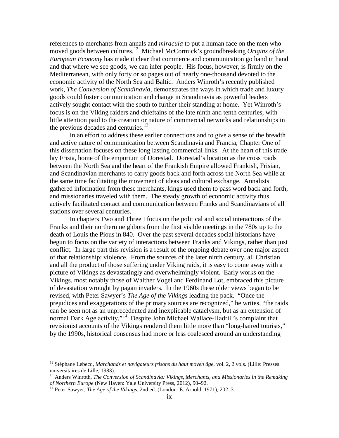references to merchants from annals and *miracula* to put a human face on the men who moved goods between cultures.<sup>12</sup> Michael McCormick's groundbreaking *Origins of the European Economy* has made it clear that commerce and communication go hand in hand and that where we see goods, we can infer people. His focus, however, is firmly on the Mediterranean, with only forty or so pages out of nearly one-thousand devoted to the economic activity of the North Sea and Baltic. Anders Winroth's recently published work, *The Conversion of Scandinavia*, demonstrates the ways in which trade and luxury goods could foster communication and change in Scandinavia as powerful leaders actively sought contact with the south to further their standing at home. Yet Winroth's focus is on the Viking raiders and chieftains of the late ninth and tenth centuries, with little attention paid to the creation or nature of commercial networks and relationships in the previous decades and centuries. $13$ 

In an effort to address these earlier connections and to give a sense of the breadth and active nature of communication between Scandinavia and Francia, Chapter One of this dissertation focuses on these long lasting commercial links. At the heart of this trade lay Frisia, home of the emporium of Dorestad. Dorestad's location as the cross roads between the North Sea and the heart of the Frankish Empire allowed Frankish, Frisian, and Scandinavian merchants to carry goods back and forth across the North Sea while at the same time facilitating the movement of ideas and cultural exchange. Annalists gathered information from these merchants, kings used them to pass word back and forth, and missionaries traveled with them. The steady growth of economic activity thus actively facilitated contact and communication between Franks and Scandinavians of all stations over several centuries.

In chapters Two and Three I focus on the political and social interactions of the Franks and their northern neighbors from the first visible meetings in the 780s up to the death of Louis the Pious in 840. Over the past several decades social historians have begun to focus on the variety of interactions between Franks and Vikings, rather than just conflict. In large part this revision is a result of the ongoing debate over one major aspect of that relationship: violence. From the sources of the later ninth century, all Christian and all the product of those suffering under Viking raids, it is easy to come away with a picture of Vikings as devastatingly and overwhelmingly violent. Early works on the Vikings, most notably those of Walther Vogel and Ferdinand Lot, embraced this picture of devastation wrought by pagan invaders. In the 1960s these older views began to be revised, with Peter Sawyer's *The Age of the Vikings* leading the pack. "Once the prejudices and exaggerations of the primary sources are recognized," he writes, "the raids can be seen not as an unprecedented and inexplicable cataclysm, but as an extension of normal Dark Age activity."<sup>[14](#page-12-2)</sup> Despite John Michael Wallace-Hadrill's complaint that revisionist accounts of the Vikings rendered them little more than "long-haired tourists," by the 1990s, historical consensus had more or less coalesced around an understanding

<span id="page-12-0"></span> <sup>12</sup> Stéphane Lebecq, *Marchands et navigateurs frisons du haut moyen âge*, vol. 2, 2 vols. (Lille: Presses universitaires de Lille, 1983).

<span id="page-12-1"></span><sup>&</sup>lt;sup>13</sup> Anders Winroth, *The Conversion of Scandinavia: Vikings, Merchants, and Missionaries in the Remaking of Northern Europe* (New Haven: Yale University Press, 2012), 90–92.<br><sup>14</sup> Peter Sawyer, *The Age of the Vikings*, 2nd ed. (London: E. Arnold, 1971), 202–3.

<span id="page-12-2"></span>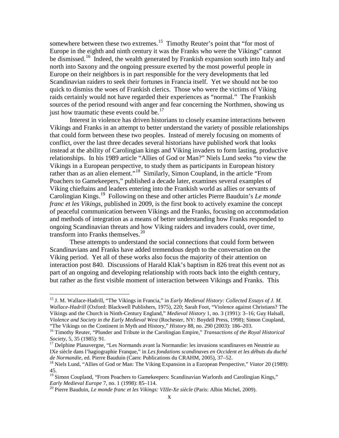somewhere between these two extremes.<sup>[15](#page-13-0)</sup> Timothy Reuter's point that "for most of Europe in the eighth and ninth century it was the Franks who were the Vikings" cannot be dismissed.<sup>[16](#page-13-1)</sup> Indeed, the wealth generated by Frankish expansion south into Italy and north into Saxony and the ongoing pressure exerted by the most powerful people in Europe on their neighbors is in part responsible for the very developments that led Scandinavian raiders to seek their fortunes in Francia itself. Yet we should not be too quick to dismiss the woes of Frankish clerics. Those who were the victims of Viking raids certainly would not have regarded their experiences as "normal." The Frankish sources of the period resound with anger and fear concerning the Northmen, showing us just how traumatic these events could be. $17$ 

Interest in violence has driven historians to closely examine interactions between Vikings and Franks in an attempt to better understand the variety of possible relationships that could form between these two peoples. Instead of merely focusing on moments of conflict, over the last three decades several historians have published work that looks instead at the ability of Carolingian kings and Viking invaders to form lasting, productive relationships. In his 1989 article "Allies of God or Man?" Niels Lund seeks "to view the Vikings in a European perspective, to study them as participants in European history rather than as an alien element."<sup>[18](#page-13-3)</sup> Similarly, Simon Coupland, in the article "From Poachers to Gamekeepers," published a decade later, examines several examples of Viking chieftains and leaders entering into the Frankish world as allies or servants of Carolingian Kings.[19](#page-13-4) Following on these and other articles Pierre Bauduin's *Le monde franc et les Vikings*, published in 2009, is the first book to actively examine the concept of peaceful communication between Vikings and the Franks, focusing on accommodation and methods of integration as a means of better understanding how Franks responded to ongoing Scandinavian threats and how Viking raiders and invaders could, over time, transform into Franks themselves.<sup>[20](#page-13-5)</sup>

These attempts to understand the social connections that could form between Scandinavians and Franks have added tremendous depth to the conversation on the Viking period. Yet all of these works also focus the majority of their attention on interaction post 840. Discussions of Harald Klak's baptism in 826 treat this event not as part of an ongoing and developing relationship with roots back into the eighth century, but rather as the first visible moment of interaction between Vikings and Franks. This

<span id="page-13-0"></span> <sup>15</sup> J. M. Wallace-Hadrill, "The Vikings in Francia," in *Early Medieval History: Collected Essays of J. M. Wallace-Hadrill* (Oxford: Blackwell Publishers, 1975), 220; Sarah Foot, "Violence against Christians? The Vikings and the Church in Ninth-Century England," *Medieval History* 1, no. 3 (1991): 3–16; Guy Halsall, *Violence and Society in the Early Medieval West* (Rochester, NY: Boydell Press, 1998); Simon Coupland,

<span id="page-13-1"></span><sup>&</sup>lt;sup>16</sup> Timothy Reuter, "Plunder and Tribute in the Carolingian Empire," *Transactions of the Royal Historical Society*, 5, 35 (1985): 91.

<span id="page-13-2"></span><sup>&</sup>lt;sup>17</sup> Delphine Planavergne, "Les Normands avant la Normandie: les invasions scandinaves en Neustrie au IXe siècle dans l'hagiographie Franque," in *Les fondations scandinaves en Occident et les débuts du duché de Normandie*, ed. Pierre Bauduin (Caen: Publications du CRAHM, 2005), 37–52.<br><sup>18</sup> Niels Lund, "Allies of God or Man: The Viking Expansion in a European Perspective," *Viator* 20 (1989):

<span id="page-13-3"></span><sup>45.</sup>

<span id="page-13-4"></span><sup>&</sup>lt;sup>19</sup> Simon Coupland, "From Poachers to Gamekeepers: Scandinavian Warlords and Carolingian Kings," *Early Medieval Europe* 7, no. 1 (1998): 85–114.<br><sup>20</sup> Pierre Bauduin, *Le monde franc et les Vikings: VIIIe-Xe siècle* (Paris: Albin Michel, 2009).

<span id="page-13-5"></span>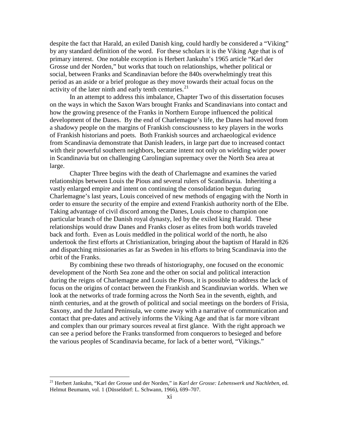despite the fact that Harald, an exiled Danish king, could hardly be considered a "Viking" by any standard definition of the word. For these scholars it is the Viking Age that is of primary interest. One notable exception is Herbert Jankuhn's 1965 article "Karl der Grosse und der Norden," but works that touch on relationships, whether political or social, between Franks and Scandinavian before the 840s overwhelmingly treat this period as an aside or a brief prologue as they move towards their actual focus on the activity of the later ninth and early tenth centuries. $^{21}$  $^{21}$  $^{21}$ 

In an attempt to address this imbalance, Chapter Two of this dissertation focuses on the ways in which the Saxon Wars brought Franks and Scandinavians into contact and how the growing presence of the Franks in Northern Europe influenced the political development of the Danes. By the end of Charlemagne's life, the Danes had moved from a shadowy people on the margins of Frankish consciousness to key players in the works of Frankish historians and poets. Both Frankish sources and archaeological evidence from Scandinavia demonstrate that Danish leaders, in large part due to increased contact with their powerful southern neighbors, became intent not only on wielding wider power in Scandinavia but on challenging Carolingian supremacy over the North Sea area at large.

Chapter Three begins with the death of Charlemagne and examines the varied relationships between Louis the Pious and several rulers of Scandinavia. Inheriting a vastly enlarged empire and intent on continuing the consolidation begun during Charlemagne's last years, Louis conceived of new methods of engaging with the North in order to ensure the security of the empire and extend Frankish authority north of the Elbe. Taking advantage of civil discord among the Danes, Louis chose to champion one particular branch of the Danish royal dynasty, led by the exiled king Harald. These relationships would draw Danes and Franks closer as elites from both worlds traveled back and forth. Even as Louis meddled in the political world of the north, he also undertook the first efforts at Christianization, bringing about the baptism of Harald in 826 and dispatching missionaries as far as Sweden in his efforts to bring Scandinavia into the orbit of the Franks.

By combining these two threads of historiography, one focused on the economic development of the North Sea zone and the other on social and political interaction during the reigns of Charlemagne and Louis the Pious, it is possible to address the lack of focus on the origins of contact between the Frankish and Scandinavian worlds. When we look at the networks of trade forming across the North Sea in the seventh, eighth, and ninth centuries, and at the growth of political and social meetings on the borders of Frisia, Saxony, and the Jutland Peninsula, we come away with a narrative of communication and contact that pre-dates and actively informs the Viking Age and that is far more vibrant and complex than our primary sources reveal at first glance. With the right approach we can see a period before the Franks transformed from conquerors to besieged and before the various peoples of Scandinavia became, for lack of a better word, "Vikings."

<span id="page-14-0"></span> <sup>21</sup> Herbert Jankuhn, "Karl der Grosse und der Norden," in *Karl der Grosse: Lebenswerk und Nachleben*, ed. Helmut Beumann, vol. 1 (Düsseldorf: L. Schwann, 1966), 699–707.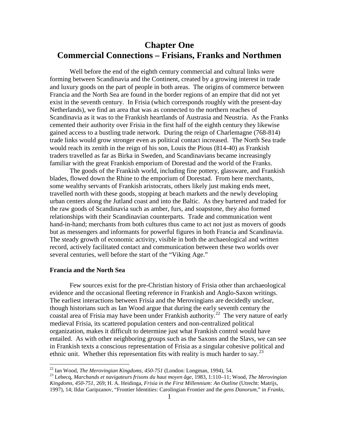## **Chapter One Commercial Connections – Frisians, Franks and Northmen**

Well before the end of the eighth century commercial and cultural links were forming between Scandinavia and the Continent, created by a growing interest in trade and luxury goods on the part of people in both areas. The origins of commerce between Francia and the North Sea are found in the border regions of an empire that did not yet exist in the seventh century. In Frisia (which corresponds roughly with the present-day Netherlands), we find an area that was as connected to the northern reaches of Scandinavia as it was to the Frankish heartlands of Austrasia and Neustria. As the Franks cemented their authority over Frisia in the first half of the eighth century they likewise gained access to a bustling trade network. During the reign of Charlemagne (768-814) trade links would grow stronger even as political contact increased. The North Sea trade would reach its zenith in the reign of his son, Louis the Pious (814-40) as Frankish traders travelled as far as Birka in Sweden, and Scandinavians became increasingly familiar with the great Frankish emporium of Dorestad and the world of the Franks.

The goods of the Frankish world, including fine pottery, glassware, and Frankish blades, flowed down the Rhine to the emporium of Dorestad. From here merchants, some wealthy servants of Frankish aristocrats, others likely just making ends meet, travelled north with these goods, stopping at beach markets and the newly developing urban centers along the Jutland coast and into the Baltic. As they bartered and traded for the raw goods of Scandinavia such as amber, furs, and soapstone, they also formed relationships with their Scandinavian counterparts. Trade and communication went hand-in-hand; merchants from both cultures thus came to act not just as movers of goods but as messengers and informants for powerful figures in both Francia and Scandinavia. The steady growth of economic activity, visible in both the archaeological and written record, actively facilitated contact and communication between these two worlds over several centuries, well before the start of the "Viking Age."

### **Francia and the North Sea**

Few sources exist for the pre-Christian history of Frisia other than archaeological evidence and the occasional fleeting reference in Frankish and Anglo-Saxon writings. The earliest interactions between Frisia and the Merovingians are decidedly unclear, though historians such as Ian Wood argue that during the early seventh century the coastal area of Frisia may have been under Frankish authority.<sup>22</sup> The very nature of early medieval Frisia, its scattered population centers and non-centralized political organization, makes it difficult to determine just what Frankish control would have entailed. As with other neighboring groups such as the Saxons and the Slavs, we can see in Frankish texts a conscious representation of Frisia as a singular cohesive political and ethnic unit. Whether this representation fits with reality is much harder to say.<sup>[23](#page-15-1)</sup>

<span id="page-15-1"></span><span id="page-15-0"></span><sup>&</sup>lt;sup>22</sup> Ian Wood, *The Merovingian Kingdoms, 450-751* (London: Longman, 1994), 54.<br><sup>23</sup> Lebecq. *Marchands et navigateurs frisons du haut moyen âge*, 1983, 1:110–11; Wood, *The Merovingian Kingdoms, 450-751*, 269; H. A. Heidinga, *Frisia in the First Millennium: An Outline* (Utrecht: Matrijs, 1997), 14; Ildar Garipzanov, "Frontier Identities: Carolingian Frontier and the *gens Danorum*," in *Franks,*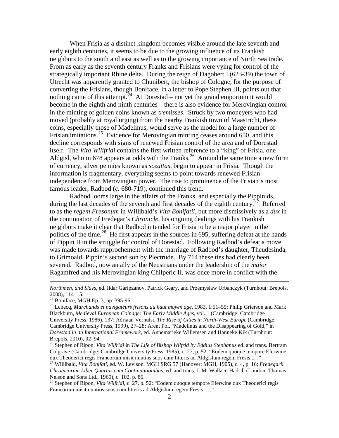When Frisia as a distinct kingdom becomes visible around the late seventh and early eighth centuries, it seems to be due to the growing influence of its Frankish neighbors to the south and east as well as to the growing importance of North Sea trade. From as early as the seventh century Franks and Frisians were vying for control of the strategically important Rhine delta. During the reign of Dagobert I (623-39) the town of Utrecht was apparently granted to Chunibert, the bishop of Cologne, for the purpose of converting the Frisians, though Boniface, in a letter to Pope Stephen III, points out that nothing came of this attempt.<sup>[24](#page-16-0)</sup> At Dorestad – not yet the grand emporium it would become in the eighth and ninth centuries – there is also evidence for Merovingian control in the minting of golden coins known as *tremisses*. Struck by two moneyers who had moved (probably at royal urging) from the nearby Frankish town of Maastricht, these coins, especially those of Madelinus, would serve as the model for a large number of Frisian imitations.<sup>[25](#page-16-1)</sup> Evidence for Merovingian minting ceases around 650, and this decline corresponds with signs of renewed Frisian control of the area and of Dorestad itself. The *Vita Wilifridi* contains the first written reference to a "king" of Frisia, one Aldgisl, who in 678 appears at odds with the Franks.<sup>26</sup> Around the same time a new form of currency, silver pennies known as *sceattas*, begin to appear in Frisia. Though the information is fragmentary, everything seems to point towards renewed Frisian independence from Merovingian power. The rise to prominence of the Frisian's most famous leader, Radbod (*c.* 680-719), continued this trend.

Radbod looms large in the affairs of the Franks, and especially the Pippinids, during the last decades of the seventh and first decades of the eighth century.<sup>27</sup> Referred to as the *regem Fresonum* in Willibald's *Vita Bonifatii*, but more dismissively as a *dux* in the continuation of Fredegar's *Chronicle*, his ongoing dealings with his Frankish neighbors make it clear that Radbod intended for Frisia to be a major player in the politics of the time.<sup>[28](#page-16-4)</sup> He first appears in the sources in 695, suffering defeat at the hands of Pippin II in the struggle for control of Dorestad. Following Radbod's defeat a move was made towards rapprochement with the marriage of Radbod's daughter, Theudesinda, to Grimoald, Pippin's second son by Plectrude. By 714 these ties had clearly been severed. Radbod, now an ally of the Neustrians under the leadership of the *maior*  Ragamfred and his Merovingian king Chilperic II, was once more in conflict with the

 $\overline{a}$ 

*Northmen, and Slavs*, ed. Ildar Garipzanov, Patrick Geary, and Przemyslaw Urbanczyk (Turnhout: Brepols, 2008), 114–15. <sup>24</sup> Boniface, MGH Ep. <sup>3</sup>*,* pp. 395-96. <sup>25</sup> Lebecq, *Marchands et navigateurs frisons du haut moyen âge*, 1983, 1:51–55; Philip Grierson and Mark

<span id="page-16-0"></span>

<span id="page-16-1"></span>Blackburn, *Medieval European Coinage: The Early Middle Ages*, vol. 1 (Cambridge: Cambridge University Press, 1986), 137; Adriaan Verhulst, *The Rise of Cities in North-West Europe* (Cambridge: Cambridge University Press, 1999), 27–28; Arent Pol, "Madelinus and the Disappearing of Gold," in *Dorestad in an International Framework*, ed. Annemarieke Willemsen and Hanneke Kik (Turnhout:

<span id="page-16-2"></span><sup>&</sup>lt;sup>26</sup> Stephen of Ripon, *Vita Wilfridi* in *The Life of Bishop Wilfrid by Eddius Stephanus* ed. and trans. Bertram Colgrave (Cambridge: Cambridge University Press, 1985), c. 27, p. 52: "Eodem quoque tempore Eferwine

<span id="page-16-3"></span>dux Theoderici regis Francorum misit nuntios suos cum litteris ad Aldgislum regem Fresis ... ." <sup>27</sup> Willibald, *Vita Bonifati*, ed. W. Levison, MGH SRG 57 (Hanover: MGH, 1905), c. 4, p. 16; *Fredegarii Chronicorum Liber Quartus cum Continuationibus*, ed. and trans. J. M. Wallace-Hadrill (London: Thomas

<span id="page-16-4"></span>Nelson and Sons Ltd., 1960), c. 102, p. 86. <sup>28</sup> Stephen of Ripon, *Vita Wilfridi*, c. 27, p. 52: "Eodem quoque tempore Eferwine dux Theoderici regis Francorum misit nuntios suos cum litteris ad Aldgislum regem Fresis ... ."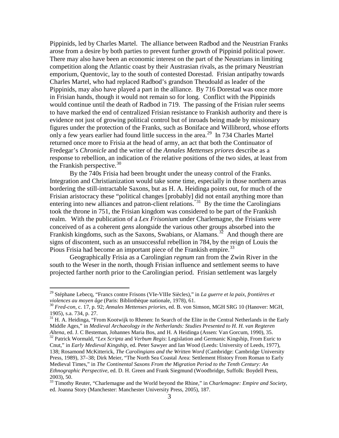Pippinids, led by Charles Martel. The alliance between Radbod and the Neustrian Franks arose from a desire by both parties to prevent further growth of Pippinid political power. There may also have been an economic interest on the part of the Neustrians in limiting competition along the Atlantic coast by their Austrasian rivals, as the primary Neustrian emporium, Quentovic, lay to the south of contested Dorestad. Frisian antipathy towards Charles Martel, who had replaced Radbod's grandson Theudoald as leader of the Pippinids, may also have played a part in the alliance. By 716 Dorestad was once more in Frisian hands, though it would not remain so for long. Conflict with the Pippinids would continue until the death of Radbod in 719. The passing of the Frisian ruler seems to have marked the end of centralized Frisian resistance to Frankish authority and there is evidence not just of growing political control but of inroads being made by missionary figures under the protection of the Franks, such as Boniface and Willibrord, whose efforts only a few years earlier had found little success in the area.<sup>29</sup> In 734 Charles Martel returned once more to Frisia at the head of army, an act that both the Continuator of Fredegar's *Chronicle* and the writer of the *Annales Mettenses priores* describe as a response to rebellion, an indication of the relative positions of the two sides, at least from the Frankish perspective.<sup>[30](#page-17-1)</sup>

By the 740s Frisia had been brought under the uneasy control of the Franks. Integration and Christianization would take some time, especially in those northern areas bordering the still-intractable Saxons, but as H. A. Heidinga points out, for much of the Frisian aristocracy these "political changes [probably] did not entail anything more than entering into new alliances and patron-client relations.<sup>"[31](#page-17-2)</sup> By the time the Carolingians took the throne in 751, the Frisian kingdom was considered to be part of the Frankish realm. With the publication of a *Lex Frisonium* under Charlemagne, the Frisians were conceived of as a coherent *gens* alongside the various other groups absorbed into the Frankish kingdoms, such as the Saxons, Swabians, or Alamans.<sup>[32](#page-17-3)</sup> And though there are signs of discontent, such as an unsuccessful rebellion in 784, by the reign of Louis the Pious Frisia had become an important piece of the Frankish empire.<sup>[33](#page-17-4)</sup>

Geographically Frisia as a Carolingian *regnum* ran from the Zwin River in the south to the Weser in the north, though Frisian influence and settlement seems to have projected farther north prior to the Carolingian period. Frisian settlement was largely

<span id="page-17-0"></span> <sup>29</sup> Stéphane Lebecq, "Francs contre Frisons (VIe-VIIIe Siècles)," in *La guerre et la paix, frontières et* 

<span id="page-17-1"></span>*violences au moyen âge* (Paris: Bibliothèque nationale, 1978), 61.<br><sup>30</sup> *Fred-con*, c. 17, p. 92; *Annales Mettenses priories*, ed. B. von Simson, MGH SRG 10 (Hanover: MGH, 1905), s.a. 734, p. 27.

<span id="page-17-2"></span><sup>&</sup>lt;sup>31</sup> H. A. Heidinga, "From Kootwijk to Rhenen: In Search of the Elite in the Central Netherlands in the Early Middle Ages," in *Medieval Archaeology in the Netherlands: Studies Presented to H. H. van Regteren* 

<span id="page-17-3"></span><sup>&</sup>lt;sup>32</sup> Patrick Wormald, "*Lex Scripta* and *Verbum Regis*: Legislation and Germanic Kingship, From Euric to Cnut," in *Early Medieval Kingship*, ed. Peter Sawyer and Ian Wood (Leeds: University of Leeds, 1977), 138; Rosamond McKitterick, *The Carolingians and the Written Word* (Cambridge: Cambridge University Press, 1989), 37–38; Dirk Meier, "The North Sea Coastal Area: Settlement History From Roman to Early Medieval Times," in *The Continental Saxons From the Migration Period to the Tenth Century: An Ethnographic Perspective*, ed. D. H. Green and Frank Siegmund (Woodbridge, Suffolk: Boydell Press, 2003), 50.

<span id="page-17-4"></span><sup>33</sup> Timothy Reuter, "Charlemagne and the World beyond the Rhine," in *Charlemagne: Empire and Society*, ed. Joanna Story (Manchester: Manchester University Press, 2005), 187.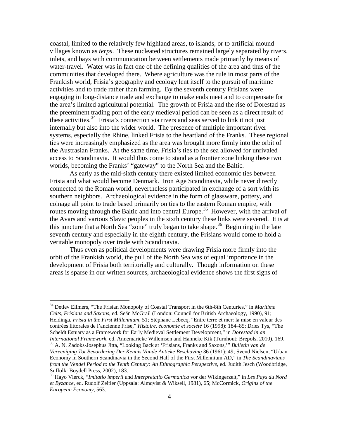coastal, limited to the relatively few highland areas, to islands, or to artificial mound villages known as *terps*. These nucleated structures remained largely separated by rivers, inlets, and bays with communication between settlements made primarily by means of water-travel. Water was in fact one of the defining qualities of the area and thus of the communities that developed there. Where agriculture was the rule in most parts of the Frankish world, Frisia's geography and ecology lent itself to the pursuit of maritime activities and to trade rather than farming. By the seventh century Frisians were engaging in long-distance trade and exchange to make ends meet and to compensate for the area's limited agricultural potential. The growth of Frisia and the rise of Dorestad as the preeminent trading port of the early medieval period can be seen as a direct result of these activities.<sup>[34](#page-18-0)</sup> Frisia's connection via rivers and seas served to link it not just internally but also into the wider world. The presence of multiple important river systems, especially the Rhine, linked Frisia to the heartland of the Franks. These regional ties were increasingly emphasized as the area was brought more firmly into the orbit of the Austrasian Franks. At the same time, Frisia's ties to the sea allowed for unrivaled access to Scandinavia. It would thus come to stand as a frontier zone linking these two worlds, becoming the Franks' "gateway" to the North Sea and the Baltic.

As early as the mid-sixth century there existed limited economic ties between Frisia and what would become Denmark. Iron Age Scandinavia, while never directly connected to the Roman world, nevertheless participated in exchange of a sort with its southern neighbors. Archaeological evidence in the form of glassware, pottery, and coinage all point to trade based primarily on ties to the eastern Roman empire, with routes moving through the Baltic and into central Europe.<sup>35</sup> However, with the arrival of the Avars and various Slavic peoples in the sixth century these links were severed. It is at this juncture that a North Sea "zone" truly began to take shape.<sup>[36](#page-18-2)</sup> Beginning in the late seventh century and especially in the eighth century, the Frisians would come to hold a veritable monopoly over trade with Scandinavia.

Thus even as political developments were drawing Frisia more firmly into the orbit of the Frankish world, the pull of the North Sea was of equal importance in the development of Frisia both territorially and culturally. Though information on these areas is sparse in our written sources, archaeological evidence shows the first signs of

<span id="page-18-0"></span> <sup>34</sup> Detlev Ellmers, "The Frisian Monopoly of Coastal Transport in the 6th-8th Centuries," in *Maritime Celts, Frisians and Saxons*, ed. Seán McGrail (London: Council for British Archaeology, 1990), 91; Heidinga, *Frisia in the First Millennium*, 51; Stéphane Lebecq, "Entre terre et mer: la mise en valeur des contrées littorales de l'ancienne Frise," *Histoire, économie et société* 16 (1998): 184–85; Dries Tys, "The Scheldt Estuary as a Framework for Early Medieval Settlement Development," in *Dorestad in an International Framework*, ed. Annemarieke Willemsen and Hanneke Kik (Turnhout: Brepols, 2010), 169.

<span id="page-18-1"></span><sup>&</sup>lt;sup>35</sup> A. N. Zadoks-Josephus Jitta, "Looking Back at 'Frisians, Franks and Saxons," *Bulletin van de Vereeniging Tot Bevordering Der Kennis Vande Antieke Beschaving* 36 (1961): 49; Svend Nielsen, "Urban Economy in Southern Scandinavia in the Second Half of the First Millennium AD," in *The Scandinavians from the Vendel Period to the Tenth Century: An Ethnographic Perspective*, ed. Judith Jesch (Woodbridge, Suffolk: Boydell Press, 2002), 183.<br><sup>36</sup> Havo Vierck, "*Imitatio imperii* und *Interpretatio Germanica* vor der Wikingerzeit," in *Les Pays du Nord* 

<span id="page-18-2"></span>*et Byzance*, ed. Rudolf Zeitler (Uppsala: Almqvist & Wiksell, 1981), 65; McCormick, *Origins of the European Economy*, 563.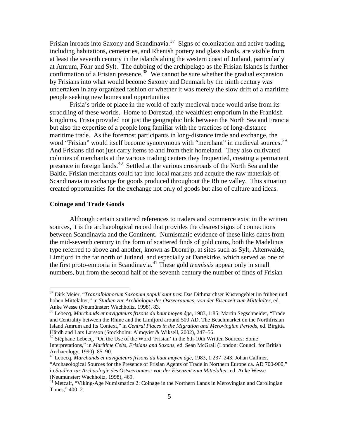Frisian inroads into Saxony and Scandinavia.<sup>37</sup> Signs of colonization and active trading, including habitations, cemeteries, and Rhenish pottery and glass shards, are visible from at least the seventh century in the islands along the western coast of Jutland, particularly at Amrum, Föhr and Sylt. The dubbing of the archipelago as the Frisian Islands is further confirmation of a Frisian presence.<sup>[38](#page-19-1)</sup> We cannot be sure whether the gradual expansion by Frisians into what would become Saxony and Denmark by the ninth century was undertaken in any organized fashion or whether it was merely the slow drift of a maritime people seeking new homes and opportunities

Frisia's pride of place in the world of early medieval trade would arise from its straddling of these worlds. Home to Dorestad, the wealthiest emporium in the Frankish kingdoms, Frisia provided not just the geographic link between the North Sea and Francia but also the expertise of a people long familiar with the practices of long-distance maritime trade. As the foremost participants in long-distance trade and exchange, the word "Frisian" would itself become synonymous with "merchant" in medieval sources.<sup>[39](#page-19-2)</sup> And Frisians did not just carry items to and from their homeland. They also cultivated colonies of merchants at the various trading centers they frequented, creating a permanent presence in foreign lands.<sup>40</sup> Settled at the various crossroads of the North Sea and the Baltic, Frisian merchants could tap into local markets and acquire the raw materials of Scandinavia in exchange for goods produced throughout the Rhine valley. This situation created opportunities for the exchange not only of goods but also of culture and ideas.

### **Coinage and Trade Goods**

Although certain scattered references to traders and commerce exist in the written sources, it is the archaeological record that provides the clearest signs of connections between Scandinavia and the Continent. Numismatic evidence of these links dates from the mid-seventh century in the form of scattered finds of gold coins, both the Madelinus type referred to above and another, known as Dronrijp, at sites such as Sylt, Altenwalde, Limfjord in the far north of Jutland, and especially at Danekirke, which served as one of the first proto-emporia in Scandinavia.[41](#page-19-4) These gold *tremissis* appear only in small numbers, but from the second half of the seventh century the number of finds of Frisian

<span id="page-19-0"></span> <sup>37</sup> Dirk Meier, "*Transalbianorum Saxonum populi sunt tres*: Das Dithmarchser Küstengebiet im frühen und hohen Mittelalter," in *Studien zur Archäologie des Ostseeraumes: von der Eisenzeit zum Mittelalter*, ed. Anke Wesse (Neumünster: Wachholtz, 1998), 83.

<span id="page-19-1"></span><sup>38</sup> Lebecq, *Marchands et navigateurs frisons du haut moyen âge*, 1983, 1:85; Martin Segschneider, "Trade and Centrality between the Rhine and the Limfjord around 500 AD. The Beachmarket on the Northfrisian Island Amrum and Its Context," in *Central Places in the Migration and Merovingian Periods*, ed. Birgitta Hårdh and Lars Larsson (Stockholm: Almqvist & Wiksell, 2002), 247–56.

<span id="page-19-2"></span><sup>&</sup>lt;sup>39</sup> Stéphane Lebecq, "On the Use of the Word 'Frisian' in the 6th-10th Written Sources: Some Interpretations," in *Maritime Celts, Frisians and Saxons*, ed. Seán McGrail (London: Council for British Archaeology, 1990), 85–90. <sup>40</sup> Lebecq, *Marchands et navigateurs frisons du haut moyen âge*, 1983, 1:237–243; Johan Callmer,

<span id="page-19-3"></span><sup>&</sup>quot;Archaeological Sources for the Presence of Frisian Agents of Trade in Northern Europe ca. AD 700-900," in *Studien zur Archäologie des Ostseeraumes: von der Eisenzeit zum Mittelalter*, ed. Anke Wesse (Neumünster: Wachholtz, 1998), 469.

<span id="page-19-4"></span><sup>&</sup>lt;sup>41</sup> Metcalf, "Viking-Age Numismatics 2: Coinage in the Northern Lands in Merovingian and Carolingian Times," 400–2.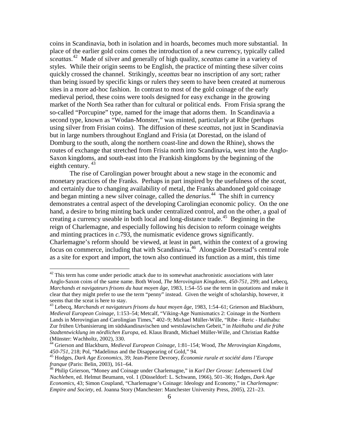coins in Scandinavia, both in isolation and in hoards, becomes much more substantial. In place of the earlier gold coins comes the introduction of a new currency, typically called *sceattas*. [42](#page-20-0) Made of silver and generally of high quality, *sceattas* came in a variety of styles. While their origin seems to be English, the practice of minting these silver coins quickly crossed the channel. Strikingly, *sceattas* bear no inscription of any sort; rather than being issued by specific kings or rulers they seem to have been created at numerous sites in a more ad-hoc fashion. In contrast to most of the gold coinage of the early medieval period, these coins were tools designed for easy exchange in the growing market of the North Sea rather than for cultural or political ends. From Frisia sprang the so-called "Porcupine" type, named for the image that adorns them. In Scandinavia a second type, known as "Wodan-Monster," was minted, particularly at Ribe (perhaps using silver from Frisian coins). The diffusion of these *sceattas,* not just in Scandinavia but in large numbers throughout England and Frisia (at Dorestad, on the island of Domburg to the south, along the northern coast-line and down the Rhine), shows the routes of exchange that stretched from Frisia north into Scandinavia, west into the Anglo-Saxon kingdoms, and south-east into the Frankish kingdoms by the beginning of the eighth century.  $43$ 

The rise of Carolingian power brought about a new stage in the economic and monetary practices of the Franks. Perhaps in part inspired by the usefulness of the *sceat*, and certainly due to changing availability of metal, the Franks abandoned gold coinage and began minting a new silver coinage, called the *denarius*. [44](#page-20-2) The shift in currency demonstrates a central aspect of the developing Carolingian economic policy. On the one hand, a desire to bring minting back under centralized control, and on the other, a goal of creating a currency useable in both local and long-distance trade.<sup>45</sup> Beginning in the reign of Charlemagne, and especially following his decision to reform coinage weights and minting practices in *c.*793, the numismatic evidence grows significantly. Charlemagne's reform should be viewed, at least in part, within the context of a growing focus on commerce, including that with Scandinavia.[46](#page-20-4) Alongside Dorestad's central role as a site for export and import, the town also continued its function as a mint, this time

<span id="page-20-0"></span> $42$  This term has come under periodic attack due to its somewhat anachronistic associations with later Anglo-Saxon coins of the same name. Both Wood, *The Merovingian Kingdoms, 450-751*, 299; and Lebecq, *Marchands et navigateurs frisons du haut moyen âge*, 1983, 1:54–55 use the term in quotations and make it clear that they might prefer to use the term "penny" instead. Given the weight of scholarship, however, it seems that the sceat is here to stay.

<span id="page-20-1"></span><sup>43</sup> Lebecq, *Marchands et navigateurs frisons du haut moyen âge*, 1983, 1:54–61; Grierson and Blackburn, *Medieval European Coinage*, 1:153–54; Metcalf, "Viking-Age Numismatics 2: Coinage in the Northern Lands in Merovingian and Carolingian Times," 402–9; Michael Müller-Wille, "Ribe - Reric - Haithabu: Zur frühen Urbanisierung im südskandinavischen und westslawischen Gebeit," in *Haithabu und die frühe Stadtentwicklung im nördlichen Europa*, ed. Klaus Brandt, Michael Müller-Wille, and Christian Radtke (Münster: Wachholtz, 2002), 330.

<span id="page-20-2"></span><sup>44</sup> Grierson and Blackburn, *Medieval European Coinage*, 1:81–154; Wood, *The Merovingian Kingdoms, 450-751*, 218; Pol, "Madelinus and the Disappearing of Gold," 94. <sup>45</sup> Hodges, *Dark Age Economics*, 39; Jean-Pierre Devroey, *Économie rurale et société dans l'Europe* 

<span id="page-20-3"></span>*franque* (Paris: Belin, 2003), 161–64.<br><sup>46</sup> Philip Grierson, "Money and Coinage under Charlemagne," in *Karl Der Grosse: Lebenswerk Und* 

<span id="page-20-4"></span>*Nachleben*, ed. Helmut Beumann, vol. 1 (Düsseldorf: L. Schwann, 1966), 501–36; Hodges, *Dark Age Economics*, 43; Simon Coupland, "Charlemagne's Coinage: Ideology and Economy," in *Charlemagne: Empire and Society*, ed. Joanna Story (Manchester: Manchester University Press, 2005), 221–23.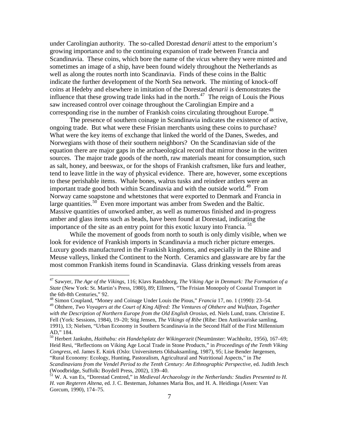under Carolingian authority. The so-called Dorestad *denarii* attest to the emporium'*s* growing importance and to the continuing expansion of trade between Francia and Scandinavia. These coins, which bore the name of the *vicus* where they were minted and sometimes an image of a ship, have been found widely throughout the Netherlands as well as along the routes north into Scandinavia. Finds of these coins in the Baltic indicate the further development of the North Sea network. The minting of knock-off coins at Hedeby and elsewhere in imitation of the Dorestad *denarii* is demonstrates the influence that these growing trade links had in the north.<sup>47</sup> The reign of Louis the Pious saw increased control over coinage throughout the Carolingian Empire and a corresponding rise in the number of Frankish coins circulating throughout Europe.<sup>[48](#page-21-1)</sup>

The presence of southern coinage in Scandinavia indicates the existence of active, ongoing trade. But what were these Frisian merchants using these coins to purchase? What were the key items of exchange that linked the world of the Danes, Swedes, and Norwegians with those of their southern neighbors? On the Scandinavian side of the equation there are major gaps in the archaeological record that mirror those in the written sources. The major trade goods of the north, raw materials meant for consumption, such as salt, honey, and beeswax, or for the shops of Frankish craftsmen, like furs and leather, tend to leave little in the way of physical evidence. There are, however, some exceptions to these perishable items. Whale bones, walrus tusks and reindeer antlers were an important trade good both within Scandinavia and with the outside world.<sup>[49](#page-21-2)</sup> From Norway came soapstone and whetstones that were exported to Denmark and Francia in large quantities.<sup>[50](#page-21-3)</sup> Even more important was amber from Sweden and the Baltic. Massive quantities of unworked amber, as well as numerous finished and in-progress amber and glass items such as beads, have been found at Dorestad, indicating the importance of the site as an entry point for this exotic luxury into Francia.<sup>[51](#page-21-4)</sup>

While the movement of goods from north to south is only dimly visible, when we look for evidence of Frankish imports in Scandinavia a much richer picture emerges. Luxury goods manufactured in the Frankish kingdoms, and especially in the Rhine and Meuse valleys, linked the Continent to the North. Ceramics and glassware are by far the most common Frankish items found in Scandinavia. Glass drinking vessels from areas

<span id="page-21-0"></span> <sup>47</sup> Sawyer, *The Age of the Vikings*, 116; Klavs Randsborg, *The Viking Age in Denmark: The Formation of a State* (New York: St. Martin's Press, 1980), 89; Ellmers, "The Frisian Monopoly of Coastal Transport in the 6th-8th Centuries," 92.<br><sup>48</sup> Simon Coupland, "Money and Coinage Under Louis the Pious," *Francia* 17, no. 1 (1990): 23–54.

<span id="page-21-2"></span><span id="page-21-1"></span><sup>49</sup> Ohthere, *Two Voyagers at the Court of King Alfred: The Ventures of Ohthere and Wulfstan, Together with the Description of Northern Europe from the Old English Orosius*, ed. Niels Lund, trans. Christine E. Fell (York: Sessions, 1984), 19–20; Stig Jensen, *The Vikings of Ribe* (Ribe: Den Antikvariske samling, 1991), 13; Nielsen, "Urban Economy in Southern Scandinavia in the Second Half of the First Millennium AD," 184.

<span id="page-21-3"></span><sup>50</sup> Herbert Jankuhn, *Haithabu: ein Handelsplatz der Wikingerzeit* (Neumünster: Wachholtz, 1956), 167–69; Heid Resi, "Reflections on Viking Age Local Trade in Stone Products," in *Proceedings of the Tenth Viking Congress*, ed. James E. Knirk (Oslo: Universitetets Oldsaksamling, 1987), 95; Lise Bender Jørgensen,

<sup>&</sup>quot;Rural Economy: Ecology, Hunting, Pastoralism, Agricultural and Nutritional Aspects," in *The Scandinavians from the Vendel Period to the Tenth Century: An Ethnographic Perspective*, ed. Judith Jesch (Woodbridge, Suffolk: Boydell Press, 2002), 139–40. <sup>51</sup> W. A. van Es, "Dorestad Centred," in *Medieval Archaeology in the Netherlands: Studies Presented to H.* 

<span id="page-21-4"></span>*H. van Regteren Altena*, ed. J. C. Besteman, Johannes Maria Bos, and H. A. Heidinga (Assen: Van Gorcum, 1990), 174–75.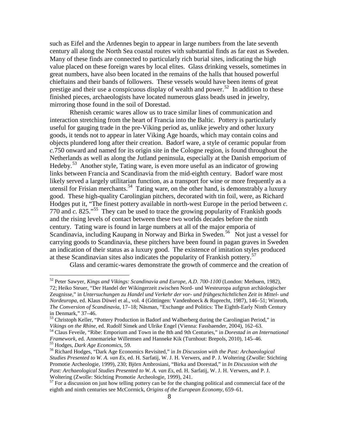such as Eifel and the Ardennes begin to appear in large numbers from the late seventh century all along the North Sea coastal routes with substantial finds as far east as Sweden. Many of these finds are connected to particularly rich burial sites, indicating the high value placed on these foreign wares by local elites. Glass drinking vessels, sometimes in great numbers, have also been located in the remains of the halls that housed powerful chieftains and their bands of followers. These vessels would have been items of great prestige and their use a conspicuous display of wealth and power.<sup>52</sup> In addition to these finished pieces, archaeologists have located numerous glass beads used in jewelry, mirroring those found in the soil of Dorestad.

Rhenish ceramic wares allow us to trace similar lines of communication and interaction stretching from the heart of Francia into the Baltic. Pottery is particularly useful for gauging trade in the pre-Viking period as, unlike jewelry and other luxury goods, it tends not to appear in later Viking Age hoards, which may contain coins and objects plundered long after their creation. Badorf ware, a style of ceramic popular from *c.*750 onward and named for its origin site in the Cologne region, is found throughout the Netherlands as well as along the Jutland peninsula, especially at the Danish emporium of Hedeby.<sup>53</sup> Another style, Tating ware, is even more useful as an indicator of growing links between Francia and Scandinavia from the mid-eighth century. Badorf ware most likely served a largely utilitarian function, as a transport for wine or more frequently as a utensil for Frisian merchants.<sup>[54](#page-22-2)</sup> Tating ware, on the other hand, is demonstrably a luxury good. These high-quality Carolingian pitchers, decorated with tin foil, were, as Richard Hodges put it, "The finest pottery available in north-west Europe in the period between *c.*  770 and *c.* 825."[55](#page-22-3) They can be used to trace the growing popularity of Frankish goods and the rising levels of contact between these two worlds decades before the ninth century. Tating ware is found in large numbers at all of the major emporia of Scandinavia, including Kaupang in Norway and Birka in Sweden.<sup>[56](#page-22-4)</sup> Not just a vessel for carrying goods to Scandinavia, these pitchers have been found in pagan graves in Sweden an indication of their status as a luxury good. The existence of imitation styles produced at these Scandinavian sites also indicates the popularity of Frankish pottery.<sup>[57](#page-22-5)</sup>

Glass and ceramic-wares demonstrate the growth of commerce and the creation of

<span id="page-22-0"></span> <sup>52</sup> Peter Sawyer, *Kings and Vikings: Scandinavia and Europe, A.D. 700-1100* (London: Methuen, 1982), 72; Heiko Steuer, "Der Handel der Wikingerzeit zwischen Nord- und Westeuropa aufgrun archäologischer Zeugnisse," in *Untersuchungen zu Handel und Verkehr der vor- und frühgeschichtlichen Zeit in Mittel- und Nordeuropa*, ed. Klaus Düwel et al., vol. 4 (Göttingen: Vandenhoeck & Ruprecht, 1987), 146–51; Winroth, *The Conversion of Scandinavia*, 17–18; Näsman, "Exchange and Politics: The Eighth-Early Ninth Century

<span id="page-22-1"></span>in Denmark," 37–46.<br><sup>53</sup> Christoph Keller, "Pottery Production in Badorf and Walberberg during the Carolingian Period," in<br>*Vikings on the Rhine*, ed. Rudolf Simek and Ulrike Engel (Vienna: Fassbaender, 2004), 162–63.

<span id="page-22-2"></span><sup>&</sup>lt;sup>54</sup> Claus Feveile, "Ribe: Emporium and Town in the 8th and 9th Centuries," in *Dorestad in an International Framework*, ed. Annemarieke Willemsen and Hanneke Kik (Turnhout: Brepols, 2010), 145–46. <sup>55</sup> Hodges, *Dark Age Economics*, 59.<br><sup>55</sup> Richard Hodges, "Dark Age Economics, 59.

<span id="page-22-4"></span><span id="page-22-3"></span>*Studies Presented to W. A. van Es*, ed. H. Sarfatij, W. J. H. Verwers, and P. J. Woltering (Zwolle: Stichting Promotie Archeologie, 1999), 230; Björn Ambrosiani, "Birka and Dorestad," in *In Discussion with the Past: Archaeological Studies Presented to W. A. van Es*, ed. H. Sarfatij, W. J. H. Verwers, and P. J. Woltering (Zwolle: Stichting Promotie Archeologie, 1999), 241.

<span id="page-22-5"></span><sup>&</sup>lt;sup>57</sup> For a discussion on just how telling pottery can be for the changing political and commercial face of the eighth and ninth centuries see McCormick, *Origins of the European Economy*, 659–61.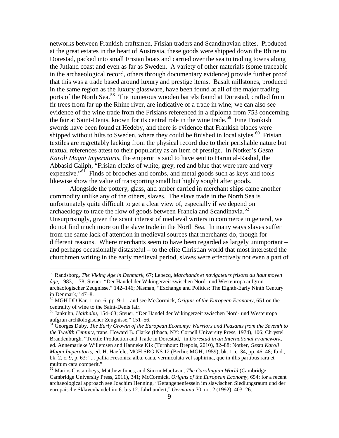networks between Frankish craftsmen, Frisian traders and Scandinavian elites. Produced at the great estates in the heart of Austrasia, these goods were shipped down the Rhine to Dorestad, packed into small Frisian boats and carried over the sea to trading towns along the Jutland coast and even as far as Sweden. A variety of other materials (some traceable in the archaeological record, others through documentary evidence) provide further proof that this was a trade based around luxury and prestige items. Basalt millstones, produced in the same region as the luxury glassware, have been found at all of the major trading ports of the North Sea.<sup>58</sup> The numerous wooden barrels found at Dorestad, crafted from fir trees from far up the Rhine river, are indicative of a trade in wine; we can also see evidence of the wine trade from the Frisians referenced in a diploma from 753 concerning the fair at Saint-Denis, known for its central role in the wine trade.<sup>59</sup> Fine Frankish swords have been found at Hedeby, and there is evidence that Frankish blades were shipped without hilts to Sweden, where they could be finished in local styles.<sup>[60](#page-23-2)</sup> Frisian textiles are regrettably lacking from the physical record due to their perishable nature but textual references attest to their popularity as an item of prestige. In Notker's *Gesta Karoli Magni Imperatoris*, the emperor is said to have sent to Harun al-Rashid, the Abbasid Caliph, "Frisian cloaks of white, grey, red and blue that were rare and very expensive."<sup>[61](#page-23-3)</sup> Finds of brooches and combs, and metal goods such as keys and tools likewise show the value of transporting small but highly sought after goods.

Alongside the pottery, glass, and amber carried in merchant ships came another commodity unlike any of the others, slaves. The slave trade in the North Sea is unfortunately quite difficult to get a clear view of, especially if we depend on archaeology to trace the flow of goods between Francia and Scandinavia.<sup>[62](#page-23-4)</sup> Unsurprisingly, given the scant interest of medieval writers in commerce in general, we do not find much more on the slave trade in the North Sea. In many ways slaves suffer from the same lack of attention in medieval sources that merchants do, though for different reasons. Where merchants seem to have been regarded as largely unimportant – and perhaps occasionally distasteful – to the elite Christian world that most interested the churchmen writing in the early medieval period, slaves were effectively not even a part of

<span id="page-23-0"></span> <sup>58</sup> Randsborg, *The Viking Age in Denmark*, 67; Lebecq, *Marchands et navigateurs frisons du haut moyen âge*, 1983, 1:78; Steuer, "Der Handel der Wikingerzeit zwischen Nord- und Westeuropa aufgrun archäologischer Zeugnisse," 142–146; Näsman, "Exchange and Politics: The Eighth-Early Ninth Century in Denmark," 47–8.

<span id="page-23-1"></span><sup>59</sup> MGH DD Kar. 1, no. 6, pp. 9-11; and see McCormick, *Origins of the European Economy*, 651 on the

<span id="page-23-2"></span><sup>&</sup>lt;sup>60</sup> Jankuhn, *Haithabu*, 154–63; Steuer, "Der Handel der Wikingerzeit zwischen Nord- und Westeuropa aufgrun archäologischer Zeugnisse," 151–56.

<span id="page-23-3"></span><sup>&</sup>lt;sup>61</sup> Georges Duby, *The Early Growth of the European Economy: Warriors and Peasants from the Seventh to the Twelfth Century*, trans. Howard B. Clarke (Ithaca, NY: Cornell University Press, 1974), 106; Chrystel Brandenburgh, "Textile Production and Trade in Dorestad," in *Dorestad in an International Framework*, ed. Annemarieke Willemsen and Hanneke Kik (Turnhout: Brepols, 2010), 82–88; Notker, *Gesta Karoli Magni Imperatoris*, ed. H. Haefele, MGH SRG NS 12 (Berlin: MGH, 1959), bk. 1, c. 34, pp. 46–48; Ibid., bk. 2, c. 9, p. 63: "... pallia Fresonica alba, cana, vermiculata vel saphirina, que in illis partibus rara et multum cara comperit."

<span id="page-23-4"></span><sup>62</sup> Marios Costambeys, Matthew Innes, and Simon MacLean, *The Carolingian World* (Cambridge: Cambridge University Press, 2011), 341; McCormick, *Origins of the European Economy*, 654; for a recent archaeological approach see Joachim Henning, "Gefangenenfesseln im slawischen Siedlungsraum und der europäische Sklavenhandel im 6. bis 12. Jahrhundert," *Germania* 70, no. 2 (1992): 403–26.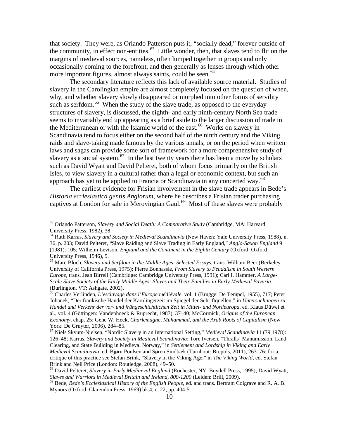that society. They were, as Orlando Patterson puts it, "socially dead," forever outside of the community, in effect non-entities. $63$  Little wonder, then, that slaves tend to flit on the margins of medieval sources, nameless, often lumped together in groups and only occasionally coming to the forefront, and then generally as lenses through which other more important figures, almost always saints, could be seen.<sup>[64](#page-24-1)</sup>

The secondary literature reflects this lack of available source material. Studies of slavery in the Carolingian empire are almost completely focused on the question of when, why, and whether slavery slowly disappeared or morphed into other forms of servility such as serfdom.<sup>[65](#page-24-2)</sup> When the study of the slave trade, as opposed to the everyday structures of slavery, is discussed, the eighth- and early ninth-century North Sea trade seems to invariably end up appearing as a brief aside to the larger discussion of trade in the Mediterranean or with the Islamic world of the east.<sup>66</sup> Works on slavery in Scandinavia tend to focus either on the second half of the ninth century and the Viking raids and slave-taking made famous by the various annals, or on the period when written laws and sagas can provide some sort of framework for a more comprehensive study of slavery as a social system.<sup>[67](#page-24-4)</sup> In the last twenty years there has been a move by scholars such as David Wyatt and David Pelteret, both of whom focus primarily on the British Isles, to view slavery in a cultural rather than a legal or economic context, but such an approach has yet to be applied to Francia or Scandinavia in any concerted way.<sup>[68](#page-24-5)</sup>

The earliest evidence for Frisian involvement in the slave trade appears in Bede's *Historia ecclesiastica gentis Anglorum,* where he describes a Frisian trader purchasing captives at London for sale in Merovingian Gaul.<sup>[69](#page-24-6)</sup> Most of these slaves were probably

<span id="page-24-0"></span> <sup>63</sup> Orlando Patterson, *Slavery and Social Death: A Comparative Study* (Cambridge, MA: Harvard University Press, 1982), 38.

<span id="page-24-1"></span><sup>64</sup> Ruth Karras, *Slavery and Society in Medieval Scandinavia* (New Haven: Yale University Press, 1988), n. 36, p. 203; David Pelteret, "Slave Raiding and Slave Trading in Early England," *Anglo-Saxon England* 9 (1981): 105; Wilhelm Levison, *England and the Continent in the Eighth Century* (Oxford: Oxford University Press, 1946), 9.<br><sup>65</sup> Marc Bloch, *Slavery and Serfdom in the Middle Ages: Selected Essays*, trans. William Beer (Berkeley:

<span id="page-24-2"></span>University of California Press, 1975); Pierre Bonnassie, *From Slavery to Feudalism in South Western Europe*, trans. Jean Birrell (Cambridge: Cambridge University Press, 1991); Carl I. Hammer, *A Large-Scale Slave Society of the Early Middle Ages: Slaves and Their Families in Early Medieval Bavaria* (Burlington, VT: Ashgate, 2002).

<span id="page-24-3"></span><sup>66</sup> Charles Verlinden, *L'esclavage dans l'Europe médiévale*, vol. 1 (Brugge: De Tempel, 1955), 717; Peter Johanek, "Der fränkische Handel der Karolingerzeit im Spiegel der Schriftquellen," in *Untersuchungen zu Handel und Verkehr der vor- und frühgeschichtlichen Zeit in Mittel- und Nordeuropa*, ed. Klaus Düwel et al., vol. 4 (Göttingen: Vandenhoeck & Ruprecht, 1987), 37–40; McCormick, *Origins of the European Economy*, chap. 25; Gene W. Heck, *Charlemagne, Muhammad, and the Arab Roots of Capitalism* (New

<span id="page-24-4"></span><sup>&</sup>lt;sup>67</sup> Niels Skyum-Nielsen, "Nordic Slavery in an International Setting," *Medieval Scandinavia* 11 (79 1978): 126–48; Karras, *Slavery and Society in Medieval Scandinavia*; Tore Iversen, "Thralls' Manumission, Land Clearing, and State Building in Medieval Norway," in *Settlement and Lordship in Viking and Early Medieval Scandinavia*, ed. Bjørn Poulsen and Søren Sindbæk (Turnhout: Brepols, 2011), 263–76; for a critique of this practice see Stefan Brink, "Slavery in the Viking Age," in *The Viking World*, ed. Stefan Brink and Neil Price (London: Routledge, 2008), 49–50.<br><sup>68</sup> David Pelteret, *Slavery in Early Mediaeval England* (Rochester, NY: Boydell Press, 1995); David Wyatt,

<span id="page-24-5"></span>*Slaves and Warriors in Medieval Britain and Ireland, 800-1200* (Leiden: Brill, 2009).<br><sup>69</sup> Bede, *Bede's Ecclesiastical History of the English People*, ed. and trans. Bertram Colgrave and R. A. B.

<span id="page-24-6"></span>Mynors (Oxford: Clarendon Press, 1969) bk.4, c. 22, pp. 404-5.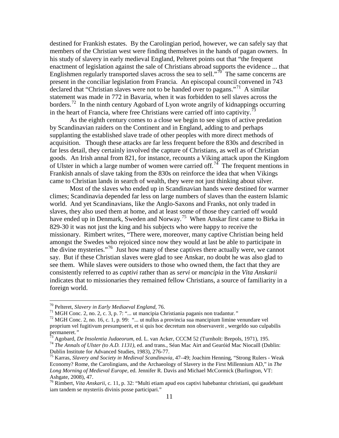destined for Frankish estates. By the Carolingian period, however, we can safely say that members of the Christian west were finding themselves in the hands of pagan owners. In his study of slavery in early medieval England, Pelteret points out that "the frequent enactment of legislation against the sale of Christians abroad supports the evidence ... that Englishmen regularly transported slaves across the sea to sell."<sup>70</sup> The same concerns are present in the conciliar legislation from Francia. An episcopal council convened in 743 declared that "Christian slaves were not to be handed over to pagans."<sup>[71](#page-25-1)</sup> A similar statement was made in 772 in Bavaria, when it was forbidden to sell slaves across the borders.<sup>72</sup> In the ninth century Agobard of Lyon wrote angrily of kidnappings occurring in the heart of Francia, where free Christians were carried off into captivity.

As the eighth century comes to a close we begin to see signs of active predation by Scandinavian raiders on the Continent and in England, adding to and perhaps supplanting the established slave trade of other peoples with more direct methods of acquisition. Though these attacks are far less frequent before the 830s and described in far less detail, they certainly involved the capture of Christians, as well as of Christian goods. An Irish annal from 821, for instance, recounts a Viking attack upon the Kingdom of Ulster in which a large number of women were carried off.<sup>74</sup> The frequent mentions in Frankish annals of slave taking from the 830s on reinforce the idea that when Vikings came to Christian lands in search of wealth, they were not just thinking about silver.

Most of the slaves who ended up in Scandinavian hands were destined for warmer climes; Scandinavia depended far less on large numbers of slaves than the eastern Islamic world. And yet Scandinavians, like the Anglo-Saxons and Franks, not only traded in slaves, they also used them at home, and at least some of those they carried off would have ended up in Denmark, Sweden and Norway.<sup>75</sup> When Anskar first came to Birka in 829-30 it was not just the king and his subjects who were happy to receive the missionary. Rimbert writes, "There were, moreover, many captive Christian being held amongst the Swedes who rejoiced since now they would at last be able to participate in the divine mysteries."[76](#page-25-6) Just how many of these captives there actually were, we cannot say. But if these Christian slaves were glad to see Anskar, no doubt he was also glad to see them. While slaves were outsiders to those who owned them, the fact that they are consistently referred to as *captivi* rather than as *servi* or *mancipia* in the *Vita Anskarii* indicates that to missionaries they remained fellow Christians, a source of familiarity in a foreign world.

<span id="page-25-0"></span><sup>&</sup>lt;sup>70</sup> Pelteret, *Slavery in Early Mediaeval England*, 76.<br><sup>71</sup> MGH Conc. 2, no. 2, c. 3, p. 7: "... ut mancipia Christiania paganis non tradantur."<br><sup>72</sup> MGH Conc. 2, no. 16, c. 1, p. 99: "... ut nullus a provincia sua manc

<span id="page-25-2"></span><span id="page-25-1"></span>proprium vel fugitivum presumpserit, et si quis hoc decretum non observaverit , wergeldo suo culpabilis permaneret."<br>
<sup>73</sup> Agobard, Da Issail value de la proprietat de la proprietat de la proprietat de la proprietat de la

<span id="page-25-4"></span><span id="page-25-3"></span><sup>&</sup>lt;sup>73</sup> Agobard, *De Insolentia Judaeorum*, ed. L. van Acker, CCCM 52 (Turnholt: Brepols, 1971), 195.<br><sup>74</sup> *The Annals of Ulster (to A.D. 1131)*, ed. and trans., Séan Mac Airt and Gearóid Mac Niocaill (Dublin: Dublin Institu

<span id="page-25-5"></span><sup>&</sup>lt;sup>75</sup> Karras, *Slavery and Society in Medieval Scandinavia*, 47–49; Joachim Henning, "Strong Rulers - Weak Economy? Rome, the Carolingians, and the Archaeology of Slavery in the First Millennium AD," in *The Long Morning of Medieval Europe*, ed. Jennifer R. Davis and Michael McCormick (Burlington, VT: Ashgate, 2008), 47.

<span id="page-25-6"></span><sup>76</sup> Rimbert, *Vita Anskarii*, c. 11, p. 32: "Multi etiam apud eos captivi habebantur christiani, qui gaudebant iam tandem se mysteriis divinis posse participari."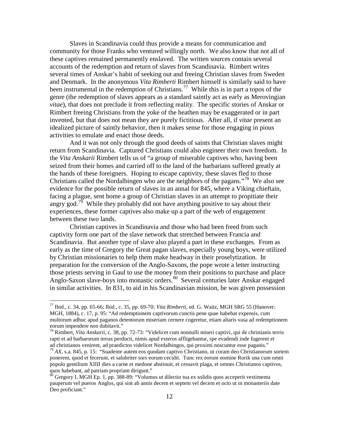Slaves in Scandinavia could thus provide a means for communication and community for those Franks who ventured willingly north. We also know that not all of these captives remained permanently enslaved. The written sources contain several accounts of the redemption and return of slaves from Scandinavia. Rimbert writes several times of Anskar's habit of seeking out and freeing Christian slaves from Sweden and Denmark. In the anonymous *Vita Rimberti* Rimbert himself is similarly said to have been instrumental in the redemption of Christians.<sup>[77](#page-26-0)</sup> While this is in part a topos of the genre (the redemption of slaves appears as a standard saintly act as early as Merovingian *vitae*), that does not preclude it from reflecting reality. The specific stories of Anskar or Rimbert freeing Christians from the yoke of the heathen may be exaggerated or in part invented, but that does not mean they are purely fictitious. After all, if *vitae* present an idealized picture of saintly behavior, then it makes sense for those engaging in pious activities to emulate and enact those deeds.

And it was not only through the good deeds of saints that Christian slaves might return from Scandinavia. Captured Christians could also engineer their own freedom. In the *Vita Anskarii* Rimbert tells us of "a group of miserable captives who, having been seized from their homes and carried off to the land of the barbarians suffered greatly at the hands of these foreigners. Hoping to escape captivity, these slaves fled to those Christians called the Nordalbingen who are the neighbors of the pagans."[78](#page-26-1) We also see evidence for the possible return of slaves in an annal for 845, where a Viking chieftain, facing a plague, sent home a group of Christian slaves in an attempt to propitiate their angry god.<sup>[79](#page-26-2)</sup> While they probably did not have anything positive to say about their experiences, these former captives also make up a part of the web of engagement between these two lands.

Christian captives in Scandinavia and those who had been freed from such captivity form one part of the slave network that stretched between Francia and Scandinavia. But another type of slave also played a part in these exchanges. From as early as the time of Gregory the Great pagan slaves, especially young boys, were utilized by Christian missionaries to help them make headway in their proselytization. In preparation for the conversion of the Anglo-Saxons, the pope wrote a letter instructing those priests serving in Gaul to use the money from their positions to purchase and place Anglo-Saxon slave-boys into monastic orders.<sup>[80](#page-26-3)</sup> Several centuries later Anskar engaged in similar activities. In 831, to aid in his Scandinavian mission, he was given possession

<span id="page-26-0"></span> $^{77}$  Ibid., c. 34, pp. 65-66; Ibid., c. 35, pp. 69-70; *Vita Rimberti*, ed. G. Waitz, MGH SRG 55 (Hanover: MGH, 1884), c. 17, p. 95: "Ad redemptionem captivorum cunctis pene quae habebat expensis, cum multorum adhuc apud paganos detentorum miseriam cernere cogeretur, etiam altaris vasa ad redemptionem eorum impendere non dubitavit."<br><sup>78</sup> Rimbert, *Vita Anskarii*, c. 38, pp. 72-73: "Videlicet cum nonnulli miseri captivi, qui de christianis terris

<span id="page-26-1"></span>rapti et ad barbarorum terras perducti, nimis apud exteros affligebantur, spe evadendi inde fugerent et<br>ad christianos venirent, ad praedictos videlicet Nordalbingos, qui proximi noscuntur esse paganis."

<span id="page-26-2"></span> $a^{79}$  *AX*, s.a. 845, p. 15: "Suadente autem eos quodam captivo Christiano, ut coram deo Christianorum sortem ponerent, quod et fecerunt, et salubriter sors eorum cecidit. Tunc rex eorum nomine Rorik una cum omni populo gentilium XIIII dies a carne et medone abstinuit, et cessavit plaga, et omnes Christianos captivos, quos habebant, ad patriam propriam dirigunt."

<span id="page-26-3"></span> $80$  Gregory I, MGH Ep. 1, pp. 388-89: "Volumus ut dilectio tua ex solidis quos acceperit vestimenta pauperum vel pueros Anglos, qui sint ab annis decem et septem vel decem et octo ut in monasteriis date Deo proficiant."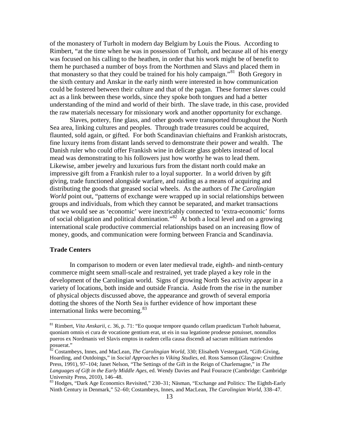of the monastery of Turholt in modern day Belgium by Louis the Pious. According to Rimbert, "at the time when he was in possession of Turholt, and because all of his energy was focused on his calling to the heathen, in order that his work might be of benefit to them he purchased a number of boys from the Northmen and Slavs and placed them in that monastery so that they could be trained for his holy campaign.<sup>81</sup> Both Gregory in the sixth century and Anskar in the early ninth were interested in how communication could be fostered between their culture and that of the pagan. These former slaves could act as a link between these worlds, since they spoke both tongues and had a better understanding of the mind and world of their birth. The slave trade, in this case, provided the raw materials necessary for missionary work and another opportunity for exchange.

Slaves, pottery, fine glass, and other goods were transported throughout the North Sea area, linking cultures and peoples. Through trade treasures could be acquired, flaunted, sold again, or gifted. For both Scandinavian chieftains and Frankish aristocrats, fine luxury items from distant lands served to demonstrate their power and wealth. The Danish ruler who could offer Frankish wine in delicate glass goblets instead of local mead was demonstrating to his followers just how worthy he was to lead them. Likewise, amber jewelry and luxurious furs from the distant north could make an impressive gift from a Frankish ruler to a loyal supporter. In a world driven by gift giving, trade functioned alongside warfare, and raiding as a means of acquiring and distributing the goods that greased social wheels. As the authors of *The Carolingian World* point out, "patterns of exchange were wrapped up in social relationships between groups and individuals, from which they cannot be separated, and market transactions that we would see as 'economic' were inextricably connected to 'extra-economic' forms of social obligation and political domination."[82](#page-27-1) At both a local level and on a growing international scale productive commercial relationships based on an increasing flow of money, goods, and communication were forming between Francia and Scandinavia.

### **Trade Centers**

In comparison to modern or even later medieval trade, eighth- and ninth-century commerce might seem small-scale and restrained, yet trade played a key role in the development of the Carolingian world. Signs of growing North Sea activity appear in a variety of locations, both inside and outside Francia. Aside from the rise in the number of physical objects discussed above, the appearance and growth of several emporia dotting the shores of the North Sea is further evidence of how important these international links were becoming.<sup>[83](#page-27-2)</sup>

<span id="page-27-0"></span> <sup>81</sup> Rimbert, *Vita Anskarii*, c. 36, p. 71: "Eo quoque tempore quando cellam praedictam Turholt habuerat, quoniam omnis ei cura de vocatione gentium erat, ut eis in sua legatione prodesse potuisset, nonnullos pueros ex Nordmanis vel Slavis emptos in eadem cella causa discendi ad sacram militiam nutriendos posuerat."

<span id="page-27-1"></span><sup>&</sup>lt;sup>82</sup> Costambeys, Innes, and MacLean, *The Carolingian World*, 330; Elisabeth Vestergaard, "Gift-Giving, Hoarding, and Outdoings," in *Social Approaches to Viking Studies*, ed. Ross Samson (Glasgow: Cruithne Press, 1991), 97–104; Janet Nelson, "The Settings of the Gift in the Reign of Charlemagne," in *The Languages of Gift in the Early Middle Ages*, ed. Wendy Davies and Paul Fouracre (Cambridge: Cambridge

<span id="page-27-2"></span><sup>&</sup>lt;sup>83</sup> Hodges, "Dark Age Economics Revisited," 230–31; Näsman, "Exchange and Politics: The Eighth-Early Ninth Century in Denmark," 52–60; Costambeys, Innes, and MacLean, *The Carolingian World*, 338–47.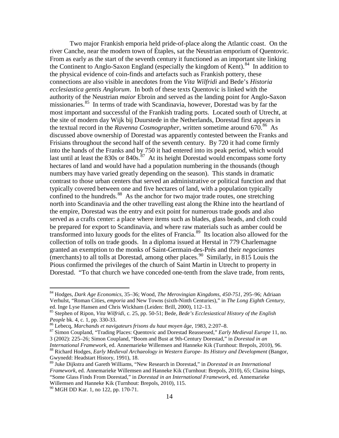Two major Frankish emporia held pride-of-place along the Atlantic coast. On the river Canche, near the modern town of Étaples, sat the Neustrian emporium of Quentovic. From as early as the start of the seventh century it functioned as an important site linking the Continent to Anglo-Saxon England (especially the kingdom of Kent).<sup>84</sup> In addition to the physical evidence of coin-finds and artefacts such as Frankish pottery, these connections are also visible in anecdotes from the *Vita Wilfridi* and Bede's *Historia ecclesiastica gentis Anglorum*. In both of these texts Quentovic is linked with the authority of the Neustrian *maior* Ebroin and served as the landing point for Anglo-Saxon missionaries.<sup>85</sup> In terms of trade with Scandinavia, however, Dorestad was by far the most important and successful of the Frankish trading ports. Located south of Utrecht, at the site of modern day Wijk bij Duurstede in the Netherlands, Dorestad first appears in the textual record in the *Ravenna Cosmographer*, written sometime around 670.<sup>86</sup> As discussed above ownership of Dorestad was apparently contested between the Franks and Frisians throughout the second half of the seventh century. By 720 it had come firmly into the hands of the Franks and by 750 it had entered into its peak period, which would last until at least the 830s or  $840s$ .<sup>[87](#page-28-3)</sup> At its height Dorestad would encompass some forty hectares of land and would have had a population numbering in the thousands (though numbers may have varied greatly depending on the season). This stands in dramatic contrast to those urban centers that served an administrative or political function and that typically covered between one and five hectares of land, with a population typically confined to the hundreds. $88$  As the anchor for two major trade routes, one stretching north into Scandinavia and the other travelling east along the Rhine into the heartland of the empire, Dorestad was the entry and exit point for numerous trade goods and also served as a crafts center: a place where items such as blades, glass beads, and cloth could be prepared for export to Scandinavia, and where raw materials such as amber could be transformed into luxury goods for the elites of Francia.<sup>[89](#page-28-5)</sup> Its location also allowed for the collection of tolls on trade goods. In a diploma issued at Herstal in 779 Charlemagne granted an exemption to the monks of Saint-Germain-des-Prés and their *negociantes* (merchants) to all tolls at Dorestad, among other places.<sup>[90](#page-28-6)</sup> Similarly, in 815 Louis the Pious confirmed the privileges of the church of Saint Martin in Utrecht to property in Dorestad. "To that church we have conceded one-tenth from the slave trade, from rents,

<span id="page-28-0"></span> <sup>84</sup> Hodges, *Dark Age Economics*, 35–36; Wood, *The Merovingian Kingdoms, 450-751*, 295–96; Adriaan Verhulst, "Roman Cities, *emporia* and New Towns (sixth-Ninth Centuries)," in *The Long Eighth Century*,

<span id="page-28-1"></span><sup>&</sup>lt;sup>85</sup> Stephen of Ripon, *Vita Wilfridi*, c. 25, pp. 50-51; Bede, *Bede's Ecclesiastical History of the English People* bk. 4, c. 1, pp. 330-33.

<span id="page-28-3"></span><span id="page-28-2"></span><sup>&</sup>lt;sup>86</sup> Lebecq, *Marchands et navigateurs frisons du haut moyen âge*, 1983, 2:207–8.<br><sup>87</sup> Simon Coupland, "Trading Places: Quentovic and Dorestad Reassessed," *Early Medieval Europe* 11, no. 3 (2002): 225–26; Simon Coupland, "Boom and Bust at 9th-Century Dorestad," in *Dorestad in an* 

<span id="page-28-4"></span><sup>&</sup>lt;sup>88</sup> Richard Hodges, *Early Medieval Archaeology in Western Europe-Its History and Development* (Bangor, Gwynedd: Headstart History, 1991), 18.

<span id="page-28-5"></span><sup>89</sup> Juke Dijkstra and Gareth Williams, "New Research in Dorestad," in *Dorestad in an International Framework*, ed. Annemarieke Willemsen and Hanneke Kik (Turnhout: Brepols, 2010), 65; Clasina Isings, "Some Glass Finds From Dorestad," in *Dorestad in an International Framework*, ed. Annemarieke Willemsen and Hanneke Kik (Turnhout: Brepols, 2010), 115.

<span id="page-28-6"></span><sup>90</sup> MGH DD Kar. 1, no 122, pp. 170-71.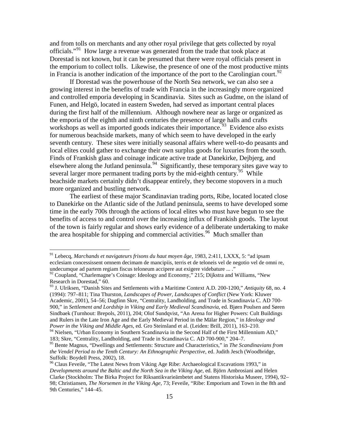and from tolls on merchants and any other royal privilege that gets collected by royal officials."[91](#page-29-0) How large a revenue was generated from the trade that took place at Dorestad is not known, but it can be presumed that there were royal officials present in the emporium to collect tolls. Likewise, the presence of one of the most productive mints in Francia is another indication of the importance of the port to the Carolingian court.<sup>[92](#page-29-1)</sup>

If Dorestad was the powerhouse of the North Sea network, we can also see a growing interest in the benefits of trade with Francia in the increasingly more organized and controlled emporia developing in Scandinavia. Sites such as Gudme, on the island of Funen, and Helgö, located in eastern Sweden, had served as important central places during the first half of the millennium. Although nowhere near as large or organized as the emporia of the eighth and ninth centuries the presence of large halls and crafts workshops as well as imported goods indicates their importance.<sup>[93](#page-29-2)</sup> Evidence also exists for numerous beachside markets, many of which seem to have developed in the early seventh century. These sites were initially seasonal affairs where well-to-do peasants and local elites could gather to exchange their own surplus goods for luxuries from the south. Finds of Frankish glass and coinage indicate active trade at Danekirke, Dejbjerg, and elsewhere along the Jutland peninsula.<sup>94</sup> Significantly, these temporary sites gave way to several larger more permanent trading ports by the mid-eighth century.<sup>[95](#page-29-4)</sup> While beachside markets certainly didn't disappear entirely, they become stopovers in a much more organized and bustling network.

The earliest of these major Scandinavian trading ports, Ribe, located located close to Danekirke on the Atlantic side of the Jutland peninsula, seems to have developed some time in the early 700s through the actions of local elites who must have begun to see the benefits of access to and control over the increasing influx of Frankish goods. The layout of the town is fairly regular and shows early evidence of a deliberate undertaking to make the area hospitable for shipping and commercial activities.<sup>[96](#page-29-5)</sup> Much smaller than

<span id="page-29-2"></span><sup>93</sup> J. Ulriksen, "Danish Sites and Settlements with a Maritime Context A.D. 200-1200," *Antiquity* 68, no. 4 (1994): 797–811; Tina Thurston, *Landscapes of Power, Landscapes of Conflict* (New York: Kluwer Academic, 2001), 54–56; Dagfinn Skre, "Centrality, Landholding, and Trade in Scandinavia C. AD 700- 900," in *Settlement and Lordship in Viking and Early Medieval Scandinavia*, ed. Bjørn Poulsen and Søren Sindbaek (Turnhout: Brepols, 2011), 204; Olof Sundqvist, "An Arena for Higher Powers: Cult Buildings and Rulers in the Late Iron Age and the Early Medieval Period in the Mälar Region," in *Ideology and Power in the Viking and Middle Ages*, ed. Gro Steinsland et al. (Leiden: Brill, 2011), 163–210.

<span id="page-29-0"></span> <sup>91</sup> Lebecq, *Marchands et navigateurs frisons du haut moyen âge*, 1983, 2:411, LXXX, 5: "ad ipsam ecclesiam concessissent omnem decimam de mancipiis, terris et de teloneis vel de negotio vel de omni re, undecumque ad partem regiam fiscus teloneum accipere aut exigere videbature ... ."

<span id="page-29-1"></span> $92$  Coupland, "Charlemagne's Coinage: Ideology and Economy," 215; Dijkstra and Williams, "New Research in Dorestad," 60.

<span id="page-29-3"></span><sup>&</sup>lt;sup>94</sup> Nielsen, "Urban Economy in Southern Scandinavia in the Second Half of the First Millennium AD," 183; Skre, "Centrality, Landholding, and Trade in Scandinavia C. AD 700-900," 204–7.

<span id="page-29-4"></span><sup>95</sup> Bente Magnus, "Dwellings and Settlements: Structure and Characteristics," in *The Scandinavians from the Vendel Period to the Tenth Century: An Ethnographic Perspective*, ed. Judith Jesch (Woodbridge, Suffolk: Boydell Press, 2002), 18.

<span id="page-29-5"></span><sup>96</sup> Claus Feveile, "The Latest News from Viking Age Ribe: Archaeological Excavations 1993," in *Developments around the Baltic and the North Sea in the Viking Age*, ed. Björn Ambrosiani and Helen Clarke (Stockholm: The Birka Project for Riksantikvarieämbetet and Statens Historiska Museer, 1994), 92– 98; Christiansen, *The Norsemen in the Viking Age*, 73; Feveile, "Ribe: Emporium and Town in the 8th and 9th Centuries," 144–45.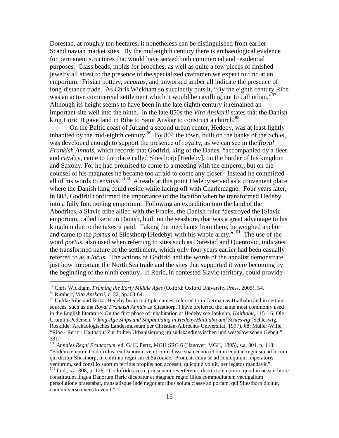Dorestad, at roughly ten hectares, it nonetheless can be distinguished from earlier Scandinavian market sites. By the mid-eighth century there is archaeological evidence for permanent structures that would have served both commercial and residential purposes. Glass beads, molds for brooches, as well as quite a few pieces of finished jewelry all attest to the presence of the specialized craftsmen we expect to find at an emporium. Frisian pottery, *sceattas,* and unworked amber all indicate the presence of long-distance trade. As Chris Wickham so succinctly puts it, "By the eighth century Ribe was an active commercial settlement which it would be cavilling not to call urban."<sup>[97](#page-30-0)</sup> Although its height seems to have been in the late eighth century it remained an important site well into the ninth. In the late 850s the *Vita Anskarii* states that the Danish king Horic II gave land in Ribe to Saint Anskar to construct a church.<sup>98</sup>

On the Baltic coast of Jutland a second urban center, Hedeby, was at least lightly inhabited by the mid-eighth century.<sup>99</sup> By 804 the town, built on the banks of the Schlei, was developed enough to support the presence of royalty, as we can see in the *Royal Frankish Annals*, which records that Godfrid, king of the Danes, "accompanied by a fleet and cavalry, came to the place called Sliesthorp [Hedeby], on the border of his kingdom and Saxony*.* For he had promised to come to a meeting with the emperor, but on the counsel of his magnates he became too afraid to come any closer. Instead he committed all of his words to envoys."[100](#page-30-3) Already at this point Hedeby served as a convenient place where the Danish king could reside while facing off with Charlemagne. Four years later, in 808, Godfrid confirmed the importance of the location when he transformed Hedeby into a fully functioning emporium. Following an expedition into the land of the Abodrites, a Slavic tribe allied with the Franks, the Danish ruler "destroyed the [Slavic] emporium, called Reric in Danish, built on the seashore, that was a great advantage to his kingdom due to the taxes it paid. Taking the merchants from there, he weighed anchor and came to the *portus* of Sliesthorp [Hedeby] with his whole army."<sup>101</sup> The use of the word *portus*, also used when referring to sites such as Dorestad and Quentovic, indicates the transformed nature of the settlement, which only four years earlier had been casually referred to as a *locus*. The actions of Godfrid and the words of the annalist demonstrate just how important the North Sea trade and the sites that supported it were becoming by the beginning of the ninth century. If Reric, in contested Slavic territory, could provide

<span id="page-30-0"></span><sup>&</sup>lt;sup>97</sup> Chris Wickham, *Framing the Early Middle Ages* (Oxford: Oxford University Press, 2005), 54.<br><sup>98</sup> Rimbert, *Vita Anskarii*, c. 32, pp. 63-64.

<span id="page-30-2"></span><span id="page-30-1"></span><sup>&</sup>lt;sup>99</sup> Unlike Ribe and Birka, Hedeby bears multiple names; referred to in German as Hiathabu and in certain sources, such as the *Royal Frankish Annals* as Sliesthorp, I have preferred the name most commonly used in the English literature. On the first phase of inhabitation at Hedeby see Jankuhn, *Haithabu*, 115–16; Ole Crumlin-Pedersen, *Viking-Age Ships and Shipbuilding in Hedeby/Haithabu and Schleswig* (Schleswig, Roskilde: Archäologisches Landesmuseum der Christian-Albrechts-Universität, 1997), 68; Müller-Wille, "Ribe - Reric - Haithabu: Zur frühen Urbanisierung im südskandinavischen und westslawischen Gebeit," 331.

<span id="page-30-4"></span><span id="page-30-3"></span><sup>100</sup> *Annales Regni Francorum*, ed. G. H. Pertz, MGH SRG 6 (Hanover: MGH, 1895), s.a. 804, p. 118: "Eodem tempore Godofridus rex Danorum venit cum classe sua necnon et omni equitau regni sui ad locum, qui dicitur Sliesthorp, in confinio regni sui et Saxoniae. Promisit enim se ad conloquium imperatoris venturum, sed consilio suorum territus propius non accessit, quicquid voluit, per legatos mandavit." <sup>101</sup> Ibid., s.a. 808, p. 126: "Godofridus vero, priusquam reverteretur, distructo emporio, quod in oceani litore constitutum lingua Danorum Reric dicebatur et magnam regno illius commoditatem vectigalium persolutione praestabat, translatisque inde negotiatoribus soluta classe ad portam, qui Sliesthorp dicitur, cum universo exercitu venit."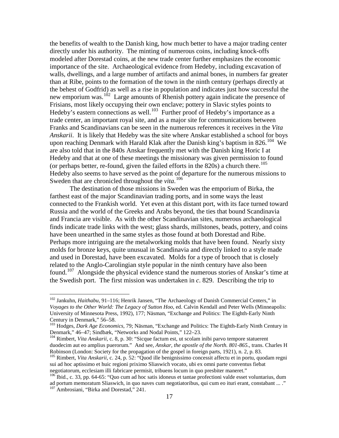the benefits of wealth to the Danish king, how much better to have a major trading center directly under his authority. The minting of numerous coins, including knock-offs modeled after Dorestad coins, at the new trade center further emphasizes the economic importance of the site. Archaeological evidence from Hedeby, including excavation of walls, dwellings, and a large number of artifacts and animal bones, in numbers far greater than at Ribe, points to the formation of the town in the ninth century (perhaps directly at the behest of Godfrid) as well as a rise in population and indicates just how successful the new emporium was.<sup>102</sup> Large amounts of Rhenish pottery again indicate the presence of Frisians, most likely occupying their own enclave; pottery in Slavic styles points to Hedeby's eastern connections as well.<sup>103</sup> Further proof of Hedeby's importance as a trade center, an important royal site, and as a major site for communications between Franks and Scandinavians can be seen in the numerous references it receives in the *Vita Anskarii*. It is likely that Hedeby was the site where Anskar established a school for boys upon reaching Denmark with Harald Klak after the Danish king's baptism in 826.<sup>104</sup> We are also told that in the 840s Anskar frequently met with the Danish king Horic I at Hedeby and that at one of these meetings the missionary was given permission to found (or perhaps better, re-found, given the failed efforts in the  $820s$ ) a church there.<sup>[105](#page-31-3)</sup> Hedeby also seems to have served as the point of departure for the numerous missions to Sweden that are chronicled throughout the *vita*. [106](#page-31-4)

The destination of those missions in Sweden was the emporium of Birka, the farthest east of the major Scandinavian trading ports, and in some ways the least connected to the Frankish world. Yet even at this distant port, with its face turned toward Russia and the world of the Greeks and Arabs beyond, the ties that bound Scandinavia and Francia are visible. As with the other Scandinavian sites, numerous archaeological finds indicate trade links with the west; glass shards, millstones, beads, pottery, and coins have been unearthed in the same styles as those found at both Dorestad and Ribe. Perhaps more intriguing are the metalworking molds that have been found. Nearly sixty molds for bronze keys, quite unusual in Scandinavia and directly linked to a style made and used in Dorestad, have been excavated. Molds for a type of brooch that is closely related to the Anglo-Carolingian style popular in the ninth century have also been found.<sup>107</sup> Alongside the physical evidence stand the numerous stories of Anskar's time at the Swedish port. The first mission was undertaken in *c*. 829. Describing the trip to

<span id="page-31-0"></span> <sup>102</sup> Jankuhn, *Haithabu*, 91–116; Henrik Jansen, "The Archaeology of Danish Commercial Centers," in *Voyages to the Other World: The Legacy of Sutton Hoo*, ed. Calvin Kendall and Peter Wells (Minneapolis: University of Minnesota Press, 1992), 177; Näsman, "Exchange and Politics: The Eighth-Early Ninth

<span id="page-31-1"></span>Century in Denmark," 56–58.<br><sup>103</sup> Hodges, *Dark Age Economics*, 79; Näsman, "Exchange and Politics: The Eighth-Early Ninth Century in<br>Denmark," 46–47; Sindbæk, "Networks and Nodal Points," 122–23.

<span id="page-31-2"></span><sup>&</sup>lt;sup>104</sup> Rimbert, *Vita Anskarii*, c. 8, p. 30: "Sicque factum est, ut scolam inibi parvo tempore statuerent duodecim aut eo amplius puerorum." And see, *Anskar, the apostle of the North. 801-865.*, trans. Charles H Robinson (London: Society for the propagation of the gospel in foreign parts, 1921), n. 2, p. 83.<br><sup>105</sup> Rimbert, *Vita Anskarii*, c. 24, p. 52: "Quod ille benignissimo concessit affectu et in portu, quodam regni

<span id="page-31-3"></span>sui ad hoc aptissimo et huic regioni priximo Sliaswich vocato, ubi ex omni parte conventus fiebat

<span id="page-31-5"></span><span id="page-31-4"></span>negotiatorum, ecclesiam illi fabricare permisit, tribuens locum in quo presbiter maneret." <sup>106</sup> Ibid., c. 33, pp. 64-65: "Quo cum ad hoc satis idoneus et tantae profectioni valde esset voluntarius, dum ad portum memoratum Sliaswich, in quo naves cum negotiatoribus, qui cum eo ituri erant, constabant ... ." <sup>107</sup> Ambrosiani, "Birka and Dorestad," 241.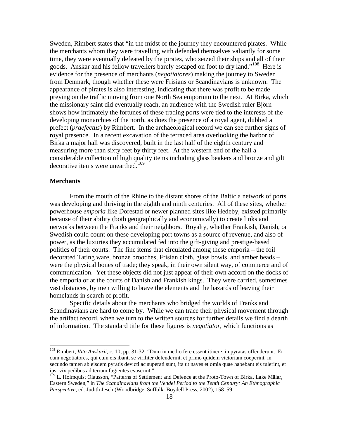Sweden, Rimbert states that "in the midst of the journey they encountered pirates. While the merchants whom they were travelling with defended themselves valiantly for some time, they were eventually defeated by the pirates, who seized their ships and all of their goods. Anskar and his fellow travellers barely escaped on foot to dry land."[108](#page-32-0) Here is evidence for the presence of merchants (*negotiatores*) making the journey to Sweden from Denmark, though whether these were Frisians or Scandinavians is unknown. The appearance of pirates is also interesting, indicating that there was profit to be made preying on the traffic moving from one North Sea emporium to the next. At Birka, which the missionary saint did eventually reach, an audience with the Swedish ruler Björn shows how intimately the fortunes of these trading ports were tied to the interests of the developing monarchies of the north, as does the presence of a royal agent, dubbed a prefect (*praefectus*) by Rimbert. In the archaeological record we can see further signs of royal presence. In a recent excavation of the terraced area overlooking the harbor of Birka a major hall was discovered, built in the last half of the eighth century and measuring more than sixty feet by thirty feet. At the western end of the hall a considerable collection of high quality items including glass beakers and bronze and gilt decorative items were unearthed.<sup>[109](#page-32-1)</sup>

#### **Merchants**

From the mouth of the Rhine to the distant shores of the Baltic a network of ports was developing and thriving in the eighth and ninth centuries. All of these sites, whether powerhouse *emporia* like Dorestad or newer planned sites like Hedeby, existed primarily because of their ability (both geographically and economically) to create links and networks between the Franks and their neighbors. Royalty, whether Frankish, Danish, or Swedish could count on these developing port towns as a source of revenue, and also of power, as the luxuries they accumulated fed into the gift-giving and prestige-based politics of their courts. The fine items that circulated among these emporia – the foil decorated Tating ware, bronze brooches, Frisian cloth, glass bowls, and amber beads – were the physical bones of trade; they speak, in their own silent way, of commerce and of communication. Yet these objects did not just appear of their own accord on the docks of the emporia or at the courts of Danish and Frankish kings. They were carried, sometimes vast distances, by men willing to brave the elements and the hazards of leaving their homelands in search of profit.

Specific details about the merchants who bridged the worlds of Franks and Scandinavians are hard to come by. While we can trace their physical movement through the artifact record, when we turn to the written sources for further details we find a dearth of information. The standard title for these figures is *negotiator*, which functions as

<span id="page-32-0"></span> <sup>108</sup> Rimbert, *Vita Anskarii*, c. 10, pp. 31-32: "Dum in medio fere essent itinere, in pyratas offenderunt. Et cum negotiatores, qui cum eis ibant, se viriliter defenderint, et primo quidem victoriam coeperint, in secundo tamen ab eisdem pyratis devicti ac superati sunt, ita ut naves et omia quae habebant eis tulerint, et ipsi vix pedibus ad terram fugientes evaserint."<br><sup>109</sup> L. Holmquist Olausson, "Patterns of Settlement and Defence at the Proto-Town of Birka, Lake Mälar,

<span id="page-32-1"></span>Eastern Sweden," in *The Scandinavians from the Vendel Period to the Tenth Century: An Ethnographic Perspective*, ed. Judith Jesch (Woodbridge, Suffolk: Boydell Press, 2002), 158–59.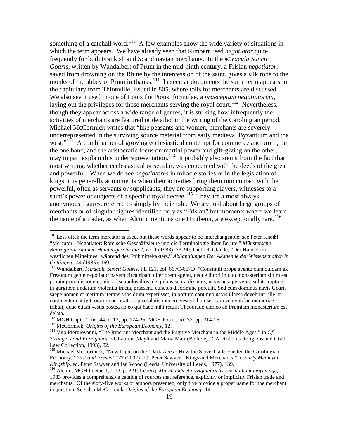something of a catchall word.<sup>[110](#page-33-0)</sup> A few examples show the wide variety of situations in which the term appears. We have already seen that Rimbert used *negotiator* quite frequently for both Frankish and Scandinavian merchants. In the *Miracula Sancti Goaris*, written by Wandalbert of Prüm in the mid-ninth century, a Frisian *negotiator*, saved from drowning on the Rhine by the intercession of the saint, gives a silk robe to the monks of the abbey of Prüm in thanks.<sup>111</sup> In secular documents the same term appears in the capitulary from Thionville, issued in 805, where tolls for merchants are discussed. We also see it used in one of Louis the Pious' formulae, a *praeceptum negotiatorum*, laying out the privileges for those merchants serving the royal court.<sup>112</sup> Nevertheless, though they appear across a wide range of genres, it is striking how infrequently the activities of merchants are featured or detailed in the writing of the Carolingian period. Michael McCormick writes that "like peasants and women, merchants are severely underrepresented in the surviving source material from early medieval Byzantium and the west."<sup>[113](#page-33-3)</sup> A combination of growing ecclesiastical contempt for commerce and profit, on the one hand, and the aristocratic focus on martial power and gift-giving on the other, may in part explain this underrepresentation.<sup>[114](#page-33-4)</sup> It probably also stems from the fact that most writing, whether ecclesiastical or secular, was concerned with the deeds of the great and powerful. When we do see *negotiatores* in miracle stories or in the legislation of kings, it is generally at moments when their activities bring them into contact with the powerful, often as servants or supplicants; they are supporting players, witnesses to a saint's power or subjects of a specific royal decree.<sup>[115](#page-33-5)</sup> They are almost always anonymous figures, referred to simply by their role. We are told about large groups of merchants or of singular figures identified only as "Frisian" but moments where we learn the name of a trader, as when Alcuin mentions one Hrotberct, are exceptionally rare.<sup>116</sup>

<span id="page-33-0"></span><sup>&</sup>lt;sup>110</sup> Less often the term mercator is used, but these words appear to be interchangeable; see Peter Kneißl, "Mercator - Negotiator: Römische Geschäftsleute und die Terminologie ihrer Berufe," *Münstersche Beiträge zur Antiken Handelsgeschichte* 2, no. 1 (1983): 73–90; Dietrich Claude, "Der Handel im westlichen Mittelmeer während des Frühmittekakters," *Abhandlungen Der Akademie der Wissenschaften in Göttingen* 144 (1985): 169.<br><sup>111</sup> Wandalbert, *Miracula Sancti Goaris*, PL 121, col. 667C-667D: "Consimili prope eventu cum quidam ex

<span id="page-33-1"></span>Fresonum gente negotiator navem circa ripam ulteriorem ageret, neque littori in quo monasterium situm est propinquare disponeret, ubi ad scopulos illos, de quibus supra diximus, navis acta pervenit, subito rapta et in gurgitem undarum violentia tracta, praesenti cunctos discrimine perculit. Sed cum dominus navis Goaris saepe nomen et meritum iterans subsidium expetiisset, in portum continuo navis illaesa devehitur; ille ut continentem attigit, oratum perrexit, ac pro salutis munere vestem holosericam venerandae memoriae tribuit, quae etiam vestis postea ab eo qui haec mihi retulit Theodrado clerico ad Prumiam monasterium est

<span id="page-33-3"></span>

<span id="page-33-4"></span>

<span id="page-33-2"></span><sup>&</sup>lt;sup>112</sup> MGH Capit. 1, no. 44, c. 13, pp. 124-25; MGH Form., no. 37, pp. 314-15.<br><sup>113</sup> McCormick, *Origins of the European Economy*, 12.<br><sup>114</sup> Vito Piergiovanni, "The Itinerant Merchant and the Fugitive Merchant in the Middl *Strangers and Foreigners*, ed. Laurent Mayli and Maria Mart (Berkeley, CA: Robbins Religious and Civil Law Collection, 1993), 82.<br><sup>115</sup> Michael McCormick, "New Light on the 'Dark Ages': How the Slave Trade Fuelled the Carolingian

<span id="page-33-5"></span>Economy," *Past and Present* 177 (2002): 29; Peter Sawyer, "Kings and Merchants," in *Early Medieval* 

<span id="page-33-6"></span><sup>&</sup>lt;sup>116</sup> Alcuin, MGH Poetae 1, l. 12, p. 221; Lebecq, *Marchands et navigateurs frisons du haut moyen âge*, 1983 provides a comprehensive catalog of sources that reference, explicitly or implicitly Frisian trade and merchants. Of the sixty-five works or authors presented, only five provide a proper name for the merchant in question. See also McCormick, *Origins of the European Economy*, 14.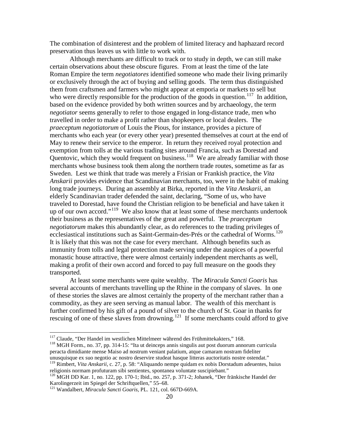The combination of disinterest and the problem of limited literacy and haphazard record preservation thus leaves us with little to work with.

Although merchants are difficult to track or to study in depth, we can still make certain observations about these obscure figures. From at least the time of the late Roman Empire the term *negotiatores* identified someone who made their living primarily or exclusively through the act of buying and selling goods. The term thus distinguished them from craftsmen and farmers who might appear at emporia or markets to sell but who were directly responsible for the production of the goods in question.<sup>[117](#page-34-0)</sup> In addition, based on the evidence provided by both written sources and by archaeology, the term *negotiator* seems generally to refer to those engaged in long-distance trade, men who travelled in order to make a profit rather than shopkeepers or local dealers. The *praeceptum negotiatorum* of Louis the Pious, for instance, provides a picture of merchants who each year (or every other year) presented themselves at court at the end of May to renew their service to the emperor. In return they received royal protection and exemption from tolls at the various trading sites around Francia, such as Dorestad and Quentovic, which they would frequent on business.<sup>[118](#page-34-1)</sup> We are already familiar with those merchants whose business took them along the northern trade routes, sometime as far as Sweden. Lest we think that trade was merely a Frisian or Frankish practice, the *Vita Anskarii* provides evidence that Scandinavian merchants, too, were in the habit of making long trade journeys. During an assembly at Birka, reported in the *Vita Anskarii*, an elderly Scandinavian trader defended the saint, declaring, "Some of us, who have traveled to Dorestad, have found the Christian religion to be beneficial and have taken it up of our own accord."<sup>119</sup> We also know that at least some of these merchants undertook their business as the representatives of the great and powerful. The *praeceptum negotiatorum* makes this abundantly clear, as do references to the trading privileges of ecclesiastical institutions such as Saint-Germain-des-Prés or the cathedral of Worms.<sup>[120](#page-34-3)</sup> It is likely that this was not the case for every merchant. Although benefits such as immunity from tolls and legal protection made serving under the auspices of a powerful monastic house attractive, there were almost certainly independent merchants as well, making a profit of their own accord and forced to pay full measure on the goods they transported.

At least some merchants were quite wealthy. The *Miracula Sancti Goaris* has several accounts of merchants travelling up the Rhine in the company of slaves. In one of these stories the slaves are almost certainly the property of the merchant rather than a commodity, as they are seen serving as manual labor. The wealth of this merchant is further confirmed by his gift of a pound of silver to the church of St. Goar in thanks for rescuing of one of these slaves from drowning.<sup>121</sup> If some merchants could afford to give

<span id="page-34-1"></span><span id="page-34-0"></span><sup>&</sup>lt;sup>117</sup> Claude, "Der Handel im westlichen Mittelmeer während des Frühmittekakters," 168.<br><sup>118</sup> MGH Form., no. 37, pp. 314-15: "Ita ut deinceps annis singulis aut post duorum annorum curricula peracta dimidiante mense Maiso ad nostrum veniant palatium, atque camaram nostram fideliter unusquisque ex suo negotio ac nostro deservire studeat hasque litteras auctoritatis nostre ostendat." <sup>119</sup> Rimbert, *Vita Anskarii*, c. 27, p. 58: "Aliquando nempe quidam ex nobis Dorstadum adeuentes, huius

<span id="page-34-3"></span><span id="page-34-2"></span>religionis normam profuturam sibi sentientes, spontanea voluntate suscipiebant."<br><sup>120</sup> MGH DD Kar. 1, no. 122, pp. 170-1; Ibid., no. 257, p. 371-2; Johanek, "Der fränkische Handel der<br>Karolingerzeit im Spiegel der Schriftq

<span id="page-34-4"></span><sup>&</sup>lt;sup>121</sup> Wandalbert, *Miracula Sancti Goaris*, PL. 121, col. 667D-669A.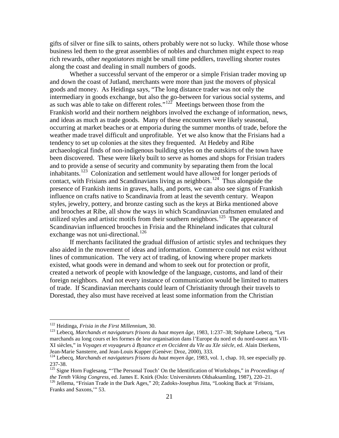gifts of silver or fine silk to saints, others probably were not so lucky. While those whose business led them to the great assemblies of nobles and churchmen might expect to reap rich rewards, other *negotiatores* might be small time peddlers, travelling shorter routes along the coast and dealing in small numbers of goods.

Whether a successful servant of the emperor or a simple Frisian trader moving up and down the coast of Jutland, merchants were more than just the movers of physical goods and money. As Heidinga says, "The long distance trader was not only the intermediary in goods exchange, but also the go-between for various social systems, and as such was able to take on different roles."<sup>122</sup> Meetings between those from the Frankish world and their northern neighbors involved the exchange of information, news, and ideas as much as trade goods. Many of these encounters were likely seasonal, occurring at market beaches or at emporia during the summer months of trade, before the weather made travel difficult and unprofitable. Yet we also know that the Frisians had a tendency to set up colonies at the sites they frequented. At Hedeby and Ribe archaeological finds of non-indigenous building styles on the outskirts of the town have been discovered. These were likely built to serve as homes and shops for Frisian traders and to provide a sense of security and community by separating them from the local inhabitants.[123](#page-35-1) Colonization and settlement would have allowed for longer periods of contact, with Frisians and Scandinavians living as neighbors.<sup>124</sup> Thus alongside the presence of Frankish items in graves, halls, and ports, we can also see signs of Frankish influence on crafts native to Scandinavia from at least the seventh century. Weapon styles, jewelry, pottery, and bronze casting such as the keys at Birka mentioned above and brooches at Ribe, all show the ways in which Scandinavian craftsmen emulated and utilized styles and artistic motifs from their southern neighbors.<sup>[125](#page-35-3)</sup> The appearance of Scandinavian influenced brooches in Frisia and the Rhineland indicates that cultural exchange was not uni-directional.<sup>[126](#page-35-4)</sup>

If merchants facilitated the gradual diffusion of artistic styles and techniques they also aided in the movement of ideas and information. Commerce could not exist without lines of communication. The very act of trading, of knowing where proper markets existed, what goods were in demand and whom to seek out for protection or profit, created a network of people with knowledge of the language, customs, and land of their foreign neighbors. And not every instance of communication would be limited to matters of trade. If Scandinavian merchants could learn of Christianity through their travels to Dorestad, they also must have received at least some information from the Christian

<span id="page-35-1"></span><span id="page-35-0"></span><sup>&</sup>lt;sup>122</sup> Heidinga, *Frisia in the First Millennium*, 30.<br><sup>123</sup> Lebecq, *Marchands et navigateurs frisons du haut moyen âge*, 1983, 1:237–38; Stéphane Lebecq, "Les marchands au long cours et les formes de leur organisation dans l'Europe du nord et du nord-ouest aux VII-XI siècles," in *Voyages et voyageurs à Byzance et en Occident du VIe au XIe siècle*, ed. Alain Dierkens,

<span id="page-35-2"></span><sup>&</sup>lt;sup>124</sup> Lebecq, *Marchands et navigateurs frisons du haut moyen âge*, 1983, vol. 1, chap. 10, see especially pp.

<span id="page-35-3"></span><sup>237-38.</sup> <sup>125</sup> Signe Horn Fuglesang, "'The Personal Touch' On the Identification of Workshops," in *Proceedings of the Tenth Viking Congress*, ed. James E. Knirk (Oslo: Universitetets Oldsaksamling, 1987), 220–21. <sup>126</sup> Jellema, "Frisian Trade in the Dark Ages," 20; Zadoks-Josephus Jitta, "Looking Back at 'Frisians,

<span id="page-35-4"></span>Franks and Saxons,'" 53.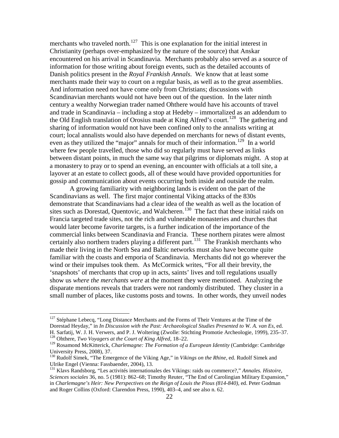merchants who traveled north.<sup>127</sup> This is one explanation for the initial interest in Christianity (perhaps over-emphasized by the nature of the source) that Anskar encountered on his arrival in Scandinavia. Merchants probably also served as a source of information for those writing about foreign events, such as the detailed accounts of Danish politics present in the *Royal Frankish Annals*. We know that at least some merchants made their way to court on a regular basis, as well as to the great assemblies. And information need not have come only from Christians; discussions with Scandinavian merchants would not have been out of the question. In the later ninth century a wealthy Norwegian trader named Ohthere would have his accounts of travel and trade in Scandinavia – including a stop at Hedeby – immortalized as an addendum to the Old English translation of Orosius made at King Alfred's court.<sup>[128](#page-36-1)</sup> The gathering and sharing of information would not have been confined only to the annalists writing at court; local annalists would also have depended on merchants for news of distant events, even as they utilized the "major" annals for much of their information.<sup>[129](#page-36-2)</sup> In a world where few people travelled, those who did so regularly must have served as links between distant points, in much the same way that pilgrims or diplomats might. A stop at a monastery to pray or to spend an evening, an encounter with officials at a toll site, a layover at an estate to collect goods, all of these would have provided opportunities for gossip and communication about events occurring both inside and outside the realm.

A growing familiarity with neighboring lands is evident on the part of the Scandinavians as well. The first major continental Viking attacks of the 830s demonstrate that Scandinavians had a clear idea of the wealth as well as the location of sites such as Dorestad, Quentovic, and Walcheren.<sup>130</sup> The fact that these initial raids on Francia targeted trade sites, not the rich and vulnerable monasteries and churches that would later become favorite targets, is a further indication of the importance of the commercial links between Scandinavia and Francia. These northern pirates were almost certainly also northern traders playing a different part.<sup>131</sup> The Frankish merchants who made their living in the North Sea and Baltic networks must also have become quite familiar with the coasts and emporia of Scandinavia. Merchants did not go wherever the wind or their impulses took them. As McCormick writes, "For all their brevity, the 'snapshots' of merchants that crop up in acts, saints' lives and toll regulations usually show us *where the merchants were* at the moment they were mentioned. Analyzing the disparate mentions reveals that traders were not randomly distributed. They cluster in a small number of places, like customs posts and towns. In other words, they unveil nodes

<span id="page-36-0"></span><sup>&</sup>lt;sup>127</sup> Stéphane Lebecq, "Long Distance Merchants and the Forms of Their Ventures at the Time of the Dorestad Heyday," in *In Discussion with the Past: Archaeological Studies Presented to W. A. van Es*, ed. H. Sarfatij, W. J. H. Verwers, and P. J. Woltering (Zwolle: Stichting Promotie Archeologie, 1999), 235–37. <sup>128</sup> Ohthere, *Two Voyagers at the Court of King Alfred*, 18–22.

<span id="page-36-2"></span><span id="page-36-1"></span><sup>129</sup> Rosamond McKitterick, *Charlemagne: The Formation of a European Identity* (Cambridge: Cambridge University Press, 2008), 37.

<span id="page-36-3"></span><sup>&</sup>lt;sup>130</sup> Rudolf Simek, "The Emergence of the Viking Age," in *Vikings on the Rhine*, ed. Rudolf Simek and Ulrike Engel (Vienna: Fassbaender, 2004), 13.

<span id="page-36-4"></span><sup>131</sup> Klavs Randsborg, "Les activités internationales des Vikings: raids ou commerce?," *Annales. Histoire, Sciences sociales* 36, no. 5 (1981): 862–68; Timothy Reuter, "The End of Carolingian Military Expansion," in *Charlemagne's Heir: New Perspectives on the Reign of Louis the Pious (814-840)*, ed. Peter Godman and Roger Collins (Oxford: Clarendon Press, 1990), 403–4, and see also n. 62.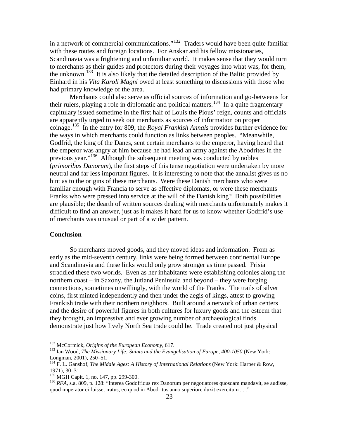in a network of commercial communications."[132](#page-37-0) Traders would have been quite familiar with these routes and foreign locations. For Anskar and his fellow missionaries, Scandinavia was a frightening and unfamiliar world. It makes sense that they would turn to merchants as their guides and protectors during their voyages into what was, for them, the unknown.<sup>[133](#page-37-1)</sup> It is also likely that the detailed description of the Baltic provided by Einhard in his *Vita Karoli Magni* owed at least something to discussions with those who had primary knowledge of the area.

Merchants could also serve as official sources of information and go-betweens for their rulers, playing a role in diplomatic and political matters.<sup>134</sup> In a quite fragmentary capitulary issued sometime in the first half of Louis the Pious' reign, counts and officials are apparently urged to seek out merchants as sources of information on proper coinage.[135](#page-37-3) In the entry for 809, the *Royal Frankish Annals* provides further evidence for the ways in which merchants could function as links between peoples. "Meanwhile, Godfrid, the king of the Danes, sent certain merchants to the emperor, having heard that the emperor was angry at him because he had lead an army against the Abodrites in the previous year."[136](#page-37-4) Although the subsequent meeting was conducted by nobles (*primoribus Danorum*), the first steps of this tense negotiation were undertaken by more neutral and far less important figures. It is interesting to note that the annalist gives us no hint as to the origins of these merchants. Were these Danish merchants who were familiar enough with Francia to serve as effective diplomats, or were these merchants Franks who were pressed into service at the will of the Danish king? Both possibilities are plausible; the dearth of written sources dealing with merchants unfortunately makes it difficult to find an answer, just as it makes it hard for us to know whether Godfrid's use of merchants was unusual or part of a wider pattern.

## **Conclusion**

So merchants moved goods, and they moved ideas and information. From as early as the mid-seventh century, links were being formed between continental Europe and Scandinavia and these links would only grow stronger as time passed. Frisia straddled these two worlds. Even as her inhabitants were establishing colonies along the northern coast – in Saxony, the Jutland Peninsula and beyond – they were forging connections, sometimes unwillingly, with the world of the Franks. The trails of silver coins, first minted independently and then under the aegis of kings, attest to growing Frankish trade with their northern neighbors. Built around a network of urban centers and the desire of powerful figures in both cultures for luxury goods and the esteem that they brought, an impressive and ever growing number of archaeological finds demonstrate just how lively North Sea trade could be. Trade created not just physical

<span id="page-37-1"></span><span id="page-37-0"></span><sup>&</sup>lt;sup>132</sup> McCormick, *Origins of the European Economy*, 617.<br><sup>133</sup> Ian Wood, *The Missionary Life: Saints and the Evangelisation of Europe, 400-1050* (New York: Longman, 2001), 250–51.<br><sup>134</sup> F. L. Ganshof, *The Middle Ages: A History of International Relations* (New York: Harper & Row,

<span id="page-37-2"></span><sup>1971), 30–31.&</sup>lt;br><sup>135</sup> MGH Capit. 1, no. 147, pp. 299-300.<br><sup>136</sup> *RFA*, *s.a.* 809, p. 128: "Interea Godofridus rex Danorum per negotiatores quosdam mandavit, se audisse,

<span id="page-37-3"></span>

<span id="page-37-4"></span>quod imperator ei fuisset iratus, eo quod in Abodritos anno superiore duxit exercitum ... ."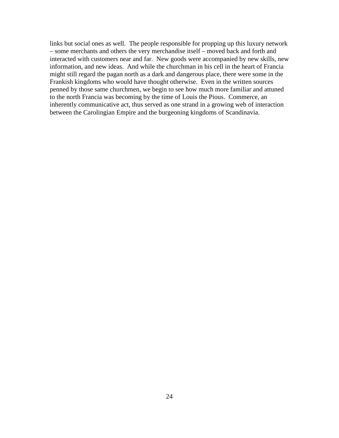links but social ones as well. The people responsible for propping up this luxury network – some merchants and others the very merchandise itself – moved back and forth and interacted with customers near and far. New goods were accompanied by new skills, new information, and new ideas. And while the churchman in his cell in the heart of Francia might still regard the pagan north as a dark and dangerous place, there were some in the Frankish kingdoms who would have thought otherwise. Even in the written sources penned by those same churchmen, we begin to see how much more familiar and attuned to the north Francia was becoming by the time of Louis the Pious. Commerce, an inherently communicative act, thus served as one strand in a growing web of interaction between the Carolingian Empire and the burgeoning kingdoms of Scandinavia.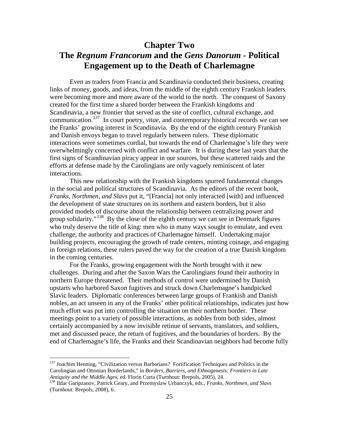# **Chapter Two The** *Regnum Francorum* **and the** *Gens Danorum* **- Political Engagement up to the Death of Charlemagne**

Even as traders from Francia and Scandinavia conducted their business, creating links of money, goods, and ideas, from the middle of the eighth century Frankish leaders were becoming more and more aware of the world to the north. The conquest of Saxony created for the first time a shared border between the Frankish kingdoms and Scandinavia, a new frontier that served as the site of conflict, cultural exchange, and communication.[137](#page-39-0) In court poetry, *vitae*, and contemporary historical records we can see the Franks' growing interest in Scandinavia. By the end of the eighth century Frankish and Danish envoys began to travel regularly between rulers. These diplomatic interactions were sometimes cordial, but towards the end of Charlemagne's life they were overwhelmingly concerned with conflict and warfare. It is during these last years that the first signs of Scandinavian piracy appear in our sources, but these scattered raids and the efforts at defense made by the Carolingians are only vaguely reminiscent of later interactions.

This new relationship with the Frankish kingdoms spurred fundamental changes in the social and political structures of Scandinavia. As the editors of the recent book, *Franks, Northmen, and Slavs* put it, "[Francia] not only interacted [with] and influenced the development of state structures on its northern and eastern borders, but it also provided models of discourse about the relationship between centralizing power and group solidarity."<sup>[138](#page-39-1)</sup> By the close of the eighth century we can see in Denmark figures who truly deserve the title of king: men who in many ways sought to emulate, and even challenge, the authority and practices of Charlemagne himself. Undertaking major building projects, encouraging the growth of trade centers, minting coinage, and engaging in foreign relations, these rulers paved the way for the creation of a true Danish kingdom in the coming centuries.

For the Franks, growing engagement with the North brought with it new challenges. During and after the Saxon Wars the Carolingians found their authority in northern Europe threatened. Their methods of control were undermined by Danish upstarts who harbored Saxon fugitives and struck down Charlemagne's handpicked Slavic leaders. Diplomatic conferences between large groups of Frankish and Danish nobles, an act unseen in any of the Franks' other political relationships, indicates just how much effort was put into controlling the situation on their northern border. These meetings point to a variety of possible interactions, as nobles from both sides, almost certainly accompanied by a now invisible retinue of servants, translators, and soldiers, met and discussed peace, the return of fugitives, and the boundaries of borders. By the end of Charlemagne's life, the Franks and their Scandinavian neighbors had become fully

<span id="page-39-0"></span><sup>&</sup>lt;sup>137</sup> Joachim Henning, "Civilization versus Barbarians? Fortification Techniques and Politics in the Carolingian and Ottonian Borderlands," in *Borders, Barriers, and Ethnogenesis: Frontiers in Late* 

<span id="page-39-1"></span>*Antiquity and the Middle Ages*, ed. Florin Curta (Turnhout: Brepols, 2005), 24. <sup>138</sup> Ildar Garipzanov, Patrick Geary, and Przemyslaw Urbanczyk, eds., *Franks, Northmen, and Slavs* (Turnhout: Brepols, 2008), 6.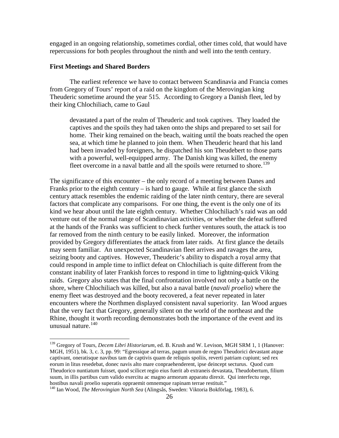engaged in an ongoing relationship, sometimes cordial, other times cold, that would have repercussions for both peoples throughout the ninth and well into the tenth century.

### **First Meetings and Shared Borders**

The earliest reference we have to contact between Scandinavia and Francia comes from Gregory of Tours' report of a raid on the kingdom of the Merovingian king Theuderic sometime around the year 515. According to Gregory a Danish fleet, led by their king Chlochiliach, came to Gaul

devastated a part of the realm of Theuderic and took captives. They loaded the captives and the spoils they had taken onto the ships and prepared to set sail for home. Their king remained on the beach, waiting until the boats reached the open sea, at which time he planned to join them. When Theuderic heard that his land had been invaded by foreigners, he dispatched his son Theudebert to those parts with a powerful, well-equipped army. The Danish king was killed, the enemy fleet overcome in a naval battle and all the spoils were returned to shore.<sup>[139](#page-40-0)</sup>

The significance of this encounter – the only record of a meeting between Danes and Franks prior to the eighth century – is hard to gauge. While at first glance the sixth century attack resembles the endemic raiding of the later ninth century, there are several factors that complicate any comparisons. For one thing, the event is the only one of its kind we hear about until the late eighth century. Whether Chlochiliach's raid was an odd venture out of the normal range of Scandinavian activities, or whether the defeat suffered at the hands of the Franks was sufficient to check further ventures south, the attack is too far removed from the ninth century to be easily linked. Moreover, the information provided by Gregory differentiates the attack from later raids. At first glance the details may seem familiar. An unexpected Scandinavian fleet arrives and ravages the area, seizing booty and captives. However, Theuderic's ability to dispatch a royal army that could respond in ample time to inflict defeat on Chlochiliach is quite different from the constant inability of later Frankish forces to respond in time to lightning-quick Viking raids. Gregory also states that the final confrontation involved not only a battle on the shore, where Chlochiliach was killed, but also a naval battle (*navali proelio*) where the enemy fleet was destroyed and the booty recovered, a feat never repeated in later encounters where the Northmen displayed consistent naval superiority. Ian Wood argues that the very fact that Gregory, generally silent on the world of the northeast and the Rhine, thought it worth recording demonstrates both the importance of the event and its unusual nature.<sup>[140](#page-40-1)</sup>

<span id="page-40-0"></span><sup>&</sup>lt;sup>139</sup> Gregory of Tours, *Decem Libri Historiarum*, ed. B. Krush and W. Levison, MGH SRM 1, 1 (Hanover: MGH, 1951), bk. 3, c. 3, pp. 99: "Egressique ad terras, pagum unum de regno Theudorici devastant atque captivant, oneratisque navibus tam de captivis quam de reliquis spoliis, reverti patriam cupiunt; sed rex eorum in litus resedebat, donec navis alto mare conpraehenderent, ipse deincept secturus. Quod cum Theudorico nuntiatum fuisset, quod scilicet regio eius fuerit ab extraneis devastata, Theudobertum, filium suum, in illis partibus cum valido exercitu ac magno armorum apparatu direxit. Qui interfectu rege, hostibus navali proelio superatis oppraemit omnemque rapinam terrae restituit."

<span id="page-40-1"></span><sup>&</sup>lt;sup>140</sup> Ian Wood, *The Merovingian North Sea* (Alingsås, Sweden: Viktoria Bokförlag, 1983), 6.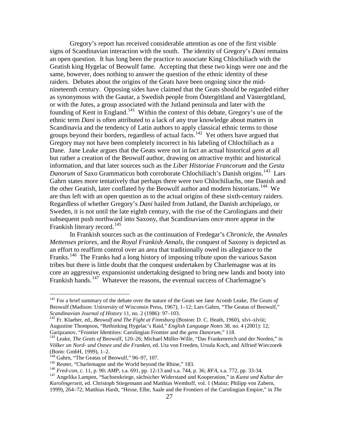Gregory's report has received considerable attention as one of the first visible signs of Scandinavian interaction with the south. The identity of Gregory's *Dani* remains an open question.It has long been the practice to associate King Chlochiliach with the Geatish king Hygelac of Beowulf fame. Accepting that these two kings were one and the same, however, does nothing to answer the question of the ethnic identity of these raiders. Debates about the origins of the Geats have been ongoing since the midnineteenth century. Opposing sides have claimed that the Geats should be regarded either as synonymous with the Gautar, a Swedish people from Östergötland and Västergötland, or with the Jutes, a group associated with the Jutland peninsula and later with the founding of Kent in England.<sup>141</sup> Within the context of this debate, Gregory's use of the ethnic term *Dani* is often attributed to a lack of any true knowledge about matters in Scandinavia and the tendency of Latin authors to apply classical ethnic terms to those groups beyond their borders, regardless of actual facts.<sup>142</sup> Yet others have argued that Gregory may not have been completely incorrect in his labeling of Chlochiliach as a Dane. Jane Leake argues that the Geats were not in fact an actual historical *gens* at all but rather a creation of the Beowulf author, drawing on attractive mythic and historical information, and that later sources such as the *Liber Historiae Francorum* and the *Gesta Danorum* of Saxo Grammaticus both corroborate Chlochiliach's Danish origins.<sup>[143](#page-41-2)</sup> Lars Gahrn states more tentatively that perhaps there were two Chlochiliachs, one Danish and the other Geatish, later conflated by the Beowulf author and modern historians.<sup>144</sup> We are thus left with an open question as to the actual origins of these sixth-century raiders. Regardless of whether Gregory's *Dani* hailed from Jutland, the Danish archipelago, or Sweden, it is not until the late eighth century, with the rise of the Carolingians and their subsequent push northward into Saxony, that Scandinavians once more appear in the Frankish literary record.<sup>[145](#page-41-4)</sup>

In Frankish sources such as the continuation of Fredegar's *Chronicle,* the *Annales Mettenses priores,* and the *Royal Frankish Annals*, the conquest of Saxony is depicted as an effort to reaffirm control over an area that traditionally owed its allegiance to the Franks.<sup>[146](#page-41-5)</sup> The Franks had a long history of imposing tribute upon the various Saxon tribes but there is little doubt that the conquest undertaken by Charlemagne was at its core an aggressive, expansionist undertaking designed to bring new lands and booty into Frankish hands.<sup>147</sup> Whatever the reasons, the eventual success of Charlemagne's

<span id="page-41-0"></span> <sup>141</sup> For a brief summary of the debate over the nature of the Geats see Jane Acomb Leake, *The Geats of*  Beowulf (Madison: University of Wisconsin Press, 1967), 1–12; Lars Gahrn, "The Geatas of Beowulf," *Scandinavian Journal of History* 11, no. 2 (1986): 97–103.<br><sup>142</sup> Fr. Klaeber, ed., *Beowulf and The Fight at Finnsburg* (Boston: D. C. Heath, 1960), xlvi–xlviii;

<span id="page-41-1"></span>Augustine Thompson, "Rethinking Hygelac's Raid," *English Language Notes* 38, no. 4 (2001): 12;

<span id="page-41-2"></span><sup>&</sup>lt;sup>143</sup> Leake, *The Geats of* Beowulf, 120–26; Michael Müller-Wille, "Das Frankenreich und der Norden," in *Völker an Nord- und Ostsee und die Franken*, ed. Uta von Freeden, Ursula Koch, and Alfried Wieczorek

<span id="page-41-6"></span><span id="page-41-5"></span>

<span id="page-41-4"></span><span id="page-41-3"></span><sup>&</sup>lt;sup>144</sup> Gahrn, "The Geatas of Beowulf," 96–97, 107.<br><sup>145</sup> Reuter, "Charlemagne and the World beyond the Rhine," 183.<br><sup>146</sup> Fred-con, c. 11, p. 90; *AMP*, s.a. 691, pp. 12-13 and s.a. 744, p. 36; *RFA*, s.a. 772, pp. 33-34.<br> *Karolingerzeit*, ed. Christoph Stiegemann and Matthias Wemhoff, vol. 1 (Mainz: Philipp von Zabern,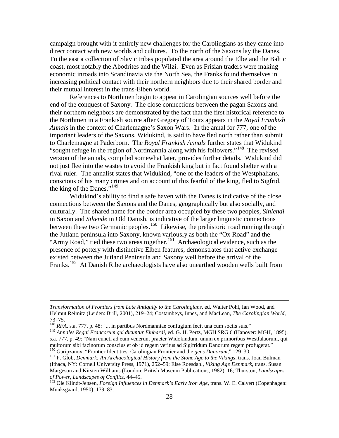campaign brought with it entirely new challenges for the Carolingians as they came into direct contact with new worlds and cultures. To the north of the Saxons lay the Danes. To the east a collection of Slavic tribes populated the area around the Elbe and the Baltic coast, most notably the Abodrites and the Wilzi. Even as Frisian traders were making economic inroads into Scandinavia via the North Sea, the Franks found themselves in increasing political contact with their northern neighbors due to their shared border and their mutual interest in the trans-Elben world.

References to Northmen begin to appear in Carolingian sources well before the end of the conquest of Saxony. The close connections between the pagan Saxons and their northern neighbors are demonstrated by the fact that the first historical reference to the Northmen in a Frankish source after Gregory of Tours appears in the *Royal Frankish Annals* in the context of Charlemagne's Saxon Wars. In the annal for 777, one of the important leaders of the Saxons, Widukind, is said to have fled north rather than submit to Charlemagne at Paderborn. The *Royal Frankish Annals* further states that Widukind "sought refuge in the region of Nordmannia along with his followers."<sup>[148](#page-42-0)</sup> The revised version of the annals, compiled somewhat later, provides further details. Widukind did not just flee into the wastes to avoid the Frankish king but in fact found shelter with a rival ruler. The annalist states that Widukind, "one of the leaders of the Westphalians, conscious of his many crimes and on account of this fearful of the king, fled to Sigfrid, the king of the Danes."<sup>[149](#page-42-1)</sup>

Widukind's ability to find a safe haven with the Danes is indicative of the close connections between the Saxons and the Danes, geographically but also socially, and culturally. The shared name for the border area occupied by these two peoples, *Sinlendi* in Saxon and *Silænde* in Old Danish, is indicative of the larger linguistic connections between these two Germanic peoples.<sup>[150](#page-42-2)</sup> Likewise, the prehistoric road running through the Jutland peninsula into Saxony, known variously as both the "Ox Road" and the "Army Road," tied these two areas together.<sup>[151](#page-42-3)</sup> Archaeological evidence, such as the presence of pottery with distinctive Elben features, demonstrates that active exchange existed between the Jutland Peninsula and Saxony well before the arrival of the Franks.[152](#page-42-4) At Danish Ribe archaeologists have also unearthed wooden wells built from

 $\overline{a}$ 

<span id="page-42-0"></span>*Transformation of Frontiers from Late Antiquity to the Carolingians*, ed. Walter Pohl, Ian Wood, and Helmut Reimitz (Leiden: Brill, 2001), 219–24; Costambeys, Innes, and MacLean, *The Carolingian World*, 73–75. <sup>148</sup> *RFA,* s.a. 777, p. 48: "... in partibus Nordmanniae confugium fecit una cum sociis suis."

<span id="page-42-1"></span>

<span id="page-42-2"></span><sup>149</sup> *Annales Regni Francorum qui dicuntur Einhardi*, ed. G. H. Pertz, MGH SRG 6 (Hanover: MGH, 1895), s.a. 777, p. 49: "Nam cuncti ad eum venerunt praeter Widokindum, unum ex primoribus Westfalaorum, qui multorum sibi facinorum conscius et ob id regem veritus ad Sigifridum Danorum regem profugerat."<br><sup>150</sup> Garipzanov, "Frontier Identities: Carolingian Frontier and the *gens Danorum*," 129–30.

<span id="page-42-4"></span><span id="page-42-3"></span><sup>&</sup>lt;sup>151</sup> P. Glob, Denmark: An Archaeological History from the Stone Age to the Vikings, trans. Joan Bulman (Ithaca, NY: Cornell University Press, 1971), 252–59; Else Roesdahl, *Viking Age Denmark*, trans. Susan Margeson and Kirsten Williams (London: British Museum Publications, 1982), 16; Thurston, *Landscapes of Power, Landscapes of Conflict, 44–45.*<br><sup>152</sup> Ole Klindt-Jensen, *Foreign Influences in Denmark's Early Iron Age*, trans. W. E. Calvert (Copenhagen:

Munksgaard, 1950), 179–83.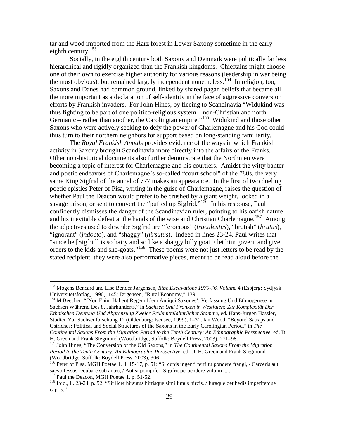tar and wood imported from the Harz forest in Lower Saxony sometime in the early eighth century. $153$ 

Socially, in the eighth century both Saxony and Denmark were politically far less hierarchical and rigidly organized than the Frankish kingdoms. Chieftains might choose one of their own to exercise higher authority for various reasons (leadership in war being the most obvious), but remained largely independent nonetheless.<sup>154</sup> In religion, too, Saxons and Danes had common ground, linked by shared pagan beliefs that became all the more important as a declaration of self-identity in the face of aggressive conversion efforts by Frankish invaders. For John Hines, by fleeing to Scandinavia "Widukind was thus fighting to be part of one politico-religious system – non-Christian and north Germanic – rather than another, the Carolingian empire."<sup>155</sup> Widukind and those other Saxons who were actively seeking to defy the power of Charlemagne and his God could thus turn to their northern neighbors for support based on long-standing familiarity.

The *Royal Frankish Annals* provides evidence of the ways in which Frankish activity in Saxony brought Scandinavia more directly into the affairs of the Franks. Other non-historical documents also further demonstrate that the Northmen were becoming a topic of interest for Charlemagne and his courtiers. Amidst the witty banter and poetic endeavors of Charlemagne's so-called "court school" of the 780s, the very same King Sigfrid of the annal of 777 makes an appearance. In the first of two dueling poetic epistles Peter of Pisa, writing in the guise of Charlemagne, raises the question of whether Paul the Deacon would prefer to be crushed by a giant weight, locked in a savage prison, or sent to convert the "puffed up Sigfrid."<sup>[156](#page-43-3)</sup> In his response, Paul confidently dismisses the danger of the Scandinavian ruler, pointing to his oafish nature and his inevitable defeat at the hands of the wise and Christian Charlemagne.<sup>[157](#page-43-4)</sup> Among the adjectives used to describe Sigfrid are "ferocious" (*truculentus*), "brutish" (*brutus*), "ignorant" (*indocto*), and "shaggy" (*hirsutus*). Indeed in lines 23-24, Paul writes that "since he [Sigfrid] is so hairy and so like a shaggy billy goat, / let him govern and give orders to the kids and she-goats."[158](#page-43-5) These poems were not just letters to be read by the stated recipient; they were also performative pieces, meant to be read aloud before the

<span id="page-43-0"></span> <sup>153</sup> Mogens Bencard and Lise Bender Jørgensen, *Ribe Excavations 1970-76. Volume 4* (Esbjerg: Sydjysk Universitetsforlag, 1990), 145; Jørgensen, "Rural Economy," 139.<br><sup>154</sup> M Beecher, "'Non Enim Habent Regem Idem Antiqui Saxones': Verfassung Und Ethnogenese in

<span id="page-43-1"></span>Sachsen Während Des 8. Jahrhunderts," in *Sachsen Und Franken in Westfalen: Zur Komplexität Der Ethnischen Deutung Und Abgrenzung Zweier Frühmittelalterlicher Stämme*, ed. Hans-Jürgen Hässler, Studien Zur Sachsenforschung 12 (Oldenburg: Isensee, 1999), 1–31; Ian Wood, "Beyond Satraps and Ostriches: Political and Social Structures of the Saxons in the Early Carolingian Period," in *The Continental Saxons From the Migration Period to the Tenth Century: An Ethnographic Perspective*, ed. D.

<span id="page-43-2"></span><sup>&</sup>lt;sup>155</sup> John Hines, "The Conversion of the Old Saxons," in *The Continental Saxons From the Migration Period to the Tenth Century: An Ethnographic Perspective*, ed. D. H. Green and Frank Siegmund (Woodbridge, Suffolk: Boydell Press, 2003), 306.

<span id="page-43-3"></span><sup>&</sup>lt;sup>156</sup> Peter of Pisa, MGH Poetae 1, ll. 15-17, p. 51: "Si cupis ingenti ferri tu pondere frangi, / Carceris aut saevo fessus recubare sub antro, / Aut si pompiferi Sigifrit perpendere vultum ... ."<br>
<sup>157</sup> Paul the Deacon, MGH Poetae 1, p. 51-52.<br>
<sup>158</sup> Ibid., Il. 23-24, p. 52: "Sit licet hirsutus hirtisque simillimus hircis, / Iura

<span id="page-43-4"></span>

<span id="page-43-5"></span>capris."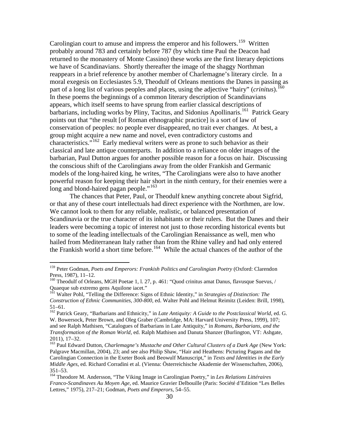Carolingian court to amuse and impress the emperor and his followers.<sup>[159](#page-44-0)</sup> Written probably around 783 and certainly before 787 (by which time Paul the Deacon had returned to the monastery of Monte Cassino) these works are the first literary depictions we have of Scandinavians. Shortly thereafter the image of the shaggy Northman reappears in a brief reference by another member of Charlemagne's literary circle. In a moral exegesis on Ecclesiastes 5.9, Theodulf of Orleans mentions the Danes in passing as part of a long list of various peoples and places, using the adjective "hairy" (*crinitus*).<sup>160</sup> In these poems the beginnings of a common literary description of Scandinavians appears, which itself seems to have sprung from earlier classical descriptions of barbarians, including works by Pliny, Tacitus, and Sidonius Apollinaris.<sup>[161](#page-44-2)</sup> Patrick Geary points out that "the result [of Roman ethnographic practice] is a sort of law of conservation of peoples: no people ever disappeared, no trait ever changes. At best, a group might acquire a new name and novel, even contradictory customs and characteristics."<sup>162</sup> Early medieval writers were as prone to such behavior as their classical and late antique counterparts. In addition to a reliance on older images of the barbarian, Paul Dutton argues for another possible reason for a focus on hair. Discussing the conscious shift of the Carolingians away from the older Frankish and Germanic models of the long-haired king, he writes, "The Carolingians were also to have another powerful reason for keeping their hair short in the ninth century, for their enemies were a long and blond-haired pagan people."<sup>[163](#page-44-4)</sup>

The chances that Peter, Paul, or Theodulf knew anything concrete about Sigfrid, or that any of these court intellectuals had direct experience with the Northmen, are low. We cannot look to them for any reliable, realistic, or balanced presentation of Scandinavia or the true character of its inhabitants or their rulers. But the Danes and their leaders were becoming a topic of interest not just to those recording historical events but to some of the leading intellectuals of the Carolingian Renaissance as well, men who hailed from Mediterranean Italy rather than from the Rhine valley and had only entered the Frankish world a short time before.<sup>164</sup> While the actual chances of the author of the

<span id="page-44-0"></span> <sup>159</sup> Peter Godman, *Poets and Emperors: Frankish Politics and Carolingian Poetry* (Oxford: Clarendon Press, 1987), 11–12.<br><sup>160</sup> Theodulf of Orleans, MGH Poetae 1, l. 27, p. 461: "Quod crinitus amat Danus, flavusque Suevus, /

<span id="page-44-1"></span>Quaeque sub extremo gens Aquilone iacet."<br><sup>161</sup> Walter Pohl, "Telling the Difference: Signs of Ethnic Identity," in *Strategies of Distinction: The* 

<span id="page-44-2"></span>*Construction of Ethnic Communities, 300-800*, ed. Walter Pohl and Helmut Reimitz (Leiden: Brill, 1998),

<span id="page-44-3"></span><sup>&</sup>lt;sup>162</sup> Patrick Geary, "Barbarians and Ethnicity," in *Late Antiquity: A Guide to the Postclassical World*, ed. G. W. Bowersock, Peter Brown, and Oleg Graber (Cambridge, MA: Harvard University Press, 1999), 107; and see Ralph Mathisen, "Catalogues of Barbarians in Late Antiquity," in *Romans, Barbarians, and the Transformation of the Roman World*, ed. Ralph Mathisen and Danuta Shanzer (Burlington, VT: Ashgate,

<span id="page-44-4"></span><sup>&</sup>lt;sup>163</sup> Paul Edward Dutton, *Charlemagne's Mustache and Other Cultural Clusters of a Dark Age* (New York: Palgrave Macmillan, 2004), 23; and see also Philip Shaw, "Hair and Heathens: Picturing Pagans and the Carolingian Connection in the Exeter Book and Beowulf Manuscript," in *Texts and Identities in the Early Middle Ages*, ed. Richard Corradini et al. (Vienna: Österreichische Akademie der Wissenschaften, 2006), 351–53. <sup>164</sup> Theodore M. Andersson, "The Viking Image in Carolingian Poetry," in *Les Relations Littéraires* 

<span id="page-44-5"></span>*Franco-Scandinaves Au Moyen Age*, ed. Maurice Gravier Delbouille (Paris: Société d'Edition "Les Belles Lettres," 1975), 217–21; Godman, *Poets and Emperors*, 54–55.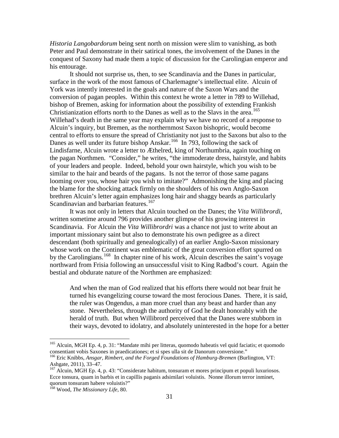*Historia Langobardorum* being sent north on mission were slim to vanishing, as both Peter and Paul demonstrate in their satirical tones, the involvement of the Danes in the conquest of Saxony had made them a topic of discussion for the Carolingian emperor and his entourage.

It should not surprise us, then, to see Scandinavia and the Danes in particular, surface in the work of the most famous of Charlemagne's intellectual elite. Alcuin of York was intently interested in the goals and nature of the Saxon Wars and the conversion of pagan peoples. Within this context he wrote a letter in 789 to Willehad, bishop of Bremen, asking for information about the possibility of extending Frankish Christianization efforts north to the Danes as well as to the Slavs in the area.<sup>165</sup> Willehad's death in the same year may explain why we have no record of a response to Alcuin's inquiry, but Bremen, as the northernmost Saxon bishopric, would become central to efforts to ensure the spread of Christianity not just to the Saxons but also to the Danes as well under its future bishop Anskar.<sup>[166](#page-45-1)</sup> In 793, following the sack of Lindisfarne, Alcuin wrote a letter to Æthelred, king of Northumbria, again touching on the pagan Northmen. "Consider," he writes, "the immoderate dress, hairstyle, and habits of your leaders and people. Indeed, behold your own hairstyle, which you wish to be similar to the hair and beards of the pagans. Is not the terror of those same pagans looming over you, whose hair you wish to imitate?" Admonishing the king and placing the blame for the shocking attack firmly on the shoulders of his own Anglo-Saxon brethren Alcuin's letter again emphasizes long hair and shaggy beards as particularly Scandinavian and barbarian features.<sup>167</sup>

It was not only in letters that Alcuin touched on the Danes; the *Vita Willibrordi*, written sometime around 796 provides another glimpse of his growing interest in Scandinavia. For Alcuin the *Vita Willibrordri* was a chance not just to write about an important missionary saint but also to demonstrate his own pedigree as a direct descendant (both spiritually and genealogically) of an earlier Anglo-Saxon missionary whose work on the Continent was emblematic of the great conversion effort spurred on by the Carolingians.<sup>168</sup> In chapter nine of his work, Alcuin describes the saint's voyage northward from Frisia following an unsuccessful visit to King Radbod's court. Again the bestial and obdurate nature of the Northmen are emphasized:

And when the man of God realized that his efforts there would not bear fruit he turned his evangelizing course toward the most ferocious Danes. There, it is said, the ruler was Ongendus, a man more cruel than any beast and harder than any stone. Nevertheless, through the authority of God he dealt honorably with the herald of truth. But when Willibrord perceived that the Danes were stubborn in their ways, devoted to idolatry, and absolutely uninterested in the hope for a better

<span id="page-45-0"></span><sup>&</sup>lt;sup>165</sup> Alcuin, MGH Ep. 4, p. 31: "Mandate mihi per litteras, quomodo habeatis vel quid faciatis; et quomodo consentiant vobis Saxones in praedicationes; et si spes ulla sit de Danorum conversione."

<span id="page-45-1"></span><sup>&</sup>lt;sup>166</sup> Eric Knibbs, *Ansgar, Rimbert, and the Forged Foundations of Hamburg-Bremen* (Burlington, VT: Ashgate, 2011), 33–47.

<span id="page-45-2"></span><sup>&</sup>lt;sup>167</sup> Alcuin, MGH Ep. 4, p. 43: "Considerate habitum, tonsuram et mores principum et populi luxuriosos. Ecce tonsura, quam in barbis et in capillis paganis adsimilari voluistis. Nonne illorum terror inminet, quorum tonsuram habere voluistis?"

<span id="page-45-3"></span><sup>168</sup> Wood, *The Missionary Life*, 80.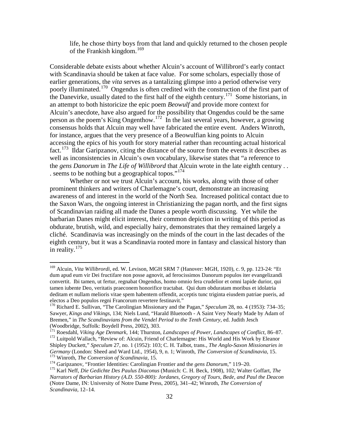life, he chose thirty boys from that land and quickly returned to the chosen people of the Frankish kingdom.<sup>[169](#page-46-0)</sup>

Considerable debate exists about whether Alcuin's account of Willibrord's early contact with Scandinavia should be taken at face value. For some scholars, especially those of earlier generations, the *vita* serves as a tantalizing glimpse into a period otherwise very poorly illuminated.<sup>170</sup> Ongendus is often credited with the construction of the first part of the Danevirke, usually dated to the first half of the eighth century.<sup>[171](#page-46-2)</sup> Some historians, in an attempt to both historicize the epic poem *Beowulf* and provide more context for Alcuin's anecdote, have also argued for the possibility that Ongendus could be the same person as the poem's King Ongenthow.[172](#page-46-3) In the last several years, however, a growing consensus holds that Alcuin may well have fabricated the entire event. Anders Winroth, for instance, argues that the very presence of a Beowulfian king points to Alcuin accessing the epics of his youth for story material rather than recounting actual historical fact.<sup>173</sup> Ildar Garipzanov, citing the distance of the source from the events it describes as well as inconsistencies in Alcuin's own vocabulary, likewise states that "a reference to the *gens Danorum* in *The Life of Willibrord* that Alcuin wrote in the late eighth century . . . seems to be nothing but a geographical topos."[174](#page-46-5)

Whether or not we trust Alcuin's account, his works, along with those of other prominent thinkers and writers of Charlemagne's court, demonstrate an increasing awareness of and interest in the world of the North Sea. Increased political contact due to the Saxon Wars, the ongoing interest in Christianizing the pagan north, and the first signs of Scandinavian raiding all made the Danes a people worth discussing. Yet while the barbarian Danes might elicit interest, their common depiction in writing of this period as obdurate, brutish, wild, and especially hairy, demonstrates that they remained largely a cliché. Scandinavia was increasingly on the minds of the court in the last decades of the eighth century, but it was a Scandinavia rooted more in fantasy and classical history than in reality. $175$ 

<span id="page-46-0"></span><sup>&</sup>lt;sup>169</sup> Alcuin, *Vita Willibrordi*, ed. W. Levison, MGH SRM 7 (Hanover: MGH, 1920), c. 9, pp. 123-24: "Et dum apud eum vir Dei fructifare non posse agnovit, ad ferocissimos Danorum populos iter evangelizandi convertit. Ibi tamen, ut fertur, regnabat Ongendus, homo omnio fera crudelior et omni lapide durior, qui tamen iubente Deo, veritatis praeconem honorifice tractabat. Qui dum obduratam moribus et idolatria deditam et nullam melioris vitae spem habentem offendit, acceptis tunc triginta eiusdem patriae pueris, ad electos a Deo populos regni Francorum revertere festinavit."

<span id="page-46-1"></span>electos a Deo populos regimental regimental reverters and the Pagan," *Speculum* 28, no. 4 (1953): 734–35; Sawyer, *Kings and Vikings*, 134; Niels Lund, "Harald Bluetooth - A Saint Very Nearly Made by Adam of Bremen," in *The Scandinavians from the Vendel Period to the Tenth Century*, ed. Judith Jesch (Woodbridge, Suffolk: Boydell Press, 2002), 303.<br><sup>171</sup> Roesdahl, *Viking Age Denmark*, 144; Thurston, *Landscapes of Power, Landscapes of Conflict*, 86–87.

<span id="page-46-3"></span><span id="page-46-2"></span><sup>&</sup>lt;sup>172</sup> Luitpold Wallach, "Review of: Alcuin, Friend of Charlemagne: His World and His Work by Eleanor Shipley Duckett," *Speculum* 27, no. 1 (1952): 103; C. H. Talbot, trans., *The Anglo-Saxon Missionaries in*  Germany (London: Sheed and Ward Ltd., 1954), 9, n. 1; Winroth, *The Conversion of Scandinavia*, 15.<br><sup>173</sup> Winroth, *The Conversion of Scandinavia*, 15.<br><sup>174</sup> Garipzanov, "Frontier Identities: Carolingian Frontier and the

<span id="page-46-4"></span>

<span id="page-46-6"></span><span id="page-46-5"></span>*Narrators of Barbarian History (A.D. 550-800): Jordanes, Gregory of Tours, Bede, and Paul the Deacon* (Notre Dame, IN: University of Notre Dame Press, 2005), 341–42; Winroth, *The Conversion of Scandinavia*, 12–14.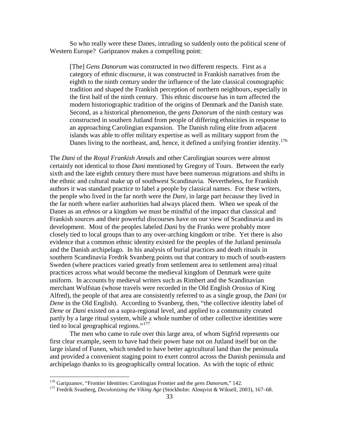So who really were these Danes, intruding so suddenly onto the political scene of Western Europe? Garipzanov makes a compelling point:

[The] *Gens Danorum* was constructed in two different respects. First as a category of ethnic discourse, it was constructed in Frankish narratives from the eighth to the ninth century under the influence of the late classical cosmographic tradition and shaped the Frankish perception of northern neighbours, especially in the first half of the ninth century. This ethnic discourse has in turn affected the modern historiographic tradition of the origins of Denmark and the Danish state. Second, as a historical phenomenon, the *gens Danorum* of the ninth century was constructed in southern Jutland from people of differing ethnicities in response to an approaching Carolingian expansion. The Danish ruling elite from adjacent islands was able to offer military expertise as well as military support from the Danes living to the northeast, and, hence, it defined a unifying frontier identity.<sup>[176](#page-47-0)</sup>

The *Dani* of the *Royal Frankish Annals* and other Carolingian sources were almost certainly not identical to those *Dani* mentioned by Gregory of Tours. Between the early sixth and the late eighth century there must have been numerous migrations and shifts in the ethnic and cultural make up of southwest Scandinavia. Nevertheless, for Frankish authors it was standard practice to label a people by classical names. For these writers, the people who lived in the far north were the *Dani*, in large part *because* they lived in the far north where earlier authorities had always placed them. When we speak of the Danes as an *ethnos* or a kingdom we must be mindful of the impact that classical and Frankish sources and their powerful discourses have on our view of Scandinavia and its development. Most of the peoples labeled *Dani* by the Franks were probably more closely tied to local groups than to any over-arching kingdom or tribe. Yet there is also evidence that a common ethnic identity existed for the peoples of the Jutland peninsula and the Danish archipelago. In his analysis of burial practices and death rituals in southern Scandinavia Fredrik Svanberg points out that contrary to much of south-eastern Sweden (where practices varied greatly from settlement area to settlement area) ritual practices across what would become the medieval kingdom of Denmark were quite uniform. In accounts by medieval writers such as Rimbert and the Scandinavian merchant Wulfstan (whose travels were recorded in the Old English *Orosius* of King Alfred), the people of that area are consistently referred to as a single group, the *Dani* (or *Dene* in the Old English). According to Svanberg, then, "the collective identity label of *Dene* or *Dani* existed on a supra-regional level, and applied to a community created partly by a large ritual system, while a whole number of other collective identities were tied to local geographical regions."[177](#page-47-1)

The men who came to rule over this large area, of whom Sigfrid represents our first clear example, seem to have had their power base not on Jutland itself but on the large island of Funen, which tended to have better agricultural land than the peninsula and provided a convenient staging point to exert control across the Danish peninsula and archipelago thanks to its geographically central location. As with the topic of ethnic

<span id="page-47-1"></span><span id="page-47-0"></span><sup>&</sup>lt;sup>176</sup> Garipzanov, "Frontier Identities: Carolingian Frontier and the *gens Danorum*," 142.<br><sup>177</sup> Fredrik Svanberg, *Decolonizing the Viking Age* (Stockholm: Almqvist & Wiksell, 2003), 167–68.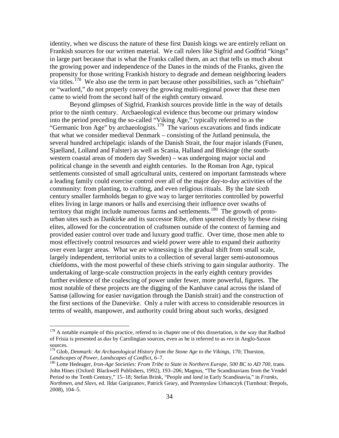identity, when we discuss the nature of these first Danish kings we are entirely reliant on Frankish sources for our written material. We call rulers like Sigfrid and Godfrid "kings" in large part because that is what the Franks called them, an act that tells us much about the growing power and independence of the Danes in the minds of the Franks, given the propensity for those writing Frankish history to degrade and demean neighboring leaders via titles.<sup>178</sup> We also use the term in part because other possibilities, such as "chieftain" or "warlord," do not properly convey the growing multi-regional power that these men came to wield from the second half of the eighth century onward.

Beyond glimpses of Sigfrid, Frankish sources provide little in the way of details prior to the ninth century. Archaeological evidence thus become our primary window into the period preceding the so-called "Viking Age," typically referred to as the "Germanic Iron Age" by archaeologists.<sup>[179](#page-48-1)</sup> The various excavations and finds indicate that what we consider medieval Denmark – consisting of the Jutland peninsula, the several hundred archipelagic islands of the Danish Strait, the four major islands (Funen, Sjaelland, Lolland and Falster) as well as Scania, Halland and Blekinge (the southwestern coastal areas of modern day Sweden) – was undergoing major social and political change in the seventh and eighth centuries. In the Roman Iron Age, typical settlements consisted of small agricultural units, centered on important farmsteads where a leading family could exercise control over all of the major day-to-day activities of the community: from planting, to crafting, and even religious rituals. By the late sixth century smaller farmholds began to give way to larger territories controlled by powerful elites living in large manors or halls and exercising their influence over swaths of territory that might include numerous farms and settlements.<sup>[180](#page-48-2)</sup> The growth of protourban sites such as Dankirke and its successor Ribe, often spurred directly by these rising elites, allowed for the concentration of craftsmen outside of the context of farming and provided easier control over trade and luxury good traffic. Over time, those men able to most effectively control resources and wield power were able to expand their authority over even larger areas. What we are witnessing is the gradual shift from small scale, largely independent, territorial units to a collection of several larger semi-autonomous chiefdoms, with the most powerful of these chiefs striving to gain singular authority. The undertaking of large-scale construction projects in the early eighth century provides further evidence of the coalescing of power under fewer, more powerful, figures. The most notable of these projects are the digging of the Kanhave canal across the island of Samsø (allowing for easier navigation through the Danish strait) and the construction of the first sections of the Danevirke. Only a ruler with access to considerable resources in terms of wealth, manpower, and authority could bring about such works, designed

<span id="page-48-0"></span><sup>&</sup>lt;sup>178</sup> A notable example of this practice, refered to in chapter one of this dissertation, is the way that Radbod of Frisia is presented as *dux* by Carolingian sources, even as he is referred to as *rex* in Anglo-Saxon

<span id="page-48-1"></span><sup>&</sup>lt;sup>179</sup> Glob, *Denmark: An Archaeological History from the Stone Age to the Vikings*, 170; Thurston,

<span id="page-48-2"></span>*Landscapes of Power, Landscapes of Conflict*, 6–7. <sup>180</sup> Lotte Hedeager, *Iron-Age Societies: From Tribe to State in Northern Europe, 500 BC to AD 700*, trans. John Hines (Oxford: Blackwell Publishers, 1992), 193–206; Magnus, "The Scandinavians from the Vendel Period to the Tenth Century," 15–18; Stefan Brink, "People and *land* in Early Scandinavia," in *Franks, Northmen, and Slavs*, ed. Ildar Garipzanov, Patrick Geary, and Przemyslaw Urbanczyk (Turnhout: Brepols, 2008), 104–5.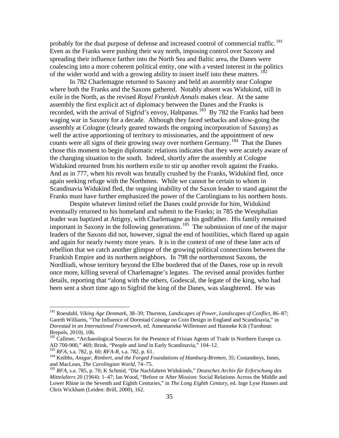probably for the dual purpose of defense and increased control of commercial traffic.<sup>181</sup> Even as the Franks were pushing their way north, imposing control over Saxony and spreading their influence farther into the North Sea and Baltic area, the Danes were coalescing into a more coherent political entity, one with a vested interest in the politics of the wider world and with a growing ability to insert itself into these matters. <sup>[182](#page-49-1)</sup>

In 782 Charlemagne returned to Saxony and held an assembly near Cologne where both the Franks and the Saxons gathered. Notably absent was Widukind, still in exile in the North, as the revised *Royal Frankish Annals* makes clear. At the same assembly the first explicit act of diplomacy between the Danes and the Franks is recorded, with the arrival of Sigfrid's envoy, Haltpanus.<sup>[183](#page-49-2)</sup> By 782 the Franks had been waging war in Saxony for a decade. Although they faced setbacks and slow-going the assembly at Cologne (clearly geared towards the ongoing incorporation of Saxony) as well the active apportioning of territory to missionaries, and the appointment of new counts were all signs of their growing sway over northern Germany.<sup>[184](#page-49-3)</sup> That the Danes chose this moment to begin diplomatic relations indicates that they were acutely aware of the changing situation to the south. Indeed, shortly after the assembly at Cologne Widukind returned from his northern exile to stir up another revolt against the Franks. And as in 777, when his revolt was brutally crushed by the Franks, Widukind fled, once again seeking refuge with the Northmen. While we cannot be certain to whom in Scandinavia Widukind fled, the ongoing inability of the Saxon leader to stand against the Franks must have further emphasized the power of the Carolingians to his northern hosts.

Despite whatever limited relief the Danes could provide for him, Widukind eventually returned to his homeland and submit to the Franks; in 785 the Westphalian leader was baptized at Attigny, with Charlemagne as his godfather. His family remained important in Saxony in the following generations.<sup>185</sup> The submission of one of the major leaders of the Saxons did not, however, signal the end of hostilities, which flared up again and again for nearly twenty more years. It is in the context of one of these later acts of rebellion that we catch another glimpse of the growing political connections between the Frankish Empire and its northern neighbors. In 798 the northernmost Saxons, the Nordliudi, whose territory beyond the Elbe bordered that of the Danes, rose up in revolt once more, killing several of Charlemagne's legates. The revised annal provides further details, reporting that "along with the others, Godescal, the legate of the king, who had been sent a short time ago to Sigfrid the king of the Danes, was slaughtered. He was

<span id="page-49-0"></span> <sup>181</sup> Roesdahl, *Viking Age Denmark*, 38–39; Thurston, *Landscapes of Power, Landscapes of Conflict*, 86–87; Gareth Williams, "The Influence of Dorestad Coinage on Coin Design in England and Scandinavia," in *Dorestad in an International Framework*, ed. Annemarieke Willemsen and Hanneke Kik (Turnhout: Brepols, 2010), 106.

<span id="page-49-1"></span><sup>&</sup>lt;sup>182</sup> Callmer, "Archaeological Sources for the Presence of Frisian Agents of Trade in Northern Europe ca.<br>AD 700-900," 469; Brink, "People and *land* in Early Scandinavia," 104–12.

<span id="page-49-3"></span><span id="page-49-2"></span><sup>&</sup>lt;sup>183</sup> RFA, s.a. 782, p. 60; RFA-R, s.a. 782, p. 61.<br><sup>184</sup> Knibbs, *Ansgar, Rimbert, and the Forged Foundations of Hamburg-Bremen*, 35; Costambeys, Innes, and MacLean, *The Carolingian World*, 74–75.

<span id="page-49-4"></span><sup>&</sup>lt;sup>185</sup> *RFA*, s.a. 785, p. 70; K Schmid, "Die Nachfahren Widukinds," *Deutsches Archiv für Erforschung des Mittelalters* 20 (1964): 1–47; Ian Wood, "Before or After Mission: Social Relations Across the Middle and Lower Rhine in the Seventh and Eighth Centuries," in *The Long Eighth Century*, ed. Inge Lyse Hansen and Chris Wickham (Leiden: Brill, 2000), 162.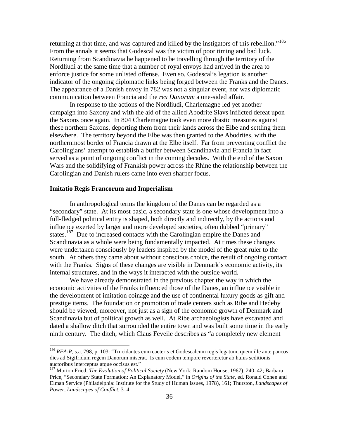returning at that time, and was captured and killed by the instigators of this rebellion."<sup>186</sup> From the annals it seems that Godescal was the victim of poor timing and bad luck. Returning from Scandinavia he happened to be travelling through the territory of the Nordliudi at the same time that a number of royal envoys had arrived in the area to enforce justice for some unlisted offense. Even so, Godescal's legation is another indicator of the ongoing diplomatic links being forged between the Franks and the Danes. The appearance of a Danish envoy in 782 was not a singular event, nor was diplomatic communication between Francia and the *rex Danorum* a one-sided affair.

In response to the actions of the Nordliudi, Charlemagne led yet another campaign into Saxony and with the aid of the allied Abodrite Slavs inflicted defeat upon the Saxons once again. In 804 Charlemagne took even more drastic measures against these northern Saxons, deporting them from their lands across the Elbe and settling them elsewhere. The territory beyond the Elbe was then granted to the Abodrites, with the northernmost border of Francia drawn at the Elbe itself. Far from preventing conflict the Carolingians' attempt to establish a buffer between Scandinavia and Francia in fact served as a point of ongoing conflict in the coming decades. With the end of the Saxon Wars and the solidifying of Frankish power across the Rhine the relationship between the Carolingian and Danish rulers came into even sharper focus.

### **Imitatio Regis Francorum and Imperialism**

In anthropological terms the kingdom of the Danes can be regarded as a "secondary" state. At its most basic, a secondary state is one whose development into a full-fledged political entity is shaped, both directly and indirectly, by the actions and influence exerted by larger and more developed societies, often dubbed "primary" states.<sup>[187](#page-50-1)</sup> Due to increased contacts with the Carolingian empire the Danes and Scandinavia as a whole were being fundamentally impacted. At times these changes were undertaken consciously by leaders inspired by the model of the great ruler to the south. At others they came about without conscious choice, the result of ongoing contact with the Franks. Signs of these changes are visible in Denmark's economic activity, its internal structures, and in the ways it interacted with the outside world.

We have already demonstrated in the previous chapter the way in which the economic activities of the Franks influenced those of the Danes, an influence visible in the development of imitation coinage and the use of continental luxury goods as gift and prestige items. The foundation or promotion of trade centers such as Ribe and Hedeby should be viewed, moreover, not just as a sign of the economic growth of Denmark and Scandinavia but of political growth as well. At Ribe archaeologists have excavated and dated a shallow ditch that surrounded the entire town and was built some time in the early ninth century. The ditch, which Claus Feveile describes as "a completely new element

<span id="page-50-0"></span><sup>&</sup>lt;sup>186</sup> *RFA-R*, s.a. 798, p. 103: "Trucidantes cum caeteris et Godescalcum regis legatum, quem ille ante paucos dies ad Sigifridum regem Danorum miserat. Is cum eodem tempore reverteretur ab huius seditionis auctoribus interceptus atque occisus est." <sup>187</sup> Morton Fried, *The Evolution of Political Society* (New York: Random House, 1967), 240–42; Barbara

<span id="page-50-1"></span>Price, "Secondary State Formation: An Explanatory Model," in *Origins of the State*, ed. Ronald Cohen and Elman Service (Philadelphia: Institute for the Study of Human Issues, 1978), 161; Thurston, *Landscapes of Power, Landscapes of Conflict*, 3–4.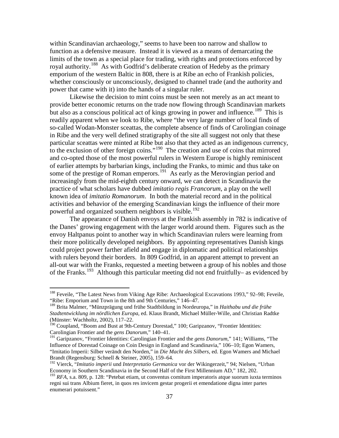within Scandinavian archaeology," seems to have been too narrow and shallow to function as a defensive measure. Instead it is viewed as a means of demarcating the limits of the town as a special place for trading, with rights and protections enforced by royal authority.[188](#page-51-0) As with Godfrid's deliberate creation of Hedeby as the primary emporium of the western Baltic in 808, there is at Ribe an echo of Frankish policies, whether consciously or unconsciously, designed to channel trade (and the authority and power that came with it) into the hands of a singular ruler.

Likewise the decision to mint coins must be seen not merely as an act meant to provide better economic returns on the trade now flowing through Scandinavian markets but also as a conscious political act of kings growing in power and influence.<sup>189</sup> This is readily apparent when we look to Ribe, where "the very large number of local finds of so-called Wodan-Monster sceattas, the complete absence of finds of Carolingian coinage in Ribe and the very well defined stratigraphy of the site all suggest not only that these particular sceattas were minted at Ribe but also that they acted as an indigenous currency, to the exclusion of other foreign coins."[190](#page-51-2) The creation and use of coins that mirrored and co-opted those of the most powerful rulers in Western Europe is highly reminiscent of earlier attempts by barbarian kings, including the Franks, to mimic and thus take on some of the prestige of Roman emperors.<sup>[191](#page-51-3)</sup> As early as the Merovingian period and increasingly from the mid-eighth century onward, we can detect in Scandinavia the practice of what scholars have dubbed *imitatio regis Francorum*, a play on the well known idea of *imitatio Romanorum*. In both the material record and in the political activities and behavior of the emerging Scandinavian kings the influence of their more powerful and organized southern neighbors is visible.<sup>[192](#page-51-4)</sup>

The appearance of Danish envoys at the Frankish assembly in 782 is indicative of the Danes' growing engagement with the larger world around them. Figures such as the envoy Haltpanus point to another way in which Scandinavian rulers were learning from their more politically developed neighbors. By appointing representatives Danish kings could project power farther afield and engage in diplomatic and political relationships with rulers beyond their borders. In 809 Godfrid, in an apparent attempt to prevent an all-out war with the Franks, requested a meeting between a group of his nobles and those of the Franks.<sup>[193](#page-51-5)</sup> Although this particular meeting did not end fruitfully– as evidenced by

<span id="page-51-0"></span><sup>&</sup>lt;sup>188</sup> Feveile, "The Latest News from Viking Age Ribe: Archaeological Excavations 1993," 92–98; Feveile, "Ribe: Emporium and Town in the 8th and 9th Centuries," 146–47.

<span id="page-51-1"></span><sup>189</sup> Brita Malmer, "Münzprägung und frühe Stadtbildung in Nordeuropa," in *Haithabu und die frühe Stadtentwicklung im nördlichen Europa*, ed. Klaus Brandt, Michael Müller-Wille, and Christian Radtke (Münster: Wachholtz, 2002), 117–22.

<span id="page-51-2"></span><sup>&</sup>lt;sup>190</sup> Coupland, "Boom and Bust at 9th-Century Dorestad," 100; Garipzanov, "Frontier Identities: Carolingian Frontier and the *gens Danorum*," 140–41.

<span id="page-51-3"></span><sup>191</sup> Garipzanov, "Frontier Identities: Carolingian Frontier and the *gens Danorum*," 141; Williams, "The Influence of Dorestad Coinage on Coin Design in England and Scandinavia," 106–10; Egon Wamers, "Imitatio Imperii: Silber verändt den Norden," in *Die Macht des Silbers*, ed. Egon Wamers and Michael Brandt (Regensburg: Schnell & Steiner, 2005), 159–64.

<span id="page-51-4"></span><sup>192</sup> Vierck, "*Imitatio imperii* und *Interpretatio Germanica* vor der Wikingerzeit," 94; Nielsen, "Urban Economy in Southern Scandinavia in the Second Half of the First Millennium AD," 182, 202.

<span id="page-51-5"></span><sup>193</sup> *RFA*, s.a. 809, p. 128: "Petebat etiam, ut conventus comitum imperatoris atque suorum iuxta terminos regni sui trans Albium fieret, in quos res invicem gestar progerii et emendatione digna inter partes enumerari potuissent."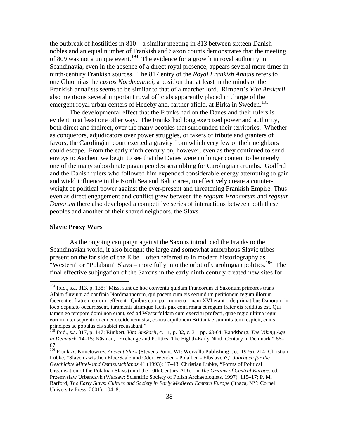the outbreak of hostilities in  $810 - a$  similar meeting in 813 between sixteen Danish nobles and an equal number of Frankish and Saxon counts demonstrates that the meeting of 809 was not a unique event.<sup>194</sup> The evidence for a growth in royal authority in Scandinavia, even in the absence of a direct royal presence, appears several more times in ninth-century Frankish sources. The 817 entry of the *Royal Frankish Annals* refers to one Gluomi as the *custos Nordmannici*, a position that at least in the minds of the Frankish annalists seems to be similar to that of a marcher lord. Rimbert's *Vita Anskarii*  also mentions several important royal officials apparently placed in charge of the emergent royal urban centers of Hedeby and, farther afield, at Birka in Sweden.<sup>[195](#page-52-1)</sup>

The developmental effect that the Franks had on the Danes and their rulers is evident in at least one other way. The Franks had long exercised power and authority, both direct and indirect, over the many peoples that surrounded their territories. Whether as conquerors, adjudicators over power struggles, or takers of tribute and granters of favors, the Carolingian court exerted a gravity from which very few of their neighbors could escape. From the early ninth century on, however, even as they continued to send envoys to Aachen, we begin to see that the Danes were no longer content to be merely one of the many subordinate pagan peoples scrambling for Carolingian crumbs. Godfrid and the Danish rulers who followed him expended considerable energy attempting to gain and wield influence in the North Sea and Baltic area, to effectively create a counterweight of political power against the ever-present and threatening Frankish Empire. Thus even as direct engagement and conflict grew between the *regnum Francorum* and *regnum Danorum* there also developed a competitive series of interactions between both these peoples and another of their shared neighbors, the Slavs.

## **Slavic Proxy Wars**

As the ongoing campaign against the Saxons introduced the Franks to the Scandinavian world, it also brought the large and somewhat amorphous Slavic tribes present on the far side of the Elbe – often referred to in modern historiography as "Western" or "Polabian" Slavs – more fully into the orbit of Carolingian politics.<sup>[196](#page-52-2)</sup> The final effective subjugation of the Saxons in the early ninth century created new sites for

<span id="page-52-0"></span> <sup>194</sup> Ibid., s.a. 813, p. 138: "Missi sunt de hoc conventu quidam Francorum et Saxonum primores trans Albim fluvium ad confinia Nordmannorum, qui pacem cum eis secundum petitionem regum illorum facerent et fratrem eorum refferent. Quibus cum pari numero – nam XVI erant – de primatibus Danorum in loco deputato occurrissent, iuramenti utrimque factis pax confirmata et regum frater eis redditus est. Qui tamen eo tempore domi non erant, sed ad Westarfoldam cum exercitu profecti, quae regio ultima regni eorum inter septentrionem et occidentem sita, contra aquilonem Brittaniae summitatem respicit, cuius principes ac populus eis subici recusabant."

<span id="page-52-1"></span><sup>195</sup> Ibid.*,* s.a. 817, p. 147; Rimbert, *Vita Anskarii,* c. 11, p. 32, c. 31, pp. 63-64; Randsborg, *The Viking Age in Denmark*, 14–15; Näsman, "Exchange and Politics: The Eighth-Early Ninth Century in Denmark," 66– 67.

<span id="page-52-2"></span><sup>196</sup> Frank A. Kmietowicz, *Ancient Slavs* (Stevens Point, WI: Worzalla Publishing Co., 1976), 214; Christian Lübke, "Slaven zwischen Elbe/Saale und Oder: Wenden - Polalben - Elbslaven?," *Jahrbuch für die Geschichte Mittel- und Ostdeutschlands* 41 (1993): 17–43; Christian Lübke, "Forms of Political Organisation of the Polabian Slavs (until the 10th Century AD)," in *The Origins of Central Europe*, ed. Przemyslaw Urbanczyk (Warsaw: Scientific Society of Polish Archaeologists, 1997), 115–17; P. M. Barford, *The Early Slavs: Culture and Society in Early Medieval Eastern Europe* (Ithaca, NY: Cornell University Press, 2001), 104–8.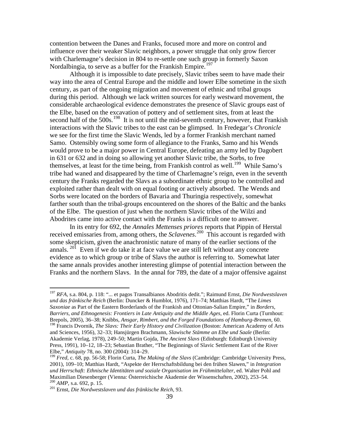contention between the Danes and Franks, focused more and more on control and influence over their weaker Slavic neighbors, a power struggle that only grow fiercer with Charlemagne's decision in 804 to re-settle one such group in formerly Saxon Nordalbingia, to serve as a buffer for the Frankish Empire.<sup>[197](#page-53-0)</sup>

Although it is impossible to date precisely, Slavic tribes seem to have made their way into the area of Central Europe and the middle and lower Elbe sometime in the sixth century, as part of the ongoing migration and movement of ethnic and tribal groups during this period. Although we lack written sources for early westward movement, the considerable archaeological evidence demonstrates the presence of Slavic groups east of the Elbe, based on the excavation of pottery and of settlement sites, from at least the second half of the  $500s$ .<sup>[198](#page-53-1)</sup> It is not until the mid-seventh century, however, that Frankish interactions with the Slavic tribes to the east can be glimpsed. In Fredegar's *Chronicle* we see for the first time the Slavic Wends, led by a former Frankish merchant named Samo. Ostensibly owing some form of allegiance to the Franks, Samo and his Wends would prove to be a major power in Central Europe, defeating an army led by Dagobert in 631 or 632 and in doing so allowing yet another Slavic tribe, the Sorbs, to free themselves, at least for the time being, from Frankish control as well.<sup>[199](#page-53-2)</sup> While Samo's tribe had waned and disappeared by the time of Charlemagne's reign, even in the seventh century the Franks regarded the Slavs as a subordinate ethnic group to be controlled and exploited rather than dealt with on equal footing or actively absorbed. The Wends and Sorbs were located on the borders of Bavaria and Thuringia respectively, somewhat farther south than the tribal-groups encountered on the shores of the Baltic and the banks of the Elbe. The question of just when the northern Slavic tribes of the Wilzi and Abodrites came into active contact with the Franks is a difficult one to answer.

In its entry for 692, the *Annales Mettenses priores* reports that Pippin of Herstal received emissaries from, among others, the *Sclavenes*. [200](#page-53-3) This account is regarded with some skepticism, given the anachronistic nature of many of the earlier sections of the annals.  $201$  Even if we do take it at face value we are still left without any concrete evidence as to which group or tribe of Slavs the author is referring to. Somewhat later the same annals provides another interesting glimpse of potential interaction between the Franks and the northern Slavs. In the annal for 789, the date of a major offensive against

<span id="page-53-0"></span> <sup>197</sup> *RFA*, s.a. 804, p. 118: "... et pagos Transalbianos Abodritis dedit."; Raimund Ernst, *Die Nordwestslaven und das fränkische Reich* (Berlin: Duncker & Humblot, 1976), 171–74; Matthias Hardt, "The *Limes Saxoniae* as Part of the Eastern Borderlands of the Frankish and Ottonian-Salian Empire," in *Borders, Barriers, and Ethnogenesis: Frontiers in Late Antiquity and the Middle Ages*, ed. Florin Curta (Turnhout: Brepols, 2005), 36–38; Knibbs, *Ansgar, Rimbert, and the Forged Foundations of Hamburg-Bremen*, 60.

<span id="page-53-1"></span><sup>198</sup> Francis Dvornik, *The Slavs: Their Early History and Civilization* (Boston: American Academy of Arts and Sciences, 1956), 32–33; Hansjürgen Brachmann, *Slawische Stämme an Elbe und Saale* (Berlin: Akademie Verlag, 1978), 249–50; Martin Gojda, *The Ancient Slavs* (Edinburgh: Edinburgh University Press, 1991), 10–12, 18–23; Sebastian Brather, "The Beginnings of Slavic Settlement East of the River Elbe," *Antiquity* 78, no. 300 (2004): 314–29.

<span id="page-53-2"></span><sup>199</sup> *Fred,* c. 68, pp. 56-58; Florin Curta, *The Making of the Slavs* (Cambridge: Cambridge University Press, 2001), 109–10; Matthias Hardt, "Aspekte der Herrschaftsbildung bei den frühen Slawen," in *Integration und Herrschaft: Ethnische Identitäten und soziale Organisation im Frühmittelalter*, ed. Walter Pohl and Maximilian Diesenberger (Vienna: Österreichische Akademie der Wissenschaften, 2002), 253–54. <sup>200</sup> *AMP,* s.a. 692, p. 15. <sup>201</sup> Ernst, *Die Nordwestslaven und das fränkische Reich*, 93.

<span id="page-53-4"></span><span id="page-53-3"></span>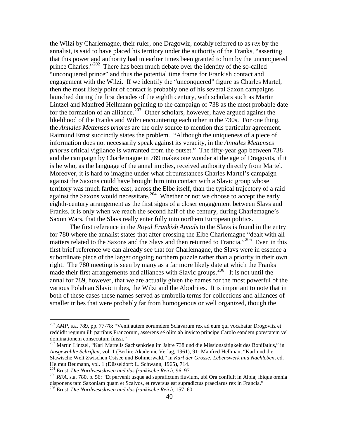the Wilzi by Charlemagne, their ruler, one Dragowiz, notably referred to as *rex* by the annalist, is said to have placed his territory under the authority of the Franks, "asserting that this power and authority had in earlier times been granted to him by the unconquered prince Charles."<sup>202</sup> There has been much debate over the identity of the so-called "unconquered prince" and thus the potential time frame for Frankish contact and engagement with the Wilzi. If we identify the "unconquered" figure as Charles Martel, then the most likely point of contact is probably one of his several Saxon campaigns launched during the first decades of the eighth century, with scholars such as Martin Lintzel and Manfred Hellmann pointing to the campaign of 738 as the most probable date for the formation of an alliance.<sup>[203](#page-54-1)</sup> Other scholars, however, have argued against the likelihood of the Franks and Wilzi encountering each other in the 730s. For one thing, the *Annales Mettenses priores* are the only source to mention this particular agreement. Raimund Ernst succinctly states the problem. "Although the uniqueness of a piece of information does not necessarily speak against its veracity, in the *Annales Mettenses priores* critical vigilance is warranted from the outset." The fifty-year gap between 738 and the campaign by Charlemagne in 789 makes one wonder at the age of Dragovits, if it is he who, as the language of the annal implies, received authority directly from Martel. Moreover, it is hard to imagine under what circumstances Charles Martel's campaign against the Saxons could have brought him into contact with a Slavic group whose territory was much farther east, across the Elbe itself, than the typical trajectory of a raid against the Saxons would necessitate.<sup>204</sup> Whether or not we choose to accept the early eighth-century arrangement as the first signs of a closer engagement between Slavs and Franks, it is only when we reach the second half of the century, during Charlemagne's Saxon Wars, that the Slavs really enter fully into northern European politics.

The first reference in the *Royal Frankish Annals* to the Slavs is found in the entry for 780 where the annalist states that after crossing the Elbe Charlemagne "dealt with all matters related to the Saxons and the Slavs and then returned to Francia."<sup>[205](#page-54-3)</sup> Even in this first brief reference we can already see that for Charlemagne, the Slavs were in essence a subordinate piece of the larger ongoing northern puzzle rather than a priority in their own right. The 780 meeting is seen by many as a far more likely date at which the Franks made their first arrangements and alliances with Slavic groups.<sup>[206](#page-54-4)</sup> It is not until the annal for 789, however, that we are actually given the names for the most powerful of the various Polabian Slavic tribes, the Wilzi and the Abodrites. It is important to note that in both of these cases these names served as umbrella terms for collections and alliances of smaller tribes that were probably far from homogenous or well organized, though the

<span id="page-54-0"></span><sup>&</sup>lt;sup>202</sup> AMP, s.a. 789, pp. 77-78: "Venit autem eorumdem Sclavarum rex ad eum qui vocabatur Drogovitz et reddidit regnum illi partibus Francorum, asserens sé olim ab invicto principe Carolo eandem potestatem vel dominationem consecutum fuissi."

<span id="page-54-1"></span><sup>203</sup> Martin Lintzel, "Karl Martells Sachsenkrieg im Jahre 738 und die Missionstätigkeit des Bonifatius," in *Ausgewählte Schriften*, vol. 1 (Berlin: Akademie Verlag, 1961), 91; Manfred Hellman, "Karl und die Slawische Welt Zwischen Ostsee und Böhmerwald," in *Karl der Grosse: Lebenswerk und Nachleben*, ed. Helmut Beumann, vol. 1 (Düsseldorf: L. Schwann, 1965), 714.<br><sup>204</sup> Ernst, *Die Nordwestslaven und das fränkische Reich*, 96–97.<br><sup>205</sup> RFA, s.a. 780, p. 56: "Et pervenit usque ad suprafictum fluvium, ubi Ora confluit in Albi

<span id="page-54-2"></span>

<span id="page-54-3"></span>disponens tam Saxoniam quam et Scalvos, et reversus est supradictus praeclarus rex in Francia."

<span id="page-54-4"></span><sup>206</sup> Ernst, *Die Nordwestslaven und das fränkische Reich*, 157–60.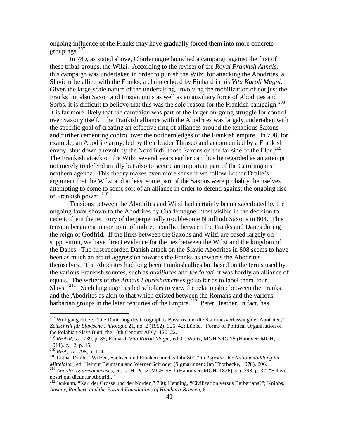ongoing influence of the Franks may have gradually forced them into more concrete groupings.[207](#page-55-0) 

In 789, as stated above, Charlemagne launched a campaign against the first of these tribal-groups, the Wilzi. According to the reviser of the *Royal Frankish Annals*, this campaign was undertaken in order to punish the Wilzi for attacking the Abodrites, a Slavic tribe allied with the Franks, a claim echoed by Einhard in his *Vita Karoli Magni*. Given the large-scale nature of the undertaking, involving the mobilization of not just the Franks but also Saxon and Frisian units as well as an auxiliary force of Abodrites and Sorbs, it is difficult to believe that this was the sole reason for the Frankish campaign.<sup>208</sup> It is far more likely that the campaign was part of the larger on-going struggle for control over Saxony itself. The Frankish alliance with the Abodrites was largely undertaken with the specific goal of creating an effective ring of alliances around the tenacious Saxons and further cementing control over the northern edges of the Frankish empire. In 798, for example, an Abodrite army, led by their leader Thrasco and accompanied by a Frankish envoy, shut down a revolt by the Nordliudi, those Saxons on the far side of the Elbe.<sup>[209](#page-55-2)</sup> The Frankish attack on the Wilzi several years earlier can thus be regarded as an attempt not merely to defend an ally but also to secure an important part of the Carolingians' northern agenda. This theory makes even more sense if we follow Lothar Dralle's argument that the Wilzi and at least some part of the Saxons were probably themselves attempting to come to some sort of an alliance in order to defend against the ongoing rise of Frankish power. [210](#page-55-3) 

Tensions between the Abodrites and Wilzi had certainly been exacerbated by the ongoing favor shown to the Abodrites by Charlemagne, most visible in the decision to cede to them the territory of the perpetually troublesome Nordliudi Saxons in 804. This tension became a major point of indirect conflict between the Franks and Danes during the reign of Godfrid. If the links between the Saxons and Wilzi are based largely on supposition, we have direct evidence for the ties between the Wilzi and the kingdom of the Danes. The first recorded Danish attack on the Slavic Abodrites in 808 seems to have been as much an act of aggression towards the Franks as towards the Abodrites themselves. The Abodrites had long been Frankish allies but based on the terms used by the various Frankish sources, such as *auxiliares* and *foedarati,* it was hardly an alliance of equals. The writers of the *Annals Laureshamenses* go so far as to label them "our Slavs."<sup>[211](#page-55-4)</sup> Such language has led scholars to view the relationship between the Franks and the Abodrites as akin to that which existed between the Romans and the various barbarian groups in the later centuries of the Empire.<sup>[212](#page-55-5)</sup> Peter Heather, in fact, has

<span id="page-55-0"></span><sup>&</sup>lt;sup>207</sup> Wolfgang Fritze, "Die Datierung des Geographus Bavarus und die Stammesverfassung der Abotriten," *Zeitschrift für Slavische Philologie* 21, no. 2 (1952): 326–42; Lübke, "Forms of Political Organisation of

<span id="page-55-1"></span><sup>&</sup>lt;sup>208</sup> RFA-R, s.a. 789, p. 85; Einhard, *Vita Karoli Magni*, ed. G. Waitz, MGH SRG 25 (Hanover: MGH, 1911), c. 12, p. 15.<br><sup>209</sup> *RFA*, s.a. 798, p. 104.

<span id="page-55-2"></span>

<span id="page-55-3"></span><sup>&</sup>lt;sup>210</sup> Lothar Dralle, "Wilzen, Sachsen und Franken um das Jahr 800," in *Aspekte Der Nationenbildung im Mittelalter*, ed. Helmut Beumann and Werner Schröder (Sigmaringen: Jan Thorbecke, 1978), 206.

<span id="page-55-4"></span><sup>&</sup>lt;sup>211</sup> Annales Laureshamenses, ed. G. H. Pertz, MGH SS 1 (Hannover: MGH, 1826), s.a. 798, p. 37: "Sclavi nostri qui dicuntur Abotridi."

<span id="page-55-5"></span><sup>&</sup>lt;sup>212</sup> Jankuhn, "Karl der Grosse und der Norden," 700; Henning, "Civilization versus Barbarians?"; Knibbs, *Ansgar, Rimbert, and the Forged Foundations of Hamburg-Bremen*, 61.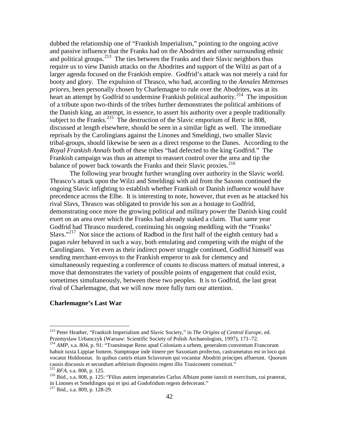dubbed the relationship one of "Frankish Imperialism," pointing to the ongoing active and passive influence that the Franks had on the Abodrites and other surrounding ethnic and political groups.<sup>[213](#page-56-0)</sup> The ties between the Franks and their Slavic neighbors thus require us to view Danish attacks on the Abodrites and support of the Wilzi as part of a larger agenda focused on the Frankish empire. Godfrid's attack was not merely a raid for booty and glory. The expulsion of Thrasco, who had, according to the *Annales Mettenses priores,* been personally chosen by Charlemagne to rule over the Abodrites, was at its heart an attempt by Godfrid to undermine Frankish political authority.<sup>[214](#page-56-1)</sup> The imposition of a tribute upon two-thirds of the tribes further demonstrates the political ambitions of the Danish king, an attempt, in essence, to assert his authority over a people traditionally subject to the Franks.<sup>[215](#page-56-2)</sup> The destruction of the Slavic emporium of Reric in 808, discussed at length elsewhere, should be seen in a similar light as well. The immediate reprisals by the Carolingians against the Linones and Smeldingi, two smaller Slavic tribal-groups, should likewise be seen as a direct response to the Danes. According to the *Royal Frankish Annals* both of these tribes "had defected to the king Godfrid." The Frankish campaign was thus an attempt to reassert control over the area and tip the balance of power back towards the Franks and their Slavic proxies.<sup>[216](#page-56-3)</sup>

The following year brought further wrangling over authority in the Slavic world. Thrasco's attack upon the Wilzi and Smeldingi with aid from the Saxons continued the ongoing Slavic infighting to establish whether Frankish or Danish influence would have precedence across the Elbe. It is interesting to note, however, that even as he attacked his rival Slavs, Thrasco was obligated to provide his son as a hostage to Godfrid, demonstrating once more the growing political and military power the Danish king could exert on an area over which the Franks had already staked a claim. That same year Godfrid had Thrasco murdered, continuing his ongoing meddling with the "Franks' Slavs."<sup>[217](#page-56-4)</sup> Not since the actions of Radbod in the first half of the eighth century had a pagan ruler behaved in such a way, both emulating and competing with the might of the Carolingians. Yet even as their indirect power struggle continued, Godfrid himself was sending merchant-envoys to the Frankish emperor to ask for clemency and simultaneously requesting a conference of counts to discuss matters of mutual interest, a move that demonstrates the variety of possible points of engagement that could exist, sometimes simultaneously, between these two peoples. It is to Godfrid, the last great rival of Charlemagne, that we will now more fully turn our attention.

#### **Charlemagne's Last War**

<span id="page-56-0"></span><sup>&</sup>lt;sup>213</sup> Peter Heather, "Frankish Imperialism and Slavic Society," in *The Origins of Central Europe*, ed.<br>Przemyslaw Urbanczyk (Warsaw: Scientific Society of Polish Archaeologists, 1997), 171–72.

<span id="page-56-1"></span>Przemyslaw Urbanczyk (Warsaw: Scientific Society of Polish Archaeologists, 1997), 1997–72. 214 *AMP*, s.a. 804, p. 91: "Transitoque Reno apud Coloniam a urbem, generalem conventum Francorum habuit iuxta Lippiae fontem. Sumptoque inde itinere per Saxoniam profectus, castrametatus est in loco qui vocatur Holdonstat. In quibus castris etiam Sclavorum qui vocantur Abodriti principes affuerunt. Quorum causis discussis et secundum arbitrium dispositis regem illis Trasiconem constituit."<br><sup>215</sup> RFA, s.a. 808, p. 125.

<span id="page-56-3"></span><span id="page-56-2"></span><sup>215</sup> *RFA*, s.a. 808*,* p. 125. <sup>216</sup> Ibid., s.a. 808, p. 125: "Filius autem imperatories Carlus Albiam ponte iunxit et exercitum, cui praeerat, in Linones et Smeldingos qui et ipsi ad Godofridum regem defecerant."

<span id="page-56-4"></span><sup>217</sup> Ibid*.,* s.a. 809, p. 128-29.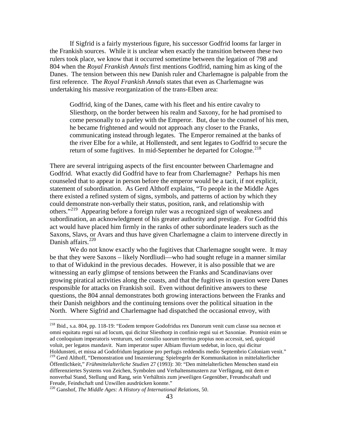If Sigfrid is a fairly mysterious figure, his successor Godfrid looms far larger in the Frankish sources. While it is unclear when exactly the transition between these two rulers took place, we know that it occurred sometime between the legation of 798 and 804 when the *Royal Frankish Annals* first mentions Godfrid, naming him as king of the Danes. The tension between this new Danish ruler and Charlemagne is palpable from the first reference. The *Royal Frankish Annals* states that even as Charlemagne was undertaking his massive reorganization of the trans-Elben area:

Godfrid, king of the Danes, came with his fleet and his entire cavalry to Sliesthorp, on the border between his realm and Saxony, for he had promised to come personally to a parley with the Emperor. But, due to the counsel of his men, he became frightened and would not approach any closer to the Franks, communicating instead through legates. The Emperor remained at the banks of the river Elbe for a while, at Hollenstedt, and sent legates to Godfrid to secure the return of some fugitives. In mid-September he departed for Cologne.<sup>[218](#page-57-0)</sup>

There are several intriguing aspects of the first encounter between Charlemagne and Godfrid. What exactly did Godfrid have to fear from Charlemagne? Perhaps his men counseled that to appear in person before the emperor would be a tacit, if not explicit, statement of subordination. As Gerd Althoff explains, "To people in the Middle Ages there existed a refined system of signs, symbols, and patterns of action by which they could demonstrate non-verbally their status, position, rank, and relationship with others."[219](#page-57-1) Appearing before a foreign ruler was a recognized sign of weakness and subordination, an acknowledgment of his greater authority and prestige. For Godfrid this act would have placed him firmly in the ranks of other subordinate leaders such as the Saxons, Slavs, or Avars and thus have given Charlemagne a claim to intervene directly in Danish affairs.<sup>[220](#page-57-2)</sup>

We do not know exactly who the fugitives that Charlemagne sought were. It may be that they were Saxons – likely Nordliudi—who had sought refuge in a manner similar to that of Widukind in the previous decades. However, it is also possible that we are witnessing an early glimpse of tensions between the Franks and Scandinavians over growing piratical activities along the coasts, and that the fugitives in question were Danes responsible for attacks on Frankish soil. Even without definitive answers to these questions, the 804 annal demonstrates both growing interactions between the Franks and their Danish neighbors and the continuing tensions over the political situation in the North. Where Sigfrid and Charlemagne had dispatched the occasional envoy, with

<span id="page-57-0"></span> <sup>218</sup> Ibid., s.a. 804, pp. 118-19: "Eodem tempore Godofridus rex Danorum venit cum classe sua necnon et omni equitatu regni sui ad locum, qui dicitur Sliesthorp in confinio regni sui et Saxoniae. Promisit enim se ad conloquium imperatoris venturum, sed consilio suorum territus propius non accessit, sed, quicquid voluit, per legatos mandavit. Nam imperator super Albiam fluvium sedebat, in loco, qui dicitur Holdunsteti, et missa ad Godofridum legatione pro perfugis reddendis medio Septembrio Coloniam venit."

<span id="page-57-1"></span><sup>&</sup>lt;sup>219</sup> Gerd Althoff, "Demonstration und Inszenierung: Spielregeln der Kommunikation in mittelalterlicher Öffentlichkeit," *Frühmittelalterliche Studien* 27 (1993): 30: "Den mittelalterlichen Menschen stand ein differenziertes Systems von Zeichen, Symbolen und Verhaltensmustern zur Verfügung, mit dem er nonverbal Stand, Stellung und Rang, sein Verhältnis zum jeweiligen Gegenüber, Freundscahaft und Freude, Feindschaft und Unwillen ausdrücken konnte."

<span id="page-57-2"></span><sup>220</sup> Ganshof, *The Middle Ages: A History of International Relations*, 50.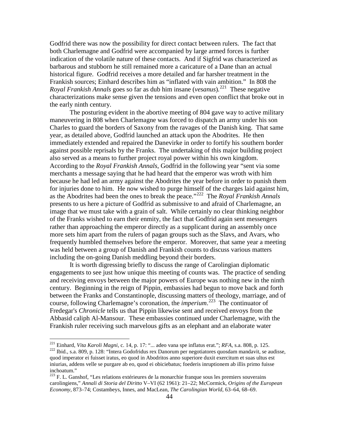Godfrid there was now the possibility for direct contact between rulers. The fact that both Charlemagne and Godfrid were accompanied by large armed forces is further indication of the volatile nature of these contacts. And if Sigfrid was characterized as barbarous and stubborn he still remained more a caricature of a Dane than an actual historical figure. Godfrid receives a more detailed and far harsher treatment in the Frankish sources; Einhard describes him as "inflated with vain ambition." In 808 the *Royal Frankish Annals* goes so far as dub him insane (*vesanus*)*.* [221](#page-58-0) These negative characterizations make sense given the tensions and even open conflict that broke out in the early ninth century.

The posturing evident in the abortive meeting of 804 gave way to active military maneuvering in 808 when Charlemagne was forced to dispatch an army under his son Charles to guard the borders of Saxony from the ravages of the Danish king. That same year, as detailed above, Godfrid launched an attack upon the Abodrites. He then immediately extended and repaired the Danevirke in order to fortify his southern border against possible reprisals by the Franks. The undertaking of this major building project also served as a means to further project royal power within his own kingdom. According to the *Royal Frankish Annals*, Godfrid in the following year "sent via some merchants a message saying that he had heard that the emperor was wroth with him because he had led an army against the Abodrites the year before in order to punish them for injuries done to him. He now wished to purge himself of the charges laid against him, as the Abodrites had been the ones to break the peace."[222](#page-58-1) The *Royal Frankish Annals* presents to us here a picture of Godfrid as submissive to and afraid of Charlemagne, an image that we must take with a grain of salt. While certainly no clear thinking neighbor of the Franks wished to earn their enmity, the fact that Godfrid again sent messengers rather than approaching the emperor directly as a supplicant during an assembly once more sets him apart from the rulers of pagan groups such as the Slavs, and Avars, who frequently humbled themselves before the emperor. Moreover, that same year a meeting was held between a group of Danish and Frankish counts to discuss various matters including the on-going Danish meddling beyond their borders.

It is worth digressing briefly to discuss the range of Carolingian diplomatic engagements to see just how unique this meeting of counts was. The practice of sending and receiving envoys between the major powers of Europe was nothing new in the ninth century. Beginning in the reign of Pippin, embassies had begun to move back and forth between the Franks and Constantinople, discussing matters of theology, marriage, and of course, following Charlemagne's coronation, the *imperium*. [223](#page-58-2) The continuator of Fredegar's *Chronicle* tells us that Pippin likewise sent and received envoys from the Abbasid caliph Al-Mansour. These embassies continued under Charlemagne, with the Frankish ruler receiving such marvelous gifts as an elephant and an elaborate water

<span id="page-58-1"></span><span id="page-58-0"></span><sup>&</sup>lt;sup>221</sup> Einhard, *Vita Karoli Magni*, c. 14, p. 17: "... adeo vana spe inflatus erat."; *RFA*, s.a. 808, p. 125.<br><sup>222</sup> Ibid., s.a. 809, p. 128: "Intera Godofridus rex Danorum per negotiatores quosdam mandavit, se audisse, quod imperator ei fuisset iratus, eo quod in Abodritos anno superiore duxit exercitum et suas ultus est iniurias, addens velle se purgare ab eo, quod ei obiciebatus; foederis inruptionem ab illis primo fuisse inchoatum."

<span id="page-58-2"></span> $223$  F. L. Ganshof, "Les relations extérieures de la monarchie franque sous les premiers souverains carolingiens," *Annali di Storia del Diritto* V–VI (62 1961): 21–22; McCormick, *Origins of the European Economy*, 873–74; Costambeys, Innes, and MacLean, *The Carolingian World*, 63–64, 68–69.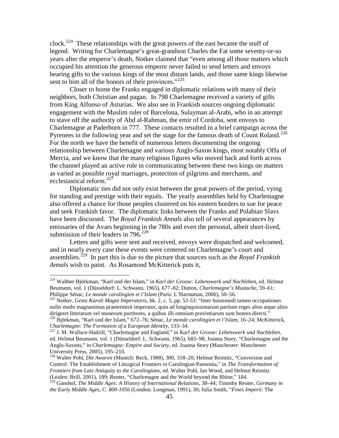$\text{clock.}^{224}$  These relationships with the great powers of the east became the stuff of legend. Writing for Charlemagne's great-grandson Charles the Fat some seventy-or-so years after the emperor's death, Notker claimed that "even among all those matters which occupied his attention the generous emperor never failed to send letters and envoys bearing gifts to the various kings of the most distant lands, and those same kings likewise sent to him all of the honors of their provinces."<sup>[225](#page-59-1)</sup>

Closer to home the Franks engaged in diplomatic relations with many of their neighbors, both Christian and pagan. In 798 Charlemagne received a variety of gifts from King Alfonso of Asturias. We also see in Frankish sources ongoing diplomatic engagement with the Muslim ruler of Barcelona, Sulayman al-Arabi, who in an attempt to stave off the authority of Abd al-Rahman, the emir of Cordoba, sent envoys to Charlemagne at Paderborn in 777. These contacts resulted in a brief campaign across the Pyrenees in the following year and set the stage for the famous death of Count Roland.<sup>[226](#page-59-2)</sup> For the north we have the benefit of numerous letters documenting the ongoing relationship between Charlemagne and various Anglo-Saxon kings, most notably Offa of Mercia, and we know that the many religious figures who moved back and forth across the channel played an active role in communicating between these two kings on matters as varied as possible royal marriages, protection of pilgrims and merchants, and ecclesiastical reform. $227$ 

Diplomatic ties did not only exist between the great powers of the period, vying for standing and prestige with their equals. The yearly assemblies held by Charlemagne also offered a chance for those peoples clustered on his eastern borders to sue for peace and seek Frankish favor. The diplomatic links between the Franks and Polabian Slavs have been discussed. The *Royal Frankish Annals* also tell of several appearances by emissaries of the Avars beginning in the 780s and even the personal, albeit short-lived, submission of their leaders in  $796$ <sup>[228](#page-59-4)</sup>

Letters and gifts were sent and received, envoys were dispatched and welcomed, and in nearly every case these events were centered on Charlemagne's court and assemblies.[229](#page-59-5) In part this is due to the picture that sources such as the *Royal Frankish Annals* wish to paint. As Rosamond McKitterick puts it,

<span id="page-59-0"></span> <sup>224</sup> Walther Björkman, "Karl und der Islam," in *Karl der Grosse: Lebenswerk und Nachleben*, ed. Helmut Beumann, vol. 1 (Düsseldorf: L. Schwann, 1965), 677–82; Dutton, *Charlemagne's Mustache*, 59–61;

<span id="page-59-1"></span>Philippe Sénac, *Le monde carolingien et l'Islam* (Paris: L'Harmattan, 2006), 50–56.<br><sup>225</sup> Notker, *Gesta Karoli Magni Imperatoris*, bk. 2, c. 5, pp. 52-53: "Inter huiusmodi tamen occupationes nullo modo magnanimus praetermisit imperator, quin ad longinquissimarum partium reges alios atque alios

<span id="page-59-2"></span>dirigeret litterarum vel munerum portitores, a quibus illi omnium provintiarum sunt honres directi."<br><sup>226</sup> Björkman, "Karl und der Islam," 672–76; Sénac, *Le monde carolingien et l'Islam*, 16–24; McKitterick, *Charlemagne:* 

<span id="page-59-3"></span><sup>&</sup>lt;sup>227</sup> J. M. Wallace-Hadrill, "Charlemagne and England," in *Karl der Grosse: Lebenswerk und Nachleben*, ed. Helmut Beumann, vol. 1 (Düsseldorf: L. Schwann, 1965), 683–98; Joanna Story, "Charlemagne and the Anglo-Saxons," in *Charlemagne: Empire and Society*, ed. Joanna Story (Manchester: Manchester University Press, 2005), 195–210. <sup>228</sup> Walter Pohl, *Die Awaren* (Munich: Beck, 1988), 300, 318–20; Helmut Reimitz, "Conversion and

<span id="page-59-4"></span>Control: The Establishment of Liturgical Frontiers in Carolingian Pannonia," in *The Transformation of Frontiers from Late Antiquity to the Carolingians*, ed. Walter Pohl, Ian Wood, and Helmut Reimitz (Leiden: Brill, 2001), 189; Reuter, "Charlemagne and the World beyond the Rhine," 184.

<span id="page-59-5"></span><sup>229</sup> Ganshof, *The Middle Ages: A History of International Relations*, 38–44; Timothy Reuter, *Germany in the Early Middle Ages, C. 800-1056* (London: Longman, 1991), 30; Julia Smith, "*Fines Imperii*: The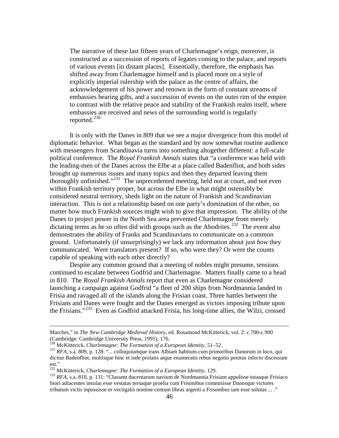The narrative of these last fifteen years of Charlemagne's reign, moreover, is constructed as a succession of reports of legates coming to the palace, and reports of various events [in distant places]. Essentially, therefore, the emphasis has shifted away from Charlemagne himself and is placed more on a style of explicitly imperial rulership with the palace as the centre of affairs, the acknowledgement of his power and renown in the form of constant streams of embassies bearing gifts, and a succession of events on the outer rim of the empire to contrast with the relative peace and stability of the Frankish realm itself, where embassies are received and news of the surrounding world is regularly reported. $^{230}$ 

It is only with the Danes in 809 that we see a major divergence from this model of diplomatic behavior. What began as the standard and by now somewhat routine audience with messengers from Scandinavia turns into something altogether different: a full-scale political conference. The *Royal Frankish Annals* states that "a conference was held with the leading-men of the Danes across the Elbe at a place called Badenfliot, and both sides brought up numerous issues and many topics and then they departed leaving them thoroughly unfinished."[231](#page-60-1) The unprecedented meeting, held not at court, and not even within Frankish territory proper, but across the Elbe in what might ostensibly be considered neutral territory, sheds light on the nature of Frankish and Scandinavian interaction. This is not a relationship based on one party's domination of the other, no matter how much Frankish sources might wish to give that impression. The ability of the Danes to project power in the North Sea area prevented Charlemagne from merely dictating terms as he so often did with groups such as the Abodrites.<sup>[232](#page-60-2)</sup> The event also demonstrates the ability of Franks and Scandinavians to communicate on a common ground. Unfortunately (if unsurprisingly) we lack any information about just *how* they communicated. Were translators present? If so, who were they? Or were the counts capable of speaking with each other directly?

Despite any common ground that a meeting of nobles might presume, tensions continued to escalate between Godfrid and Charlemagne. Matters finally came to a head in 810. The *Royal Frankish Annals* report that even as Charlemagne considered launching a campaign against Godfrid "a fleet of 200 ships from Nordmannia landed in Frisia and ravaged all of the islands along the Frisian coast. Three battles between the Frisians and Danes were fought and the Danes emerged as victors imposing tribute upon the Frisians."<sup>233</sup> Even as Godfrid attacked Frisia, his long-time allies, the Wilzi, crossed

Marches," in *The New Cambridge Medieval History*, ed. Rosamond McKitterick, vol. 2: c.700-c.900 (Cambridge: Cambridge University Press, 1995), 176.<br><sup>230</sup> McKitterick, *Charlemagne: The Formation of a European Identity*, 51–52.

<span id="page-60-1"></span><span id="page-60-0"></span><sup>&</sup>lt;sup>231</sup> RFA, s.a. 809, p. 128: "... colloquiumque trans Albiam habitum cum primoribus Danorum in loco, qui dicitur Badenfliot, multisque hinc et inde prolatis atque enumeratis rebus negotio penitus infecto discessum est."<br><sup>232</sup> McKitterick, *Charlemagne: The Formation of a European Identity*, 129.

<span id="page-60-3"></span><span id="page-60-2"></span><sup>&</sup>lt;sup>233</sup> RFA. s.a. 810, p. 131: "Classem ducentarum navium de Nordmannia Frisiam appulisse totasque Frisiaco litori adiacentes insulas esse vestatas ternaque proelia cum Frisonibus commisisse Danosque victores tributum victis inposuisse er vectigalis nomine centum libras argenti a Frisonibus iam esse solutas ... ."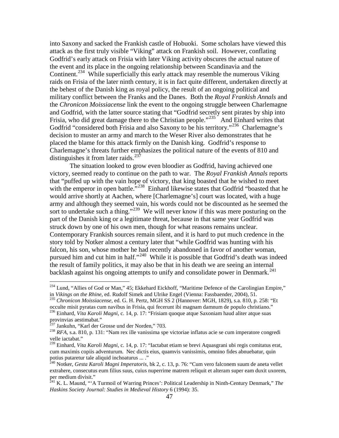into Saxony and sacked the Frankish castle of Hobuoki. Some scholars have viewed this attack as the first truly visible "Viking" attack on Frankish soil. However, conflating Godfrid's early attack on Frisia with later Viking activity obscures the actual nature of the event and its place in the ongoing relationship between Scandinavia and the Continent.<sup>[234](#page-61-0)</sup> While superficially this early attack may resemble the numerous Viking raids on Frisia of the later ninth century, it is in fact quite different, undertaken directly at the behest of the Danish king as royal policy, the result of an ongoing political and military conflict between the Franks and the Danes. Both the *Royal Frankish Annals* and the *Chronicon Moissiacense* link the event to the ongoing struggle between Charlemagne and Godfrid, with the latter source stating that "Godfrid secretly sent pirates by ship into Frisia, who did great damage there to the Christian people."<sup>235</sup> And Einhard writes that Godfrid "considered both Frisia and also Saxony to be his territory."<sup>236</sup> Charlemagne's decision to muster an army and march to the Weser River also demonstrates that he placed the blame for this attack firmly on the Danish king. Godfrid's response to Charlemagne's threats further emphasizes the political nature of the events of 810 and distinguishes it from later raids.<sup>[237](#page-61-3)</sup>

The situation looked to grow even bloodier as Godfrid, having achieved one victory, seemed ready to continue on the path to war. The *Royal Frankish Annals* reports that "puffed up with the vain hope of victory, that king boasted that he wished to meet with the emperor in open battle."<sup>[238](#page-61-4)</sup> Einhard likewise states that Godfrid "boasted that he would arrive shortly at Aachen, where [Charlemagne's] court was located, with a huge army and although they seemed vain, his words could not be discounted as he seemed the sort to undertake such a thing."<sup>239</sup> We will never know if this was mere posturing on the part of the Danish king or a legitimate threat, because in that same year Godfrid was struck down by one of his own men, though for what reasons remains unclear. Contemporary Frankish sources remain silent, and it is hard to put much credence in the story told by Notker almost a century later that "while Godfrid was hunting with his falcon, his son, whose mother he had recently abandoned in favor of another woman, pursued him and cut him in half."[240](#page-61-6) While it is possible that Godfrid's death was indeed the result of family politics, it may also be that in his death we are seeing an internal backlash against his ongoing attempts to unify and consolidate power in Denmark.<sup>[241](#page-61-7)</sup>

<span id="page-61-0"></span><sup>&</sup>lt;sup>234</sup> Lund, "Allies of God or Man," 45; Ekkehard Eickhoff, "Maritime Defence of the Carolingian Empire," in *Vikings on the Rhine*, ed. Rudolf Simek and Ulrike Engel (Vienna: Fassbaender, 2004), 51.

<span id="page-61-1"></span><sup>&</sup>lt;sup>235</sup> Chronicon Moissiacense, ed. G. H. Pertz, MGH SS 2 (Hannover: MGH, 1829), s.a. 810, p. 258: "Et occulte misit pyratas cum navibus in Frisia, qui fecerunt ibi magnam damnum de populo christiano." <sup>236</sup> Einhard, *Vita Karoli Magni*, c. 14, p. 17: "Frisiam quoque atque Saxoniam haud aliter atque suas

<span id="page-61-2"></span>provinvias aestimabat."<br>
<sup>237</sup> Jankuhn, "Karl der Grosse und der Norden," 703.

<span id="page-61-4"></span><span id="page-61-3"></span><sup>&</sup>lt;sup>238</sup> RFA, s.a. 810, p. 131: "Nam rex ille vanissima spe victoriae inflatus acie se cum imperatore congredi velle iactabat."

<span id="page-61-5"></span><sup>239</sup> Einhard, *Vita Karoli Magni*, c. 14, p. 17: "Iactabat etiam se brevi Aquasgrani ubi regis comitatus erat, cum maximis copiis adventurum. Nec dictis eius, quamvis vanissimis, omnino fides abnuebatur, quin potius putaretur tale aliquid inchoaturus ... ." <sup>240</sup> Notker, *Gesta Karoli Magni Imperatoris,* bk 2, c. 13, p. 76: "Cum vero falconem suum de aneta vellet

<span id="page-61-6"></span>extrahere, consecutus eum filius suus, cuius nuperrime matrem reliquit et alteram super eam duxit uxorem, per medium divisit."<br><sup>241</sup> K. L. Maund, "'A Turmoil of Warring Princes': Political Leadership in Ninth-Century Denmark," *The* 

<span id="page-61-7"></span>*Haskins Society Journal: Studies in Medieval History* 6 (1994): 35.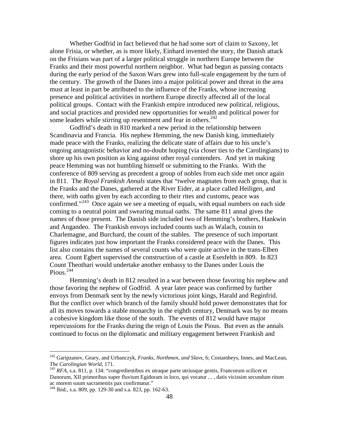Whether Godfrid in fact believed that he had some sort of claim to Saxony, let alone Frisia, or whether, as is more likely, Einhard invented the story, the Danish attack on the Frisians was part of a larger political struggle in northern Europe between the Franks and their most powerful northern neighbor. What had begun as passing contacts during the early period of the Saxon Wars grew into full-scale engagement by the turn of the century. The growth of the Danes into a major political power and threat in the area must at least in part be attributed to the influence of the Franks, whose increasing presence and political activities in northern Europe directly affected all of the local political groups. Contact with the Frankish empire introduced new political, religious, and social practices and provided new opportunities for wealth and political power for some leaders while stirring up resentment and fear in others.<sup>[242](#page-62-0)</sup>

Godfrid's death in 810 marked a new period in the relationship between Scandinavia and Francia. His nephew Hemming, the new Danish king, immediately made peace with the Franks, realizing the delicate state of affairs due to his uncle's ongoing antagonistic behavior and no-doubt hoping (via closer ties to the Carolingians) to shore up his own position as king against other royal contenders. And yet in making peace Hemming was not humbling himself or submitting to the Franks. With the conference of 809 serving as precedent a group of nobles from each side met once again in 811. The *Royal Frankish Annals* states that "twelve magnates from each group, that is the Franks and the Danes, gathered at the River Eider, at a place called Heiligen, and there, with oaths given by each according to their rites and customs, peace was confirmed."<sup>[243](#page-62-1)</sup> Once again we see a meeting of equals, with equal numbers on each side coming to a neutral point and swearing mutual oaths. The same 811 annal gives the names of those present. The Danish side included two of Hemming's brothers, Hankwin and Angandeo. The Frankish envoys included counts such as Walach, cousin to Charlemagne, and Burchard, the count of the stables. The presence of such important figures indicates just how important the Franks considered peace with the Danes. This list also contains the names of several counts who were quite active in the trans-Elben area. Count Egbert supervised the construction of a castle at Esesfelth in 809. In 823 Count Theothari would undertake another embassy to the Danes under Louis the Pious. $^{244}$  $^{244}$  $^{244}$ 

Hemming's death in 812 resulted in a war between those favoring his nephew and those favoring the nephew of Godfrid. A year later peace was confirmed by further envoys from Denmark sent by the newly victorious joint kings, Harald and Reginfrid. But the conflict over which branch of the family should hold power demonstrates that for all its moves towards a stable monarchy in the eighth century, Denmark was by no means a cohesive kingdom like those of the south. The events of 812 would have major repercussions for the Franks during the reign of Louis the Pious. But even as the annals continued to focus on the diplomatic and military engagement between Frankish and

<span id="page-62-0"></span> <sup>242</sup> Garipzanov, Geary, and Urbanczyk, *Franks, Northmen, and Slavs*, 6; Costambeys, Innes, and MacLean, *The Carolingian World*, 171.<br><sup>243</sup> *RFA*, s.a. 811, p. 134: "congredientibus ex utraque parte utriusque gentis, Francorum scilicet et

<span id="page-62-1"></span>Danorum, XII primoribus super fluvium Egidoram in loco, qui vocatur ... , datis vicissim secundum ritum

<span id="page-62-2"></span><sup>&</sup>lt;sup>244</sup> Ibid., s.a. 809, pp. 129-30 and s.a. 823, pp. 162-63.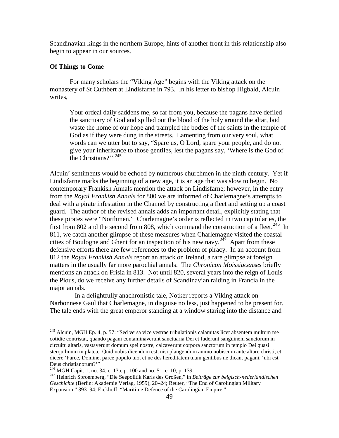Scandinavian kings in the northern Europe, hints of another front in this relationship also begin to appear in our sources.

### **Of Things to Come**

For many scholars the "Viking Age" begins with the Viking attack on the monastery of St Cuthbert at Lindisfarne in 793. In his letter to bishop Higbald, Alcuin writes,

Your ordeal daily saddens me, so far from you, because the pagans have defiled the sanctuary of God and spilled out the blood of the holy around the altar, laid waste the home of our hope and trampled the bodies of the saints in the temple of God as if they were dung in the streets. Lamenting from our very soul, what words can we utter but to say, "Spare us, O Lord, spare your people, and do not give your inheritance to those gentiles, lest the pagans say, 'Where is the God of the Christians?" $2^{1/245}$ 

Alcuin' sentiments would be echoed by numerous churchmen in the ninth century. Yet if Lindisfarne marks the beginning of a new age, it is an age that was slow to begin. No contemporary Frankish Annals mention the attack on Lindisfarne; however, in the entry from the *Royal Frankish Annals* for 800 we are informed of Charlemagne's attempts to deal with a pirate infestation in the Channel by constructing a fleet and setting up a coast guard. The author of the revised annals adds an important detail, explicitly stating that these pirates were "Northmen." Charlemagne's order is reflected in two capitularies, the first from 802 and the second from 808, which command the construction of a fleet.<sup>[246](#page-63-1)</sup> In 811, we catch another glimpse of these measures when Charlemagne visited the coastal cities of Boulogne and Ghent for an inspection of his new navy.<sup>[247](#page-63-2)</sup> Apart from these defensive efforts there are few references to the problem of piracy. In an account from 812 the *Royal Frankish Annals* report an attack on Ireland, a rare glimpse at foreign matters in the usually far more parochial annals. The *Chronicon Moissiacenses* briefly mentions an attack on Frisia in 813. Not until 820, several years into the reign of Louis the Pious, do we receive any further details of Scandinavian raiding in Francia in the major annals.

 In a delightfully anachronistic tale, Notker reports a Viking attack on Narbonnese Gaul that Charlemagne, in disguise no less, just happened to be present for. The tale ends with the great emperor standing at a window staring into the distance and

<span id="page-63-0"></span><sup>&</sup>lt;sup>245</sup> Alcuin, MGH Ep. 4, p. 57: "Sed versa vice vestrae tribulationis calamitas licet absentem multum me cotidie contristat, quando pagani contaminaverunt sanctuaria Dei et fuderunt sanguinem sanctorum in circuitu altaris, vastaverunt domum spei nostre, calcaverunt corpora sanctorum in templo Dei quasi sterquilinum in platea. Quid nobis dicendum est, nisi plangendum animo nobiscum ante altare christi, et dicere 'Parce, Domine, parce populo tuo, et ne des hereditatem tuam gentibus ne dicant pagani, 'ubi est Deus christianorum?""<br><sup>246</sup> MGH Capit. 1, no. 34, c. 13a, p. 100 and no. 51, c. 10, p. 139.

<span id="page-63-2"></span><span id="page-63-1"></span><sup>&</sup>lt;sup>247</sup> Heinrich Sproemberg, "Die Seepolitik Karls des Großen," in *Beiträge zur belgisch-nederländischen Geschichte* (Berlin: Akademie Verlag, 1959), 20–24; Reuter, "The End of Carolingian Military Expansion," 393–94; Eickhoff, "Maritime Defence of the Carolingian Empire."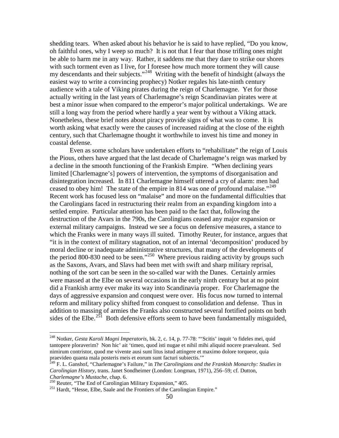shedding tears. When asked about his behavior he is said to have replied, "Do you know, oh faithful ones, why I weep so much? It is not that I fear that those trifling ones might be able to harm me in any way. Rather, it saddens me that they dare to strike our shores with such torment even as I live, for I foresee how much more torment they will cause my descendants and their subjects."<sup>[248](#page-64-0)</sup> Writing with the benefit of hindsight (always the easiest way to write a convincing prophecy) Notker regales his late-ninth century audience with a tale of Viking pirates during the reign of Charlemagne. Yet for those actually writing in the last years of Charlemagne's reign Scandinavian pirates were at best a minor issue when compared to the emperor's major political undertakings. We are still a long way from the period where hardly a year went by without a Viking attack. Nonetheless, these brief notes about piracy provide signs of what was to come. It is worth asking what exactly were the causes of increased raiding at the close of the eighth century, such that Charlemagne thought it worthwhile to invest his time and money in coastal defense.

Even as some scholars have undertaken efforts to "rehabilitate" the reign of Louis the Pious, others have argued that the last decade of Charlemagne's reign was marked by a decline in the smooth functioning of the Frankish Empire. "When declining years limited [Charlemagne's] powers of intervention, the symptoms of disorganisation and disintegration increased. In 811 Charlemagne himself uttered a cry of alarm: men had ceased to obey him! The state of the empire in 814 was one of profound malaise."<sup>249</sup> Recent work has focused less on "malaise" and more on the fundamental difficulties that the Carolingians faced in restructuring their realm from an expanding kingdom into a settled empire. Particular attention has been paid to the fact that, following the destruction of the Avars in the 790s, the Carolingians ceased any major expansion or external military campaigns. Instead we see a focus on defensive measures, a stance to which the Franks were in many ways ill suited. Timothy Reuter, for instance, argues that "it is in the context of military stagnation, not of an internal 'decomposition' produced by moral decline or inadequate administrative structures, that many of the developments of the period 800-830 need to be seen."<sup>[250](#page-64-2)</sup> Where previous raiding activity by groups such as the Saxons, Avars, and Slavs had been met with swift and sharp military reprisal, nothing of the sort can be seen in the so-called war with the Danes. Certainly armies were massed at the Elbe on several occasions in the early ninth century but at no point did a Frankish army ever make its way into Scandinavia proper. For Charlemagne the days of aggressive expansion and conquest were over. His focus now turned to internal reform and military policy shifted from conquest to consolidation and defense. Thus in addition to massing of armies the Franks also constructed several fortified points on both sides of the Elbe.<sup>[251](#page-64-3)</sup> Both defensive efforts seem to have been fundamentally misguided,

<span id="page-64-0"></span> <sup>248</sup> Notker, *Gesta Karoli Magni Imperatoris,* bk. 2, c. 14, p. 77-78: "'Scitis' inquit 'o fideles mei, quid tantopere ploraverim? Non hic' ait 'timeo, quod isti nugae et nihil mihi aliquid nocere praevaleant. Sed nimirum contristor, quod me vivente ausi sunt litus istud attingere et maximo dolore torqueor, quia praevideo quanta mala posteris meis et eorum sunt facturi subiectis.'"

<span id="page-64-1"></span><sup>249</sup> F. L. Ganshof, "Charlemagne's Failure," in *The Carolingians and the Frankish Monarchy: Studies in Carolingian History*, trans. Janet Sondheimer (London: Longman, 1971), 256–59; cf. Dutton, *Charlemagne's Mustache*, chap. 6.<br><sup>250</sup> Reuter, "The End of Carolingian Military Expansion," 405.<br><sup>251</sup> Hardt, "Hesse, Elbe, Saale and the Frontiers of the Carolingian Empire."

<span id="page-64-2"></span>

<span id="page-64-3"></span>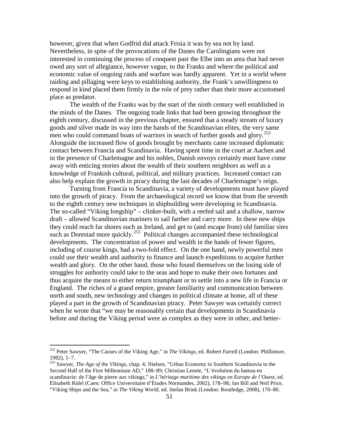however, given that when Godfrid did attack Frisia it was by sea not by land. Nevertheless, in spite of the provocations of the Danes the Carolingians were not interested in continuing the process of conquest past the Elbe into an area that had never owed any sort of allegiance, however vague, to the Franks and where the political and economic value of ongoing raids and warfare was hardly apparent. Yet in a world where raiding and pillaging were keys to establishing authority, the Frank's unwillingness to respond in kind placed them firmly in the role of prey rather than their more accustomed place as predator.

The wealth of the Franks was by the start of the ninth century well established in the minds of the Danes. The ongoing trade links that had been growing throughout the eighth century, discussed in the previous chapter, ensured that a steady stream of luxury goods and silver made its way into the hands of the Scandinavian elites, the very same men who could command boats of warriors in search of further goods and glory.<sup>[252](#page-65-0)</sup> Alongside the increased flow of goods brought by merchants came increased diplomatic contact between Francia and Scandinavia. Having spent time in the court at Aachen and in the presence of Charlemagne and his nobles, Danish envoys certainly must have come away with enticing stories about the wealth of their southern neighbors as well as a knowledge of Frankish cultural, political, and military practices. Increased contact can also help explain the growth in piracy during the last decades of Charlemagne's reign.

Turning from Francia to Scandinavia, a variety of developments must have played into the growth of piracy. From the archaeological record we know that from the seventh to the eighth century new techniques in shipbuilding were developing in Scandinavia. The so-called "Viking longship" – clinker-built, with a reefed sail and a shallow, narrow draft – allowed Scandinavian mariners to sail farther and carry more. In these new ships they could reach far shores such as Ireland, and get to (and escape from) old familiar sites such as Dorestad more quickly.<sup>253</sup> Political changes accompanied these technological developments. The concentration of power and wealth in the hands of fewer figures, including of course kings, had a two-fold effect. On the one hand, newly powerful men could use their wealth and authority to finance and launch expeditions to acquire further wealth and glory. On the other hand, those who found themselves on the losing side of struggles for authority could take to the seas and hope to make their own fortunes and thus acquire the means to either return triumphant or to settle into a new life in Francia or England. The riches of a grand empire, greater familiarity and communication between north and south, new technology and changes in political climate at home, all of these played a part in the growth of Scandinavian piracy. Peter Sawyer was certainly correct when he wrote that "we may be reasonably certain that developments in Scandinavia before and during the Viking period were as complex as they were in other, and better-

<span id="page-65-0"></span> <sup>252</sup> Peter Sawyer, "The Causes of the Viking Age," in *The Vikings*, ed. Robert Farrell (London: Phillimore,

<span id="page-65-1"></span><sup>1982), 1–7.</sup> <sup>253</sup> Sawyer, *The Age of the Vikings*, chap. 4; Nielsen, "Urban Economy in Southern Scandinavia in the Second Half of the First Millennium AD," 188–89; Christian Lemée, "L'évolution du bateau en scandinavie: de l'âge de pierre aux vikings," in *L'héritage maritime des vikings en Europe de l'Ouest*, ed. Elisabeth Ridel (Caen: Office Universitaire d'Études Normandes, 2002), 178–98; Jan Bill and Neil Price, "Viking Ships and the Sea," in *The Viking World*, ed. Stefan Brink (London: Routledge, 2008), 170–80.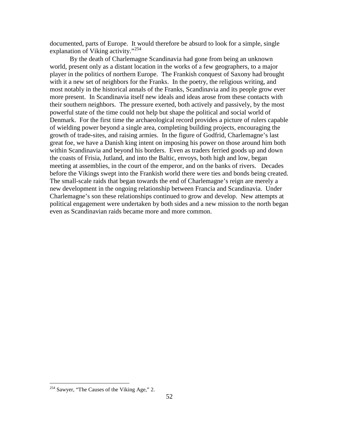documented, parts of Europe. It would therefore be absurd to look for a simple, single explanation of Viking activity."[254](#page-66-0)

By the death of Charlemagne Scandinavia had gone from being an unknown world, present only as a distant location in the works of a few geographers, to a major player in the politics of northern Europe. The Frankish conquest of Saxony had brought with it a new set of neighbors for the Franks. In the poetry, the religious writing, and most notably in the historical annals of the Franks, Scandinavia and its people grow ever more present. In Scandinavia itself new ideals and ideas arose from these contacts with their southern neighbors. The pressure exerted, both actively and passively, by the most powerful state of the time could not help but shape the political and social world of Denmark. For the first time the archaeological record provides a picture of rulers capable of wielding power beyond a single area, completing building projects, encouraging the growth of trade-sites, and raising armies. In the figure of Godfrid, Charlemagne's last great foe, we have a Danish king intent on imposing his power on those around him both within Scandinavia and beyond his borders. Even as traders ferried goods up and down the coasts of Frisia, Jutland, and into the Baltic, envoys, both high and low, began meeting at assemblies, in the court of the emperor, and on the banks of rivers. Decades before the Vikings swept into the Frankish world there were ties and bonds being created. The small-scale raids that began towards the end of Charlemagne's reign are merely a new development in the ongoing relationship between Francia and Scandinavia. Under Charlemagne's son these relationships continued to grow and develop. New attempts at political engagement were undertaken by both sides and a new mission to the north began even as Scandinavian raids became more and more common.

<span id="page-66-0"></span><sup>&</sup>lt;sup>254</sup> Sawyer, "The Causes of the Viking Age," 2.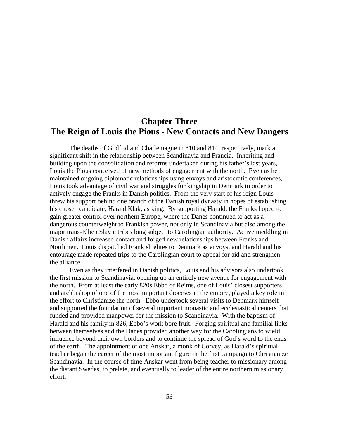## **Chapter Three The Reign of Louis the Pious - New Contacts and New Dangers**

The deaths of Godfrid and Charlemagne in 810 and 814, respectively, mark a significant shift in the relationship between Scandinavia and Francia. Inheriting and building upon the consolidation and reforms undertaken during his father's last years, Louis the Pious conceived of new methods of engagement with the north. Even as he maintained ongoing diplomatic relationships using envoys and aristocratic conferences, Louis took advantage of civil war and struggles for kingship in Denmark in order to actively engage the Franks in Danish politics. From the very start of his reign Louis threw his support behind one branch of the Danish royal dynasty in hopes of establishing his chosen candidate, Harald Klak, as king. By supporting Harald, the Franks hoped to gain greater control over northern Europe, where the Danes continued to act as a dangerous counterweight to Frankish power, not only in Scandinavia but also among the major trans-Elben Slavic tribes long subject to Carolingian authority. Active meddling in Danish affairs increased contact and forged new relationships between Franks and Northmen. Louis dispatched Frankish elites to Denmark as envoys, and Harald and his entourage made repeated trips to the Carolingian court to appeal for aid and strengthen the alliance.

Even as they interfered in Danish politics, Louis and his advisors also undertook the first mission to Scandinavia, opening up an entirely new avenue for engagement with the north. From at least the early 820s Ebbo of Reims, one of Louis' closest supporters and archbishop of one of the most important dioceses in the empire, played a key role in the effort to Christianize the north. Ebbo undertook several visits to Denmark himself and supported the foundation of several important monastic and ecclesiastical centers that funded and provided manpower for the mission to Scandinavia. With the baptism of Harald and his family in 826, Ebbo's work bore fruit. Forging spiritual and familial links between themselves and the Danes provided another way for the Carolingians to wield influence beyond their own borders and to continue the spread of God's word to the ends of the earth. The appointment of one Anskar, a monk of Corvey, as Harald's spiritual teacher began the career of the most important figure in the first campaign to Christianize Scandinavia. In the course of time Anskar went from being teacher to missionary among the distant Swedes, to prelate, and eventually to leader of the entire northern missionary effort.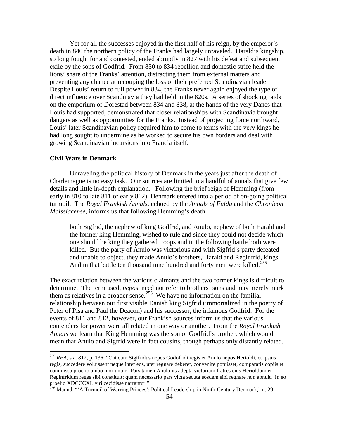Yet for all the successes enjoyed in the first half of his reign, by the emperor's death in 840 the northern policy of the Franks had largely unraveled. Harald's kingship, so long fought for and contested, ended abruptly in 827 with his defeat and subsequent exile by the sons of Godfrid. From 830 to 834 rebellion and domestic strife held the lions' share of the Franks' attention, distracting them from external matters and preventing any chance at recouping the loss of their preferred Scandinavian leader. Despite Louis' return to full power in 834, the Franks never again enjoyed the type of direct influence over Scandinavia they had held in the 820s. A series of shocking raids on the emporium of Dorestad between 834 and 838, at the hands of the very Danes that Louis had supported, demonstrated that closer relationships with Scandinavia brought dangers as well as opportunities for the Franks. Instead of projecting force northward, Louis' later Scandinavian policy required him to come to terms with the very kings he had long sought to undermine as he worked to secure his own borders and deal with growing Scandinavian incursions into Francia itself.

## **Civil Wars in Denmark**

Unraveling the political history of Denmark in the years just after the death of Charlemagne is no easy task. Our sources are limited to a handful of annals that give few details and little in-depth explanation. Following the brief reign of Hemming (from early in 810 to late 811 or early 812), Denmark entered into a period of on-going political turmoil. The *Royal Frankish Annals*, echoed by the *Annals of Fulda* and the *Chronicon Moissiacense,* informs us that following Hemming's death

both Sigfrid, the nephew of king Godfrid, and Anulo, nephew of both Harald and the former king Hemming, wished to rule and since they could not decide which one should be king they gathered troops and in the following battle both were killed. But the party of Anulo was victorious and with Sigfrid's party defeated and unable to object, they made Anulo's brothers, Harald and Reginfrid, kings. And in that battle ten thousand nine hundred and forty men were killed.<sup>[255](#page-68-0)</sup>

The exact relation between the various claimants and the two former kings is difficult to determine. The term used, *nepos,* need not refer to brothers' sons and may merely mark them as relatives in a broader sense.<sup>256</sup> We have no information on the familial relationship between our first visible Danish king Sigfrid (immortalized in the poetry of Peter of Pisa and Paul the Deacon) and his successor, the infamous Godfrid. For the events of 811 and 812, however, our Frankish sources inform us that the various contenders for power were all related in one way or another. From the *Royal Frankish Annals* we learn that King Hemming was the son of Godfrid's brother, which would mean that Anulo and Sigfrid were in fact cousins, though perhaps only distantly related.

<span id="page-68-0"></span> <sup>255</sup> *RFA*, s.a. 812, p. 136: "Cui cum Sigifridus nepos Godofridi regis et Anulo nepos Herioldi, et ipsuis regis, succedere voluissent neque inter eos, uter regnare deberet, convenire potuisset, comparatis copiis et commisso proelio ambo moriuntur. Pars tamen Anulonis adepta victoriam fratres eius Herioldum et Reginfridum reges sibi constituit; quam necessario pars victa secuta eosdem sibi regnare non abnuit. In eo proelio XDCCCXL viri cecidisse narrantur."

<span id="page-68-1"></span><sup>&</sup>lt;sup>256</sup> Maund, "'A Turmoil of Warring Princes': Political Leadership in Ninth-Century Denmark," n. 29.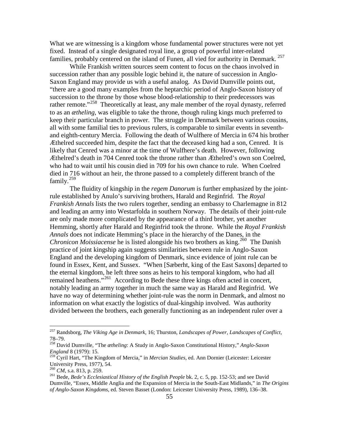What we are witnessing is a kingdom whose fundamental power structures were not yet fixed. Instead of a single designated royal line, a group of powerful inter-related families, probably centered on the island of Funen, all vied for authority in Denmark.<sup>[257](#page-69-0)</sup>

While Frankish written sources seem content to focus on the chaos involved in succession rather than any possible logic behind it, the nature of succession in Anglo-Saxon England may provide us with a useful analog. As David Dumville points out, "there are a good many examples from the heptarchic period of Anglo-Saxon history of succession to the throne by those whose blood-relationship to their predecessors was rather remote."<sup>[258](#page-69-1)</sup> Theoretically at least, any male member of the royal dynasty, referred to as an *ætheling*, was eligible to take the throne, though ruling kings much preferred to keep their particular branch in power. The struggle in Denmark between various cousins, all with some familial ties to previous rulers, is comparable to similar events in seventhand eighth-century Mercia. Following the death of Wulfhere of Mercia in 674 his brother Æthelred succeeded him, despite the fact that the deceased king had a son, Cenred. It is likely that Cenred was a minor at the time of Wulfhere's death. However, following Æthelred's death in 704 Cenred took the throne rather than Æthelred's own son Coelred, who had to wait until his cousin died in 709 for his own chance to rule. When Coelred died in 716 without an heir, the throne passed to a completely different branch of the family. $259$ 

The fluidity of kingship in the *regem Danorum* is further emphasized by the jointrule established by Anulo's surviving brothers, Harald and Reginfrid. The *Royal Frankish Annals* lists the two rulers together, sending an embassy to Charlemagne in 812 and leading an army into Westarfolda in southern Norway. The details of their joint-rule are only made more complicated by the appearance of a third brother, yet another Hemming, shortly after Harald and Reginfrid took the throne. While the *Royal Frankish Annals* does not indicate Hemming's place in the hierarchy of the Danes, in the *Chronicon Moissiacense* he is listed alongside his two brothers as king.<sup>260</sup> The Danish practice of joint kingship again suggests similarities between rule in Anglo-Saxon England and the developing kingdom of Denmark, since evidence of joint rule can be found in Essex, Kent, and Sussex. "When [Sæberht, king of the East Saxons] departed to the eternal kingdom, he left three sons as heirs to his temporal kingdom, who had all remained heathens."<sup>261</sup> According to Bede these three kings often acted in concert, notably leading an army together in much the same way as Harald and Reginfrid. We have no way of determining whether joint-rule was the norm in Denmark, and almost no information on what exactly the logistics of dual-kingship involved. Was authority divided between the brothers, each generally functioning as an independent ruler over a

<span id="page-69-0"></span> <sup>257</sup> Randsborg, *The Viking Age in Denmark*, 16; Thurston, *Landscapes of Power, Landscapes of Conflict*,

<span id="page-69-1"></span><sup>78–79.</sup> <sup>258</sup> David Dumville, "The *ætheling*: A Study in Anglo-Saxon Constitutional History," *Anglo-Saxon England* 8 (1979): 15.

<span id="page-69-2"></span><sup>259</sup> Cyril Hart, "The Kingdom of Mercia," in *Mercian Studies*, ed. Ann Dornier (Leicester: Leicester University Press, 1977), 54.<br><sup>260</sup> CM, s.a. 813, p. 259.

<span id="page-69-3"></span>

<span id="page-69-4"></span><sup>&</sup>lt;sup>261</sup> Bede, *Bede's Ecclesiastical History of the English People* bk. 2, c. 5, pp. 152-53; and see David Dumville, "Essex, Middle Anglia and the Expansion of Mercia in the South-East Midlands," in *The Origins of Anglo-Saxon Kingdoms*, ed. Steven Basset (London: Leicester University Press, 1989), 136–38.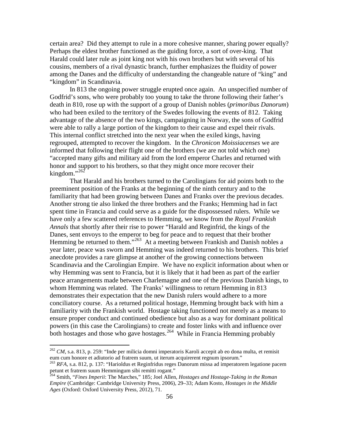certain area? Did they attempt to rule in a more cohesive manner, sharing power equally? Perhaps the eldest brother functioned as the guiding force, a sort of over-king. That Harald could later rule as joint king not with his own brothers but with several of his cousins, members of a rival dynastic branch, further emphasizes the fluidity of power among the Danes and the difficulty of understanding the changeable nature of "king" and "kingdom" in Scandinavia.

In 813 the ongoing power struggle erupted once again. An unspecified number of Godfrid's sons, who were probably too young to take the throne following their father's death in 810, rose up with the support of a group of Danish nobles (*primoribus Danorum*) who had been exiled to the territory of the Swedes following the events of 812. Taking advantage of the absence of the two kings, campaigning in Norway, the sons of Godfrid were able to rally a large portion of the kingdom to their cause and expel their rivals. This internal conflict stretched into the next year when the exiled kings, having regrouped, attempted to recover the kingdom. In the *Chronicon Moissiacenses* we are informed that following their flight one of the brothers (we are not told which one) "accepted many gifts and military aid from the lord emperor Charles and returned with honor and support to his brothers, so that they might once more recover their kingdom."<sup>[262](#page-70-0)</sup>

That Harald and his brothers turned to the Carolingians for aid points both to the preeminent position of the Franks at the beginning of the ninth century and to the familiarity that had been growing between Danes and Franks over the previous decades. Another strong tie also linked the three brothers and the Franks; Hemming had in fact spent time in Francia and could serve as a guide for the dispossessed rulers. While we have only a few scattered references to Hemming, we know from the *Royal Frankish Annals* that shortly after their rise to power "Harald and Reginfrid, the kings of the Danes, sent envoys to the emperor to beg for peace and to request that their brother Hemming be returned to them."<sup>263</sup> At a meeting between Frankish and Danish nobles a year later, peace was sworn and Hemming was indeed returned to his brothers. This brief anecdote provides a rare glimpse at another of the growing connections between Scandinavia and the Carolingian Empire. We have no explicit information about when or why Hemming was sent to Francia, but it is likely that it had been as part of the earlier peace arrangements made between Charlemagne and one of the previous Danish kings, to whom Hemming was related. The Franks' willingness to return Hemming in 813 demonstrates their expectation that the new Danish rulers would adhere to a more conciliatory course. As a returned political hostage, Hemming brought back with him a familiarity with the Frankish world. Hostage taking functioned not merely as a means to ensure proper conduct and continued obedience but also as a way for dominant political powers (in this case the Carolingians) to create and foster links with and influence over both hostages and those who gave hostages.<sup>264</sup> While in Francia Hemming probably

<span id="page-70-0"></span> <sup>262</sup> *CM*, s.a. 813, p. 259: "Inde per milicia domni imperatoris Karoli accepit ab eo dona multa, et remisit eum cum honore et adiutorio ad fratrem suum, ut iterum acquirerent regnum ipsorum."

<span id="page-70-1"></span><sup>&</sup>lt;sup>263</sup> *RFA*, s.a. 812, p. 137: "Harioldus et Reginfridus reges Danorum missa ad imperatorem legatione pacem petunt et fratrem suum Hemmingum sibi remitti rogant."

<span id="page-70-2"></span><sup>264</sup> Smith, "*Fines Imperii*: The Marches," 185; Joel Allen, *Hostages and Hostage-Taking in the Roman Empire* (Cambridge: Cambridge University Press, 2006), 29–33; Adam Kosto, *Hostages in the Middle Ages* (Oxford: Oxford University Press, 2012), 71.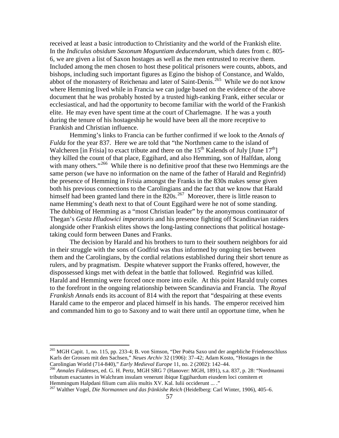received at least a basic introduction to Christianity and the world of the Frankish elite. In the *Indiculus obsidum Saxonum Moguntiam deducendorum*, which dates from c. 805- 6, we are given a list of Saxon hostages as well as the men entrusted to receive them. Included among the men chosen to host these political prisoners were counts, abbots, and bishops, including such important figures as Egino the bishop of Constance, and Waldo, abbot of the monastery of Reichenau and later of Saint-Denis.[265](#page-71-0) While we do not know where Hemming lived while in Francia we can judge based on the evidence of the above document that he was probably hosted by a trusted high-ranking Frank, either secular or ecclesiastical, and had the opportunity to become familiar with the world of the Frankish elite. He may even have spent time at the court of Charlemagne. If he was a youth during the tenure of his hostageship he would have been all the more receptive to Frankish and Christian influence.

Hemming's links to Francia can be further confirmed if we look to the *Annals of Fulda* for the year 837. Here we are told that "the Northmen came to the island of Walcheren [in Frisia] to exact tribute and there on the  $15<sup>th</sup>$  Kalends of July [June  $17<sup>th</sup>$ ] they killed the count of that place, Eggihard, and also Hemming, son of Halfdan, along with many others."<sup>[266](#page-71-1)</sup> While there is no definitive proof that these two Hemmings are the same person (we have no information on the name of the father of Harald and Reginfrid) the presence of Hemming in Frisia amongst the Franks in the 830s makes sense given both his previous connections to the Carolingians and the fact that we know that Harald himself had been granted land there in the  $820s$ .<sup>[267](#page-71-2)</sup> Moreover, there is little reason to name Hemming's death next to that of Count Eggihard were he not of some standing. The dubbing of Hemming as a "most Christian leader" by the anonymous continuator of Thegan's *Gesta Hludowici imperatoris* and his presence fighting off Scandinavian raiders alongside other Frankish elites shows the long-lasting connections that political hostagetaking could form between Danes and Franks.

The decision by Harald and his brothers to turn to their southern neighbors for aid in their struggle with the sons of Godfrid was thus informed by ongoing ties between them and the Carolingians, by the cordial relations established during their short tenure as rulers, and by pragmatism. Despite whatever support the Franks offered, however, the dispossessed kings met with defeat in the battle that followed. Reginfrid was killed. Harald and Hemming were forced once more into exile. At this point Harald truly comes to the forefront in the ongoing relationship between Scandinavia and Francia. The *Royal Frankish Annals* ends its account of 814 with the report that "despairing at these events Harald came to the emperor and placed himself in his hands. The emperor received him and commanded him to go to Saxony and to wait there until an opportune time, when he

<span id="page-71-0"></span> <sup>265</sup> MGH Capit. 1, no. 115, pp. 233-4; B. von Simson, "Der Poëta Saxo und der angebliche Friedensschluss Karls der Grossen mit den Sachsen," *Neues Archiv* 32 (1906): 37–42; Adam Kosto, "Hostages in the

<span id="page-71-1"></span><sup>&</sup>lt;sup>266</sup> Annales Fuldenses, ed. G. H. Pertz, MGH SRG 7 (Hanover: MGH, 1891), s.a. 837, p. 28: "Nordmanni tributum exactantes in Walchram insulam venerunt ibique Eggihardum eiusdem loci comitem et Hemmingum Halpdani filium cum aliis multis XV. Kal. Iulii occiderunt ... ."

<span id="page-71-2"></span><sup>&</sup>lt;sup>267</sup> Walther Vogel, *Die Normannen und das fränkishe Reich* (Heidelberg: Carl Winter, 1906), 405–6.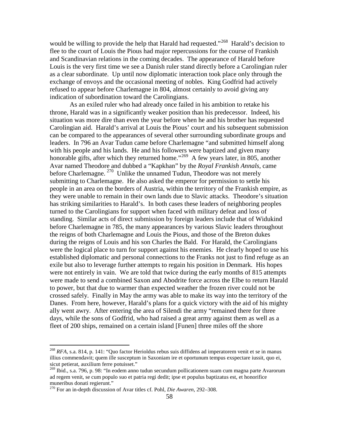would be willing to provide the help that Harald had requested."<sup>268</sup> Harald's decision to flee to the court of Louis the Pious had major repercussions for the course of Frankish and Scandinavian relations in the coming decades. The appearance of Harald before Louis is the very first time we see a Danish ruler stand directly before a Carolingian ruler as a clear subordinate. Up until now diplomatic interaction took place only through the exchange of envoys and the occasional meeting of nobles. King Godfrid had actively refused to appear before Charlemagne in 804, almost certainly to avoid giving any indication of subordination toward the Carolingians.

As an exiled ruler who had already once failed in his ambition to retake his throne, Harald was in a significantly weaker position than his predecessor. Indeed, his situation was more dire than even the year before when he and his brother has requested Carolingian aid. Harald's arrival at Louis the Pious' court and his subsequent submission can be compared to the appearances of several other surrounding subordinate groups and leaders. In 796 an Avar Tudun came before Charlemagne "and submitted himself along with his people and his lands. He and his followers were baptized and given many honorable gifts, after which they returned home."<sup>[269](#page-72-1)</sup> A few years later, in 805, another Avar named Theodore and dubbed a "Kapkhan" by the *Royal Frankish Annals*, came before Charlemagne.  $270$  Unlike the unnamed Tudun, Theodore was not merely submitting to Charlemagne. He also asked the emperor for permission to settle his people in an area on the borders of Austria, within the territory of the Frankish empire, as they were unable to remain in their own lands due to Slavic attacks. Theodore's situation has striking similarities to Harald's. In both cases these leaders of neighboring peoples turned to the Carolingians for support when faced with military defeat and loss of standing. Similar acts of direct submission by foreign leaders include that of Widukind before Charlemagne in 785, the many appearances by various Slavic leaders throughout the reigns of both Charlemagne and Louis the Pious, and those of the Breton dukes during the reigns of Louis and his son Charles the Bald. For Harald, the Carolingians were the logical place to turn for support against his enemies. He clearly hoped to use his established diplomatic and personal connections to the Franks not just to find refuge as an exile but also to leverage further attempts to regain his position in Denmark. His hopes were not entirely in vain. We are told that twice during the early months of 815 attempts were made to send a combined Saxon and Abodrite force across the Elbe to return Harald to power, but that due to warmer than expected weather the frozen river could not be crossed safely. Finally in May the army was able to make its way into the territory of the Danes. From here, however, Harald's plans for a quick victory with the aid of his mighty ally went awry. After entering the area of Silendi the army "remained there for three days, while the sons of Godfrid, who had raised a great army against them as well as a fleet of 200 ships, remained on a certain island [Funen] three miles off the shore

<span id="page-72-0"></span> <sup>268</sup> *RFA*, s.a. 814, p. 141: "Quo factor Herioldus rebus suis diffidens ad imperatorem venit et se in manus illius commendavit; quem ille susceptum in Saxoniam ire et oportunum tempus exspectare iussit, quo ei, sicut petierat, auxilium ferre potuisset."

<span id="page-72-1"></span><sup>269</sup> Ibid., s.a. 796, p. 98: "In eodem anno tudun secundum pollicationem suam cum magna parte Avarorum ad regem venit, se cum populo suo et patria regi dedit; ipse et populus baptizatus est, et honorifice muneribus donati regierunt."

<span id="page-72-2"></span><sup>270</sup> For an in-depth discussion of Avar titles cf. Pohl, *Die Awaren*, 292–308.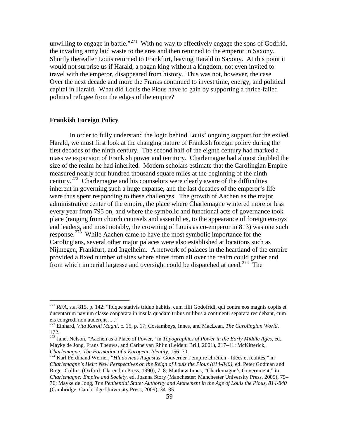unwilling to engage in battle."<sup>[271](#page-73-0)</sup> With no way to effectively engage the sons of Godfrid, the invading army laid waste to the area and then returned to the emperor in Saxony. Shortly thereafter Louis returned to Frankfurt, leaving Harald in Saxony. At this point it would not surprise us if Harald, a pagan king without a kingdom, not even invited to travel with the emperor, disappeared from history. This was not, however, the case. Over the next decade and more the Franks continued to invest time, energy, and political capital in Harald. What did Louis the Pious have to gain by supporting a thrice-failed political refugee from the edges of the empire?

### **Frankish Foreign Policy**

In order to fully understand the logic behind Louis' ongoing support for the exiled Harald, we must first look at the changing nature of Frankish foreign policy during the first decades of the ninth century. The second half of the eighth century had marked a massive expansion of Frankish power and territory. Charlemagne had almost doubled the size of the realm he had inherited. Modern scholars estimate that the Carolingian Empire measured nearly four hundred thousand square miles at the beginning of the ninth century.<sup>272</sup> Charlemagne and his counselors were clearly aware of the difficulties inherent in governing such a huge expanse, and the last decades of the emperor's life were thus spent responding to these challenges. The growth of Aachen as the major administrative center of the empire, the place where Charlemagne wintered more or less every year from 795 on, and where the symbolic and functional acts of governance took place (ranging from church counsels and assemblies, to the appearance of foreign envoys and leaders, and most notably, the crowning of Louis as co-emperor in 813) was one such response.<sup>273</sup> While Aachen came to have the most symbolic importance for the Carolingians, several other major palaces were also established at locations such as Nijmegen, Frankfurt, and Ingelheim. A network of palaces in the heartland of the empire provided a fixed number of sites where elites from all over the realm could gather and from which imperial largesse and oversight could be dispatched at need.<sup>274</sup> The

<span id="page-73-0"></span> <sup>271</sup> *RFA*, s.a. 815, p. 142: "Ibique stativis triduo habitis, cum filii Godofridi, qui contra eos magnis copiis et ducentarum navium classe conparata in insula quadam tribus milibus a continenti separata residebant, cum eis congredi non auderent ... ."

<span id="page-73-1"></span><sup>272</sup> Einhard, *Vita Karoli Magni*, c. 15, p. 17; Costambeys, Innes, and MacLean, *The Carolingian World*, 172.

<span id="page-73-2"></span><sup>273</sup> Janet Nelson, "Aachen as a Place of Power," in *Topographies of Power in the Early Middle Ages*, ed. Mayke de Jong, Frans Theuws, and Carine van Rhijn (Leiden: Brill, 2001), 217–41; McKitterick, Charlemagne: The Formation of a European Identity, 156–70.

<span id="page-73-3"></span>*Charlemagne: The Formation of a European Identity*, 156–70. <sup>274</sup> Karl Ferdinand Werner, "*Hludovicus Augustus*: Gouverner l'empire chrétien - Idées et réalités," in *Charlemagne's Heir: New Perspectives on the Reign of Louis the Pious (814-840)*, ed. Peter Godman and Roger Collins (Oxford: Clarendon Press, 1990), 7–8; Matthew Innes, "Charlemagne's Government," in *Charlemagne: Empire and Society*, ed. Joanna Story (Manchester: Manchester University Press, 2005), 75– 76; Mayke de Jong, *The Penitential State: Authority and Atonement in the Age of Louis the Pious, 814-840* (Cambridge: Cambridge University Press, 2009), 34–35.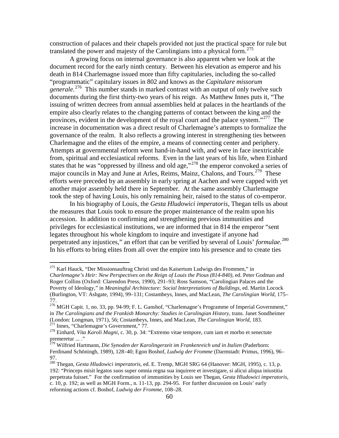construction of palaces and their chapels provided not just the practical space for rule but translated the power and majesty of the Carolingians into a physical form.<sup>[275](#page-74-0)</sup>

A growing focus on internal governance is also apparent when we look at the document record for the early ninth century. Between his elevation as emperor and his death in 814 Charlemagne issued more than fifty capitularies, including the so-called "programmatic" capitulary issues in 802 and knows as the *Capitulare missorum*  generale.<sup>276</sup> This number stands in marked contrast with an output of only twelve such documents during the first thirty-two years of his reign. As Matthew Innes puts it, "The issuing of written decrees from annual assemblies held at palaces in the heartlands of the empire also clearly relates to the changing patterns of contact between the king and the provinces, evident in the development of the royal court and the palace system."<sup>[277](#page-74-2)</sup> The increase in documentation was a direct result of Charlemagne's attempts to formalize the governance of the realm. It also reflects a growing interest in strengthening ties between Charlemagne and the elites of the empire, a means of connecting center and periphery. Attempts at governmental reform went hand-in-hand with, and were in face inextricable from, spiritual and ecclesiastical reforms. Even in the last years of his life, when Einhard states that he was "oppressed by illness and old age,"<sup>[278](#page-74-3)</sup> the emperor convoked a series of major councils in May and June at Arles, Reims, Mainz, Chalons, and Tours.<sup>[279](#page-74-4)</sup> These efforts were preceded by an assembly in early spring at Aachen and were capped with yet another major assembly held there in September. At the same assembly Charlemagne took the step of having Louis, his only remaining heir, raised to the status of co-emperor.

In his biography of Louis, the *Gesta Hludowici imperatoris*, Thegan tells us about the measures that Louis took to ensure the proper maintenance of the realm upon his accession. In addition to confirming and strengthening previous immunities and privileges for ecclesiastical institutions, we are informed that in 814 the emperor "sent legates throughout his whole kingdom to inquire and investigate if anyone had perpetrated any injustices," an effort that can be verified by several of Louis' *formulae*. [280](#page-74-5)  In his efforts to bring elites from all over the empire into his presence and to create ties

<span id="page-74-0"></span> <sup>275</sup> Karl Hauck, "Der Missionsauftrag Christi und das Kaisertum Ludwigs des Frommen," in *Charlemagne's Heir: New Perspectives on the Reign of Louis the Pious (814-840)*, ed. Peter Godman and Roger Collins (Oxford: Clarendon Press, 1990), 291–93; Ross Samson, "Carolingian Palaces and the Poverty of Ideology," in *Meaningful Architecture: Social Interpretations of Buildings*, ed. Martin Locock (Burlington, VT: Ashgate, 1994), 99–131; Costambeys, Innes, and MacLean, *The Carolingian World*, 175– 77.

<span id="page-74-1"></span><sup>&</sup>lt;sup>276</sup> MGH Capit. 1, no. 33, pp. 94-99; F. L. Ganshof, "Charlemagne's Programme of Imperial Government," in *The Carolingians and the Frankish Monarchy: Studies in Carolingian History*, trans. Janet Sondheimer (London: Longman, 1971), 56; Costambeys, Junes, *in Carolingian History*, trans. Janet Sondha<br><sup>277</sup> Innes, "Charlemagne's Government," 77.<br><sup>278</sup> Einhard, *Vita Karoli Magni*, c. 30, p. 34: "Extremo vitae tempore, cum iam e

<span id="page-74-3"></span><span id="page-74-2"></span>premeretur ... ."

<span id="page-74-4"></span><sup>279</sup> Wilfried Hartmann, *Die Synoden der Karolingerzeit im Frankenreich und in Italien* (Paderborn: Ferdinand Schöningh, 1989), 128–40; Egon Boshof, *Ludwig der Fromme* (Darmstadt: Primus, 1996), 96– 97.

<span id="page-74-5"></span><sup>280</sup> Thegan, *Gesta Hludowici imperatoris*, ed. E. Tremp, MGH SRG 64 (Hanover: MGH, 1995), c. 13, p. 192: "Princeps misit legatos suos super omnia regna sua inquirere et investigare, si alicui aliqua iniustitia perpetrata fuisset." For the confirmation of immunities by Louis see Thegan, *Gesta Hludowici imperatoris*, c. 10, p. 192; as well as MGH Form., n. 11-13, pp. 294-95. For further discussion on Louis' early reforming actions cf. Boshof, *Ludwig der Fromme*, 108–28.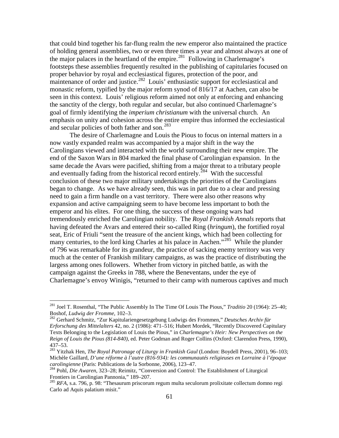that could bind together his far-flung realm the new emperor also maintained the practice of holding general assemblies, two or even three times a year and almost always at one of the major palaces in the heartland of the empire.<sup>[281](#page-75-0)</sup> Following in Charlemagne's footsteps these assemblies frequently resulted in the publishing of capitularies focused on proper behavior by royal and ecclesiastical figures, protection of the poor, and maintenance of order and justice.<sup>[282](#page-75-1)</sup> Louis' enthusiastic support for ecclesiastical and monastic reform, typified by the major reform synod of 816/17 at Aachen, can also be seen in this context. Louis' religious reform aimed not only at enforcing and enhancing the sanctity of the clergy, both regular and secular, but also continued Charlemagne's goal of firmly identifying the *imperium christianum* with the universal church. An emphasis on unity and cohesion across the entire empire thus informed the ecclesiastical and secular policies of both father and son.<sup>283</sup>

The desire of Charlemagne and Louis the Pious to focus on internal matters in a now vastly expanded realm was accompanied by a major shift in the way the Carolingians viewed and interacted with the world surrounding their new empire. The end of the Saxon Wars in 804 marked the final phase of Carolingian expansion. In the same decade the Avars were pacified, shifting from a major threat to a tributary people and eventually fading from the historical record entirely.<sup>284</sup> With the successful conclusion of these two major military undertakings the priorities of the Carolingians began to change. As we have already seen, this was in part due to a clear and pressing need to gain a firm handle on a vast territory. There were also other reasons why expansion and active campaigning seem to have become less important to both the emperor and his elites. For one thing, the success of these ongoing wars had tremendously enriched the Carolingian nobility. The *Royal Frankish Annals* reports that having defeated the Avars and entered their so-called Ring (*hringum*), the fortified royal seat, Eric of Friuli "sent the treasure of the ancient kings, which had been collecting for many centuries, to the lord king Charles at his palace in Aachen."<sup>285</sup> While the plunder of 796 was remarkable for its grandeur, the practice of sacking enemy territory was very much at the center of Frankish military campaigns, as was the practice of distributing the largess among ones followers. Whether from victory in pitched battle, as with the campaign against the Greeks in 788, where the Beneventans, under the eye of Charlemagne's envoy Winigis, "returned to their camp with numerous captives and much

<span id="page-75-0"></span><sup>&</sup>lt;sup>281</sup> Joel T. Rosenthal, "The Public Assembly In The Time Of Louis The Pious," *Traditio* 20 (1964): 25–40;<br>Boshof, *Ludwig der Fromme*, 102–3.

<span id="page-75-1"></span><sup>&</sup>lt;sup>282</sup> Gerhard Schmitz, "Zur Kapitulariengesetzgebung Ludwigs des Frommen," *Deutsches Archiv für Erforschung des Mittelalters* 42, no. 2 (1986): 471–516; Hubert Mordek, "Recently Discovered Capitulary Texts Belonging to the Legislation of Louis the Pious," in *Charlemagne's Heir: New Perspectives on the Reign of Louis the Pious (814-840)*, ed. Peter Godman and Roger Collins (Oxford: Clarendon Press, 1990),

<span id="page-75-2"></span><sup>437–53.</sup> <sup>283</sup> Yitzhak Hen, *The Royal Patronage of Liturgy in Frankish Gaul* (London: Boydell Press, 2001), 96–103; Michèle Gaillard, *D'une réforme à l'autre (816-934): les communautés religieuses en Lorraine à l'époque* 

<span id="page-75-3"></span><sup>&</sup>lt;sup>284</sup> Pohl, *Die Awaren*, 323–28; Reimitz, "Conversion and Control: The Establishment of Liturgical Frontiers in Carolingian Pannonia," 189–207.<br><sup>285</sup> *RFA*, s.a. 796, p. 98: "Thesaurum priscorum regum multa seculorum prolixitate collectum domno regi

<span id="page-75-4"></span>Carlo ad Aquis palatium misit."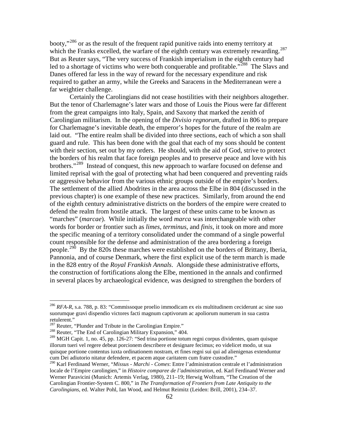booty,"[286](#page-76-0) or as the result of the frequent rapid punitive raids into enemy territory at which the Franks excelled, the warfare of the eighth century was extremely rewarding.<sup>287</sup> But as Reuter says, "The very success of Frankish imperialism in the eighth century had led to a shortage of victims who were both conquerable and profitable."<sup>[288](#page-76-2)</sup> The Slavs and Danes offered far less in the way of reward for the necessary expenditure and risk required to gather an army, while the Greeks and Saracens in the Mediterranean were a far weightier challenge.

Certainly the Carolingians did not cease hostilities with their neighbors altogether. But the tenor of Charlemagne's later wars and those of Louis the Pious were far different from the great campaigns into Italy, Spain, and Saxony that marked the zenith of Carolingian militarism. In the opening of the *Divisio regnorum*, drafted in 806 to prepare for Charlemagne's inevitable death, the emperor's hopes for the future of the realm are laid out. "The entire realm shall be divided into three sections, each of which a son shall guard and rule. This has been done with the goal that each of my sons should be content with their section, set out by my orders. He should, with the aid of God, strive to protect the borders of his realm that face foreign peoples and to preserve peace and love with his brothers."<sup>[289](#page-76-3)</sup> Instead of conquest, this new approach to warfare focused on defense and limited reprisal with the goal of protecting what had been conquered and preventing raids or aggressive behavior from the various ethnic groups outside of the empire's borders. The settlement of the allied Abodrites in the area across the Elbe in 804 (discussed in the previous chapter) is one example of these new practices. Similarly, from around the end of the eighth century administrative districts on the borders of the empire were created to defend the realm from hostile attack. The largest of these units came to be known as "marches" (*marcae*). While initially the word *marca* was interchangeable with other words for border or frontier such as *limes*, *terminus*, and *finis*, it took on more and more the specific meaning of a territory consolidated under the command of a single powerful count responsible for the defense and administration of the area bordering a foreign people.[290](#page-76-4) By the 820s these marches were established on the borders of Brittany, Iberia, Pannonia, and of course Denmark, where the first explicit use of the term march is made in the 828 entry of the *Royal Frankish Annals*. Alongside these administrative efforts, the construction of fortifications along the Elbe, mentioned in the annals and confirmed in several places by archaeological evidence, was designed to strengthen the borders of

<span id="page-76-0"></span> <sup>286</sup> *RFA-R*, s.a. 788, p. 83: "Commissoque proelio immodicam ex eis multitudinem ceciderunt ac sine suo suorumque gravi dispendio victores facti magnum captivorum ac apoliorum numerum in sua castra retulerent."<br><sup>287</sup> Reuter, "Plunder and Tribute in the Carolingian Empire."

<span id="page-76-2"></span><span id="page-76-1"></span><sup>&</sup>lt;sup>288</sup> Reuter, "The End of Carolingian Military Expansion," 404.

<span id="page-76-3"></span><sup>&</sup>lt;sup>289</sup> MGH Capit. 1, no. 45, pp. 126-27: "Sed trina portione totum regni corpus dividentes, quam quisque illorum tueri vel regere debeat porcionem describere et designare fecimus; eo videlicet modo, ut sua quisque portione contentus iuxta ordinationem nostram, et fines regni sui qui ad alienigenas extenduntur cum Dei adiutorio nitatur defendere, et pacem atque caritatem cum fratre custodire."

<span id="page-76-4"></span><sup>290</sup> Karl Ferdinand Werner, "*Missus - Marchi - Comes*: Entre l'administration centrale et l'administration locale de l'Empire carolingien," in *Histoire comparee de l'administration*, ed. Karl Ferdinand Werner and Werner Paravicini (Munich: Artemis Verlag, 1980), 211–19; Herwig Wolfram, "The Creation of the Carolingian Frontier-System C. 800," in *The Transformation of Frontiers from Late Antiquity to the Carolingians*, ed. Walter Pohl, Ian Wood, and Helmut Reimitz (Leiden: Brill, 2001), 234–37.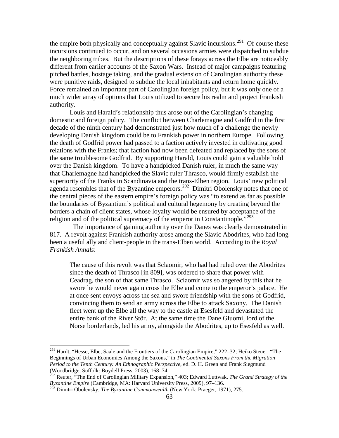the empire both physically and conceptually against Slavic incursions.<sup>[291](#page-77-0)</sup> Of course these incursions continued to occur, and on several occasions armies were dispatched to subdue the neighboring tribes. But the descriptions of these forays across the Elbe are noticeably different from earlier accounts of the Saxon Wars. Instead of major campaigns featuring pitched battles, hostage taking, and the gradual extension of Carolingian authority these were punitive raids, designed to subdue the local inhabitants and return home quickly. Force remained an important part of Carolingian foreign policy, but it was only one of a much wider array of options that Louis utilized to secure his realm and project Frankish authority.

Louis and Harald's relationship thus arose out of the Carolingian's changing domestic and foreign policy. The conflict between Charlemagne and Godfrid in the first decade of the ninth century had demonstrated just how much of a challenge the newly developing Danish kingdom could be to Frankish power in northern Europe. Following the death of Godfrid power had passed to a faction actively invested in cultivating good relations with the Franks; that faction had now been defeated and replaced by the sons of the same troublesome Godfrid. By supporting Harald, Louis could gain a valuable hold over the Danish kingdom. To have a handpicked Danish ruler, in much the same way that Charlemagne had handpicked the Slavic ruler Thrasco, would firmly establish the superiority of the Franks in Scandinavia and the trans-Elben region. Louis' new political agenda resembles that of the Byzantine emperors.<sup>292</sup> Dimitri Obolensky notes that one of the central pieces of the eastern empire's foreign policy was "to extend as far as possible the boundaries of Byzantium's political and cultural hegemony by creating beyond the borders a chain of client states, whose loyalty would be ensured by acceptance of the religion and of the political supremacy of the emperor in Constantinople."<sup>[293](#page-77-2)</sup>

 The importance of gaining authority over the Danes was clearly demonstrated in 817. A revolt against Frankish authority arose among the Slavic Abodrites, who had long been a useful ally and client-people in the trans-Elben world. According to the *Royal Frankish Annals*:

The cause of this revolt was that Sclaomir, who had had ruled over the Abodrites since the death of Thrasco [in 809], was ordered to share that power with Ceadrag, the son of that same Thrasco. Sclaomir was so angered by this that he swore he would never again cross the Elbe and come to the emperor's palace. He at once sent envoys across the sea and swore friendship with the sons of Godfrid, convincing them to send an army across the Elbe to attack Saxony. The Danish fleet went up the Elbe all the way to the castle at Esesfeld and devastated the entire bank of the River Stör. At the same time the Dane Gluomi, lord of the Norse borderlands, led his army, alongside the Abodrites, up to Esesfeld as well.

<span id="page-77-0"></span> $^{291}$  Hardt, "Hesse, Elbe, Saale and the Frontiers of the Carolingian Empire," 222–32; Heiko Steuer, "The Beginnings of Urban Economies Among the Saxons," in *The Continental Saxons From the Migration Period to the Tenth Century: An Ethnographic Perspective*, ed. D. H. Green and Frank Siegmund (Woodbridge, Suffolk: Boydell Press, 2003), 168–74.

<span id="page-77-1"></span><sup>292</sup> Reuter, "The End of Carolingian Military Expansion," 403; Edward Luttwak, *The Grand Strategy of the Byzantine Empire* (Cambridge, MA: Harvard University Press, 2009), 97–136.

<span id="page-77-2"></span><sup>&</sup>lt;sup>293</sup> Dimitri Obolensky, *The Byzantine Commonwealth* (New York: Praeger, 1971), 275.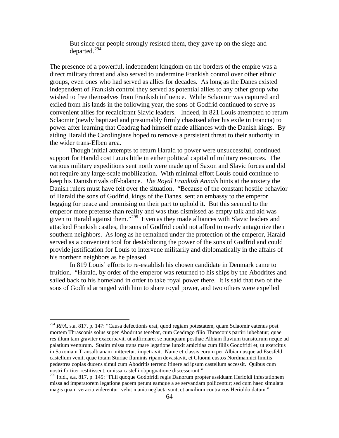But since our people strongly resisted them, they gave up on the siege and departed.<sup>[294](#page-78-0)</sup>

The presence of a powerful, independent kingdom on the borders of the empire was a direct military threat and also served to undermine Frankish control over other ethnic groups, even ones who had served as allies for decades. As long as the Danes existed independent of Frankish control they served as potential allies to any other group who wished to free themselves from Frankish influence. While Sclaomir was captured and exiled from his lands in the following year, the sons of Godfrid continued to serve as convenient allies for recalcitrant Slavic leaders. Indeed, in 821 Louis attempted to return Sclaomir (newly baptized and presumably firmly chastised after his exile in Francia) to power after learning that Ceadrag had himself made alliances with the Danish kings. By aiding Harald the Carolingians hoped to remove a persistent threat to their authority in the wider trans-Elben area.

Though initial attempts to return Harald to power were unsuccessful, continued support for Harald cost Louis little in either political capital of military resources. The various military expeditions sent north were made up of Saxon and Slavic forces and did not require any large-scale mobilization. With minimal effort Louis could continue to keep his Danish rivals off-balance. *The Royal Frankish Annals* hints at the anxiety the Danish rulers must have felt over the situation. "Because of the constant hostile behavior of Harald the sons of Godfrid, kings of the Danes, sent an embassy to the emperor begging for peace and promising on their part to uphold it. But this seemed to the emperor more pretense than reality and was thus dismissed as empty talk and aid was given to Harald against them."<sup>295</sup> Even as they made alliances with Slavic leaders and attacked Frankish castles, the sons of Godfrid could not afford to overly antagonize their southern neighbors. As long as he remained under the protection of the emperor, Harald served as a convenient tool for destabilizing the power of the sons of Godfrid and could provide justification for Louis to intervene militarily and diplomatically in the affairs of his northern neighbors as he pleased.

In 819 Louis' efforts to re-establish his chosen candidate in Denmark came to fruition. "Harald, by order of the emperor was returned to his ships by the Abodrites and sailed back to his homeland in order to take royal power there. It is said that two of the sons of Godfrid arranged with him to share royal power, and two others were expelled

<span id="page-78-0"></span> <sup>294</sup> *RFA*, s.a. 817, p. 147: "Causa defectionis erat, quod regiam potestatem, quam Sclaomir eatenus post mortem Thrasconis solus super Abodritos tenebat, cum Ceadrago filio Thrasconis partiri iubebatur; quae res illum tam graviter exacerbavit, ut adfirmaret se numquam posthac Albiam fluvium transiturum neque ad palatium venturum. Statim missa trans mare legatione iunxit amicitias cum filiis Godofridi et, ut exercitus in Saxoniam Transalbianam mitteretur, impetravit. Name et classis eorum per Albiam usque ad Esesfeld castellum venit, quae totam Sturiae fluminis ripam devastavit, et Gluomi custos Nordmannici limitis pedestres copias ducens simul cum Abodritis terreno itinere ad ipsum castellum accessit. Quibus cum nostri fortiter restitissent, omissa castelli obpugnatione discesserunt."

<span id="page-78-1"></span><sup>295</sup> Ibid., s.a. 817, p. 145: "Filii quoque Godofridi regis Danorum propter assiduam Herioldi infestationem missa ad imperatorem legatione pacem petunt eamque a se servandam pollicentur; sed cum haec simulata magis quam veracia viderentur, velut inania neglacta sunt, et auxilium contra eos Herioldo datum."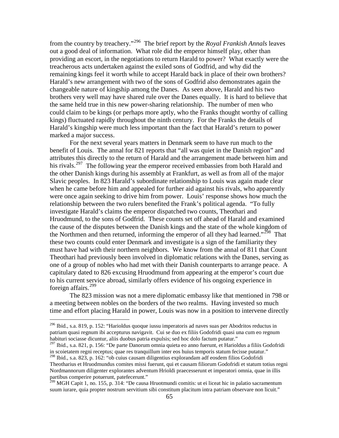from the country by treachery."[296](#page-79-0) The brief report by the *Royal Frankish Annals* leaves out a good deal of information. What role did the emperor himself play, other than providing an escort, in the negotiations to return Harald to power? What exactly were the treacherous acts undertaken against the exiled sons of Godfrid, and why did the remaining kings feel it worth while to accept Harald back in place of their own brothers? Harald's new arrangement with two of the sons of Godfrid also demonstrates again the changeable nature of kingship among the Danes. As seen above, Harald and his two brothers very well may have shared rule over the Danes equally. It is hard to believe that the same held true in this new power-sharing relationship. The number of men who could claim to be kings (or perhaps more aptly, who the Franks thought worthy of calling kings) fluctuated rapidly throughout the ninth century. For the Franks the details of Harald's kingship were much less important than the fact that Harald's return to power marked a major success.

For the next several years matters in Denmark seem to have run much to the benefit of Louis. The annal for 821 reports that "all was quiet in the Danish region" and attributes this directly to the return of Harald and the arrangement made between him and his rivals.<sup>[297](#page-79-1)</sup> The following year the emperor received embassies from both Harald and the other Danish kings during his assembly at Frankfurt, as well as from all of the major Slavic peoples. In 823 Harald's subordinate relationship to Louis was again made clear when he came before him and appealed for further aid against his rivals, who apparently were once again seeking to drive him from power. Louis' response shows how much the relationship between the two rulers benefited the Frank's political agenda. "To fully investigate Harald's claims the emperor dispatched two counts, Theothari and Hruodmund, to the sons of Godfrid. These counts set off ahead of Harald and examined the cause of the disputes between the Danish kings and the state of the whole kingdom of the Northmen and then returned, informing the emperor of all they had learned."<sup>[298](#page-79-2)</sup> That these two counts could enter Denmark and investigate is a sign of the familiarity they must have had with their northern neighbors. We know from the annal of 811 that Count Theothari had previously been involved in diplomatic relations with the Danes, serving as one of a group of nobles who had met with their Danish counterparts to arrange peace. A capitulary dated to 826 excusing Hruodmund from appearing at the emperor's court due to his current service abroad, similarly offers evidence of his ongoing experience in foreign affairs.<sup>[299](#page-79-3)</sup>

The 823 mission was not a mere diplomatic embassy like that mentioned in 798 or a meeting between nobles on the borders of the two realms. Having invested so much time and effort placing Harald in power, Louis was now in a position to intervene directly

<span id="page-79-0"></span> <sup>296</sup> Ibid., s.a. 819, p. 152: "Harioldus quoque iussu imperatoris ad naves suas per Abodritos reductus in patriam quasi regnum ibi accepturus navigavit. Cui se duo ex filiis Godofridi quasi una cum eo regnum habituri sociasse dicuntur, aliis duobus patria expulsis; sed hoc dolo factum putatur."

<span id="page-79-1"></span><sup>297</sup> Ibid., s.a. 821, p. 156: "De parte Danorum omnia quieta eo anno fuerunt, et Harioldus a filiis Godofridi in scoietatem regni receptus; quae res tranquillum inter eos huius temporis statum fecisse putatur."

<span id="page-79-2"></span><sup>298</sup> Ibid., s.a. 823, p. 162: "ob cuius causam diligentius explorandam adf eosdem filios Godofridi Theotharius et Hruodmundus comites missi fuerunt, qui et causam filiorum Godofridi et statum totius regni Nordmannorum diligenter explorantes adventum Hrioldi praecesserunt et imperatori omnia, quae in illis partibus comperire potuerunt, patefecerunt."

<span id="page-79-3"></span><sup>&</sup>lt;sup>299</sup> MGH Capit 1, no. 155, p. 314: "De causa Hruotmundi comitis: ut ei liceat hic in palatio sacramentum suum iurare, quia propter nostrum servitium sibi constitum placitum intra patriam observare non licuit."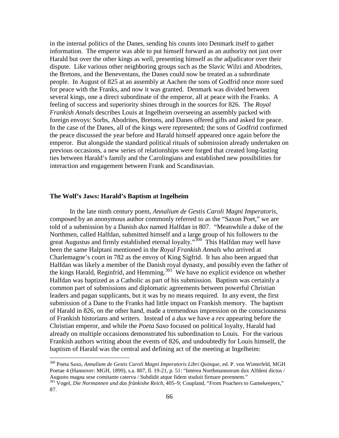in the internal politics of the Danes, sending his counts into Denmark itself to gather information. The emperor was able to put himself forward as an authority not just over Harald but over the other kings as well, presenting himself as the adjudicator over their dispute. Like various other neighboring groups such as the Slavic Wilzi and Abodrites, the Bretons, and the Beneventans, the Danes could now be treated as a subordinate people. In August of 825 at an assembly at Aachen the sons of Godfrid once more sued for peace with the Franks, and now it was granted. Denmark was divided between several kings, one a direct subordinate of the emperor, all at peace with the Franks. A feeling of success and superiority shines through in the sources for 826. The *Royal Frankish Annals* describes Louis at Ingelheim overseeing an assembly packed with foreign envoys: Sorbs, Abodrites, Bretons, and Danes offered gifts and asked for peace. In the case of the Danes, all of the kings were represented; the sons of Godfrid confirmed the peace discussed the year before and Harald himself appeared once again before the emperor. But alongside the standard political rituals of submission already undertaken on previous occasions, a new series of relationships were forged that created long-lasting ties between Harald's family and the Carolingians and established new possibilities for interaction and engagement between Frank and Scandinavian.

#### **The Wolf's Jaws: Harald's Baptism at Ingelheim**

In the late ninth century poem, *Annalium de Gestis Caroli Magni Imperatoris*, composed by an anonymous author commonly referred to as the "Saxon Poet," we are told of a submission by a Danish *dux* named Halfdan in 807. "Meanwhile a duke of the Northmen, called Halfdan, submitted himself and a large group of his followers to the great Augustus and firmly established eternal loyalty."[300](#page-80-0) This Halfdan may well have been the same Halptani mentioned in the *Royal Frankish Annals* who arrived at Charlemagne's court in 782 as the envoy of King Sigfrid. It has also been argued that Halfdan was likely a member of the Danish royal dynasty, and possibly even the father of the kings Harald, Reginfrid, and Hemming.<sup>[301](#page-80-1)</sup> We have no explicit evidence on whether Halfdan was baptized as a Catholic as part of his submission. Baptism was certainly a common part of submissions and diplomatic agreements between powerful Christian leaders and pagan supplicants, but it was by no means required. In any event, the first submission of a Dane to the Franks had little impact on Frankish memory. The baptism of Harald in 826, on the other hand, made a tremendous impression on the consciousness of Frankish historians and writers. Instead of a *dux* we have a *rex* appearing before the Christian emperor, and while the *Poeta Saxo* focused on political loyalty, Harald had already on multiple occasions demonstrated his subordination to Louis. For the various Frankish authors writing about the events of 826, and undoubtedly for Louis himself, the baptism of Harald was the central and defining act of the meeting at Ingelheim:

<span id="page-80-0"></span> <sup>300</sup> Poeta Saxo, *Annalium de Gestis Caroli Magni Imperatoris Libri Quinque*, ed. P. von Winterfeld, MGH Poetae 4 (Hannover: MGH, 1899), s.a. 807, ll. 19-21, p. 51: "Interea Northmannorum dux Alfdeni dictus / Augusto magna sese comitante caterva / Subdidit atque fidem studuit firmare perennem."

<span id="page-80-1"></span><sup>301</sup> Vogel, *Die Normannen und das fränkishe Reich*, 405–9; Coupland, "From Poachers to Gamekeepers," 87.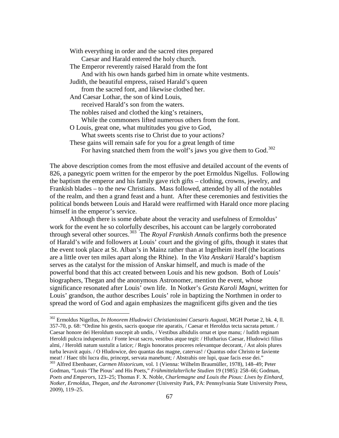| With everything in order and the sacred rites prepared              |     |
|---------------------------------------------------------------------|-----|
| Caesar and Harald entered the holy church.                          |     |
| The Emperor reverently raised Harald from the font                  |     |
| And with his own hands garbed him in ornate white vestments.        |     |
| Judith, the beautiful empress, raised Harald's queen                |     |
| from the sacred font, and likewise clothed her.                     |     |
| And Caesar Lothar, the son of kind Louis,                           |     |
| received Harald's son from the waters.                              |     |
| The nobles raised and clothed the king's retainers,                 |     |
| While the commoners lifted numerous others from the font.           |     |
| O Louis, great one, what multitudes you give to God,                |     |
| What sweets scents rise to Christ due to your actions?              |     |
| These gains will remain safe for you for a great length of time     |     |
| For having snatched them from the wolf's jaws you give them to God. | 302 |
|                                                                     |     |

The above description comes from the most effusive and detailed account of the events of 826, a panegyric poem written for the emperor by the poet Ermoldus Nigellus. Following the baptism the emperor and his family gave rich gifts – clothing, crowns, jewelry, and Frankish blades – to the new Christians. Mass followed, attended by all of the notables of the realm, and then a grand feast and a hunt. After these ceremonies and festivities the political bonds between Louis and Harald were reaffirmed with Harald once more placing himself in the emperor's service.

Although there is some debate about the veracity and usefulness of Ermoldus' work for the event he so colorfully describes, his account can be largely corroborated through several other sources.<sup>303</sup> The *Royal Frankish Annals* confirms both the presence of Harald's wife and followers at Louis' court and the giving of gifts, though it states that the event took place at St. Alban's in Mainz rather than at Ingelheim itself (the locations are a little over ten miles apart along the Rhine). In the *Vita Anskarii* Harald's baptism serves as the catalyst for the mission of Anskar himself, and much is made of the powerful bond that this act created between Louis and his new godson. Both of Louis' biographers, Thegan and the anonymous Astronomer, mention the event, whose significance resonated after Louis' own life. In Notker's *Gesta Karoli Magni*, written for Louis' grandson, the author describes Louis' role in baptizing the Northmen in order to spread the word of God and again emphasizes the magnificent gifts given and the ties

<span id="page-81-0"></span> <sup>302</sup> Ermoldus Nigellus, *In Honorem Hludowici Christianissimi Caesaris Augusti*, MGH Poetae 2, bk. 4, ll. 357-70, p. 68: "Ordine his gestis, sacris quoque rite aparatis, / Caesar et Heroldus tecta sacrata petunt. / Caesar honore dei Heroldum suscepit ab undis, / Vestibus albidulis ornat et ipse manu; / Iudith reginam Heroldi pulcra induperatrix / Fonte levat sacro, vestibus atque tegit: / Hlutharius Caesar, Hludowici filius almi, / Heroldi natum sustulit a latice; / Regis honoratos proceres relevantque decorant, / Ast alois plures turba levavit aquis. / O Hludowice, deo quantas das magne, catervas! / Quantus odor Christo te faviente meat! / Haec tibi lucra diu, princept, servata manebunt; / Abstrahis ore lupi, quae facis esse dei."

<span id="page-81-1"></span><sup>303</sup> Alfred Ebenbauer, *Carmen Historicum*, vol. 1 (Vienna: Wilhelm Braumüller, 1978), 148–49; Peter Godman, "Louis 'The Pious' and His Poets," *Frühmittelalterliche Studien* 19 (1985): 258–66; Godman, *Poets and Emperors*, 123–25; Thomas F. X. Noble, *Charlemagne and Louis the Pious: Lives by Einhard, Notker, Ermoldus, Thegan, and the Astronomer* (University Park, PA: Pennsylvania State University Press, 2009), 119–25.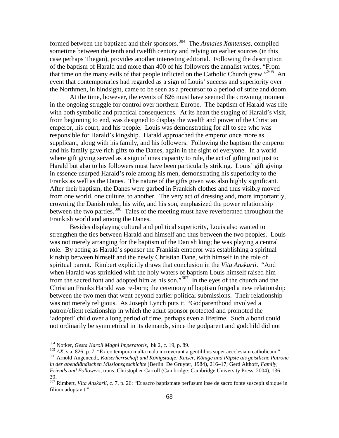formed between the baptized and their sponsors.[304](#page-82-0) The *Annales Xantenses,* compiled sometime between the tenth and twelfth century and relying on earlier sources (in this case perhaps Thegan), provides another interesting editorial. Following the description of the baptism of Harald and more than 400 of his followers the annalist writes, "From that time on the many evils of that people inflicted on the Catholic Church grew."<sup>[305](#page-82-1)</sup> An event that contemporaries had regarded as a sign of Louis' success and superiority over the Northmen, in hindsight, came to be seen as a precursor to a period of strife and doom.

At the time, however, the events of 826 must have seemed the crowning moment in the ongoing struggle for control over northern Europe. The baptism of Harald was rife with both symbolic and practical consequences. At its heart the staging of Harald's visit, from beginning to end, was designed to display the wealth and power of the Christian emperor, his court, and his people. Louis was demonstrating for all to see who was responsible for Harald's kingship. Harald approached the emperor once more as supplicant, along with his family, and his followers. Following the baptism the emperor and his family gave rich gifts to the Danes, again in the sight of everyone. In a world where gift giving served as a sign of ones capacity to rule, the act of gifting not just to Harald but also to his followers must have been particularly striking. Louis' gift giving in essence usurped Harald's role among his men, demonstrating his superiority to the Franks as well as the Danes. The nature of the gifts given was also highly significant. After their baptism, the Danes were garbed in Frankish clothes and thus visibly moved from one world, one culture, to another. The very act of dressing and, more importantly, crowning the Danish ruler, his wife, and his son, emphasized the power relationship between the two parties.<sup>[306](#page-82-2)</sup> Tales of the meeting must have reverberated throughout the Frankish world and among the Danes.

Besides displaying cultural and political superiority, Louis also wanted to strengthen the ties between Harald and himself and thus between the two peoples. Louis was not merely arranging for the baptism of the Danish king; he was playing a central role. By acting as Harald's sponsor the Frankish emperor was establishing a spiritual kinship between himself and the newly Christian Dane, with himself in the role of spiritual parent. Rimbert explicitly draws that conclusion in the *Vita Anskarii*. "And when Harald was sprinkled with the holy waters of baptism Louis himself raised him from the sacred font and adopted him as his son."<sup>307</sup> In the eyes of the church and the Christian Franks Harald was re-born; the ceremony of baptism forged a new relationship between the two men that went beyond earlier political submissions. Their relationship was not merely religious. As Joseph Lynch puts it, "Godparenthood involved a patron/client relationship in which the adult sponsor protected and promoted the 'adopted' child over a long period of time, perhaps even a lifetime. Such a bond could not ordinarily be symmetrical in its demands, since the godparent and godchild did not

<span id="page-82-1"></span><span id="page-82-0"></span><sup>&</sup>lt;sup>304</sup> Notker, *Gesta Karoli Magni Imperatoris*, bk 2, c. 19, p. 89.<br><sup>305</sup> AX, s.a. 826, p. 7: "Ex eo tempora multa mala increverunt a gentilibus super aecclesiam catholicam."<br><sup>306</sup> Arnold Angenendt, *Kaiserherrschaft und* 

<span id="page-82-2"></span>*in der abendländischen Missionsgeschichte* (Berlin: De Gruyter, 1984), 216–17; Gerd Althoff, *Family, Friends and Followers*, trans. Christopher Carroll (Cambridge: Cambridge University Press, 2004), 136– 39.

<span id="page-82-3"></span><sup>307</sup> Rimbert, *Vita Anskarii*, c. 7, p. 26: "Et sacro baptismate perfusum ipse de sacro fonte suscepit sibique in filium adoptavit."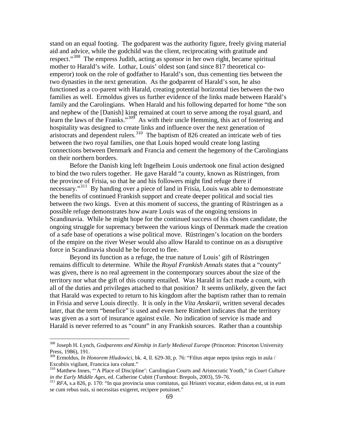stand on an equal footing. The godparent was the authority figure, freely giving material aid and advice, while the godchild was the client, reciprocating with gratitude and respect."<sup>[308](#page-83-0)</sup> The empress Judith, acting as sponsor in her own right, became spiritual mother to Harald's wife. Lothar, Louis' oldest son (and since 817 theoretical coemperor) took on the role of godfather to Harald's son, thus cementing ties between the two dynasties in the next generation. As the godparent of Harald's son, he also functioned as a co-parent with Harald, creating potential horizontal ties between the two families as well. Ermoldus gives us further evidence of the links made between Harald's family and the Carolingians. When Harald and his following departed for home "the son and nephew of the [Danish] king remained at court to serve among the royal guard, and learn the laws of the Franks."<sup>[309](#page-83-1)</sup> As with their uncle Hemming, this act of fostering and hospitality was designed to create links and influence over the next generation of aristocrats and dependent rulers.<sup>[310](#page-83-2)</sup> The baptism of 826 created an intricate web of ties between the two royal families, one that Louis hoped would create long lasting connections between Denmark and Francia and cement the hegemony of the Carolingians on their northern borders.

Before the Danish king left Ingelheim Louis undertook one final action designed to bind the two rulers together. He gave Harald "a county, known as Rüstringen, from the province of Frisia, so that he and his followers might find refuge there if necessary."<sup>[311](#page-83-3)</sup> By handing over a piece of land in Frisia, Louis was able to demonstrate the benefits of continued Frankish support and create deeper political and social ties between the two kings. Even at this moment of success, the granting of Rüstringen as a possible refuge demonstrates how aware Louis was of the ongoing tensions in Scandinavia. While he might hope for the continued success of his chosen candidate, the ongoing struggle for supremacy between the various kings of Denmark made the creation of a safe base of operations a wise political move. Rüstringen's location on the borders of the empire on the river Weser would also allow Harald to continue on as a disruptive force in Scandinavia should he be forced to flee.

Beyond its function as a refuge, the true nature of Louis' gift of Rüstringen remains difficult to determine. While the *Royal Frankish Annals* states that a "county" was given, there is no real agreement in the contemporary sources about the size of the territory nor what the gift of this county entailed. Was Harald in fact made a count, with all of the duties and privileges attached to that position? It seems unlikely, given the fact that Harald was expected to return to his kingdom after the baptism rather than to remain in Frisia and serve Louis directly. It is only in the *Vita Anskarii*, written several decades later, that the term "benefice" is used and even here Rimbert indicates that the territory was given as a sort of insurance against exile. No indication of service is made and Harald is never referred to as "count" in any Frankish sources. Rather than a countship

<span id="page-83-0"></span> <sup>308</sup> Joseph H. Lynch, *Godparents and Kinship in Early Medieval Europe* (Princeton: Princeton University Press, 1986), 191.

<span id="page-83-1"></span><sup>309</sup> Ermoldus, *In Honorem Hludowici*, bk. 4, ll. 629-30, p. 76: "Filius atque nepos ipsius regis in aula / Excubiis vigilant, Francica iura colunt."

<span id="page-83-2"></span><sup>310</sup> Matthew Innes, "'A Place of Discipline': Carolingian Courts and Aristocratic Youth," in *Court Culture in the Early Middle Ages*, ed. Catherine Cubitt (Turnhout: Brepols, 2003), 59–76. <sup>311</sup> *RFA*, s.a 826, p. 170: "In qua provincia unus comitatus, qui Hriustri vocatur, eidem datus est, ut in eum

<span id="page-83-3"></span>se cum rebus suis, si necessitas exigeret, recipere potuisset."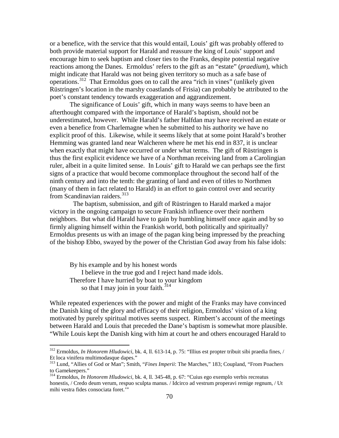or a benefice, with the service that this would entail, Louis' gift was probably offered to both provide material support for Harald and reassure the king of Louis' support and encourage him to seek baptism and closer ties to the Franks, despite potential negative reactions among the Danes. Ermoldus' refers to the gift as an "estate" (*praedium*), which might indicate that Harald was not being given territory so much as a safe base of operations. [312](#page-84-0) That Ermoldus goes on to call the area "rich in vines" (unlikely given Rüstringen's location in the marshy coastlands of Frisia) can probably be attributed to the poet's constant tendency towards exaggeration and aggrandizement.

The significance of Louis' gift, which in many ways seems to have been an afterthought compared with the importance of Harald's baptism, should not be underestimated, however. While Harald's father Halfdan may have received an estate or even a benefice from Charlemagne when he submitted to his authority we have no explicit proof of this. Likewise, while it seems likely that at some point Harald's brother Hemming was granted land near Walcheren where he met his end in 837, it is unclear when exactly that might have occurred or under what terms. The gift of Rüstringen is thus the first explicit evidence we have of a Northman receiving land from a Carolingian ruler, albeit in a quite limited sense. In Louis' gift to Harald we can perhaps see the first signs of a practice that would become commonplace throughout the second half of the ninth century and into the tenth: the granting of land and even of titles to Northmen (many of them in fact related to Harald) in an effort to gain control over and security from Scandinavian raiders. [313](#page-84-1)

 The baptism, submission, and gift of Rüstringen to Harald marked a major victory in the ongoing campaign to secure Frankish influence over their northern neighbors. But what did Harald have to gain by humbling himself once again and by so firmly aligning himself within the Frankish world, both politically and spiritually? Ermoldus presents us with an image of the pagan king being impressed by the preaching of the bishop Ebbo, swayed by the power of the Christian God away from his false idols:

By his example and by his honest words I believe in the true god and I reject hand made idols. Therefore I have hurried by boat to your kingdom so that I may join in your faith.<sup>[314](#page-84-2)</sup>

While repeated experiences with the power and might of the Franks may have convinced the Danish king of the glory and efficacy of their religion, Ermoldus' vision of a king motivated by purely spiritual motives seems suspect. Rimbert's account of the meetings between Harald and Louis that preceded the Dane's baptism is somewhat more plausible. "While Louis kept the Danish king with him at court he and others encouraged Harald to

<span id="page-84-0"></span> <sup>312</sup> Ermoldus, *In Honorem Hludowici*, bk. 4, ll. 613-14, p. 75: "Illius est propter tribuit sibi praedia fines, / Et loca vinifera multimodasque dapes."

<span id="page-84-1"></span><sup>313</sup> Lund, "Allies of God or Man"; Smith, "*Fines Imperii*: The Marches," 183; Coupland, "From Poachers to Gamekeepers."

<span id="page-84-2"></span><sup>314</sup> Ermoldus, *In Honorem Hludowici,* bk. 4, ll. 345-48, p. 67: "Cuius ego exemplo verbis recreatus honestis, / Credo deum verum, respuo sculpta manus. / Idcirco ad vestrum properavi remige regnum, / Ut mihi vestra fides consociata foret.'"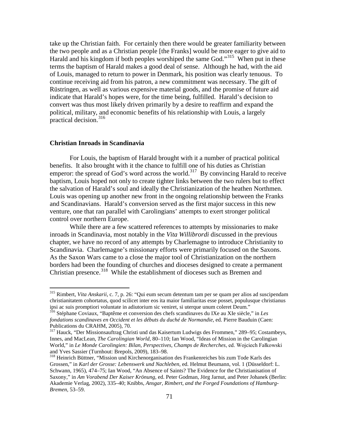take up the Christian faith. For certainly then there would be greater familiarity between the two people and as a Christian people [the Franks] would be more eager to give aid to Harald and his kingdom if both peoples worshiped the same God."[315](#page-85-0) When put in these terms the baptism of Harald makes a good deal of sense. Although he had, with the aid of Louis, managed to return to power in Denmark, his position was clearly tenuous. To continue receiving aid from his patron, a new commitment was necessary. The gift of Rüstringen, as well as various expensive material goods, and the promise of future aid indicate that Harald's hopes were, for the time being, fulfilled. Harald's decision to convert was thus most likely driven primarily by a desire to reaffirm and expand the political, military, and economic benefits of his relationship with Louis, a largely practical decision.<sup>[316](#page-85-1)</sup>

# **Christian Inroads in Scandinavia**

For Louis, the baptism of Harald brought with it a number of practical political benefits. It also brought with it the chance to fulfill one of his duties as Christian emperor: the spread of God's word across the world.<sup>317</sup> By convincing Harald to receive baptism, Louis hoped not only to create tighter links between the two rulers but to effect the salvation of Harald's soul and ideally the Christianization of the heathen Northmen. Louis was opening up another new front in the ongoing relationship between the Franks and Scandinavians. Harald's conversion served as the first major success in this new venture, one that ran parallel with Carolingians' attempts to exert stronger political control over northern Europe.

While there are a few scattered references to attempts by missionaries to make inroads in Scandinavia, most notably in the *Vita Willibrordi* discussed in the previous chapter, we have no record of any attempts by Charlemagne to introduce Christianity to Scandinavia. Charlemagne's missionary efforts were primarily focused on the Saxons. As the Saxon Wars came to a close the major tool of Christianization on the northern borders had been the founding of churches and dioceses designed to create a permanent Christian presence.<sup>318</sup> While the establishment of dioceses such as Bremen and

<span id="page-85-0"></span> <sup>315</sup> Rimbert, *Vita Anskarii*, c. 7, p. 26: "Qui eum secum detentum tam per se quam per alios ad suscipendam christianitatem cohortatus, quod scilicet inter eos ita maior familiaritas esse posset, populusque christianus ipsi ac suis promptiori voluntate in adiutorium sic veniret, si uterque unum coleret Deum."

<span id="page-85-1"></span><sup>316</sup> Stéphane Coviaux, "Baptême et conversion des chefs scandinaves du IXe au XIe siècle," in *Les fondations scandinaves en Occident et les débuts du duché de Normandie*, ed. Pierre Bauduin (Caen:

<span id="page-85-2"></span><sup>&</sup>lt;sup>317</sup> Hauck, "Der Missionsauftrag Christi und das Kaisertum Ludwigs des Frommen," 289–95; Costambeys, Innes, and MacLean, *The Carolingian World*, 80–110; Ian Wood, "Ideas of Mission in the Carolingian World," in *Le Monde Carolingien: Bilan, Perspectives, Champs de Recherches*, ed. Wojciech Fałkowski and Yves Sassier (Turnhout: Brepols, 2009), 183–98. <sup>318</sup> Heinrich Büttner, "Mission und Kirchenorganisation des Frankenreiches bis zum Tode Karls des

<span id="page-85-3"></span>Grossen," in *Karl der Grosse: Lebenswerk und Nachleben*, ed. Helmut Beumann, vol. 1 (Düsseldorf: L. Schwann, 1965), 474–75; Ian Wood, "An Absence of Saints? The Evidence for the Christianisation of Saxony," in *Am Vorabend Der Kaiser Krönung*, ed. Peter Godman, Jörg Jarnut, and Peter Johanek (Berlin: Akademie Verlag, 2002), 335–40; Knibbs, *Ansgar, Rimbert, and the Forged Foundations of Hamburg-Bremen*, 53–59.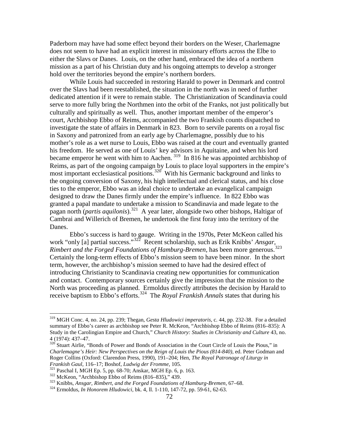Paderborn may have had some effect beyond their borders on the Weser, Charlemagne does not seem to have had an explicit interest in missionary efforts across the Elbe to either the Slavs or Danes. Louis, on the other hand, embraced the idea of a northern mission as a part of his Christian duty and his ongoing attempts to develop a stronger hold over the territories beyond the empire's northern borders.

While Louis had succeeded in restoring Harald to power in Denmark and control over the Slavs had been reestablished, the situation in the north was in need of further dedicated attention if it were to remain stable. The Christianization of Scandinavia could serve to more fully bring the Northmen into the orbit of the Franks, not just politically but culturally and spiritually as well. Thus, another important member of the emperor's court, Archbishop Ebbo of Reims, accompanied the two Frankish counts dispatched to investigate the state of affairs in Denmark in 823. Born to servile parents on a royal fisc in Saxony and patronized from an early age by Charlemagne, possibly due to his mother's role as a wet nurse to Louis, Ebbo was raised at the court and eventually granted his freedom. He served as one of Louis' key advisors in Aquitaine, and when his lord became emperor he went with him to Aachen.<sup>319</sup> In 816 he was appointed archbishop of Reims, as part of the ongoing campaign by Louis to place loyal supporters in the empire's most important ecclesiastical positions.<sup>[320](#page-86-1)</sup> With his Germanic background and links to the ongoing conversion of Saxony, his high intellectual and clerical status, and his close ties to the emperor, Ebbo was an ideal choice to undertake an evangelical campaign designed to draw the Danes firmly under the empire's influence. In 822 Ebbo was granted a papal mandate to undertake a mission to Scandinavia and made legate to the pagan north (*partis aquilonis*).[321](#page-86-2) A year later, alongside two other bishops, Haltigar of Cambrai and Willerich of Bremen, he undertook the first foray into the territory of the Danes.

Ebbo's success is hard to gauge. Writing in the 1970s, Peter McKeon called his work "only [a] partial success."[322](#page-86-3) Recent scholarship, such as Erik Knibbs' *Ansgar, Rimbert and the Forged Foundations of Hamburg-Bremen,* has been more generous.[323](#page-86-4) Certainly the long-term effects of Ebbo's mission seem to have been minor. In the short term, however, the archbishop's mission seemed to have had the desired effect of introducing Christianity to Scandinavia creating new opportunities for communication and contact. Contemporary sources certainly give the impression that the mission to the North was proceeding as planned. Ermoldus directly attributes the decision by Harald to receive baptism to Ebbo's efforts.[324](#page-86-5) The *Royal Frankish Annals* states that during his

<span id="page-86-0"></span> <sup>319</sup> MGH Conc. 4, no. 24, pp. 239; Thegan, *Gesta Hludowici imperatoris*, c. 44, pp. 232-38. For a detailed summary of Ebbo's career as archbishop see Peter R. McKeon, "Archbishop Ebbo of Reims (816–835): A Study in the Carolingian Empire and Church," *Church History: Studies in Christianity and Culture* 43, no.<br>4 (1974): 437–47.

<span id="page-86-1"></span> $\frac{320}{320}$  Stuart Airlie, "Bonds of Power and Bonds of Association in the Court Circle of Louis the Pious," in *Charlemagne's Heir: New Perspectives on the Reign of Louis the Pious (814-840)*, ed. Peter Godman and Roger Collins (Oxford: Clarendon Press, 1990), 191–204; Hen, *The Royal Patronage of Liturgy in* 

<span id="page-86-3"></span>

<span id="page-86-2"></span><sup>&</sup>lt;sup>321</sup> Paschal I, MGH Ep. 5, pp. 68-70; Anskar, MGH Ep. 6, p. 163.<br><sup>322</sup> McKeon, "Archbishop Ebbo of Reims (816–835)," 439.<br><sup>323</sup> Knibbs, *Ansgar, Rimbert, and the Forged Foundations of Hamburg-Bremen*, 67–68.<br><sup>324</sup> Ermold

<span id="page-86-5"></span><span id="page-86-4"></span>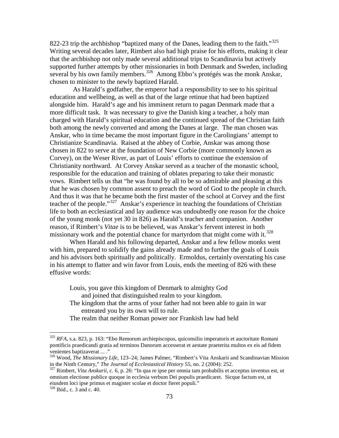822-23 trip the archbishop "baptized many of the Danes, leading them to the faith."<sup>325</sup> Writing several decades later, Rimbert also had high praise for his efforts, making it clear that the archbishop not only made several additional trips to Scandinavia but actively supported further attempts by other missionaries in both Denmark and Sweden, including several by his own family members.<sup>326</sup> Among Ebbo's protégés was the monk Anskar, chosen to minister to the newly baptized Harald.

 As Harald's godfather, the emperor had a responsibility to see to his spiritual education and wellbeing, as well as that of the large retinue that had been baptized alongside him. Harald's age and his imminent return to pagan Denmark made that a more difficult task. It was necessary to give the Danish king a teacher, a holy man charged with Harald's spiritual education and the continued spread of the Christian faith both among the newly converted and among the Danes at large. The man chosen was Anskar, who in time became the most important figure in the Carolingians' attempt to Christianize Scandinavia. Raised at the abbey of Corbie, Anskar was among those chosen in 822 to serve at the foundation of New Corbie (more commonly known as Corvey), on the Weser River, as part of Louis' efforts to continue the extension of Christianity northward. At Corvey Anskar served as a teacher of the monastic school, responsible for the education and training of oblates preparing to take their monastic vows. Rimbert tells us that "he was found by all to be so admirable and pleasing at this that he was chosen by common assent to preach the word of God to the people in church. And thus it was that he became both the first master of the school at Corvey and the first teacher of the people."[327](#page-87-2) Anskar's experience in teaching the foundations of Christian life to both an ecclesiastical and lay audience was undoubtedly one reason for the choice of the young monk (not yet 30 in 826) as Harald's teacher and companion. Another reason, if Rimbert's *Vitae* is to be believed, was Anskar's fervent interest in both missionary work and the potential chance for martyrdom that might come with it. $328$ 

When Harald and his following departed, Anskar and a few fellow monks went with him, prepared to solidify the gains already made and to further the goals of Louis and his advisors both spiritually and politically. Ermoldus, certainly overstating his case in his attempt to flatter and win favor from Louis, ends the meeting of 826 with these effusive words:

Louis, you gave this kingdom of Denmark to almighty God and joined that distinguished realm to your kingdom. The kingdom that the arms of your father had not been able to gain in war entreated you by its own will to rule.

The realm that neither Roman power nor Frankish law had held

<span id="page-87-2"></span><sup>327</sup> Rimbert, *Vita Anskarii*, c. 6, p. 26: "In qua re ipse per omnia tam probabilis et acceptus inventus est, ut omnium electione publice quoque in ecclesia verbum Dei populis praedicaret. Sicque factum est, ut eiusdem loci ipse primus et magister scolae et doctor fieret populi."

<span id="page-87-0"></span> <sup>325</sup> *RFA*, s.a. 823, p. 163: "Ebo Remorum archiepiscopus, quiconsilio imperatoris et auctoritate Romani pontificis praedicandi gratia ad terminos Danorum accesserat et aestate praeterita multos ex eis ad fidem venientes baptizaverat ... ."

<span id="page-87-1"></span><sup>&</sup>lt;sup>326</sup> Wood, *The Missionary Life*, 123–24; James Palmer, "Rimbert's Vita Anskarii and Scandinavian Mission in the Ninth Century," *The Journal of Ecclesiastical History* 55, no. 2 (2004): 252.

<span id="page-87-3"></span><sup>328</sup> Ibid., c. 3 and c. 40.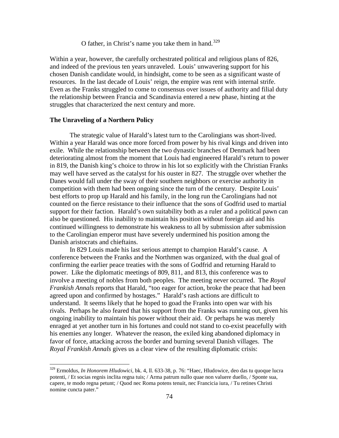O father, in Christ's name you take them in hand. $329$ 

Within a year, however, the carefully orchestrated political and religious plans of 826, and indeed of the previous ten years unraveled. Louis' unwavering support for his chosen Danish candidate would, in hindsight, come to be seen as a significant waste of resources. In the last decade of Louis' reign, the empire was rent with internal strife. Even as the Franks struggled to come to consensus over issues of authority and filial duty the relationship between Francia and Scandinavia entered a new phase, hinting at the struggles that characterized the next century and more.

### **The Unraveling of a Northern Policy**

The strategic value of Harald's latest turn to the Carolingians was short-lived. Within a year Harald was once more forced from power by his rival kings and driven into exile. While the relationship between the two dynastic branches of Denmark had been deteriorating almost from the moment that Louis had engineered Harald's return to power in 819, the Danish king's choice to throw in his lot so explicitly with the Christian Franks may well have served as the catalyst for his ouster in 827. The struggle over whether the Danes would fall under the sway of their southern neighbors or exercise authority in competition with them had been ongoing since the turn of the century. Despite Louis' best efforts to prop up Harald and his family, in the long run the Carolingians had not counted on the fierce resistance to their influence that the sons of Godfrid used to martial support for their faction. Harald's own suitability both as a ruler and a political pawn can also be questioned. His inability to maintain his position without foreign aid and his continued willingness to demonstrate his weakness to all by submission after submission to the Carolingian emperor must have severely undermined his position among the Danish aristocrats and chieftains.

In 829 Louis made his last serious attempt to champion Harald's cause. A conference between the Franks and the Northmen was organized, with the dual goal of confirming the earlier peace treaties with the sons of Godfrid and returning Harald to power. Like the diplomatic meetings of 809, 811, and 813, this conference was to involve a meeting of nobles from both peoples. The meeting never occurred. The *Royal Frankish Annals* reports that Harald, "too eager for action, broke the peace that had been agreed upon and confirmed by hostages." Harald's rash actions are difficult to understand. It seems likely that he hoped to goad the Franks into open war with his rivals. Perhaps he also feared that his support from the Franks was running out, given his ongoing inability to maintain his power without their aid. Or perhaps he was merely enraged at yet another turn in his fortunes and could not stand to co-exist peacefully with his enemies any longer. Whatever the reason, the exiled king abandoned diplomacy in favor of force, attacking across the border and burning several Danish villages. The *Royal Frankish Annals* gives us a clear view of the resulting diplomatic crisis:

<span id="page-88-0"></span> <sup>329</sup> Ermoldus, *In Honorem Hludowici*, bk. 4, ll. 633-38, p. 76: "Haec, Hludowice, deo das tu quoque lucra potenti, / Et socias regnis inclita regna tuis; / Arma patrum nullo quae non valuere duello, / Sponte sua, capere, te modo regna petunt; / Quod nec Roma potens tenuit, nec Francicia iura, / Tu retines Christi nomine cuncta pater."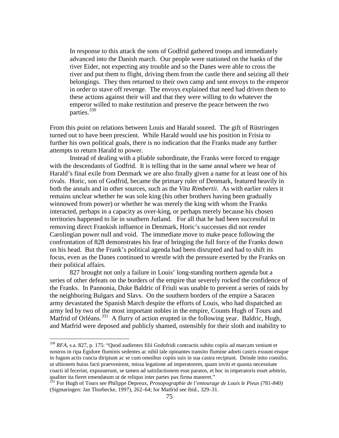In response to this attack the sons of Godfrid gathered troops and immediately advanced into the Danish march. Our people were stationed on the banks of the river Eider, not expecting any trouble and so the Danes were able to cross the river and put them to flight, driving them from the castle there and seizing all their belongings. They then returned to their own camp and sent envoys to the emperor in order to stave off revenge. The envoys explained that need had driven them to these actions against their will and that they were willing to do whatever the emperor willed to make restitution and preserve the peace between the two parties.<sup>[330](#page-89-0)</sup>

From this point on relations between Louis and Harald soured. The gift of Rüstringen turned out to have been prescient. While Harald would use his position in Frisia to further his own political goals, there is no indication that the Franks made any further attempts to return Harald to power.

Instead of dealing with a pliable subordinate, the Franks were forced to engage with the descendants of Godfrid. It is telling that in the same annal where we hear of Harald's final exile from Denmark we are also finally given a name for at least one of his rivals. Horic, son of Godfrid, became the primary ruler of Denmark, featured heavily in both the annals and in other sources, such as the *Vita Rimbertii*. As with earlier rulers it remains unclear whether he was sole king (his other brothers having been gradually winnowed from power) or whether he was merely the king with whom the Franks interacted, perhaps in a capacity as over-king, or perhaps merely because his chosen territories happened to lie in southern Jutland. For all that he had been successful in removing direct Frankish influence in Denmark, Horic's successes did not render Carolingian power null and void. The immediate move to make peace following the confrontation of 828 demonstrates his fear of bringing the full force of the Franks down on his head. But the Frank's political agenda had been disrupted and had to shift its focus, even as the Danes continued to wrestle with the pressure exerted by the Franks on their political affairs.

827 brought not only a failure in Louis' long-standing northern agenda but a series of other defeats on the borders of the empire that severely rocked the confidence of the Franks. In Pannonia, Duke Baldric of Friuli was unable to prevent a series of raids by the neighboring Bulgars and Slavs. On the southern borders of the empire a Saracen army devastated the Spanish March despite the efforts of Louis, who had dispatched an army led by two of the most important nobles in the empire, Counts Hugh of Tours and Matfrid of Orléans.<sup>331</sup> A flurry of action erupted in the following year. Baldric, Hugh, and Matfrid were deposed and publicly shamed, ostensibly for their sloth and inability to

<span id="page-89-0"></span> <sup>330</sup> *RFA,* s.a. 827, p. 175: "Quod audientes filii Godofridi contractis subito copiis ad marcam veniunt et nostros in ripa Egidore fluminis sedentes ac nihil tale opinantes transito flumine adorti castris exuunt eisque in fugum actis cuncta diripiunt ac se cum omnibus copiis suis in sua castra recipiunt. Deinde inito consilio, ut ultionem huius facti praevenirent, missa legatione ad imperatorem, quam inviti et quanta necessitate coacti id fecerint, exposuerunt, se tamen ad satisfactionem esse paratos, et hoc in imperatoris esset arbitrio, qualiter ita fieret emendatum ut de reliquo inter partes pax firma maneret."

<span id="page-89-1"></span><sup>331</sup> For Hugh of Tours see Philippe Depreux, *Prosopographie de l'entourage de Louis le Pieux (781-840)* (Sigmaringen: Jan Thorbecke, 1997), 262–64; for Matfrid see ibid., 329–31.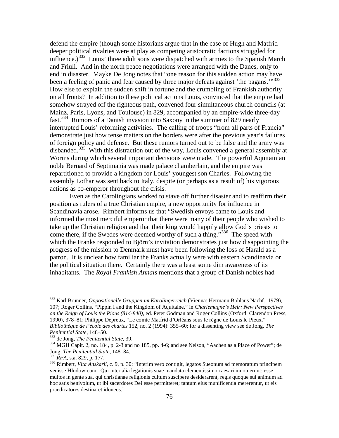defend the empire (though some historians argue that in the case of Hugh and Matfrid deeper political rivalries were at play as competing aristocratic factions struggled for influence.)<sup>[332](#page-90-0)</sup> Louis' three adult sons were dispatched with armies to the Spanish March and Friuli. And in the north peace negotiations were arranged with the Danes, only to end in disaster. Mayke De Jong notes that "one reason for this sudden action may have been a feeling of panic and fear caused by three major defeats against 'the pagans.'"<sup>333</sup> How else to explain the sudden shift in fortune and the crumbling of Frankish authority on all fronts? In addition to these political actions Louis, convinced that the empire had somehow strayed off the righteous path, convened four simultaneous church councils (at Mainz, Paris, Lyons, and Toulouse) in 829, accompanied by an empire-wide three-day fast.<sup>[334](#page-90-2)</sup> Rumors of a Danish invasion into Saxony in the summer of 829 nearly interrupted Louis' reforming activities. The calling of troops "from all parts of Francia" demonstrate just how tense matters on the borders were after the previous year's failures of foreign policy and defense. But these rumors turned out to be false and the army was disbanded.<sup>[335](#page-90-3)</sup> With this distraction out of the way, Louis convened a general assembly at Worms during which several important decisions were made. The powerful Aquitainian noble Bernard of Septimania was made palace chamberlain, and the empire was repartitioned to provide a kingdom for Louis' youngest son Charles. Following the assembly Lothar was sent back to Italy, despite (or perhaps as a result of) his vigorous actions as co-emperor throughout the crisis.

Even as the Carolingians worked to stave off further disaster and to reaffirm their position as rulers of a true Christian empire, a new opportunity for influence in Scandinavia arose. Rimbert informs us that "Swedish envoys came to Louis and informed the most merciful emperor that there were many of their people who wished to take up the Christian religion and that their king would happily allow God's priests to come there, if the Swedes were deemed worthy of such a thing."<sup>[336](#page-90-4)</sup> The speed with which the Franks responded to Björn's invitation demonstrates just how disappointing the progress of the mission to Denmark must have been following the loss of Harald as a patron. It is unclear how familiar the Franks actually were with eastern Scandinavia or the political situation there. Certainly there was a least some dim awareness of its inhabitants. The *Royal Frankish Annals* mentions that a group of Danish nobles had

<span id="page-90-0"></span> <sup>332</sup> Karl Brunner, *Oppositionelle Gruppen im Karolingerreich* (Vienna: Hermann Böhlaus Nachf., 1979), 107; Roger Collins, "Pippin I and the Kingdom of Aquitaine," in *Charlemagne's Heir: New Perspectives on the Reign of Louis the Pious (814-840)*, ed. Peter Godman and Roger Collins (Oxford: Clarendon Press, 1990), 378–81; Philippe Depreux, "Le comte Matfrid d'Orléans sous le règne de Louis le Pieux," *Bibliothèque de l'école des chartes* 152, no. 2 (1994): 355–60; for a dissenting view see de Jong, *The* 

<span id="page-90-2"></span>

<span id="page-90-1"></span><sup>&</sup>lt;sup>333</sup> de Jong, *The Penitential State*, 39.<br><sup>334</sup> MGH Capit. 2, no. 184, p. 2-3 and no 185, pp. 4-6; and see Nelson, "Aachen as a Place of Power"; de<br>Jong, *The Penitential State*, 148–84.

<span id="page-90-4"></span><span id="page-90-3"></span>Jong, *The Penitential State*, 148–84. <sup>335</sup> *RFA*, s.a. 829, p. 177. <sup>336</sup> Rimbert, *Vita Anskarii*, c. 9, p. 30: "Interim vero contigit, legatos Sueonum ad memoratum principem venisse Hludowicum. Qui inter alia legationis suae mandata clementissimo caesari innotuerunt: esse multos in gente sua, qui christianae religionis cultum suscipere desiderarent, regis quoque sui animum ad hoc satis benivolum, ut ibi sacerdotes Dei esse permitteret; tantum eius munificentia mererentur, ut eis praedicatores destinaret idoneos."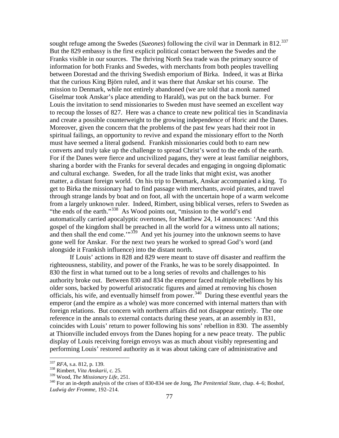sought refuge among the Swedes (*Sueones*) following the civil war in Denmark in 812.<sup>337</sup> But the 829 embassy is the first explicit political contact between the Swedes and the Franks visible in our sources. The thriving North Sea trade was the primary source of information for both Franks and Swedes, with merchants from both peoples travelling between Dorestad and the thriving Swedish emporium of Birka. Indeed, it was at Birka that the curious King Björn ruled, and it was there that Anskar set his course. The mission to Denmark, while not entirely abandoned (we are told that a monk named Giselmar took Anskar's place attending to Harald), was put on the back burner. For Louis the invitation to send missionaries to Sweden must have seemed an excellent way to recoup the losses of 827. Here was a chance to create new political ties in Scandinavia and create a possible counterweight to the growing independence of Horic and the Danes. Moreover, given the concern that the problems of the past few years had their root in spiritual failings, an opportunity to revive and expand the missionary effort to the North must have seemed a literal godsend. Frankish missionaries could both to earn new converts and truly take up the challenge to spread Christ's word to the ends of the earth. For if the Danes were fierce and uncivilized pagans, they were at least familiar neighbors, sharing a border with the Franks for several decades and engaging in ongoing diplomatic and cultural exchange. Sweden, for all the trade links that might exist, was another matter, a distant foreign world. On his trip to Denmark, Anskar accompanied a king. To get to Birka the missionary had to find passage with merchants, avoid pirates, and travel through strange lands by boat and on foot, all with the uncertain hope of a warm welcome from a largely unknown ruler. Indeed, Rimbert, using biblical verses, refers to Sweden as "the ends of the earth."<sup>338</sup> As Wood points out, "mission to the world's end automatically carried apocalyptic overtones, for Matthew 24, 14 announces: 'And this gospel of the kingdom shall be preached in all the world for a witness unto all nations; and then shall the end come." $339$  And yet his journey into the unknown seems to have gone well for Anskar. For the next two years he worked to spread God's word (and alongside it Frankish influence) into the distant north.

If Louis' actions in 828 and 829 were meant to stave off disaster and reaffirm the righteousness, stability, and power of the Franks, he was to be sorely disappointed. In 830 the first in what turned out to be a long series of revolts and challenges to his authority broke out. Between 830 and 834 the emperor faced multiple rebellions by his older sons, backed by powerful aristocratic figures and aimed at removing his chosen officials, his wife, and eventually himself from power.<sup>[340](#page-91-3)</sup> During these eventful years the emperor (and the empire as a whole) was more concerned with internal matters than with foreign relations. But concern with northern affairs did not disappear entirely. The one reference in the annals to external contacts during these years, at an assembly in 831, coincides with Louis' return to power following his sons' rebellion in 830. The assembly at Thionville included envoys from the Danes hoping for a new peace treaty. The public display of Louis receiving foreign envoys was as much about visibly representing and performing Louis' restored authority as it was about taking care of administrative and

<span id="page-91-1"></span><span id="page-91-0"></span><sup>&</sup>lt;sup>337</sup> *RFA*, s.a. 812, p. 139.<br><sup>338</sup> Rimbert, *Vita Anskarii*, c. 25.<br><sup>339</sup> Wood, *The Missionary Life*, 251.

<span id="page-91-2"></span>

<span id="page-91-3"></span><sup>&</sup>lt;sup>340</sup> For an in-depth analysis of the crises of 830-834 see de Jong, *The Penitential State*, chap. 4–6; Boshof, *Ludwig der Fromme*, 192–214.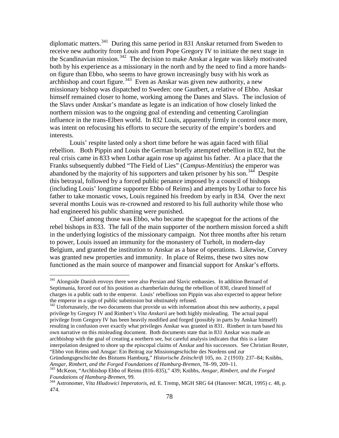diplomatic matters.[341](#page-92-0) During this same period in 831 Anskar returned from Sweden to receive new authority from Louis and from Pope Gregory IV to initiate the next stage in the Scandinavian mission.[342](#page-92-1) The decision to make Anskar a legate was likely motivated both by his experience as a missionary in the north and by the need to find a more handson figure than Ebbo, who seems to have grown increasingly busy with his work as archbishop and court figure.<sup>[343](#page-92-2)</sup> Even as Anskar was given new authority, a new missionary bishop was dispatched to Sweden: one Gautbert, a relative of Ebbo. Anskar himself remained closer to home, working among the Danes and Slavs. The inclusion of the Slavs under Anskar's mandate as legate is an indication of how closely linked the northern mission was to the ongoing goal of extending and cementing Carolingian influence in the trans-Elben world. In 832 Louis, apparently firmly in control once more, was intent on refocusing his efforts to secure the security of the empire's borders and interests.

Louis' respite lasted only a short time before he was again faced with filial rebellion. Both Pippin and Louis the German briefly attempted rebellion in 832, but the real crisis came in 833 when Lothar again rose up against his father. At a place that the Franks subsequently dubbed "The Field of Lies" (*Campus-Mentitius*) the emperor was abandoned by the majority of his supporters and taken prisoner by his son.<sup>[344](#page-92-3)</sup> Despite this betrayal, followed by a forced public penance imposed by a council of bishops (including Louis' longtime supporter Ebbo of Reims) and attempts by Lothar to force his father to take monastic vows, Louis regained his freedom by early in 834. Over the next several months Louis was re-crowned and restored to his full authority while those who had engineered his public shaming were punished.

Chief among those was Ebbo, who became the scapegoat for the actions of the rebel bishops in 833. The fall of the main supporter of the northern mission forced a shift in the underlying logistics of the missionary campaign. Not three months after his return to power, Louis issued an immunity for the monastery of Turholt, in modern-day Belgium, and granted the institution to Anskar as a base of operations. Likewise, Corvey was granted new properties and immunity. In place of Reims, these two sites now functioned as the main source of manpower and financial support for Anskar's efforts.

<span id="page-92-0"></span><sup>&</sup>lt;sup>341</sup> Alongside Danish envoys there were also Persian and Slavic embassies. In addition Bernard of Septimania, forced out of his position as chamberlain during the rebellion of 830, cleared himself of charges in a public oath to the emperor. Louis' rebellious son Pippin was also expected to appear before the emperor in a sign of public submission but obstinately refused.

<span id="page-92-1"></span><sup>&</sup>lt;sup>342</sup> Unfortunately, the two documents that provide us with information about this new authority, a papal privilege by Gregory IV and Rimbert's *Vita Anskarii* are both highly misleading. The actual papal privilege from Gregory IV has been heavily modified and forged (possibly in parts by Anskar himself) resulting in confusion over exactly what privileges Anskar was granted in 831. Rimbert in turn based his own narrative on this misleading document. Both documents state that in 831 Anskar was made an archbishop with the goal of creating a northern see, but careful analysis indicates that this is a later interpolation designed to shore up the episcopal claims of Anskar and his successors. See Christian Reuter, "Ebbo von Reims und Ansgar: Ein Beitrag zur Missionsgeschichte des Nordens und zur

Gründungsgeschichte des Bistums Hamburg," *Historische Zeitschrift* 105, no. 2 (1910): 237–84; Knibbs,

<span id="page-92-2"></span>*Ansgar, Rimbert, and the Forged Foundations of Hamburg-Bremen*, 78–99, 209–11. <sup>343</sup> McKeon, "Archbishop Ebbo of Reims (816–835)," 439; Knibbs, *Ansgar, Rimbert, and the Forged Foundations of Hamburg-Bremen*, 99. <sup>344</sup> Astronomer, *Vita Hludowici Imperatoris*, ed. E. Tremp, MGH SRG 64 (Hanover: MGH, 1995) c. 48, p.

<span id="page-92-3"></span><sup>474.</sup>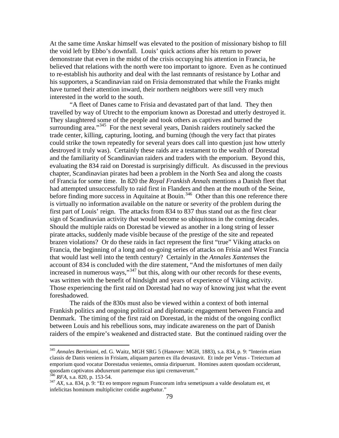At the same time Anskar himself was elevated to the position of missionary bishop to fill the void left by Ebbo's downfall. Louis' quick actions after his return to power demonstrate that even in the midst of the crisis occupying his attention in Francia, he believed that relations with the north were too important to ignore. Even as he continued to re-establish his authority and deal with the last remnants of resistance by Lothar and his supporters, a Scandinavian raid on Frisia demonstrated that while the Franks might have turned their attention inward, their northern neighbors were still very much interested in the world to the south.

"A fleet of Danes came to Frisia and devastated part of that land. They then travelled by way of Utrecht to the emporium known as Dorestad and utterly destroyed it. They slaughtered some of the people and took others as captives and burned the surrounding area."<sup>[345](#page-93-0)</sup> For the next several years, Danish raiders routinely sacked the trade center, killing, capturing, looting, and burning (though the very fact that pirates could strike the town repeatedly for several years does call into question just how utterly destroyed it truly was). Certainly these raids are a testament to the wealth of Dorestad and the familiarity of Scandinavian raiders and traders with the emporium. Beyond this, evaluating the 834 raid on Dorestad is surprisingly difficult. As discussed in the previous chapter, Scandinavian pirates had been a problem in the North Sea and along the coasts of Francia for some time. In 820 the *Royal Frankish Annals* mentions a Danish fleet that had attempted unsuccessfully to raid first in Flanders and then at the mouth of the Seine, before finding more success in Aquitaine at Bouin.<sup>[346](#page-93-1)</sup> Other than this one reference there is virtually no information available on the nature or severity of the problem during the first part of Louis' reign. The attacks from 834 to 837 thus stand out as the first clear sign of Scandinavian activity that would become so ubiquitous in the coming decades. Should the multiple raids on Dorestad be viewed as another in a long string of lesser pirate attacks, suddenly made visible because of the prestige of the site and repeated brazen violations? Or do these raids in fact represent the first "true" Viking attacks on Francia, the beginning of a long and on-going series of attacks on Frisia and West Francia that would last well into the tenth century? Certainly in the *Annales Xantenses* the account of 834 is concluded with the dire statement, "And the misfortunes of men daily increased in numerous ways,"[347](#page-93-2) but this, along with our other records for these events, was written with the benefit of hindsight and years of experience of Viking activity. Those experiencing the first raid on Dorestad had no way of knowing just what the event foreshadowed.

The raids of the 830s must also be viewed within a context of both internal Frankish politics and ongoing political and diplomatic engagement between Francia and Denmark. The timing of the first raid on Dorestad, in the midst of the ongoing conflict between Louis and his rebellious sons, may indicate awareness on the part of Danish raiders of the empire's weakened and distracted state. But the continued raiding over the

<span id="page-93-0"></span> <sup>345</sup> *Annales Bertiniani*, ed. G. Waitz, MGH SRG 5 (Hanover: MGH, 1883), s.a. 834, p. 9: "Interim etiam classis de Danis veniens in Frisiam, aliquam partem ex illa devastavit. Et inde per Vetus - Treiectum ad emporium quod vocatur Dorestadus venientes, omnia diripuerunt. Homines autem quosdam occiderunt, quosdam captivatos abduxerunt partemque eius igni cremaverunt."<br><sup>346</sup> RFA, s.a. 820, p. 153-54.

<span id="page-93-2"></span><span id="page-93-1"></span>quosdam captivatos abduxerunt partemque eius igni cremaverunt." <sup>346</sup> *RFA*, s.a. 820, p. 153-54. <sup>347</sup> *AX*, s.a. 834, p. 9: "Et eo tempore regnum Francorum infra semetipsum a valde desolatum est, et infelicitas hominum multipliciter cotidie augebatur."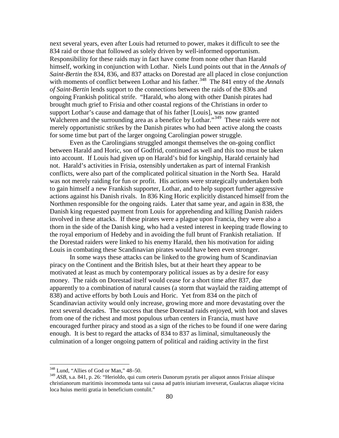next several years, even after Louis had returned to power, makes it difficult to see the 834 raid or those that followed as solely driven by well-informed opportunism. Responsibility for these raids may in fact have come from none other than Harald himself, working in conjunction with Lothar. Niels Lund points out that in the *Annals of Saint-Bertin* the 834, 836, and 837 attacks on Dorestad are all placed in close conjunction with moments of conflict between Lothar and his father.<sup>348</sup> The 841 entry of the *Annals of Saint-Bertin* lends support to the connections between the raids of the 830s and ongoing Frankish political strife. "Harald, who along with other Danish pirates had brought much grief to Frisia and other coastal regions of the Christians in order to support Lothar's cause and damage that of his father [Louis], was now granted Walcheren and the surrounding area as a benefice by Lothar."<sup>349</sup> These raids were not merely opportunistic strikes by the Danish pirates who had been active along the coasts for some time but part of the larger ongoing Carolingian power struggle.

Even as the Carolingians struggled amongst themselves the on-going conflict between Harald and Horic, son of Godfrid, continued as well and this too must be taken into account. If Louis had given up on Harald's bid for kingship, Harald certainly had not. Harald's activities in Frisia, ostensibly undertaken as part of internal Frankish conflicts, were also part of the complicated political situation in the North Sea. Harald was not merely raiding for fun or profit. His actions were strategically undertaken both to gain himself a new Frankish supporter, Lothar, and to help support further aggressive actions against his Danish rivals. In 836 King Horic explicitly distanced himself from the Northmen responsible for the ongoing raids. Later that same year, and again in 838, the Danish king requested payment from Louis for apprehending and killing Danish raiders involved in these attacks. If these pirates were a plague upon Francia, they were also a thorn in the side of the Danish king, who had a vested interest in keeping trade flowing to the royal emporium of Hedeby and in avoiding the full brunt of Frankish retaliation. If the Dorestad raiders were linked to his enemy Harald, then his motivation for aiding Louis in combating these Scandinavian pirates would have been even stronger.

In some ways these attacks can be linked to the growing hum of Scandinavian piracy on the Continent and the British Isles, but at their heart they appear to be motivated at least as much by contemporary political issues as by a desire for easy money. The raids on Dorestad itself would cease for a short time after 837, due apparently to a combination of natural causes (a storm that waylaid the raiding attempt of 838) and active efforts by both Louis and Horic. Yet from 834 on the pitch of Scandinavian activity would only increase, growing more and more devastating over the next several decades. The success that these Dorestad raids enjoyed, with loot and slaves from one of the richest and most populous urban centers in Francia, must have encouraged further piracy and stood as a sign of the riches to be found if one were daring enough. It is best to regard the attacks of 834 to 837 as liminal, simultaneously the culmination of a longer ongoing pattern of political and raiding activity in the first

<span id="page-94-0"></span> <sup>348</sup> Lund, "Allies of God or Man," 48–50.

<span id="page-94-1"></span><sup>349</sup> *ASB*, s.a. 841, p. 26: "Herioldo, qui cum ceteris Danorum pyratis per aliquot annos Frisiae aliisque christianorum maritimis incommoda tanta sui causa ad patris iniuriam invexerat, Gualacras aliaque vicina loca huius meriti gratia in beneficium contulit."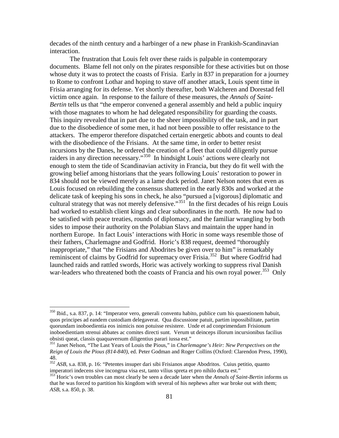decades of the ninth century and a harbinger of a new phase in Frankish-Scandinavian interaction.

The frustration that Louis felt over these raids is palpable in contemporary documents. Blame fell not only on the pirates responsible for these activities but on those whose duty it was to protect the coasts of Frisia. Early in 837 in preparation for a journey to Rome to confront Lothar and hoping to stave off another attack, Louis spent time in Frisia arranging for its defense. Yet shortly thereafter, both Walcheren and Dorestad fell victim once again. In response to the failure of these measures, the *Annals of Saint-Bertin* tells us that "the emperor convened a general assembly and held a public inquiry with those magnates to whom he had delegated responsibility for guarding the coasts. This inquiry revealed that in part due to the sheer impossibility of the task, and in part due to the disobedience of some men, it had not been possible to offer resistance to the attackers. The emperor therefore dispatched certain energetic abbots and counts to deal with the disobedience of the Frisians. At the same time, in order to better resist incursions by the Danes, he ordered the creation of a fleet that could diligently pursue raiders in any direction necessary."[350](#page-95-0) In hindsight Louis' actions were clearly not enough to stem the tide of Scandinavian activity in Francia, but they do fit well with the growing belief among historians that the years following Louis' restoration to power in 834 should not be viewed merely as a lame duck period. Janet Nelson notes that even as Louis focused on rebuilding the consensus shattered in the early 830s and worked at the delicate task of keeping his sons in check, he also "pursued a [vigorous] diplomatic and cultural strategy that was not merely defensive." $351$  In the first decades of his reign Louis had worked to establish client kings and clear subordinates in the north. He now had to be satisfied with peace treaties, rounds of diplomacy, and the familiar wrangling by both sides to impose their authority on the Polabian Slavs and maintain the upper hand in northern Europe. In fact Louis' interactions with Horic in some ways resemble those of their fathers, Charlemagne and Godfrid. Horic's 838 request, deemed "thoroughly inappropriate," that "the Frisians and Abodrites be given over to him" is remarkably reminiscent of claims by Godfrid for supremacy over Frisia.<sup>352</sup> But where Godfrid had launched raids and rattled swords, Horic was actively working to suppress rival Danish war-leaders who threatened both the coasts of Francia and his own royal power.<sup>[353](#page-95-3)</sup> Only

<span id="page-95-0"></span> <sup>350</sup> Ibid., s.a. 837, p. 14: "Imperator vero, generali conventu habito, publice cum his quaestionem habuit, quos principes ad eandem custodiam delegaverat. Qua discussione patuit, partim inpossibilitate, partim quorundam inoboedientia eos inimicis non potuisse resistere. Unde et ad conprimendam Frisionum inoboedientiam strenui abbates ac comites directi sunt. Verum ut deinceps illorum incursionibus facilius

<span id="page-95-1"></span><sup>&</sup>lt;sup>351</sup> Janet Nelson, "The Last Years of Louis the Pious," in *Charlemagne's Heir: New Perspectives on the Reign of Louis the Pious (814-840)*, ed. Peter Godman and Roger Collins (Oxford: Clarendon Press, 1990), 48.

<span id="page-95-2"></span><sup>352</sup> *ASB*, s.a. 838, p. 16: "Petentes insuper dari sibi Frisianos atque Abodritos. Cuius petitio, quanto

<span id="page-95-3"></span><sup>&</sup>lt;sup>353</sup> Horic's own troubles can most clearly be seen a decade later when the *Annals of Saint-Bertin* informs us that he was forced to partition his kingdom with several of his nephews after war broke out with them; *ASB,* s.a. 850, p. 38.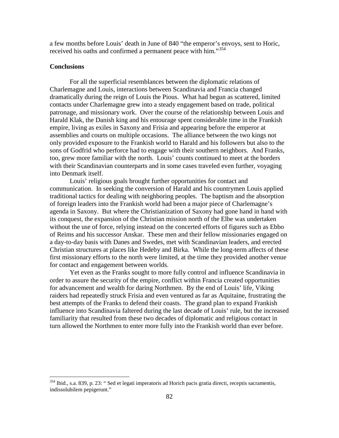a few months before Louis' death in June of 840 "the emperor's envoys, sent to Horic, received his oaths and confirmed a permanent peace with him."<sup>[354](#page-96-0)</sup>

#### **Conclusions**

For all the superficial resemblances between the diplomatic relations of Charlemagne and Louis, interactions between Scandinavia and Francia changed dramatically during the reign of Louis the Pious. What had begun as scattered, limited contacts under Charlemagne grew into a steady engagement based on trade, political patronage, and missionary work. Over the course of the relationship between Louis and Harald Klak, the Danish king and his entourage spent considerable time in the Frankish empire, living as exiles in Saxony and Frisia and appearing before the emperor at assemblies and courts on multiple occasions. The alliance between the two kings not only provided exposure to the Frankish world to Harald and his followers but also to the sons of Godfrid who perforce had to engage with their southern neighbors. And Franks, too, grew more familiar with the north. Louis' counts continued to meet at the borders with their Scandinavian counterparts and in some cases traveled even further, voyaging into Denmark itself.

Louis' religious goals brought further opportunities for contact and communication. In seeking the conversion of Harald and his countrymen Louis applied traditional tactics for dealing with neighboring peoples. The baptism and the absorption of foreign leaders into the Frankish world had been a major piece of Charlemagne's agenda in Saxony. But where the Christianization of Saxony had gone hand in hand with its conquest, the expansion of the Christian mission north of the Elbe was undertaken without the use of force, relying instead on the concerted efforts of figures such as Ebbo of Reims and his successor Anskar. These men and their fellow missionaries engaged on a day-to-day basis with Danes and Swedes, met with Scandinavian leaders, and erected Christian structures at places like Hedeby and Birka. While the long-term affects of these first missionary efforts to the north were limited, at the time they provided another venue for contact and engagement between worlds.

Yet even as the Franks sought to more fully control and influence Scandinavia in order to assure the security of the empire, conflict within Francia created opportunities for advancement and wealth for daring Northmen. By the end of Louis' life, Viking raiders had repeatedly struck Frisia and even ventured as far as Aquitaine, frustrating the best attempts of the Franks to defend their coasts. The grand plan to expand Frankish influence into Scandinavia faltered during the last decade of Louis' rule, but the increased familiarity that resulted from these two decades of diplomatic and religious contact in turn allowed the Northmen to enter more fully into the Frankish world than ever before.

<span id="page-96-0"></span> <sup>354</sup> Ibid., s.a. 839, p. 23: " Sed et legati imperatoris ad Horich pacis gratia directi, receptis sacramentis, indissolubilem pepigerunt."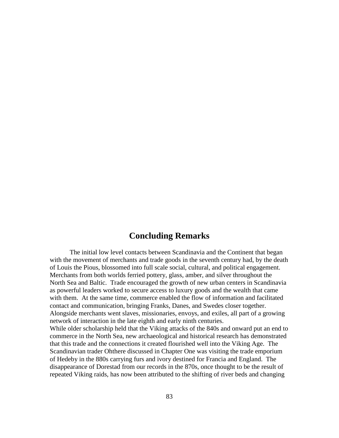# **Concluding Remarks**

The initial low level contacts between Scandinavia and the Continent that began with the movement of merchants and trade goods in the seventh century had, by the death of Louis the Pious, blossomed into full scale social, cultural, and political engagement. Merchants from both worlds ferried pottery, glass, amber, and silver throughout the North Sea and Baltic. Trade encouraged the growth of new urban centers in Scandinavia as powerful leaders worked to secure access to luxury goods and the wealth that came with them. At the same time, commerce enabled the flow of information and facilitated contact and communication, bringing Franks, Danes, and Swedes closer together. Alongside merchants went slaves, missionaries, envoys, and exiles, all part of a growing network of interaction in the late eighth and early ninth centuries. While older scholarship held that the Viking attacks of the 840s and onward put an end to

commerce in the North Sea, new archaeological and historical research has demonstrated that this trade and the connections it created flourished well into the Viking Age. The Scandinavian trader Ohthere discussed in Chapter One was visiting the trade emporium of Hedeby in the 880s carrying furs and ivory destined for Francia and England. The disappearance of Dorestad from our records in the 870s, once thought to be the result of repeated Viking raids, has now been attributed to the shifting of river beds and changing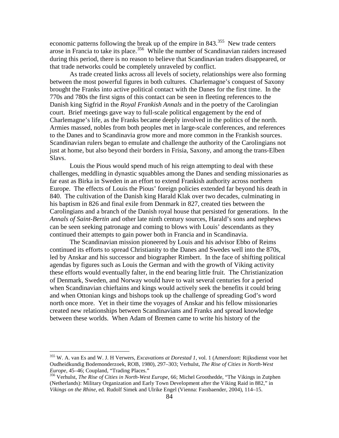economic patterns following the break up of the empire in  $843.355$  New trade centers arose in Francia to take its place.<sup>[356](#page-98-1)</sup> While the number of Scandinavian raiders increased during this period, there is no reason to believe that Scandinavian traders disappeared, or that trade networks could be completely unraveled by conflict.

As trade created links across all levels of society, relationships were also forming between the most powerful figures in both cultures. Charlemagne's conquest of Saxony brought the Franks into active political contact with the Danes for the first time. In the 770s and 780s the first signs of this contact can be seen in fleeting references to the Danish king Sigfrid in the *Royal Frankish Annals* and in the poetry of the Carolingian court. Brief meetings gave way to full-scale political engagement by the end of Charlemagne's life, as the Franks became deeply involved in the politics of the north. Armies massed, nobles from both peoples met in large-scale conferences, and references to the Danes and to Scandinavia grow more and more common in the Frankish sources. Scandinavian rulers began to emulate and challenge the authority of the Carolingians not just at home, but also beyond their borders in Frisia, Saxony, and among the trans-Elben Slavs.

Louis the Pious would spend much of his reign attempting to deal with these challenges, meddling in dynastic squabbles among the Danes and sending missionaries as far east as Birka in Sweden in an effort to extend Frankish authority across northern Europe. The effects of Louis the Pious' foreign policies extended far beyond his death in 840. The cultivation of the Danish king Harald Klak over two decades, culminating in his baptism in 826 and final exile from Denmark in 827, created ties between the Carolingians and a branch of the Danish royal house that persisted for generations. In the *Annals of Saint-Bertin* and other late ninth century sources, Harald's sons and nephews can be seen seeking patronage and coming to blows with Louis' descendants as they continued their attempts to gain power both in Francia and in Scandinavia.

The Scandinavian mission pioneered by Louis and his advisor Ebbo of Reims continued its efforts to spread Christianity to the Danes and Swedes well into the 870s, led by Anskar and his successor and biographer Rimbert. In the face of shifting political agendas by figures such as Louis the German and with the growth of Viking activity these efforts would eventually falter, in the end bearing little fruit. The Christianization of Denmark, Sweden, and Norway would have to wait several centuries for a period when Scandinavian chieftains and kings would actively seek the benefits it could bring and when Ottonian kings and bishops took up the challenge of spreading God's word north once more. Yet in their time the voyages of Anskar and his fellow missionaries created new relationships between Scandinavians and Franks and spread knowledge between these worlds. When Adam of Bremen came to write his history of the

<span id="page-98-0"></span> <sup>355</sup> W. A. van Es and W. J. H Verwers, *Excavations at Dorestad 1*, vol. 1 (Amersfoort: Rijksdienst voor het Oudheidkundig Bodemonderzoek, ROB, 1980), 297–303; Verhulst, *The Rise of Cities in North-West Europe*, 45–46; Coupland, "Trading Places." <sup>356</sup> Verhulst, *The Rise of Cities in North-West Europe*, 66; Michel Groothedde, "The Vikings in Zutphen

<span id="page-98-1"></span><sup>(</sup>Netherlands): Military Organization and Early Town Development after the Viking Raid in 882," in *Vikings on the Rhine*, ed. Rudolf Simek and Ulrike Engel (Vienna: Fassbaender, 2004), 114–15.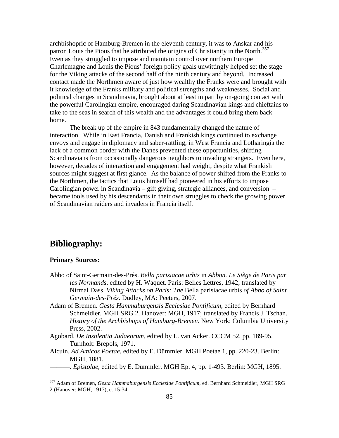archbishopric of Hamburg-Bremen in the eleventh century, it was to Anskar and his patron Louis the Pious that he attributed the origins of Christianity in the North.<sup>[357](#page-99-0)</sup> Even as they struggled to impose and maintain control over northern Europe Charlemagne and Louis the Pious' foreign policy goals unwittingly helped set the stage for the Viking attacks of the second half of the ninth century and beyond. Increased contact made the Northmen aware of just how wealthy the Franks were and brought with it knowledge of the Franks military and political strengths and weaknesses. Social and political changes in Scandinavia, brought about at least in part by on-going contact with the powerful Carolingian empire, encouraged daring Scandinavian kings and chieftains to take to the seas in search of this wealth and the advantages it could bring them back home.

The break up of the empire in 843 fundamentally changed the nature of interaction. While in East Francia, Danish and Frankish kings continued to exchange envoys and engage in diplomacy and saber-rattling, in West Francia and Lotharingia the lack of a common border with the Danes prevented these opportunities, shifting Scandinavians from occasionally dangerous neighbors to invading strangers. Even here, however, decades of interaction and engagement had weight, despite what Frankish sources might suggest at first glance. As the balance of power shifted from the Franks to the Northmen, the tactics that Louis himself had pioneered in his efforts to impose Carolingian power in Scandinavia – gift giving, strategic alliances, and conversion – became tools used by his descendants in their own struggles to check the growing power of Scandinavian raiders and invaders in Francia itself.

# **Bibliography:**

# **Primary Sources:**

- Abbo of Saint-Germain-des-Prés. *Bella parisiacae urbis* in *Abbon. Le Siège de Paris par les Normands,* edited by H. Waquet. Paris: Belles Lettres, 1942; translated by Nirmal Dass. *Viking Attacks on Paris: The* Bella parisiacae urbis *of Abbo of Saint Germain-des-Prés*. Dudley, MA: Peeters, 2007.
- Adam of Bremen. *Gesta Hammaburgensis Ecclesiae Pontificum*, edited by Bernhard Schmeidler. MGH SRG 2. Hanover: MGH, 1917; translated by Francis J. Tschan. *History of the Archbishops of Hamburg-Bremen*. New York: Columbia University Press, 2002.
- Agobard. *De Insolentia Judaeorum,* edited by L. van Acker. CCCM 52, pp. 189-95. Turnholt: Brepols, 1971.
- Alcuin. *Ad Amicos Poetae*, edited by E. Dümmler. MGH Poetae 1, pp. 220-23. Berlin: MGH, 1881.
- ———. *Epistolae*, edited by E. Dümmler. MGH Ep. 4, pp. 1-493. Berlin: MGH, 1895.

<span id="page-99-0"></span> <sup>357</sup> Adam of Bremen, *Gesta Hammaburgensis Ecclesiae Pontificum*, ed. Bernhard Schmeidler, MGH SRG 2 (Hanover: MGH, 1917), c. 15-34.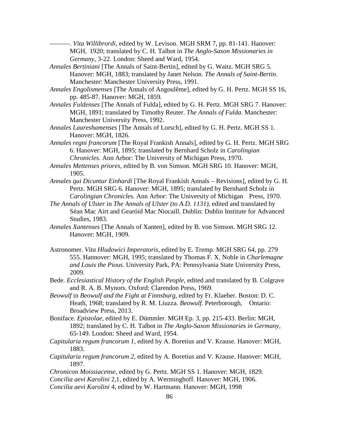———. *Vita Willibrordi*, edited by W. Levison. MGH SRM 7, pp. 81-141. Hanover: MGH, 1920; translated by C. H. Talbot in *The Anglo-Saxon Missionaries in Germany,* 3-22. London: Sheed and Ward, 1954.

- *Annales Bertiniani* [The Annals of Saint-Bertin], edited by G. Waitz. MGH SRG 5. Hanover: MGH, 1883; translated by Janet Nelson. *The Annals of Saint-Bertin*. Manchester: Manchester University Press, 1991.
- *Annales Engolismenses* [The Annals of Angoulême], edited by G. H. Pertz. MGH SS 16, pp. 485-87. Hanover: MGH, 1859.
- *Annales Fuldenses* [The Annals of Fulda], edited by G. H. Pertz. MGH SRG 7. Hanover: MGH, 1891; translated by Timothy Reuter. *The Annals of Fulda*. Manchester: Manchester University Press, 1992.
- *Annales Laureshamenses* [The Annals of Lorsch], edited by G. H. Pertz. MGH SS 1. Hanover: MGH, 1826.
- *Annales regni francorum* [The Royal Frankish Annals], edited by G. H. Pertz. MGH SRG 6. Hanover: MGH, 1895; translated by Bernhard Scholz in *Carolingian Chronicles*. Ann Arbor: The University of Michigan Press, 1970.
- *Annales Mettenses priores*, edited by B. von Simson. MGH SRG 10. Hanover: MGH, 1905.
- *Annales qui Dicuntur Einhardi* [The Royal Frankish Annals Revisions], edited by G. H. Pertz. MGH SRG 6. Hanover: MGH, 1895; translated by Bernhard Scholz in *Carolingian Chronicles*. Ann Arbor: The University of Michigan Press, 1970.
- *The Annals of Ulster* in *The Annals of Ulster (to A.D. 1131),* edited and translated by Séan Mac Airt and Gearóid Mac Niocaill. Dublin: Dublin Institute for Advanced Studies, 1983.
- *Annales Xantenses* [The Annals of Xanten], edited by B. von Simson. MGH SRG 12. Hanover: MGH, 1909.
- Astronomer. *Vita Hludowici Imperatoris*, edited by E. Tremp. MGH SRG 64, pp. 279 555. Hannover: MGH, 1995; translated by Thomas F. X. Noble in *Charlemagne and Louis the Pious*. University Park, PA: Pennsylvania State University Press, 2009.
- Bede. *Ecclesiastical History of the English People,* edited and translated by B. Colgrave and R. A. B. Mynors. Oxford: Clarendon Press, 1969.
- *Beowulf* in *Beowulf and the Fight at Finnsburg*, edited by Fr. Klaeber. Boston: D. C. Heath, 1968; translated by R. M. Liuzza. *Beowulf*. Peterborough, Ontario: Broadview Press, 2013.
- Boniface. *Epistolae*, edited by E. Dümmler. MGH Ep. 3, pp. 215-433. Berlin: MGH, 1892; translated by C. H. Talbot in *The Anglo-Saxon Missionaries in Germany,* 65-149. London: Sheed and Ward, 1954.
- *Capitularia regum francorum 1*, edited by A. Boretius and V. Krause. Hanover: MGH, 1883.
- *Capitularia regum francorum 2*, edited by A. Boretius and V. Krause. Hanover: MGH, 1897.

*Chronicon Moissiacense*, edited by G. Pertz. MGH SS 1. Hanover: MGH, 1829.

*Concilia aevi Karolini* 2,1, edited by A. Werminghoff. Hanover: MGH, 1906.

*Concilia aevi Karolini* 4, edited by W. Hartmann. Hanover: MGH, 1998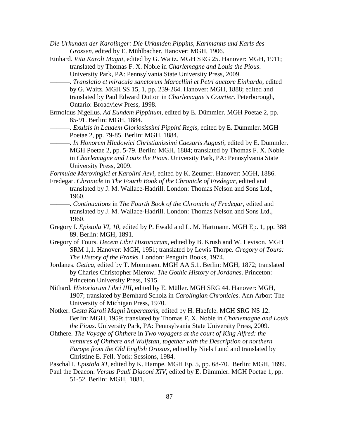- *Die Urkunden der Karolinger: Die Urkunden Pippins, Karlmanns und Karls des Grossen,* edited by E. Mühlbacher. Hanover: MGH, 1906.
- Einhard. *Vita Karoli Magni*, edited by G. Waitz. MGH SRG 25. Hanover: MGH, 1911; translated by Thomas F. X. Noble in *Charlemagne and Louis the Pious*. University Park, PA: Pennsylvania State University Press, 2009.
- ———. *Translatio et miracula sanctorum Marcellini et Petri auctore Einhardo*, edited by G. Waitz. MGH SS 15, 1, pp. 239-264. Hanover: MGH, 1888; edited and translated by Paul Edward Dutton in *Charlemagne's Courtier*. Peterborough, Ontario: Broadview Press, 1998.
- Ermoldus Nigellus. *Ad Eundem Pippinum*, edited by E. Dümmler. MGH Poetae 2, pp. 85-91. Berlin: MGH, 1884.
- ———. *Exulsis in Laudem Gloriosissimi Pippini Regis*, edited by E. Dümmler. MGH Poetae 2, pp. 79-85. Berlin: MGH, 1884.
	- ———. *In Honorem Hludowici Christianissimi Caesaris Augusti*, edited by E. Dümmler. MGH Poetae 2, pp. 5-79. Berlin: MGH, 1884; translated by Thomas F. X. Noble in *Charlemagne and Louis the Pious*. University Park, PA: Pennsylvania State University Press, 2009.

*Formulae Merovingici et Karolini Aevi,* edited by K. Zeumer. Hanover: MGH, 1886.

- Fredegar. *Chronicle* in *The Fourth Book of the Chronicle of Fredegar*, edited and translated by J. M. Wallace-Hadrill. London: Thomas Nelson and Sons Ltd., 1960.
- ———. *Continuations* in *The Fourth Book of the Chronicle of Fredegar*, edited and translated by J. M. Wallace-Hadrill. London: Thomas Nelson and Sons Ltd., 1960.
- Gregory I. *Epistola VI, 10*, edited by P. Ewald and L. M. Hartmann. MGH Ep. 1, pp. 388 89. Berlin: MGH, 1891.
- Gregory of Tours. *Decem Libri Historiarum,* edited by B. Krush and W. Levison. MGH SRM 1,1. Hanover: MGH, 1951; translated by Lewis Thorpe. *Gregory of Tours: The History of the Franks*. London: Penguin Books, 1974.
- Jordanes. *Getica*, edited by T. Mommsen. MGH AA 5.1. Berlin: MGH, 1872; translated by Charles Christopher Mierow. *The Gothic History of Jordanes*. Princeton: Princeton University Press, 1915.
- Nithard. *Historiarum Libri IIII*, edited by E. Müller. MGH SRG 44. Hanover: MGH, 1907; translated by Bernhard Scholz in *Carolingian Chronicles*. Ann Arbor: The University of Michigan Press, 1970.
- Notker. *Gesta Karoli Magni Imperatoris*, edited by H. Haefele. MGH SRG NS 12. Berlin: MGH, 1959; translated by Thomas F. X. Noble in *Charlemagne and Louis the Pious*. University Park, PA: Pennsylvania State University Press, 2009.
- Ohthere. *The Voyage of Ohthere* in *Two voyagers at the court of King Alfred: the ventures of Ohthere and Wulfstan, together with the Description of northern Europe from the Old English Orosius*, edited by Niels Lund and translated by Christine E. Fell. York: Sessions, 1984.
- Paschal I. *Epistola XI*, edited by K. Hampe. MGH Ep. 5, pp. 68-70. Berlin: MGH, 1899.
- Paul the Deacon. *Versus Pauli Diaconi XIV*, edited by E. Dümmler. MGH Poetae 1, pp. 51-52. Berlin: MGH, 1881.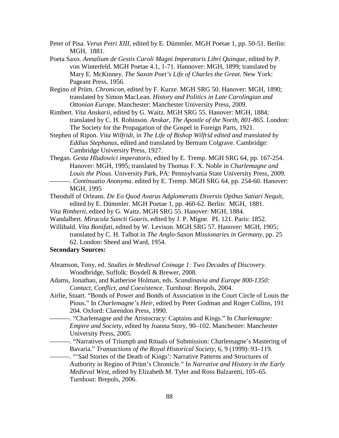- Peter of Pisa. *Verus Petri XIII*, edited by E. Dümmler. MGH Poetae 1, pp. 50-51. Berlin: MGH, 1881.
- Poeta Saxo. *Annalium de Gestis Caroli Magni Imperatoris Libri Quinque*, edited by P. von Winterfeld. MGH Poetae 4.1, 1-71. Hannover: MGH, 1899; translated by Mary E. McKinney. *The Saxon Poet's Life of Charles the Great*. New York: Pageant Press, 1956.
- Regino of Prüm. *Chronicon*, edited by F. Kurze. MGH SRG 50. Hanover: MGH, 1890; translated by Simon MacLean. *History and Politics in Late Carolingian and Ottonian Europe*. Manchester: Manchester University Press, 2009.
- Rimbert. *Vita Anskarii*, edited by G. Waitz. MGH SRG 55. Hanover: MGH, 1884; translated by C. H. Robinson. *Anskar, The Apostle of the North, 801-865*. London: The Society for the Propagation of the Gospel in Foreign Parts, 1921.
- Stephen of Ripon. *Vita Wilfridi*, in *The Life of Bishop Wilfrid edited and translated by Eddius Stephanus*, edited and translated by Bertram Colgrave. Cambridge: Cambridge University Press, 1927.
- Thegan. *Gesta Hludowici imperatoris*, edited by E. Tremp. MGH SRG 64, pp. 167-254. Hanover: MGH, 1995; translated by Thomas F. X. Noble in *Charlemagne and Louis the Pious*. University Park, PA: Pennsylvania State University Press, 2009. ———. *Continuatio Anonyma*. edited by E. Tremp. MGH SRG 64, pp. 254-60. Hanover:
	- MGH, 1995
- Theodulf of Orleans. *De Eo Quod Avarus Adglomeratis Diversis Opibus Satiari Nequit*, edited by E. Dümmler. MGH Poetae 1, pp. 460-62. Berlin: MGH, 1881.
- *Vita Rimberti*, edited by G. Waitz. MGH SRG 55. Hanover: MGH, 1884.
- Wandalbert. *Miracula Sancti Goaris*, edited by J. P. Migne. PL 121. Paris: 1852.
- Willibald. *Vita Bonifati*, edited by W. Levison. MGH SRG 57. Hanover: MGH, 1905; translated by C. H. Talbot in *The Anglo-Saxon Missionaries in Germany,* pp. 25 62. London: Sheed and Ward, 1954.

# **Secondary Sources:**

- Abramson, Tony, ed. *Studies in Medieval Coinage 1: Two Decades of Discovery*. Woodbridge, Suffolk: Boydell & Brewer, 2008.
- Adams, Jonathan, and Katherine Holman, eds. *Scandinavia and Europe 800-1350: Contact, Conflict, and Coexistence*. Turnhout: Brepols, 2004.
- Airlie, Stuart. "Bonds of Power and Bonds of Association in the Court Circle of Louis the Pious." In *Charlemagne's Heir*, edited by Peter Godman and Roger Collins, 191 204. Oxford: Clarendon Press, 1990.
	- ———. "Charlemagne and the Aristocracy: Captains and Kings." In *Charlemagne: Empire and Society*, edited by Joanna Story, 90–102. Manchester: Manchester University Press, 2005.
	- ———. "Narratives of Triumph and Rituals of Submission: Charlemagne's Mastering of Bavaria." *Transactions of the Royal Historical Society*, 6, 9 (1999): 93–119.
	- ———. "'Sad Stories of the Death of Kings': Narrative Patterns and Structures of Authority in Regino of Prüm's Chronicle." In *Narrative and History in the Early Medieval West*, edited by Elizabeth M. Tyler and Ross Balzaretti, 105–65. Turnhout: Brepols, 2006.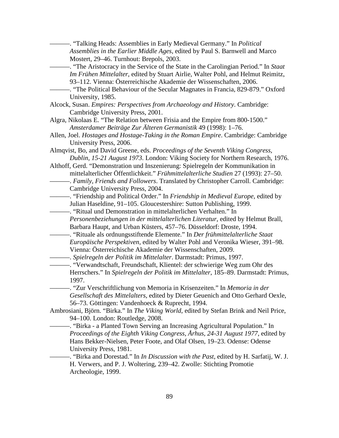| -. "Talking Heads: Assemblies in Early Medieval Germany." In <i>Political</i>                                            |
|--------------------------------------------------------------------------------------------------------------------------|
| Assemblies in the Earlier Middle Ages, edited by Paul S. Barnwell and Marco                                              |
| Mostert, 29–46. Turnhout: Brepols, 2003.                                                                                 |
| . "The Aristocracy in the Service of the State in the Carolingian Period." In Staat                                      |
| Im Frühen Mittelalter, edited by Stuart Airlie, Walter Pohl, and Helmut Reimitz,                                         |
| 93–112. Vienna: Österreichische Akademie der Wissenschaften, 2006.                                                       |
| -. "The Political Behaviour of the Secular Magnates in Francia, 829-879." Oxford                                         |
| University, 1985.                                                                                                        |
| Alcock, Susan. Empires: Perspectives from Archaeology and History. Cambridge:                                            |
| Cambridge University Press, 2001.                                                                                        |
| Algra, Nikolaas E. "The Relation between Frisia and the Empire from 800-1500."                                           |
| Amsterdamer Beiträge Zur Älteren Germanistik 49 (1998): 1-76.                                                            |
| Allen, Joel. Hostages and Hostage-Taking in the Roman Empire. Cambridge: Cambridge                                       |
| University Press, 2006.                                                                                                  |
| Almqvist, Bo, and David Greene, eds. Proceedings of the Seventh Viking Congress,                                         |
| Dublin, 15-21 August 1973. London: Viking Society for Northern Research, 1976.                                           |
| Althoff, Gerd. "Demonstration und Inszenierung: Spielregeln der Kommunikation in                                         |
| mittelalterlicher Öffentlichkeit." Frühmittelalterliche Studien 27 (1993): 27–50.                                        |
|                                                                                                                          |
| Cambridge University Press, 2004.                                                                                        |
| -. "Friendship and Political Order." In Friendship in Medieval Europe, edited by                                         |
| Julian Haseldine, 91-105. Gloucestershire: Sutton Publishing, 1999.                                                      |
| -. "Ritual und Demonstration in mittelalterlichen Verhalten." In                                                         |
| Personenbeziehungen in der mittelalterlichen Literatur, edited by Helmut Brall,                                          |
| Barbara Haupt, and Urban Küsters, 457-76. Düsseldorf: Droste, 1994.                                                      |
| -. "Rituale als ordnungsstiftende Elemente." In Der frühmittelalterliche Staat                                           |
| Europäische Perspektiven, edited by Walter Pohl and Veronika Wieser, 391-98.                                             |
| Vienna: Österreichische Akademie der Wissenschaften, 2009.                                                               |
| -. Spielregeln der Politik im Mittelalter. Darmstadt: Primus, 1997.                                                      |
| -. "Verwandtschaft, Freundschaft, Klientel: der schwierige Weg zum Ohr des                                               |
| Herrschers." In Spielregeln der Politik im Mittelalter, 185-89. Darmstadt: Primus,                                       |
| 1997.                                                                                                                    |
| "Zur Verschriftlichung von Memoria in Krisenzeiten." In Memoria in der                                                   |
| Gesellschaft des Mittelalters, edited by Dieter Geuenich and Otto Gerhard Oexle,                                         |
| 56-73. Göttingen: Vandenhoeck & Ruprecht, 1994.                                                                          |
| Ambrosiani, Björn. "Birka." In The Viking World, edited by Stefan Brink and Neil Price,                                  |
| 94-100. London: Routledge, 2008.                                                                                         |
| - "Birka - a Planted Town Serving an Increasing Agricultural Population." In                                             |
| Proceedings of the Eighth Viking Congress, Århus, 24-31 August 1977, edited by                                           |
| Hans Bekker-Nielsen, Peter Foote, and Olaf Olsen, 19-23. Odense: Odense                                                  |
| University Press, 1981.<br>-. "Birka and Dorestad." In <i>In Discussion with the Past</i> , edited by H. Sarfatij, W. J. |
| H. Verwers, and P. J. Woltering, 239–42. Zwolle: Stichting Promotie                                                      |
| Archeologie, 1999.                                                                                                       |
|                                                                                                                          |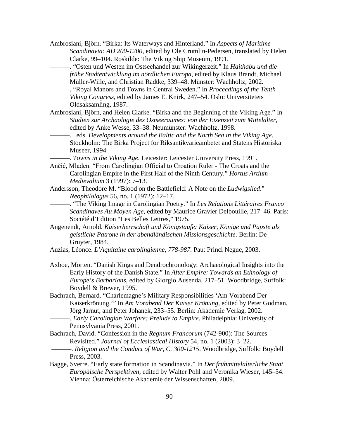- Ambrosiani, Björn. "Birka: Its Waterways and Hinterland." In *Aspects of Maritime Scandinavia: AD 200-1200*, edited by Ole Crumlin-Pedersen, translated by Helen Clarke, 99–104. Roskilde: The Viking Ship Museum, 1991.
	- ———. "Osten und Westen im Ostseehandel zur Wikingerzeit." In *Haithabu und die frühe Stadtentwicklung im nördlichen Europa*, edited by Klaus Brandt, Michael Müller-Wille, and Christian Radtke, 339–48. Münster: Wachholtz, 2002.
	- ———. "Royal Manors and Towns in Central Sweden." In *Proceedings of the Tenth Viking Congress*, edited by James E. Knirk, 247–54. Oslo: Universitetets Oldsaksamling, 1987.
- Ambrosiani, Björn, and Helen Clarke. "Birka and the Beginning of the Viking Age." In *Studien zur Archäologie des Ostseeraumes: von der Eisenzeit zum Mittelalter*, edited by Anke Wesse, 33–38. Neumünster: Wachholtz, 1998.
	- ———. , eds. *Developments around the Baltic and the North Sea in the Viking Age*. Stockholm: The Birka Project for Riksantikvarieämbetet and Statens Historiska Museer, 1994.
	- ———. *Towns in the Viking Age*. Leicester: Leicester University Press, 1991.
- Ančić, Mladen. "From Carolingian Official to Croation Ruler The Croats and the Carolingian Empire in the First Half of the Ninth Century." *Hortus Artium Medievalium* 3 (1997): 7–13.
- Andersson, Theodore M. "Blood on the Battlefield: A Note on the *Ludwigslied*." *Neophilologus* 56, no. 1 (1972): 12–17.
- ———. "The Viking Image in Carolingian Poetry." In *Les Relations Littéraires Franco Scandinaves Au Moyen Age*, edited by Maurice Gravier Delbouille, 217–46. Paris: Société d'Edition "Les Belles Lettres," 1975.
- Angenendt, Arnold. *Kaiserherrschaft und Königstaufe: Kaiser, Könige und Päpste als geistliche Patrone in der abendländischen Missionsgeschichte*. Berlin: De Gruyter, 1984.
- Auzias, Léonce. *L'Aquitaine carolingienne, 778-987*. Pau: Princi Negue, 2003.
- Axboe, Morten. "Danish Kings and Dendrochronology: Archaeological Insights into the Early History of the Danish State." In *After Empire: Towards an Ethnology of Europe's Barbarians*, edited by Giorgio Ausenda, 217–51. Woodbridge, Suffolk: Boydell & Brewer, 1995.
- Bachrach, Bernard. "Charlemagne's Military Responsibilities 'Am Vorabend Der Kaiserkrönung.'" In *Am Vorabend Der Kaiser Krönung*, edited by Peter Godman, Jörg Jarnut, and Peter Johanek, 233–55. Berlin: Akademie Verlag, 2002.
	- ———. *Early Carolingian Warfare: Prelude to Empire*. Philadelphia: University of Pennsylvania Press, 2001.
- Bachrach, David. "Confession in the *Regnum Francorum* (742-900): The Sources Revisited." *Journal of Ecclesiastical History* 54, no. 1 (2003): 3–22.
- ———. *Religion and the Conduct of War, C. 300-1215*. Woodbridge, Suffolk: Boydell Press, 2003.
- Bagge, Sverre. "Early state formation in Scandinavia." In *Der frühmittelalterliche Staat Europäische Perspektiven*, edited by Walter Pohl and Veronika Wieser, 145–54. Vienna: Österreichische Akademie der Wissenschaften, 2009.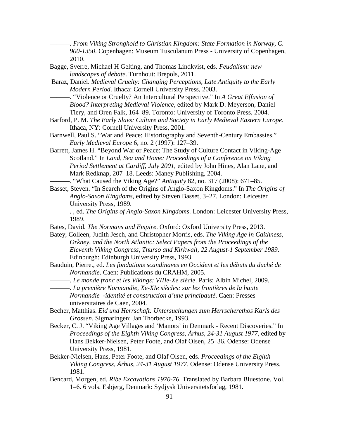———. *From Viking Stronghold to Christian Kingdom: State Formation in Norway, C. 900-1350*. Copenhagen: Museum Tusculanum Press - University of Copenhagen, 2010.

- Bagge, Sverre, Michael H Gelting, and Thomas Lindkvist, eds. *Feudalism: new landscapes of debate*. Turnhout: Brepols, 2011.
- Baraz, Daniel. *Medieval Cruelty: Changing Perceptions, Late Antiquity to the Early Modern Period*. Ithaca: Cornell University Press, 2003.
	- ———. "Violence or Cruelty? An Intercultural Perspective." In *A Great Effusion of Blood? Interpreting Medieval Violence*, edited by Mark D. Meyerson, Daniel Tiery, and Oren Falk, 164–89. Toronto: University of Toronto Press, 2004.
- Barford, P. M. *The Early Slavs: Culture and Society in Early Medieval Eastern Europe*. Ithaca, NY: Cornell University Press, 2001.
- Barnwell, Paul S. "War and Peace: Historiography and Seventh-Century Embassies." *Early Medieval Europe* 6, no. 2 (1997): 127–39.
- Barrett, James H. "Beyond War or Peace: The Study of Culture Contact in Viking-Age Scotland." In *Land, Sea and Home: Proceedings of a Conference on Viking Period Settlement at Cardiff, July 2001*, edited by John Hines, Alan Lane, and Mark Redknap, 207–18. Leeds: Maney Publishing, 2004.
- ———. "What Caused the Viking Age?" *Antiquity* 82, no. 317 (2008): 671–85.
- Basset, Steven. "In Search of the Origins of Anglo-Saxon Kingdoms." In *The Origins of Anglo-Saxon Kingdoms*, edited by Steven Basset, 3–27. London: Leicester University Press, 1989.
	- ———. , ed. *The Origins of Anglo-Saxon Kingdoms*. London: Leicester University Press, 1989.
- Bates, David. *The Normans and Empire*. Oxford: Oxford University Press, 2013.
- Batey, Colleen, Judith Jesch, and Christopher Morris, eds. *The Viking Age in Caithness, Orkney, and the North Atlantic: Select Papers from the Proceedings of the Eleventh Viking Congress, Thurso and Kirkwall, 22 August-1 September 1989*. Edinburgh: Edinburgh University Press, 1993.
- Bauduin, Pierre., ed. *Les fondations scandinaves en Occident et les débuts du duché de Normandie*. Caen: Publications du CRAHM, 2005.
	- ———. *Le monde franc et les Vikings: VIIIe-Xe siècle*. Paris: Albin Michel, 2009.
	- ———. *La première Normandie, Xe-XIe siècles: sur les frontières de la haute Normandie -identité et construction d'une principauté*. Caen: Presses universitaires de Caen, 2004.
- Becher, Matthias. *Eid und Herrschaft: Untersuchungen zum Herrscherethos Karls des Grossen*. Sigmaringen: Jan Thorbecke, 1993.
- Becker, C. J. "Viking Age Villages and 'Manors' in Denmark Recent Discoveries." In *Proceedings of the Eighth Viking Congress, Århus, 24-31 August 1977*, edited by Hans Bekker-Nielsen, Peter Foote, and Olaf Olsen, 25–36. Odense: Odense University Press, 1981.
- Bekker-Nielsen, Hans, Peter Foote, and Olaf Olsen, eds. *Proceedings of the Eighth Viking Congress, Århus, 24-31 August 1977*. Odense: Odense University Press, 1981.
- Bencard, Morgen, ed. *Ribe Excavations 1970-76*. Translated by Barbara Bluestone. Vol. 1–6. 6 vols. Esbjerg, Denmark: Sydjysk Universitetsforlag, 1981.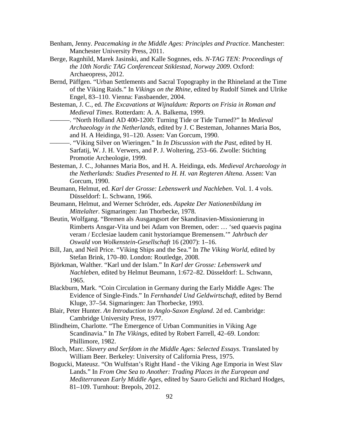- Benham, Jenny. *Peacemaking in the Middle Ages: Principles and Practice*. Manchester: Manchester University Press, 2011.
- Berge, Ragnhild, Marek Jasinski, and Kalle Sognnes, eds. *N-TAG TEN: Proceedings of the 10th Nordic TAG Conferenceat Stiklestad, Norway 2009*. Oxford: Archaeopress, 2012.
- Bernd, Päffgen. "Urban Settlements and Sacral Topography in the Rhineland at the Time of the Viking Raids." In *Vikings on the Rhine*, edited by Rudolf Simek and Ulrike Engel, 83–110. Vienna: Fassbaender, 2004.
- Besteman, J. C., ed. *The Excavations at Wijnaldum: Reports on Frisia in Roman and Medieval Times*. Rotterdam: A. A. Balkema, 1999.
	- ———. "North Holland AD 400-1200: Turning Tide or Tide Turned?" In *Medieval Archaeology in the Netherlands*, edited by J. C Besteman, Johannes Maria Bos, and H. A Heidinga, 91–120. Assen: Van Gorcum, 1990.
	- ———. "Viking Silver on Wieringen." In *In Discussion with the Past*, edited by H. Sarfatij, W. J. H. Verwers, and P. J. Woltering, 253–66. Zwolle: Stichting Promotie Archeologie, 1999.
- Besteman, J. C., Johannes Maria Bos, and H. A. Heidinga, eds. *Medieval Archaeology in the Netherlands: Studies Presented to H. H. van Regteren Altena*. Assen: Van Gorcum, 1990.
- Beumann, Helmut, ed. *Karl der Grosse: Lebenswerk und Nachleben*. Vol. 1. 4 vols. Düsseldorf: L. Schwann, 1966.
- Beumann, Helmut, and Werner Schröder, eds. *Aspekte Der Nationenbildung im Mittelalter*. Sigmaringen: Jan Thorbecke, 1978.
- Beutin, Wolfgang. "Bremen als Ausgangsort der Skandinavien-Missionierung in Rimberts Ansgar-Vita und bei Adam von Bremen, oder: … 'sed quaevis pagina veram / Ecclesiae laudem canit hystoriamque Bremensem.'" *Jahrbuch der Oswald von Wolkenstein-Gesellschaft* 16 (2007): 1–16.
- Bill, Jan, and Neil Price. "Viking Ships and the Sea." In *The Viking World*, edited by Stefan Brink, 170–80. London: Routledge, 2008.
- Björkman, Walther. "Karl und der Islam." In *Karl der Grosse: Lebenswerk und Nachleben*, edited by Helmut Beumann, 1:672–82. Düsseldorf: L. Schwann, 1965.
- Blackburn, Mark. "Coin Circulation in Germany during the Early Middle Ages: The Evidence of Single-Finds." In *Fernhandel Und Geldwirtschaft*, edited by Bernd Kluge, 37–54. Sigmaringen: Jan Thorbecke, 1993.
- Blair, Peter Hunter. *An Introduction to Anglo-Saxon England*. 2d ed. Cambridge: Cambridge University Press, 1977.
- Blindheim, Charlotte. "The Emergence of Urban Communities in Viking Age Scandinavia." In *The Vikings*, edited by Robert Farrell, 42–69. London: Phillimore, 1982.
- Bloch, Marc. *Slavery and Serfdom in the Middle Ages: Selected Essays*. Translated by William Beer. Berkeley: University of California Press, 1975.
- Bogucki, Mateusz. "On Wulfstan's Right Hand the Viking Age Emporia in West Slav Lands." In *From One Sea to Another: Trading Places in the European and Mediterranean Early Middle Ages*, edited by Sauro Gelichi and Richard Hodges, 81–109. Turnhout: Brepols, 2012.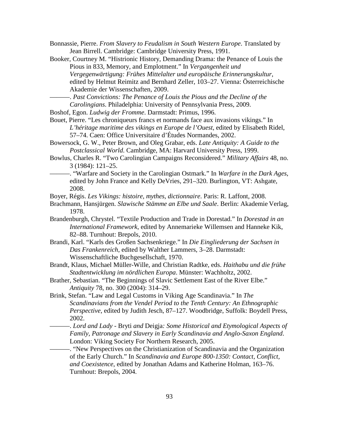- Bonnassie, Pierre. *From Slavery to Feudalism in South Western Europe*. Translated by Jean Birrell. Cambridge: Cambridge University Press, 1991.
- Booker, Courtney M. "Histrionic History, Demanding Drama: the Penance of Louis the Pious in 833, Memory, and Emplotment." In *Vergangenheit und Vergegenwärtigung: Frühes Mittelalter und europäische Erinnerungskultur*, edited by Helmut Reimitz and Bernhard Zeller, 103–27. Vienna: Österreichische Akademie der Wissenschaften, 2009.
	- ———. *Past Convictions: The Penance of Louis the Pious and the Decline of the Carolingians*. Philadelphia: University of Pennsylvania Press, 2009.
- Boshof, Egon. *Ludwig der Fromme*. Darmstadt: Primus, 1996.
- Bouet, Pierre. "Les chroniqueurs francs et normands face aux invasions vikings." In *L'héritage maritime des vikings en Europe de l'Ouest*, edited by Elisabeth Ridel, 57–74. Caen: Office Universitaire d'Études Normandes, 2002.
- Bowersock, G. W., Peter Brown, and Oleg Grabar, eds. *Late Antiquity: A Guide to the Postclassical World*. Cambridge, MA: Harvard University Press, 1999.
- Bowlus, Charles R. "Two Carolingian Campaigns Reconsidered." *Military Affairs* 48, no. 3 (1984): 121–25.
- ———. "Warfare and Society in the Carolingian Ostmark." In *Warfare in the Dark Ages*, edited by John France and Kelly DeVries, 291–320. Burlington, VT: Ashgate, 2008.
- Boyer, Régis. *Les Vikings: histoire, mythes, dictionnaire*. Paris: R. Laffont, 2008.
- Brachmann, Hansjürgen. *Slawische Stämme an Elbe und Saale*. Berlin: Akademie Verlag, 1978.
- Brandenburgh, Chrystel. "Textile Production and Trade in Dorestad." In *Dorestad in an International Framework*, edited by Annemarieke Willemsen and Hanneke Kik, 82–88. Turnhout: Brepols, 2010.
- Brandi, Karl. "Karls des Großen Sachsenkriege." In *Die Eingliederung der Sachsen in Das Frankenreich*, edited by Walther Lammers, 3–28. Darmstadt: Wissenschaftliche Buchgesellschaft, 1970.
- Brandt, Klaus, Michael Müller-Wille, and Christian Radtke, eds. *Haithabu und die frühe Stadtentwicklung im nördlichen Europa*. Münster: Wachholtz, 2002.
- Brather, Sebastian. "The Beginnings of Slavic Settlement East of the River Elbe." *Antiquity* 78, no. 300 (2004): 314–29.
- Brink, Stefan. "Law and Legal Customs in Viking Age Scandinavia." In *The Scandinavians from the Vendel Period to the Tenth Century: An Ethnographic Perspective*, edited by Judith Jesch, 87–127. Woodbridge, Suffolk: Boydell Press, 2002.
	- ———. *Lord and Lady -* Bryti *and* Deigja*: Some Historical and Etymological Aspects of Family, Patronage and Slavery in Early Scandinavia and Anglo-Saxon England*. London: Viking Society For Northern Research, 2005.
		- ———. "New Perspectives on the Christianization of Scandinavia and the Organization of the Early Church." In *Scandinavia and Europe 800-1350: Contact, Conflict, and Coexistence*, edited by Jonathan Adams and Katherine Holman, 163–76. Turnhout: Brepols, 2004.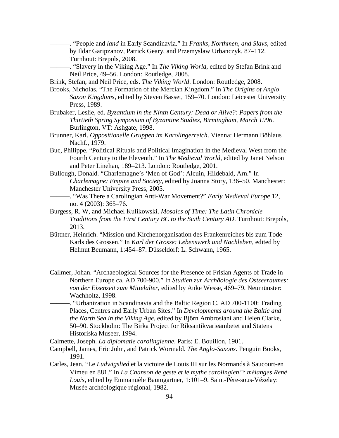- ———. "People and *land* in Early Scandinavia." In *Franks, Northmen, and Slavs*, edited by Ildar Garipzanov, Patrick Geary, and Przemyslaw Urbanczyk, 87–112. Turnhout: Brepols, 2008.
- ———. "Slavery in the Viking Age." In *The Viking World*, edited by Stefan Brink and Neil Price, 49–56. London: Routledge, 2008.

Brink, Stefan, and Neil Price, eds. *The Viking World*. London: Routledge, 2008.

- Brooks, Nicholas. "The Formation of the Mercian Kingdom." In *The Origins of Anglo Saxon Kingdoms*, edited by Steven Basset, 159–70. London: Leicester University Press, 1989.
- Brubaker, Leslie, ed. *Byzantium in the Ninth Century: Dead or Alive?: Papers from the Thirtieth Spring Symposium of Byzantine Studies, Birmingham, March 1996*. Burlington, VT: Ashgate, 1998.
- Brunner, Karl. *Oppositionelle Gruppen im Karolingerreich*. Vienna: Hermann Böhlaus Nachf., 1979.
- Buc, Philippe. "Political Rituals and Political Imagination in the Medieval West from the Fourth Century to the Eleventh." In *The Medieval World*, edited by Janet Nelson and Peter Linehan, 189–213. London: Routledge, 2001.
- Bullough, Donald. "Charlemagne's 'Men of God': Alcuin, Hildebald, Arn." In *Charlemagne: Empire and Society*, edited by Joanna Story, 136–50. Manchester: Manchester University Press, 2005.
	- ———. "Was There a Carolingian Anti-War Movement?" *Early Medieval Europe* 12, no. 4 (2003): 365–76.
- Burgess, R. W, and Michael Kulikowski. *Mosaics of Time: The Latin Chronicle Traditions from the First Century BC to the Sixth Century AD*. Turnhout: Brepols, 2013.
- Büttner, Heinrich. "Mission und Kirchenorganisation des Frankenreiches bis zum Tode Karls des Grossen." In *Karl der Grosse: Lebenswerk und Nachleben*, edited by Helmut Beumann, 1:454–87. Düsseldorf: L. Schwann, 1965.
- Callmer, Johan. "Archaeological Sources for the Presence of Frisian Agents of Trade in Northern Europe ca. AD 700-900." In *Studien zur Archäologie des Ostseeraumes: von der Eisenzeit zum Mittelalter*, edited by Anke Wesse, 469–79. Neumünster: Wachholtz, 1998.
	- ———. "Urbanization in Scandinavia and the Baltic Region C. AD 700-1100: Trading Places, Centres and Early Urban Sites." In *Developments around the Baltic and the North Sea in the Viking Age*, edited by Björn Ambrosiani and Helen Clarke, 50–90. Stockholm: The Birka Project for Riksantikvarieämbetet and Statens Historiska Museer, 1994.
- Calmette, Joseph. *La diplomatie carolingienne*. Paris: E. Bouillon, 1901.
- Campbell, James, Eric John, and Patrick Wormald. *The Anglo-Saxons*. Penguin Books, 1991.
- Carles, Jean. "Le *Ludwigslied* et la victoire de Louis III sur les Normands à Saucourt-en Vimeu en 881." In *La Chanson de geste et le mythe carolingien : mélanges René Louis*, edited by Emmanuèle Baumgartner, 1:101–9. Saint-Père-sous-Vézelay: Musée archéologique régional, 1982.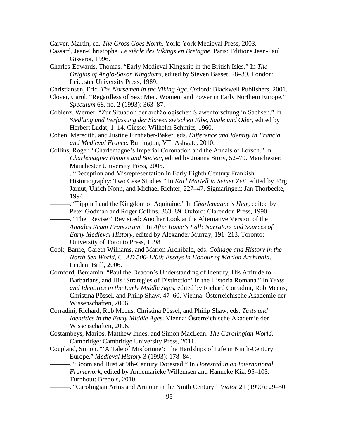Carver, Martin, ed. *The Cross Goes North*. York: York Medieval Press, 2003.

- Cassard, Jean-Christophe. *Le siècle des Vikings en Bretagne*. Paris: Editions Jean-Paul Gisserot, 1996.
- Charles-Edwards, Thomas. "Early Medieval Kingship in the British Isles." In *The Origins of Anglo-Saxon Kingdoms*, edited by Steven Basset, 28–39. London: Leicester University Press, 1989.
- Christiansen, Eric. *The Norsemen in the Viking Age*. Oxford: Blackwell Publishers, 2001.
- Clover, Carol. "Regardless of Sex: Men, Women, and Power in Early Northern Europe." *Speculum* 68, no. 2 (1993): 363–87.
- Coblenz, Werner. "Zur Situation der archäologischen Slawenforschung in Sachsen." In *Siedlung und Verfassung der Slawen zwischen Elbe, Saale und Oder*, edited by Herbert Ludat, 1–14. Giesse: Wilhelm Schmitz, 1960.
- Cohen, Meredith, and Justine Firnhaber-Baker, eds. *Difference and Identity in Francia and Medieval France*. Burlington, VT: Ashgate, 2010.
- Collins, Roger. "Charlemagne's Imperial Coronation and the Annals of Lorsch." In *Charlemagne: Empire and Society*, edited by Joanna Story, 52–70. Manchester: Manchester University Press, 2005.
- -. "Deception and Misrepresentation in Early Eighth Century Frankish Historiography: Two Case Studies." In *Karl Martell in Seiner Zeit*, edited by Jörg Jarnut, Ulrich Nonn, and Michael Richter, 227–47. Sigmaringen: Jan Thorbecke, 1994.
- ———. "Pippin I and the Kingdom of Aquitaine." In *Charlemagne's Heir*, edited by Peter Godman and Roger Collins, 363–89. Oxford: Clarendon Press, 1990.
	- ———. "The 'Reviser' Revisited: Another Look at the Alternative Version of the *Annales Regni Francorum*." In *After Rome's Fall: Narrators and Sources of Early Medieval History*, edited by Alexander Murray, 191–213. Toronto: University of Toronto Press, 1998.
- Cook, Barrie, Gareth Williams, and Marion Archibald, eds. *Coinage and History in the North Sea World, C. AD 500-1200: Essays in Honour of Marion Archibald*. Leiden: Brill, 2006.
- Cornford, Benjamin. "Paul the Deacon's Understanding of Identity, His Attitude to Barbarians, and His 'Strategies of Distinction' in the Historia Romana." In *Texts and Identities in the Early Middle Ages*, edited by Richard Corradini, Rob Meens, Christina Pössel, and Philip Shaw, 47–60. Vienna: Österreichische Akademie der Wissenschaften, 2006.
- Corradini, Richard, Rob Meens, Christina Pössel, and Philip Shaw, eds. *Texts and Identities in the Early Middle Ages*. Vienna: Österreichische Akademie der Wissenschaften, 2006.
- Costambeys, Marios, Matthew Innes, and Simon MacLean. *The Carolingian World*. Cambridge: Cambridge University Press, 2011.
- Coupland, Simon. "'A Tale of Misfortune': The Hardships of Life in Ninth-Century Europe." *Medieval History* 3 (1993): 178–84.
	- ———. "Boom and Bust at 9th-Century Dorestad." In *Dorestad in an International Framework*, edited by Annemarieke Willemsen and Hanneke Kik, 95–103. Turnhout: Brepols, 2010.
	- ———. "Carolingian Arms and Armour in the Ninth Century." *Viator* 21 (1990): 29–50.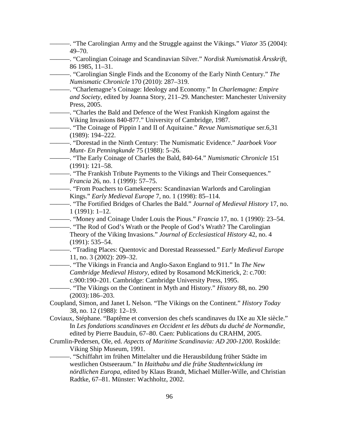| $49 - 70.$                                                                                                                                                               |
|--------------------------------------------------------------------------------------------------------------------------------------------------------------------------|
|                                                                                                                                                                          |
| 86 1985, 11 - 31.                                                                                                                                                        |
|                                                                                                                                                                          |
| Numismatic Chronicle 170 (2010): 287-319.                                                                                                                                |
| and Society, edited by Joanna Story, 211-29. Manchester: Manchester University                                                                                           |
| Press, 2005.                                                                                                                                                             |
| - "Charles the Bald and Defence of the West Frankish Kingdom against the                                                                                                 |
| Viking Invasions 840-877." University of Cambridge, 1987.                                                                                                                |
|                                                                                                                                                                          |
| $(1989): 194 - 222.$                                                                                                                                                     |
|                                                                                                                                                                          |
| Munt- En Penningkunde 75 (1988): 5-26.                                                                                                                                   |
| - The Early Coinage of Charles the Bald, 840-64." Numismatic Chronicle 151                                                                                               |
| $(1991): 121-58.$                                                                                                                                                        |
|                                                                                                                                                                          |
| Francia 26, no. 1 (1999): 57-75.                                                                                                                                         |
|                                                                                                                                                                          |
| Kings." Early Medieval Europe 7, no. 1 (1998): 85-114.                                                                                                                   |
| - The Fortified Bridges of Charles the Bald." Journal of Medieval History 17, no.                                                                                        |
| $1(1991): 1-12.$                                                                                                                                                         |
| - "Money and Coinage Under Louis the Pious." <i>Francia</i> 17, no. 1 (1990): 23–54.                                                                                     |
| - - The Rod of God's Wrath or the People of God's Wrath? The Carolingian                                                                                                 |
| Theory of the Viking Invasions." Journal of Ecclesiastical History 42, no. 4                                                                                             |
| $(1991): 535 - 54.$                                                                                                                                                      |
|                                                                                                                                                                          |
| 11, no. 3 (2002): 209–32.                                                                                                                                                |
| -. "The Vikings in Francia and Anglo-Saxon England to 911." In The New                                                                                                   |
| Cambridge Medieval History, edited by Rosamond McKitterick, 2: c.700:                                                                                                    |
| c.900:190-201. Cambridge: Cambridge University Press, 1995.                                                                                                              |
| "The Vikings on the Continent in Myth and History." History 88, no. 290                                                                                                  |
| $(2003): 186 - 203.$                                                                                                                                                     |
| Coupland, Simon, and Janet L Nelson. "The Vikings on the Continent." History Today                                                                                       |
| 38, no. 12 (1988): 12-19.                                                                                                                                                |
| Coviaux, Stéphane. "Baptême et conversion des chefs scandinaves du IXe au XIe siècle."<br>In Les fondations scandinaves en Occident et les débuts du duché de Normandie, |
| edited by Pierre Bauduin, 67–80. Caen: Publications du CRAHM, 2005.                                                                                                      |
| Crumlin-Pedersen, Ole, ed. Aspects of Maritime Scandinavia: AD 200-1200. Roskilde:                                                                                       |
| Viking Ship Museum, 1991.                                                                                                                                                |
| -. "Schiffahrt im frühen Mittelalter und die Herausbildung früher Städte im                                                                                              |
| westlichen Ostseeraum." In Haithabu und die frühe Stadtentwicklung im                                                                                                    |
| nördlichen Europa, edited by Klaus Brandt, Michael Müller-Wille, and Christian                                                                                           |
| Radtke, 67-81. Münster: Wachholtz, 2002.                                                                                                                                 |
|                                                                                                                                                                          |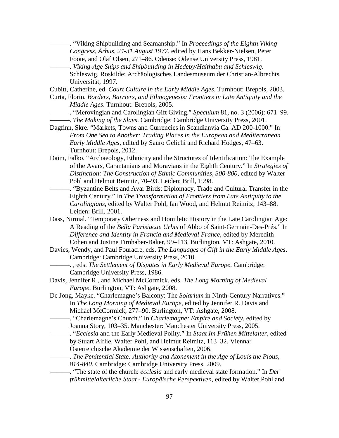———. "Viking Shipbuilding and Seamanship." In *Proceedings of the Eighth Viking Congress, Århus, 24-31 August 1977*, edited by Hans Bekker-Nielsen, Peter Foote, and Olaf Olsen, 271–86. Odense: Odense University Press, 1981.

———. *Viking-Age Ships and Shipbuilding in Hedeby/Haithabu and Schleswig*. Schleswig, Roskilde: Archäologisches Landesmuseum der Christian-Albrechts Universität, 1997.

Cubitt, Catherine, ed. *Court Culture in the Early Middle Ages*. Turnhout: Brepols, 2003.

Curta, Florin. *Borders, Barriers, and Ethnogenesis: Frontiers in Late Antiquity and the Middle Ages*. Turnhout: Brepols, 2005.

- ———. "Merovingian and Carolingian Gift Giving." *Speculum* 81, no. 3 (2006): 671–99. ———. *The Making of the Slavs*. Cambridge: Cambridge University Press, 2001.
- Dagfinn, Skre. "Markets, Towns and Currencies in Scandianvia Ca. AD 200-1000." In *From One Sea to Another: Trading Places in the European and Mediterranean Early Middle Ages*, edited by Sauro Gelichi and Richard Hodges, 47–63. Turnhout: Brepols, 2012.
- Daim, Falko. "Archaeology, Ethnicity and the Structures of Identification: The Example of the Avars, Carantanians and Moravians in the Eighth Century." In *Strategies of Distinction: The Construction of Ethnic Communities, 300-800*, edited by Walter Pohl and Helmut Reimitz, 70–93. Leiden: Brill, 1998.

———. "Byzantine Belts and Avar Birds: Diplomacy, Trade and Cultural Transfer in the Eighth Century." In *The Transformation of Frontiers from Late Antiquity to the Carolingians*, edited by Walter Pohl, Ian Wood, and Helmut Reimitz, 143–88. Leiden: Brill, 2001.

- Dass, Nirmal. "Temporary Otherness and Homiletic History in the Late Carolingian Age: A Reading of the *Bella Parisiacae Urbis* of Abbo of Saint-Germain-Des-Prés." In *Difference and Identity in Francia and Medieval France*, edited by Meredith Cohen and Justine Firnhaber-Baker, 99–113. Burlington, VT: Ashgate, 2010.
- Davies, Wendy, and Paul Fouracre, eds. *The Languages of Gift in the Early Middle Ages*. Cambridge: Cambridge University Press, 2010.
	- ———. , eds. *The Settlement of Disputes in Early Medieval Europe*. Cambridge: Cambridge University Press, 1986.
- Davis, Jennifer R., and Michael McCormick, eds. *The Long Morning of Medieval Europe*. Burlington, VT: Ashgate, 2008.
- De Jong, Mayke. "Charlemagne's Balcony: The *Solarium* in Ninth-Century Narratives." In *The Long Morning of Medieval Europe*, edited by Jennifer R. Davis and Michael McCormick, 277–90. Burlington, VT: Ashgate, 2008.
	- ———. "Charlemagne's Church." In *Charlemagne: Empire and Society*, edited by Joanna Story, 103–35. Manchester: Manchester University Press, 2005.
		- ———. "*Ecclesia* and the Early Medieval Polity." In *Staat Im Frühen Mittelalter*, edited by Stuart Airlie, Walter Pohl, and Helmut Reimitz, 113–32. Vienna: Österreichische Akademie der Wissenschaften, 2006.
	- ———. *The Penitential State: Authority and Atonement in the Age of Louis the Pious, 814-840*. Cambridge: Cambridge University Press, 2009.
	- ———. "The state of the church: *ecclesia* and early medieval state formation." In *Der frühmittelalterliche Staat - Europäische Perspektiven*, edited by Walter Pohl and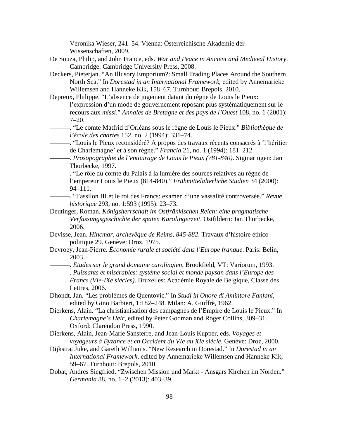Veronika Wieser, 241–54. Vienna: Österreichische Akademie der Wissenschaften, 2009.

- De Souza, Philip, and John France, eds. *War and Peace in Ancient and Medieval History*. Cambridge: Cambridge University Press, 2008.
- Deckers, Pieterjan. "An Illusory Emporium?: Small Trading Places Around the Southern North Sea." In *Dorestad in an International Framework*, edited by Annemarieke Willemsen and Hanneke Kik, 158–67. Turnhout: Brepols, 2010.
- Depreux, Philippe. "L'absence de jugement datant du règne de Louis le Pieux: l'expression d'un mode de gouvernement reposant plus systématiquement sur le recours aux *missi*." *Annales de Bretagne et des pays de l'Ouest* 108, no. 1 (2001):  $7-20.$
- ———. "Le comte Matfrid d'Orléans sous le règne de Louis le Pieux." *Bibliothèque de l'école des chartes* 152, no. 2 (1994): 331–74.

———. "Louis le Pieux reconsidéré? A propos des travaux récents consacrés à 'l'héritier de Charlemagne' et à son règne." *Francia* 21, no. 1 (1994): 181–212.

- ———. *Prosopographie de l'entourage de Louis le Pieux (781-840)*. Sigmaringen: Jan Thorbecke, 1997.
- ———. "Le rôle du comte du Palais à la lumière des sources relatives au règne de l'empereur Louis le Pieux (814-840)." *Frühmittelalterliche Studien* 34 (2000): 94–111.
- ———. "Tassilon III et le roi des Francs: examen d'une vassalité controversée." *Revue historique* 293, no. 1:593 (1995): 23–73.
- Deutinger, Roman. *Königsherrschaft im Ostfränkischen Reich: eine pragmatische Verfassungsgeschichte der späten Karolingerzeit*. Ostfildern: Jan Thorbecke, 2006.
- Devisse, Jean. *Hincmar, archevêque de Reims, 845-882*. Travaux d'histoire éthico politique 29. Genève: Droz, 1975.
- Devroey, Jean-Pierre. *Économie rurale et société dans l'Europe franque*. Paris: Belin, 2003.
- ———. *Etudes sur le grand domaine carolingien*. Brookfield, VT: Variorum, 1993.
- ———. *Puissants et misérables: système social et monde paysan dans l'Europe des Francs (VIe-IXe siècles)*. Bruxelles: Académie Royale de Belgique, Classe des Lettres, 2006.

Dhondt, Jan. "Les problèmes de Quentovic." In *Studi in Onore di Amintore Fanfani*, edited by Gino Barbieri, 1:182–248. Milan: A. Giuffrè, 1962.

- Dierkens, Alain. "La christianisation des campagnes de l'Empire de Louis le Pieux." In *Charlemagne's Heir*, edited by Peter Godman and Roger Collins, 309–31. Oxford: Clarendon Press, 1990.
- Dierkens, Alain, Jean-Marie Sansterre, and Jean-Louis Kupper, eds. *Voyages et voyageurs à Byzance et en Occident du VIe au XIe siècle*. Genève: Droz, 2000.
- Dijkstra, Juke, and Gareth Williams. "New Research in Dorestad." In *Dorestad in an International Framework*, edited by Annemarieke Willemsen and Hanneke Kik, 59–67. Turnhout: Brepols, 2010.
- Dobat, Andres Siegfried. "Zwischen Mission und Markt Ansgars Kirchen im Norden." *Germania* 88, no. 1–2 (2013): 403–39.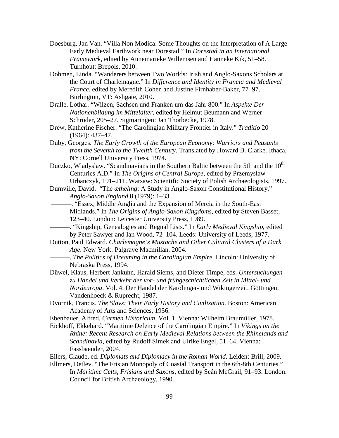- Doesburg, Jan Van. "Villa Non Modica: Some Thoughts on the Interpretation of A Large Early Medieval Earthwork near Dorestad." In *Dorestad in an International Framework*, edited by Annemarieke Willemsen and Hanneke Kik, 51–58. Turnhout: Brepols, 2010.
- Dohmen, Linda. "Wanderers between Two Worlds: Irish and Anglo-Saxons Scholars at the Court of Charlemagne." In *Difference and Identity in Francia and Medieval France*, edited by Meredith Cohen and Justine Firnhaber-Baker, 77–97. Burlington, VT: Ashgate, 2010.
- Dralle, Lothar. "Wilzen, Sachsen und Franken um das Jahr 800." In *Aspekte Der Nationenbildung im Mittelalter*, edited by Helmut Beumann and Werner Schröder, 205–27. Sigmaringen: Jan Thorbecke, 1978.
- Drew, Katherine Fischer. "The Carolingian Military Frontier in Italy." *Traditio* 20 (1964): 437–47.
- Duby, Georges. *The Early Growth of the European Economy: Warriors and Peasants from the Seventh to the Twelfth Century*. Translated by Howard B. Clarke. Ithaca, NY: Cornell University Press, 1974.
- Duczko, Wladyslaw. "Scandinavians in the Southern Baltic between the 5th and the  $10<sup>th</sup>$ Centuries A.D." In *The Origins of Central Europe*, edited by Przemyslaw Urbanczyk, 191–211. Warsaw: Scientific Society of Polish Archaeologists, 1997.
- Dumville, David. "The *ætheling*: A Study in Anglo-Saxon Constitutional History." *Anglo-Saxon England* 8 (1979): 1–33.
- ———. "Essex, Middle Anglia and the Expansion of Mercia in the South-East Midlands." In *The Origins of Anglo-Saxon Kingdoms*, edited by Steven Basset, 123–40. London: Leicester University Press, 1989.
	- ———. "Kingship, Genealogies and Regnal Lists." In *Early Medieval Kingship*, edited by Peter Sawyer and Ian Wood, 72–104. Leeds: University of Leeds, 1977.
- Dutton, Paul Edward. *Charlemagne's Mustache and Other Cultural Clusters of a Dark Age*. New York: Palgrave Macmillan, 2004.
	- ———. *The Politics of Dreaming in the Carolingian Empire*. Lincoln: University of Nebraska Press, 1994.
- Düwel, Klaus, Herbert Jankuhn, Harald Siems, and Dieter Timpe, eds. *Untersuchungen zu Handel und Verkehr der vor- und frühgeschichtlichen Zeit in Mittel- und Nordeuropa*. Vol. 4: Der Handel der Karolinger- und Wikingerzeit. Göttingen: Vandenhoeck & Ruprecht, 1987.
- Dvornik, Francis. *The Slavs: Their Early History and Civilization*. Boston: American Academy of Arts and Sciences, 1956.
- Ebenbauer, Alfred. *Carmen Historicum*. Vol. 1. Vienna: Wilhelm Braumüller, 1978.

Eickhoff, Ekkehard. "Maritime Defence of the Carolingian Empire." In *Vikings on the Rhine: Recent Research on Early Medieval Relations between the Rhinelands and Scandinavia*, edited by Rudolf Simek and Ulrike Engel, 51–64. Vienna: Fassbaender, 2004.

- Eilers, Claude, ed. *Diplomats and Diplomacy in the Roman World*. Leiden: Brill, 2009.
- Ellmers, Detlev. "The Frisian Monopoly of Coastal Transport in the 6th-8th Centuries." In *Maritime Celts, Frisians and Saxons*, edited by Seán McGrail, 91–93. London: Council for British Archaeology, 1990.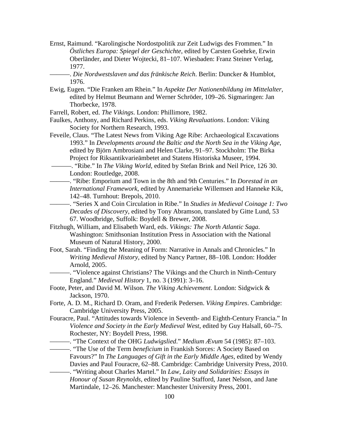- Ernst, Raimund. "Karolingische Nordostpolitik zur Zeit Ludwigs des Frommen." In *Östliches Europa: Spiegel der Geschichte*, edited by Carsten Goehrke, Erwin Oberländer, and Dieter Wojtecki, 81–107. Wiesbaden: Franz Steiner Verlag, 1977.
- ———. *Die Nordwestslaven und das fränkische Reich*. Berlin: Duncker & Humblot, 1976.
- Ewig, Eugen. "Die Franken am Rhein." In *Aspekte Der Nationenbildung im Mittelalter*, edited by Helmut Beumann and Werner Schröder, 109–26. Sigmaringen: Jan Thorbecke, 1978.
- Farrell, Robert, ed. *The Vikings*. London: Phillimore, 1982.
- Faulkes, Anthony, and Richard Perkins, eds. *Viking Revaluations*. London: Viking Society for Northern Research, 1993.
- Feveile, Claus. "The Latest News from Viking Age Ribe: Archaeological Excavations 1993." In *Developments around the Baltic and the North Sea in the Viking Age*, edited by Björn Ambrosiani and Helen Clarke, 91–97. Stockholm: The Birka Project for Riksantikvarieämbetet and Statens Historiska Museer, 1994.
- ———. "Ribe." In *The Viking World*, edited by Stefan Brink and Neil Price, 126 30. London: Routledge, 2008.
	- ———. "Ribe: Emporium and Town in the 8th and 9th Centuries." In *Dorestad in an International Framework*, edited by Annemarieke Willemsen and Hanneke Kik, 142–48. Turnhout: Brepols, 2010.
- ———. "Series X and Coin Circulation in Ribe." In *Studies in Medieval Coinage 1: Two Decades of Discovery*, edited by Tony Abramson, translated by Gitte Lund, 53 67. Woodbridge, Suffolk: Boydell & Brewer, 2008.
- Fitzhugh, William, and Elisabeth Ward, eds. *Vikings: The North Atlantic Saga*. Washington: Smithsonian Institution Press in Association with the National Museum of Natural History, 2000.
- Foot, Sarah. "Finding the Meaning of Form: Narrative in Annals and Chronicles." In *Writing Medieval History*, edited by Nancy Partner, 88–108. London: Hodder Arnold, 2005.
	- ———. "Violence against Christians? The Vikings and the Church in Ninth-Century England." *Medieval History* 1, no. 3 (1991): 3–16.
- Foote, Peter, and David M. Wilson. *The Viking Achievement*. London: Sidgwick & Jackson, 1970.
- Forte, A. D. M., Richard D. Oram, and Frederik Pedersen. *Viking Empires*. Cambridge: Cambridge University Press, 2005.
- Fouracre, Paul. "Attitudes towards Violence in Seventh- and Eighth-Century Francia." In *Violence and Society in the Early Medieval West*, edited by Guy Halsall, 60–75. Rochester, NY: Boydell Press, 1998.
- ———. "The Context of the OHG *Ludwigslied*." *Medium Ævum* 54 (1985): 87–103.
- ———. "The Use of the Term *beneficium* in Frankish Sorces: A Society Based on Favours?" In *The Languages of Gift in the Early Middle Ages*, edited by Wendy Davies and Paul Fouracre, 62–88. Cambridge: Cambridge University Press, 2010.

———. "Writing about Charles Martel." In *Law, Laity and Solidarities: Essays in Honour of Susan Reynolds*, edited by Pauline Stafford, Janet Nelson, and Jane Martindale, 12–26. Manchester: Manchester University Press, 2001.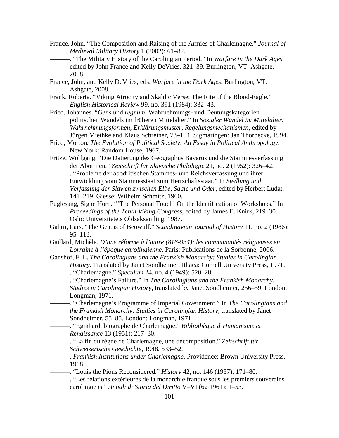- France, John. "The Composition and Raising of the Armies of Charlemagne." *Journal of Medieval Military History* 1 (2002): 61–82.
	- ———. "The Military History of the Carolingian Period." In *Warfare in the Dark Ages*, edited by John France and Kelly DeVries, 321–39. Burlington, VT: Ashgate, 2008.
- France, John, and Kelly DeVries, eds. *Warfare in the Dark Ages*. Burlington, VT: Ashgate, 2008.
- Frank, Roberta. "Viking Atrocity and Skaldic Verse: The Rite of the Blood-Eagle." *English Historical Review* 99, no. 391 (1984): 332–43.
- Fried, Johannes. "*Gens* und *regnum*: Wahrnehmungs- und Deutungskategorien politischen Wandels im früheren Mittelalter." In *Sozialer Wandel im Mittelalter: Wahrnehmungsformen, Erklärungsmuster, Regelungsmechanismen*, edited by Jürgen Miethke and Klaus Schreiner, 73–104. Sigmaringen: Jan Thorbecke, 1994.
- Fried, Morton. *The Evolution of Political Society: An Essay in Political Anthropology*. New York: Random House, 1967.
- Fritze, Wolfgang. "Die Datierung des Geographus Bavarus und die Stammesverfassung der Abotriten." *Zeitschrift für Slavische Philologie* 21, no. 2 (1952): 326–42.
- ———. "Probleme der abodritischen Stammes- und Reichsverfassung und ihrer Entwicklung vom Stammesstaat zum Herrschaftsstaat." In *Siedlung und Verfassung der Slawen zwischen Elbe, Saale und Oder*, edited by Herbert Ludat, 141–219. Giesse: Wilhelm Schmitz, 1960.
- Fuglesang, Signe Horn. "'The Personal Touch' On the Identification of Workshops." In *Proceedings of the Tenth Viking Congress*, edited by James E. Knirk, 219–30. Oslo: Universitetets Oldsaksamling, 1987.
- Gahrn, Lars. "The Geatas of Beowulf." *Scandinavian Journal of History* 11, no. 2 (1986): 95–113.
- Gaillard, Michèle. *D'une réforme à l'autre (816-934): les communautés religieuses en Lorraine à l'époque carolingienne*. Paris: Publications de la Sorbonne, 2006.
- Ganshof, F. L. *The Carolingians and the Frankish Monarchy: Studies in Carolingian History*. Translated by Janet Sondheimer. Ithaca: Cornell University Press, 1971. ———. "Charlemagne." *Speculum* 24, no. 4 (1949): 520–28.
- ———. "Charlemagne's Failure." In *The Carolingians and the Frankish Monarchy: Studies in Carolingian History*, translated by Janet Sondheimer, 256–59. London: Longman, 1971.
	- ———. "Charlemagne's Programme of Imperial Government." In *The Carolingians and the Frankish Monarchy: Studies in Carolingian History*, translated by Janet Sondheimer, 55–85. London: Longman, 1971.
- ———. "Eginhard, biographe de Charlemagne." *Bibliothèque d'Humanisme et Renaissance* 13 (1951): 217–30.
- ———. "La fin du règne de Charlemagne, une décomposition." *Zeitschrift für Schweizerische Geschichte*, 1948, 533–52.
- ———. *Frankish Institutions under Charlemagne*. Providence: Brown University Press, 1968.
- ———. "Louis the Pious Reconsidered." *History* 42, no. 146 (1957): 171–80.
	- ———. "Les relations extérieures de la monarchie franque sous les premiers souverains carolingiens." *Annali di Storia del Diritto* V–VI (62 1961): 1–53.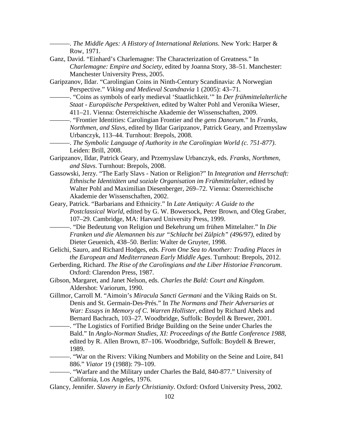———. *The Middle Ages: A History of International Relations*. New York: Harper & Row, 1971.

- Ganz, David. "Einhard's Charlemagne: The Characterization of Greatness." In *Charlemagne: Empire and Society*, edited by Joanna Story, 38–51. Manchester: Manchester University Press, 2005.
- Garipzanov, Ildar. "Carolingian Coins in Ninth-Century Scandinavia: A Norwegian Perspective." *Viking and Medieval Scandnavia* 1 (2005): 43–71.
	- ———. "Coins as symbols of early medieval 'Staatlichkeit.'" In *Der frühmittelalterliche Staat - Europäische Perspektiven*, edited by Walter Pohl and Veronika Wieser, 411–21. Vienna: Österreichische Akademie der Wissenschaften, 2009.
	- ———. "Frontier Identities: Carolingian Frontier and the *gens Danorum*." In *Franks, Northmen, and Slavs*, edited by Ildar Garipzanov, Patrick Geary, and Przemyslaw Urbanczyk, 113–44. Turnhout: Brepols, 2008.
	- ———. *The Symbolic Language of Authority in the Carolingian World (c. 751-877)*. Leiden: Brill, 2008.
- Garipzanov, Ildar, Patrick Geary, and Przemyslaw Urbanczyk, eds. *Franks, Northmen, and Slavs*. Turnhout: Brepols, 2008.
- Gassowski, Jerzy. "The Early Slavs Nation or Religion?" In *Integration und Herrschaft: Ethnische Identitäten und soziale Organisation im Frühmittelalter*, edited by Walter Pohl and Maximilian Diesenberger, 269–72. Vienna: Österreichische Akademie der Wissenschaften, 2002.
- Geary, Patrick. "Barbarians and Ethnicity." In *Late Antiquity: A Guide to the Postclassical World*, edited by G. W. Bowersock, Peter Brown, and Oleg Graber, 107–29. Cambridge, MA: Harvard University Press, 1999.
	- ———. "Die Bedeutung von Religion und Bekehrung um frühen Mittelalter." In *Die Franken und die Alemannen bis zur "Schlacht bei Zülpich" (496/97)*, edited by Dieter Geuenich, 438–50. Berlin: Walter de Gruyter, 1998.
- Gelichi, Sauro, and Richard Hodges, eds. *From One Sea to Another: Trading Places in the European and Mediterranean Early Middle Ages*. Turnhout: Brepols, 2012.
- Gerberding, Richard. *The Rise of the Carolingians and the Liber Historiae Francorum*. Oxford: Clarendon Press, 1987.
- Gibson, Margaret, and Janet Nelson, eds. *Charles the Bald: Court and Kingdom*. Aldershot: Variorum, 1990.
- Gillmor, Carroll M. "Aimoin's *Miracula Sancti Germani* and the Viking Raids on St. Denis and St. Germain-Des-Prés." In *The Normans and Their Adversaries at War: Essays in Memory of C. Warren Hollister*, edited by Richard Abels and Bernard Bachrach, 103–27. Woodbridge, Suffolk: Boydell & Brewer, 2001.
	- ———. "The Logistics of Fortified Bridge Building on the Seine under Charles the Bald." In *Anglo-Norman Studies, XI: Proceedings of the Battle Conference 1988*, edited by R. Allen Brown, 87–106. Woodbridge, Suffolk: Boydell & Brewer, 1989.
	- ———. "War on the Rivers: Viking Numbers and Mobility on the Seine and Loire, 841 886." *Viator* 19 (1988): 79–109.
		- ———. "Warfare and the Military under Charles the Bald, 840-877." University of California, Los Angeles, 1976.
- Glancy, Jennifer. *Slavery in Early Christianity*. Oxford: Oxford University Press, 2002.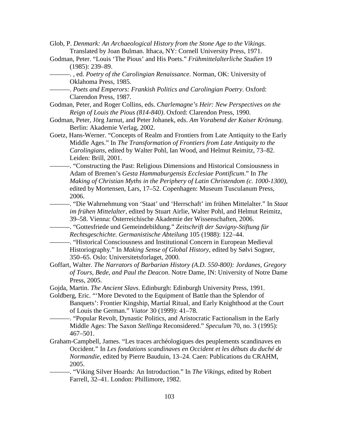- Glob, P. *Denmark: An Archaeological History from the Stone Age to the Vikings*. Translated by Joan Bulman. Ithaca, NY: Cornell University Press, 1971.
- Godman, Peter. "Louis 'The Pious' and His Poets." *Frühmittelalterliche Studien* 19 (1985): 239–89.
- ———. , ed. *Poetry of the Carolingian Renaissance*. Norman, OK: University of Oklahoma Press, 1985.

———. *Poets and Emperors: Frankish Politics and Carolingian Poetry*. Oxford: Clarendon Press, 1987.

- Godman, Peter, and Roger Collins, eds. *Charlemagne's Heir: New Perspectives on the Reign of Louis the Pious (814-840)*. Oxford: Clarendon Press, 1990.
- Godman, Peter, Jörg Jarnut, and Peter Johanek, eds. *Am Vorabend der Kaiser Krönung*. Berlin: Akademie Verlag, 2002.
- Goetz, Hans-Werner. "Concepts of Realm and Frontiers from Late Antiquity to the Early Middle Ages." In *The Transformation of Frontiers from Late Antiquity to the Carolingians*, edited by Walter Pohl, Ian Wood, and Helmut Reimitz, 73–82. Leiden: Brill, 2001.
	- ———. "Constructing the Past: Religious Dimensions and Historical Consiousness in Adam of Bremen's *Gesta Hammaburgensis Ecclesiae Pontificum*." In *The Making of Christian Myths in the Periphery of Latin Christendom (c. 1000-1300)*, edited by Mortensen, Lars, 17–52. Copenhagen: Museum Tusculanum Press, 2006.
	- ———. "Die Wahrnehmung von 'Staat' und 'Herrschaft' im frühen Mittelalter." In *Staat im frühen Mittelalter*, edited by Stuart Airlie, Walter Pohl, and Helmut Reimitz, 39–58. Vienna: Österreichische Akademie der Wissenschaften, 2006.
		- ———. "Gottesfriede und Gemeindebildung." *Zeitschrift der Savigny-Stiftung für Rechtsgeschichte. Germanistische Abteilung* 105 (1988): 122–44.
	- ———. "Historical Consciousness and Institutional Concern in European Medieval Historiography." In *Making Sense of Global History*, edited by Sølvi Sogner, 350–65. Oslo: Universitetsforlaget, 2000.
- Goffart, Walter. *The Narrators of Barbarian History (A.D. 550-800): Jordanes, Gregory of Tours, Bede, and Paul the Deacon*. Notre Dame, IN: University of Notre Dame Press, 2005.
- Gojda, Martin. *The Ancient Slavs*. Edinburgh: Edinburgh University Press, 1991.
- Goldberg, Eric. "'More Devoted to the Equipment of Battle than the Splendor of Banquets': Frontier Kingship, Martial Ritual, and Early Knighthood at the Court of Louis the German." *Viator* 30 (1999): 41–78.
	- ———. "Popular Revolt, Dynastic Politics, and Aristocratic Factionalism in the Early Middle Ages: The Saxon *Stellinga* Reconsidered." *Speculum* 70, no. 3 (1995): 467–501.
- Graham-Campbell, James. "Les traces archéologiques des peuplements scandinaves en Occident." In *Les fondations scandinaves en Occident et les débuts du duché de Normandie*, edited by Pierre Bauduin, 13–24. Caen: Publications du CRAHM, 2005.
	- ———. "Viking Silver Hoards: An Introduction." In *The Vikings*, edited by Robert Farrell, 32–41. London: Phillimore, 1982.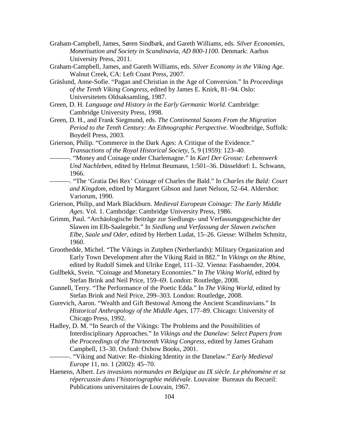- Graham-Campbell, James, Søren Sindbæk, and Gareth Williams, eds. *Silver Economies, Monetisation and Society in Scandinavia, AD 800-1100*. Denmark: Aarhus University Press, 2011.
- Graham-Campbell, James, and Gareth Williams, eds. *Silver Economy in the Viking Age*. Walnut Creek, CA: Left Coast Press, 2007.
- Gräslund, Anne-Sofie. "Pagan and Christian in the Age of Conversion." In *Proceedings of the Tenth Viking Congress*, edited by James E. Knirk, 81–94. Oslo: Universitetets Oldsaksamling, 1987.
- Green, D. H. *Language and History in the Early Germanic World*. Cambridge: Cambridge University Press, 1998.
- Green, D. H., and Frank Siegmund, eds. *The Continental Saxons From the Migration Period to the Tenth Century: An Ethnographic Perspective*. Woodbridge, Suffolk: Boydell Press, 2003.
- Grierson, Philip. "Commerce in the Dark Ages: A Critique of the Evidence." *Transactions of the Royal Historical Society*, 5, 9 (1959): 123–40.
	- ———. "Money and Coinage under Charlemagne." In *Karl Der Grosse: Lebenswerk Und Nachleben*, edited by Helmut Beumann, 1:501–36. Düsseldorf: L. Schwann, 1966.
- ———. "The 'Gratia Dei Rex' Coinage of Charles the Bald." In *Charles the Bald: Court and Kingdom*, edited by Margaret Gibson and Janet Nelson, 52–64. Aldershot: Variorum, 1990.
- Grierson, Philip, and Mark Blackburn. *Medieval European Coinage: The Early Middle Ages*. Vol. 1. Cambridge: Cambridge University Press, 1986.
- Grimm, Paul. "Archäologische Beiträge zur Siedlungs- und Verfassungsgeschichte der Slawen im Elb-Saalegebit." In *Siedlung und Verfassung der Slawen zwischen Elbe, Saale und Oder*, edited by Herbert Ludat, 15–26. Giesse: Wilhelm Schmitz, 1960.
- Groothedde, Michel. "The Vikings in Zutphen (Netherlands): Military Organization and Early Town Development after the Viking Raid in 882." In *Vikings on the Rhine*, edited by Rudolf Simek and Ulrike Engel, 111–32. Vienna: Fassbaender, 2004.
- Gullbekk, Svein. "Coinage and Monetary Economies." In *The Viking World*, edited by Stefan Brink and Neil Price, 159–69. London: Routledge, 2008.
- Gunnell, Terry. "The Performance of the Poetic Edda." In *The Viking World*, edited by Stefan Brink and Neil Price, 299–303. London: Routledge, 2008.
- Gurevich, Aaron. "Wealth and Gift Bestowal Among the Ancient Scandinavians." In *Historical Anthropology of the Middle Ages*, 177–89. Chicago: University of Chicago Press, 1992.
- Hadley, D. M. "In Search of the Vikings: The Problems and the Possibilities of Interdisciplinary Approaches." In *Vikings and the Danelaw: Select Papers from the Proceedings of the Thirteenth Viking Congress*, edited by James Graham Campbell, 13–30. Oxford: Oxbow Books, 2001.
	- ———. "Viking and Native: Re–thinking Identity in the Danelaw." *Early Medieval Europe* 11, no. 1 (2002): 45–70.
- Haenens, Albert. *Les invasions normandes en Belgique au IX siècle. Le phénomène et sa répercussin dans l'historiographie médiévale*. Louvaine Bureaux du Recueil: Publications universitaires de Louvain, 1967.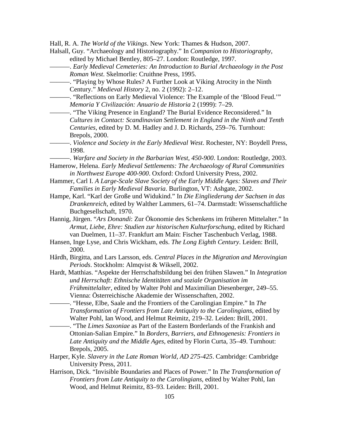Hall, R. A. *The World of the Vikings*. New York: Thames & Hudson, 2007.

- Halsall, Guy. "Archaeology and Historiography." In *Companion to Historiography*, edited by Michael Bentley, 805–27. London: Routledge, 1997.
	- ———. *Early Medieval Cemeteries: An Introduction to Burial Archaeology in the Post Roman West*. Skelmorlie: Cruithne Press, 1995.
- ———. "Playing by Whose Rules? A Further Look at Viking Atrocity in the Ninth Century." *Medieval History* 2, no. 2 (1992): 2–12.
- ———. "Reflections on Early Medieval Violence: The Example of the 'Blood Feud.'" *Memoria Y Civilización: Anuario de Historia* 2 (1999): 7–29.
	- ———. "The Viking Presence in England? The Burial Evidence Reconsidered." In *Cultures in Contact: Scandinavian Settlement in England in the Ninth and Tenth Centuries*, edited by D. M. Hadley and J. D. Richards, 259–76. Turnhout: Brepols, 2000.
- ———. *Violence and Society in the Early Medieval West*. Rochester, NY: Boydell Press, 1998.

———. *Warfare and Society in the Barbarian West, 450-900*. London: Routledge, 2003.

- Hamerow, Helena. *Early Medieval Settlements: The Archaeology of Rural Communities in Northwest Europe 400-900*. Oxford: Oxford University Press, 2002.
- Hammer, Carl I. *A Large-Scale Slave Society of the Early Middle Ages: Slaves and Their Families in Early Medieval Bavaria*. Burlington, VT: Ashgate, 2002.
- Hampe, Karl. "Karl der Große und Widukind." In *Die Eingliederung der Sachsen in das Drankenreich*, edited by Walther Lammers, 61–74. Darmstadt: Wissenschaftliche Buchgesellschaft, 1970.
- Hannig, Jürgen. "*Ars Donandi*: Zur Ökonomie des Schenkens im früheren Mittelalter." In *Armut, Liebe, Ehre: Studien zur historischen Kulturforschung*, edited by Richard van Duelmen, 11–37. Frankfurt am Main: Fischer Taschenbuch Verlag, 1988.
- Hansen, Inge Lyse, and Chris Wickham, eds. *The Long Eighth Century*. Leiden: Brill, 2000.
- Hårdh, Birgitta, and Lars Larsson, eds. *Central Places in the Migration and Merovingian Periods*. Stockholm: Almqvist & Wiksell, 2002.
- Hardt, Matthias. "Aspekte der Herrschaftsbildung bei den frühen Slawen." In *Integration und Herrschaft: Ethnische Identitäten und soziale Organisation im Frühmittelalter*, edited by Walter Pohl and Maximilian Diesenberger, 249–55. Vienna: Österreichische Akademie der Wissenschaften, 2002.
	- ———. "Hesse, Elbe, Saale and the Frontiers of the Carolingian Empire." In *The Transformation of Frontiers from Late Antiquity to the Carolingians*, edited by Walter Pohl, Ian Wood, and Helmut Reimitz, 219–32. Leiden: Brill, 2001.
	- ———. "The *Limes Saxoniae* as Part of the Eastern Borderlands of the Frankish and Ottonian-Salian Empire." In *Borders, Barriers, and Ethnogenesis: Frontiers in Late Antiquity and the Middle Ages*, edited by Florin Curta, 35–49. Turnhout: Brepols, 2005.
- Harper, Kyle. *Slavery in the Late Roman World, AD 275-425*. Cambridge: Cambridge University Press, 2011.
- Harrison, Dick. "Invisible Boundaries and Places of Power." In *The Transformation of Frontiers from Late Antiquity to the Carolingians*, edited by Walter Pohl, Ian Wood, and Helmut Reimitz, 83–93. Leiden: Brill, 2001.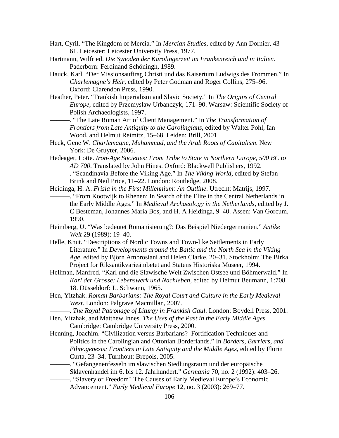Hart, Cyril. "The Kingdom of Mercia." In *Mercian Studies*, edited by Ann Dornier, 43 61. Leicester: Leicester University Press, 1977.

- Hartmann, Wilfried. *Die Synoden der Karolingerzeit im Frankenreich und in Italien*. Paderborn: Ferdinand Schöningh, 1989.
- Hauck, Karl. "Der Missionsauftrag Christi und das Kaisertum Ludwigs des Frommen." In *Charlemagne's Heir*, edited by Peter Godman and Roger Collins, 275–96. Oxford: Clarendon Press, 1990.
- Heather, Peter. "Frankish Imperialism and Slavic Society." In *The Origins of Central Europe*, edited by Przemyslaw Urbanczyk, 171–90. Warsaw: Scientific Society of Polish Archaeologists, 1997.
	- ———. "The Late Roman Art of Client Management." In *The Transformation of Frontiers from Late Antiquity to the Carolingians*, edited by Walter Pohl, Ian Wood, and Helmut Reimitz, 15–68. Leiden: Brill, 2001.
- Heck, Gene W. *Charlemagne, Muhammad, and the Arab Roots of Capitalism*. New York: De Gruyter, 2006.
- Hedeager, Lotte. *Iron-Age Societies: From Tribe to State in Northern Europe, 500 BC to AD 700*. Translated by John Hines. Oxford: Blackwell Publishers, 1992.
- ———. "Scandinavia Before the Viking Age." In *The Viking World*, edited by Stefan Brink and Neil Price, 11–22. London: Routledge, 2008.
- Heidinga, H. A. *Frisia in the First Millennium: An Outline*. Utrecht: Matrijs, 1997.
- ———. "From Kootwijk to Rhenen: In Search of the Elite in the Central Netherlands in the Early Middle Ages." In *Medieval Archaeology in the Netherlands*, edited by J. C Besteman, Johannes Maria Bos, and H. A Heidinga, 9–40. Assen: Van Gorcum, 1990.
- Heimberg, U. "Was bedeutet Romanisierung?: Das Beispiel Niedergermanien." *Antike Welt* 29 (1989): 19–40.
- Helle, Knut. "Descriptions of Nordic Towns and Town-like Settlements in Early Literature." In *Developments around the Baltic and the North Sea in the Viking Age*, edited by Björn Ambrosiani and Helen Clarke, 20–31. Stockholm: The Birka Project for Riksantikvarieämbetet and Statens Historiska Museer, 1994.
- Hellman, Manfred. "Karl und die Slawische Welt Zwischen Ostsee und Böhmerwald." In *Karl der Grosse: Lebenswerk und Nachleben*, edited by Helmut Beumann, 1:708 18. Düsseldorf: L. Schwann, 1965.
- Hen, Yitzhak. *Roman Barbarians: The Royal Court and Culture in the Early Medieval West*. London: Palgrave Macmillan, 2007.
	- ———. *The Royal Patronage of Liturgy in Frankish Gaul*. London: Boydell Press, 2001.
- Hen, Yitzhak, and Matthew Innes. *The Uses of the Past in the Early Middle Ages*. Cambridge: Cambridge University Press, 2000.
- Henning, Joachim. "Civilization versus Barbarians? Fortification Techniques and Politics in the Carolingian and Ottonian Borderlands." In *Borders, Barriers, and Ethnogenesis: Frontiers in Late Antiquity and the Middle Ages*, edited by Florin Curta, 23–34. Turnhout: Brepols, 2005.
	- ———. "Gefangenenfesseln im slawischen Siedlungsraum und der europäische Sklavenhandel im 6. bis 12. Jahrhundert." *Germania* 70, no. 2 (1992): 403–26.
	- ———. "Slavery or Freedom? The Causes of Early Medieval Europe's Economic Advancement." *Early Medieval Europe* 12, no. 3 (2003): 269–77.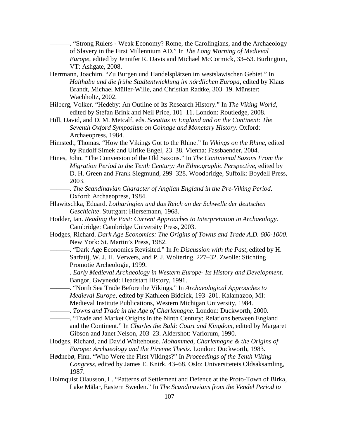———. "Strong Rulers - Weak Economy? Rome, the Carolingians, and the Archaeology of Slavery in the First Millennium AD." In *The Long Morning of Medieval Europe*, edited by Jennifer R. Davis and Michael McCormick, 33–53. Burlington, VT: Ashgate, 2008.

- Herrmann, Joachim. "Zu Burgen und Handelsplätzen im westslawischen Gebiet." In *Haithabu und die frühe Stadtentwicklung im nördlichen Europa*, edited by Klaus Brandt, Michael Müller-Wille, and Christian Radtke, 303–19. Münster: Wachholtz, 2002.
- Hilberg, Volker. "Hedeby: An Outline of Its Research History." In *The Viking World*, edited by Stefan Brink and Neil Price, 101–11. London: Routledge, 2008.
- Hill, David, and D. M. Metcalf, eds. *Sceattas in England and on the Continent: The Seventh Oxford Symposium on Coinage and Monetary History*. Oxford: Archaeopress, 1984.
- Himstedt, Thomas. "How the Vikings Got to the Rhine." In *Vikings on the Rhine*, edited by Rudolf Simek and Ulrike Engel, 23–38. Vienna: Fassbaender, 2004.
- Hines, John. "The Conversion of the Old Saxons." In *The Continental Saxons From the Migration Period to the Tenth Century: An Ethnographic Perspective*, edited by D. H. Green and Frank Siegmund, 299–328. Woodbridge, Suffolk: Boydell Press, 2003.
	- ———. *The Scandinavian Character of Anglian England in the Pre-Viking Period*. Oxford: Archaeopress, 1984.
- Hlawitschka, Eduard. *Lotharingien und das Reich an der Schwelle der deutschen Geschichte*. Stuttgart: Hiersemann, 1968.
- Hodder, Ian. *Reading the Past: Current Approaches to Interpretation in Archaeology*. Cambridge: Cambridge University Press, 2003.
- Hodges, Richard. *Dark Age Economics: The Origins of Towns and Trade A.D. 600-1000*. New York: St. Martin's Press, 1982.
- ———. "Dark Age Economics Revisited." In *In Discussion with the Past*, edited by H. Sarfatij, W. J. H. Verwers, and P. J. Woltering, 227–32. Zwolle: Stichting Promotie Archeologie, 1999.
- ———. *Early Medieval Archaeology in Western Europe- Its History and Development*. Bangor, Gwynedd: Headstart History, 1991.
- ———. "North Sea Trade Before the Vikings." In *Archaeological Approaches to Medieval Europe*, edited by Kathleen Biddick, 193–201. Kalamazoo, MI: Medieval Institute Publications, Western Michigan University, 1984.
- ———. *Towns and Trade in the Age of Charlemagne*. London: Duckworth, 2000.
	- ———. "Trade and Market Origins in the Ninth Century: Relations between England and the Continent." In *Charles the Bald: Court and Kingdom*, edited by Margaret Gibson and Janet Nelson, 203–23. Aldershot: Variorum, 1990.
- Hodges, Richard, and David Whitehouse. *Mohammed, Charlemagne & the Origins of Europe: Archaeology and the Pirenne Thesis*. London: Duckworth, 1983.
- Hødnebø, Finn. "Who Were the First Vikings?" In *Proceedings of the Tenth Viking Congress*, edited by James E. Knirk, 43–68. Oslo: Universitetets Oldsaksamling, 1987.
- Holmquist Olausson, L. "Patterns of Settlement and Defence at the Proto-Town of Birka, Lake Mälar, Eastern Sweden." In *The Scandinavians from the Vendel Period to*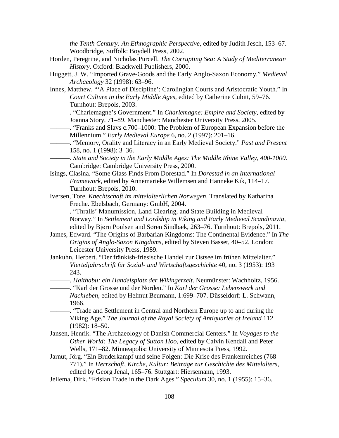*the Tenth Century: An Ethnographic Perspective*, edited by Judith Jesch, 153–67. Woodbridge, Suffolk: Boydell Press, 2002.

- Horden, Peregrine, and Nicholas Purcell. *The Corrupting Sea: A Study of Mediterranean History*. Oxford: Blackwell Publishers, 2000.
- Huggett, J. W. "Imported Grave-Goods and the Early Anglo-Saxon Economy." *Medieval Archaeology* 32 (1998): 63–96.
- Innes, Matthew. "'A Place of Discipline': Carolingian Courts and Aristocratic Youth." In *Court Culture in the Early Middle Ages*, edited by Catherine Cubitt, 59–76. Turnhout: Brepols, 2003.
	- ———. "Charlemagne's Government." In *Charlemagne: Empire and Society*, edited by Joanna Story, 71–89. Manchester: Manchester University Press, 2005.
	- ———. "Franks and Slavs c.700–1000: The Problem of European Expansion before the Millennium." *Early Medieval Europe* 6, no. 2 (1997): 201–16.
	- ———. "Memory, Orality and Literacy in an Early Medieval Society." *Past and Present* 158, no. 1 (1998): 3–36.
	- ———. *State and Society in the Early Middle Ages: The Middle Rhine Valley, 400-1000*. Cambridge: Cambridge University Press, 2000.
- Isings, Clasina. "Some Glass Finds From Dorestad." In *Dorestad in an International Framework*, edited by Annemarieke Willemsen and Hanneke Kik, 114–17. Turnhout: Brepols, 2010.
- Iversen, Tore. *Knechtschaft im mittelalterlichen Norwegen*. Translated by Katharina Freche. Ebelsbach, Germany: GmbH, 2004.
- ———. "Thralls' Manumission, Land Clearing, and State Building in Medieval Norway." In *Settlement and Lordship in Viking and Early Medieval Scandinavia*, edited by Bjørn Poulsen and Søren Sindbæk, 263–76. Turnhout: Brepols, 2011.
- James, Edward. "The Origins of Barbarian Kingdoms: The Continental Evidence." In *The Origins of Anglo-Saxon Kingdoms*, edited by Steven Basset, 40–52. London: Leicester University Press, 1989.
- Jankuhn, Herbert. "Der fränkish-friesische Handel zur Ostsee im frühen Mittelalter." *Vierteljahrschrift für Sozial- und Wirtschaftsgeschichte* 40, no. 3 (1953): 193 243.
	- ———. *Haithabu: ein Handelsplatz der Wikingerzeit*. Neumünster: Wachholtz, 1956.
	- ———. "Karl der Grosse und der Norden." In *Karl der Grosse: Lebenswerk und Nachleben*, edited by Helmut Beumann, 1:699–707. Düsseldorf: L. Schwann, 1966.
- ———. "Trade and Settlement in Central and Northern Europe up to and during the Viking Age." *The Journal of the Royal Society of Antiquaries of Ireland* 112 (1982): 18–50.
- Jansen, Henrik. "The Archaeology of Danish Commercial Centers." In *Voyages to the Other World: The Legacy of Sutton Hoo*, edited by Calvin Kendall and Peter Wells, 171–82. Minneapolis: University of Minnesota Press, 1992.
- Jarnut, Jörg. "Ein Bruderkampf und seine Folgen: Die Krise des Frankenreiches (768 771)." In *Herrschaft, Kirche, Kultur: Beiträge zur Geschichte des Mittelalters*, edited by Georg Jenal, 165–76. Stuttgart: Hiersemann, 1993.
- Jellema, Dirk. "Frisian Trade in the Dark Ages." *Speculum* 30, no. 1 (1955): 15–36.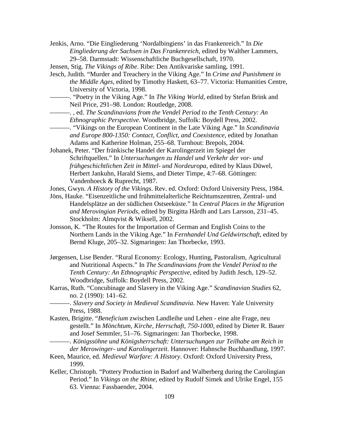Jenkis, Arno. "Die Eingliederung 'Nordalbingiens' in das Frankenreich." In *Die Eingliederung der Sachsen in Das Frankenreich*, edited by Walther Lammers, 29–58. Darmstadt: Wissenschaftliche Buchgesellschaft, 1970.

Jensen, Stig. *The Vikings of Ribe*. Ribe: Den Antikvariske samling, 1991.

- Jesch, Judith. "Murder and Treachery in the Viking Age." In *Crime and Punishment in the Middle Ages*, edited by Timothy Haskett, 63–77. Victoria: Humanities Centre, University of Victoria, 1998.
	- ———. "Poetry in the Viking Age." In *The Viking World*, edited by Stefan Brink and Neil Price, 291–98. London: Routledge, 2008.
	- ———. , ed. *The Scandinavians from the Vendel Period to the Tenth Century: An Ethnographic Perspective*. Woodbridge, Suffolk: Boydell Press, 2002.
- ———. "Vikings on the European Continent in the Late Viking Age." In *Scandinavia and Europe 800-1350: Contact, Conflict, and Coexistence*, edited by Jonathan Adams and Katherine Holman, 255–68. Turnhout: Brepols, 2004.
- Johanek, Peter. "Der fränkische Handel der Karolingerzeit im Spiegel der Schriftquellen." In *Untersuchungen zu Handel und Verkehr der vor- und frühgeschichtlichen Zeit in Mittel- und Nordeuropa*, edited by Klaus Düwel, Herbert Jankuhn, Harald Siems, and Dieter Timpe, 4:7–68. Göttingen: Vandenhoeck & Ruprecht, 1987.
- Jones, Gwyn. *A History of the Vikings*. Rev. ed. Oxford: Oxford University Press, 1984.
- Jöns, Hauke. "Eisenzeitliche und frühmittelalterliche Reichtumszentren, Zentral- und Handelsplätze an der südlichen Ostseeküste." In *Central Places in the Migration and Merovingian Periods*, edited by Birgitta Hårdh and Lars Larsson, 231–45. Stockholm: Almqvist & Wiksell, 2002.
- Jonsson, K. "The Routes for the Importation of German and English Coins to the Northern Lands in the Viking Age." In *Fernhandel Und Geldwirtschaft*, edited by Bernd Kluge, 205–32. Sigmaringen: Jan Thorbecke, 1993.
- Jørgensen, Lise Bender. "Rural Economy: Ecology, Hunting, Pastoralism, Agricultural and Nutritional Aspects." In *The Scandinavians from the Vendel Period to the Tenth Century: An Ethnographic Perspective*, edited by Judith Jesch, 129–52. Woodbridge, Suffolk: Boydell Press, 2002.
- Karras, Ruth. "Concubinage and Slavery in the Viking Age." *Scandinavian Studies* 62, no. 2 (1990): 141–62.
- ———. *Slavery and Society in Medieval Scandinavia*. New Haven: Yale University Press, 1988.
- Kasten, Brigitte. "*Beneficium* zwischen Landleihe und Lehen eine alte Frage, neu gestellt." In *Mönchtum, Kirche, Herrschaft, 750-1000*, edited by Dieter R. Bauer and Josef Semmler, 51–76. Sigmaringen: Jan Thorbecke, 1998.
	- ———. *Königssöhne und Königsherrschaft: Untersuchungen zur Teilhabe am Reich in der Merowinger- und Karolingerzeit*. Hannover: Hahnsche Buchhandlung, 1997.
- Keen, Maurice, ed. *Medieval Warfare: A History*. Oxford: Oxford University Press, 1999.
- Keller, Christoph. "Pottery Production in Badorf and Walberberg during the Carolingian Period." In *Vikings on the Rhine*, edited by Rudolf Simek and Ulrike Engel, 155 63. Vienna: Fassbaender, 2004.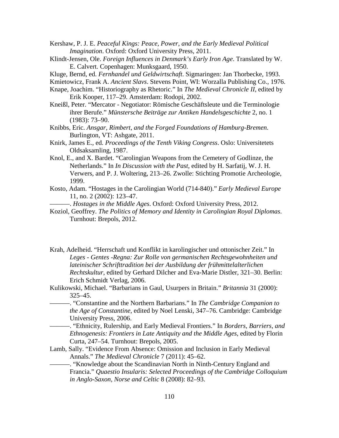- Kershaw, P. J. E. *Peaceful Kings: Peace, Power, and the Early Medieval Political Imagination*. Oxford: Oxford University Press, 2011.
- Klindt-Jensen, Ole. *Foreign Influences in Denmark's Early Iron Age*. Translated by W. E. Calvert. Copenhagen: Munksgaard, 1950.
- Kluge, Bernd, ed. *Fernhandel und Geldwirtschaft*. Sigmaringen: Jan Thorbecke, 1993.
- Kmietowicz, Frank A. *Ancient Slavs*. Stevens Point, WI: Worzalla Publishing Co., 1976.
- Knape, Joachim. "Historiography as Rhetoric." In *The Medieval Chronicle II*, edited by Erik Kooper, 117–29. Amsterdam: Rodopi, 2002.
- Kneißl, Peter. "Mercator Negotiator: Römische Geschäftsleute und die Terminologie ihrer Berufe." *Münstersche Beiträge zur Antiken Handelsgeschichte* 2, no. 1 (1983): 73–90.
- Knibbs, Eric. *Ansgar, Rimbert, and the Forged Foundations of Hamburg-Bremen*. Burlington, VT: Ashgate, 2011.
- Knirk, James E., ed. *Proceedings of the Tenth Viking Congress*. Oslo: Universitetets Oldsaksamling, 1987.
- Knol, E., and X. Bardet. "Carolingian Weapons from the Cemetery of Godlinze, the Netherlands." In *In Discussion with the Past*, edited by H. Sarfatij, W. J. H. Verwers, and P. J. Woltering, 213–26. Zwolle: Stichting Promotie Archeologie, 1999.
- Kosto, Adam. "Hostages in the Carolingian World (714-840)." *Early Medieval Europe* 11, no. 2 (2002): 123–47.
	- ———. *Hostages in the Middle Ages*. Oxford: Oxford University Press, 2012.
- Koziol, Geoffrey. *The Politics of Memory and Identity in Carolingian Royal Diplomas*. Turnhout: Brepols, 2012.
- Krah, Adelheid. "Herrschaft und Konflikt in karolingischer und ottonischer Zeit." In *Leges - Gentes -Regna: Zur Rolle von germanischen Rechtsgewohnheiten und lateinischer Schrifttradition bei der Ausbildung der frühmittelalterlichen Rechtskultur*, edited by Gerhard Dilcher and Eva-Marie Distler, 321–30. Berlin: Erich Schmidt Verlag, 2006.
- Kulikowski, Michael. "Barbarians in Gaul, Usurpers in Britain." *Britannia* 31 (2000): 325–45.
	- ———. "Constantine and the Northern Barbarians." In *The Cambridge Companion to the Age of Constantine*, edited by Noel Lenski, 347–76. Cambridge: Cambridge University Press, 2006.
	- ———. "Ethnicity, Rulership, and Early Medieval Frontiers." In *Borders, Barriers, and Ethnogenesis: Frontiers in Late Antiquity and the Middle Ages*, edited by Florin Curta, 247–54. Turnhout: Brepols, 2005.
- Lamb, Sally. "Evidence From Absence: Omission and Inclusion in Early Medieval Annals." *The Medieval Chronicle* 7 (2011): 45–62.
	- ———. "Knowledge about the Scandinavian North in Ninth-Century England and Francia." *Quaestio Insularis: Selected Proceedings of the Cambridge Colloquium in Anglo-Saxon, Norse and Celtic* 8 (2008): 82–93.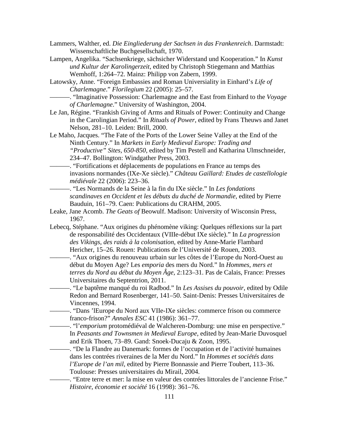- Lammers, Walther, ed. *Die Eingliederung der Sachsen in das Frankenreich*. Darmstadt: Wissenschaftliche Buchgesellschaft, 1970.
- Lampen, Angelika. "Sachsenkriege, sächsicher Widerstand und Kooperation." In *Kunst und Kultur der Karolingerzeit*, edited by Christoph Stiegemann and Matthias Wemhoff, 1:264–72. Mainz: Philipp von Zabern, 1999.
- Latowsky, Anne. "Foreign Embassies and Roman Universiality in Einhard's *Life of Charlemagne*." *Florilegium* 22 (2005): 25–57.
	- ———. "Imaginative Possession: Charlemagne and the East from Einhard to the *Voyage of Charlemagne*." University of Washington, 2004.
- Le Jan, Régine. "Frankish Giving of Arms and Rituals of Power: Continuity and Change in the Carolingian Period." In *Rituals of Power*, edited by Frans Theuws and Janet Nelson, 281–10. Leiden: Brill, 2000.
- Le Maho, Jacques. "The Fate of the Ports of the Lower Seine Valley at the End of the Ninth Century." In *Markets in Early Medieval Europe: Trading and "Productive" Sites, 650-850*, edited by Tim Pestell and Katharina Ulmschneider, 234–47. Bollington: Windgather Press, 2003.
	- ———. "Fortifications et déplacements de populations en France au temps des invasions normandes (IXe-Xe siècle)." *Château Gaillard: Etudes de castellologie médiévale* 22 (2006): 223–36.
		- ———. "Les Normands de la Seine à la fin du IXe siècle." In *Les fondations scandinaves en Occident et les débuts du duché de Normandie*, edited by Pierre Bauduin, 161–79. Caen: Publications du CRAHM, 2005.
- Leake, Jane Acomb. *The Geats of* Beowulf. Madison: University of Wisconsin Press, 1967.
- Lebecq, Stéphane. "Aux origines du phénomène viking: Quelques réflexions sur la part de responsabilité des Occidentaux (VIIIe-début IXe siècle)." In *La progression des Vikings, des raids à la colonisation*, edited by Anne-Marie Flambard Hericher, 15–26. Rouen: Publications de l'Université de Rouen, 2003.
	- ———. "Aux origines du renouveau urbain sur les côtes de l'Europe du Nord-Ouest au début du Moyen Age? Les *emporia* des mers du Nord." In *Hommes, mers et terres du Nord au début du Moyen Âge*, 2:123–31. Pas de Calais, France: Presses Universitaires du Septentrion, 2011.
	- ———. "Le baptême manqué du roi Radbod." In *Les Assises du pouvoir*, edited by Odile Redon and Bernard Rosenberger, 141–50. Saint-Denis: Presses Universitaires de Vincennes, 1994.
- ———. "Dans 'lEurope du Nord aux VIIe-IXe siècles: commerce frison ou commerce franco-frison?" *Annales ESC* 41 (1986): 361–77.
	- ———. "l'*emporium* protomédiéval de Walcheren-Domburg: une mise en perspective." In *Peasants and Townsmen in Medieval Europe*, edited by Jean-Marie Duvosquel and Erik Thoen, 73–89. Gand: Snoek-Ducaju & Zoon, 1995.
	- ———. "De la Flandre au Danemark: formes de l'occupation et de l'activité humaines dans les contrées riveraines de la Mer du Nord." In *Hommes et sociétés dans l'Europe de l'an mil*, edited by Pierre Bonnassie and Pierre Toubert, 113–36. Toulouse: Presses universitaires du Mirail, 2004.
	- ———. "Entre terre et mer: la mise en valeur des contrées littorales de l'ancienne Frise." *Histoire, économie et société* 16 (1998): 361–76.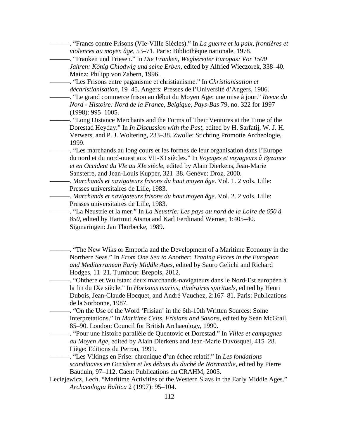| -. "Francs contre Frisons (VIe-VIIIe Siècles)." In La guerre et la paix, frontières et<br>violences au moyen âge, 53–71. Paris: Bibliothèque nationale, 1978. |
|---------------------------------------------------------------------------------------------------------------------------------------------------------------|
| -. "Franken und Friesen." In Die Franken, Wegbereiter Europas: Vor 1500                                                                                       |
| Jahren: König Chlodwig und seine Erben, edited by Alfried Wieczorek, 338-40.                                                                                  |
| Mainz: Philipp von Zabern, 1996.                                                                                                                              |
| -. "Les Frisons entre paganisme et christianisme." In Christianisation et                                                                                     |
| déchristianisation, 19-45. Angers: Presses de l'Université d'Angers, 1986.                                                                                    |
| -. "Le grand commerce frison au début du Moyen Age: une mise à jour." Revue du                                                                                |
| Nord - Histoire: Nord de la France, Belgique, Pays-Bas 79, no. 322 for 1997                                                                                   |
| $(1998): 995 - 1005.$                                                                                                                                         |
| "Long Distance Merchants and the Forms of Their Ventures at the Time of the                                                                                   |
| Dorestad Heyday." In In Discussion with the Past, edited by H. Sarfatij, W. J. H.                                                                             |
| Verwers, and P. J. Woltering, 233–38. Zwolle: Stichting Promotie Archeologie,                                                                                 |
|                                                                                                                                                               |
| 1999.                                                                                                                                                         |
| . "Les marchands au long cours et les formes de leur organisation dans l'Europe                                                                               |
| du nord et du nord-ouest aux VII-XI siècles." In Voyages et voyageurs à Byzance                                                                               |
| et en Occident du VIe au XIe siècle, edited by Alain Dierkens, Jean-Marie                                                                                     |
| Sansterre, and Jean-Louis Kupper, 321–38. Genève: Droz, 2000.                                                                                                 |
| -. Marchands et navigateurs frisons du haut moyen âge. Vol. 1. 2 vols. Lille:                                                                                 |
| Presses universitaires de Lille, 1983.                                                                                                                        |
| - Marchands et navigateurs frisons du haut moyen âge. Vol. 2. 2 vols. Lille:                                                                                  |
| Presses universitaires de Lille, 1983.                                                                                                                        |
| -. "La Neustrie et la mer." In <i>La Neustrie: Les pays au nord de la Loire de 650 à</i>                                                                      |
| 850, edited by Hartmut Atsma and Karl Ferdinand Werner, 1:405-40.                                                                                             |
| Sigmaringen: Jan Thorbecke, 1989.                                                                                                                             |
|                                                                                                                                                               |
|                                                                                                                                                               |
| . "The New Wiks or Emporia and the Development of a Maritime Economy in the                                                                                   |
| Northern Seas." In From One Sea to Another: Trading Places in the European                                                                                    |
| and Mediterranean Early Middle Ages, edited by Sauro Gelichi and Richard                                                                                      |
| Hodges, 11–21. Turnhout: Brepols, 2012.                                                                                                                       |
| . "Ohthere et Wulfstan: deux marchands-navigateurs dans le Nord-Est européen à                                                                                |
| la fin du IXe siècle." In <i>Horizons marins, itinéraires spirituels</i> , edited by Henri                                                                    |
| Dubois, Jean-Claude Hocquet, and André Vauchez, 2:167-81. Paris: Publications                                                                                 |
| de la Sorbonne, 1987.                                                                                                                                         |
| . "On the Use of the Word 'Frisian' in the 6th-10th Written Sources: Some                                                                                     |
| Interpretations." In Maritime Celts, Frisians and Saxons, edited by Seán McGrail,                                                                             |
| 85-90. London: Council for British Archaeology, 1990.                                                                                                         |
|                                                                                                                                                               |

- ———. "Pour une histoire parallèle de Quentovic et Dorestad." In *Villes et campagnes au Moyen Age*, edited by Alain Dierkens and Jean-Marie Duvosquel, 415–28. Liège: Editions du Perron, 1991.
	- ———. "Les Vikings en Frise: chronique d'un échec relatif." In *Les fondations scandinaves en Occident et les débuts du duché de Normandie*, edited by Pierre Bauduin, 97–112. Caen: Publications du CRAHM, 2005.
- Leciejewicz, Lech. "Maritime Activities of the Western Slavs in the Early Middle Ages." *Archaeologia Baltica* 2 (1997): 95–104.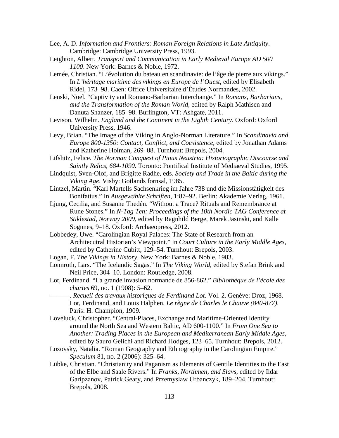- Lee, A. D. *Information and Frontiers: Roman Foreign Relations in Late Antiquity*. Cambridge: Cambridge University Press, 1993.
- Leighton, Albert. *Transport and Communication in Early Medieval Europe AD 500 1100*. New York: Barnes & Noble, 1972.
- Lemée, Christian. "L'évolution du bateau en scandinavie: de l'âge de pierre aux vikings." In *L'héritage maritime des vikings en Europe de l'Ouest*, edited by Elisabeth Ridel, 173–98. Caen: Office Universitaire d'Études Normandes, 2002.
- Lenski, Noel. "Captivity and Romano-Barbarian Interchange." In *Romans, Barbarians, and the Transformation of the Roman World*, edited by Ralph Mathisen and Danuta Shanzer, 185–98. Burlington, VT: Ashgate, 2011.

Levison, Wilhelm. *England and the Continent in the Eighth Century*. Oxford: Oxford University Press, 1946.

- Levy, Brian. "The Image of the Viking in Anglo-Norman Literature." In *Scandinavia and Europe 800-1350: Contact, Conflict, and Coexistence*, edited by Jonathan Adams and Katherine Holman, 269–88. Turnhout: Brepols, 2004.
- Lifshitz, Felice. *The Norman Conquest of Pious Neustria: Historiographic Discourse and Saintly Relics, 684-1090*. Toronto: Pontifical Institute of Mediaeval Studies, 1995.
- Lindquist, Sven-Olof, and Brigitte Radhe, eds. *Society and Trade in the Baltic during the Viking Age*. Visby: Gotlands fornsal, 1985.
- Lintzel, Martin. "Karl Martells Sachsenkrieg im Jahre 738 und die Missionstätigkeit des Bonifatius." In *Ausgewählte Schriften*, 1:87–92. Berlin: Akademie Verlag, 1961.
- Ljung, Cecilia, and Susanne Thedén. "Without a Trace? Rituals and Remembrance at Rune Stones." In *N-Tag Ten: Proceedings of the 10th Nordic TAG Conference at Stiklestad, Norway 2009*, edited by Ragnhild Berge, Marek Jasinski, and Kalle Sognnes, 9–18. Oxford: Archaeopress, 2012.
- Lobbedey, Uwe. "Carolingian Royal Palaces: The State of Research from an Architecutral Historian's Viewpoint." In *Court Culture in the Early Middle Ages*, edited by Catherine Cubitt, 129–54. Turnhout: Brepols, 2003.
- Logan, F. *The Vikings in History*. New York: Barnes & Noble, 1983.
- Lönnroth, Lars. "The Icelandic Sagas." In *The Viking World*, edited by Stefan Brink and Neil Price, 304–10. London: Routledge, 2008.
- Lot, Ferdinand. "La grande invasion normande de 856-862." *Bibliothèque de l'école des chartes* 69, no. 1 (1908): 5–62.
	- ———. *Recueil des travaux historiques de Ferdinand Lot*. Vol. 2. Genève: Droz, 1968. Lot, Ferdinand, and Louis Halphen. *Le règne de Charles le Chauve (840-877)*. Paris: H. Champion, 1909.
- Loveluck, Christopher. "Central-Places, Exchange and Maritime-Oriented Identity around the North Sea and Western Baltic, AD 600-1100." In *From One Sea to Another: Trading Places in the European and Mediterranean Early Middle Ages*, edited by Sauro Gelichi and Richard Hodges, 123–65. Turnhout: Brepols, 2012.
- Lozovsky, Natalia. "Roman Geography and Ethnography in the Carolingian Empire." *Speculum* 81, no. 2 (2006): 325–64.
- Lübke, Christian. "Christianity and Paganism as Elements of Gentile Identities to the East of the Elbe and Saale Rivers." In *Franks, Northmen, and Slavs*, edited by Ildar Garipzanov, Patrick Geary, and Przemyslaw Urbanczyk, 189–204. Turnhout: Brepols, 2008.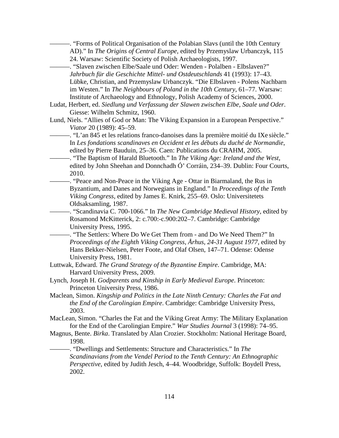———. "Forms of Political Organisation of the Polabian Slavs (until the 10th Century AD)." In *The Origins of Central Europe*, edited by Przemyslaw Urbanczyk, 115 24. Warsaw: Scientific Society of Polish Archaeologists, 1997.

- ———. "Slaven zwischen Elbe/Saale und Oder: Wenden Polalben Elbslaven?" *Jahrbuch für die Geschichte Mittel- und Ostdeutschlands* 41 (1993): 17–43. Lübke, Christian, and Przemyslaw Urbanczyk. "Die Elbslaven - Polens Nachbarn im Westen." In *The Neighbours of Poland in the 10th Century*, 61–77. Warsaw: Institute of Archaeology and Ethnology, Polish Academy of Sciences, 2000.
- Ludat, Herbert, ed. *Siedlung und Verfassung der Slawen zwischen Elbe, Saale und Oder*. Giesse: Wilhelm Schmitz, 1960.
- Lund, Niels. "Allies of God or Man: The Viking Expansion in a European Perspective." *Viator* 20 (1989): 45–59.
	- ———. "L'an 845 et les relations franco-danoises dans la première moitié du IXe siècle." In *Les fondations scandinaves en Occident et les débuts du duché de Normandie*, edited by Pierre Bauduin, 25–36. Caen: Publications du CRAHM, 2005.
	- ———. "The Baptism of Harald Bluetooth." In *The Viking Age: Ireland and the West*, edited by John Sheehan and Donnchadh Ó' Corráin, 234–39. Dublin: Four Courts, 2010.
	- ———. "Peace and Non-Peace in the Viking Age Ottar in Biarmaland, the Rus in Byzantium, and Danes and Norwegians in England." In *Proceedings of the Tenth Viking Congress*, edited by James E. Knirk, 255–69. Oslo: Universitetets Oldsaksamling, 1987.

———. "Scandinavia C. 700-1066." In *The New Cambridge Medieval History*, edited by Rosamond McKitterick, 2: c.700:-c.900:202–7. Cambridge: Cambridge University Press, 1995.

———. "The Settlers: Where Do We Get Them from - and Do We Need Them?" In *Proceedings of the Eighth Viking Congress, Århus, 24-31 August 1977*, edited by Hans Bekker-Nielsen, Peter Foote, and Olaf Olsen, 147–71. Odense: Odense University Press, 1981.

- Luttwak, Edward. *The Grand Strategy of the Byzantine Empire*. Cambridge, MA: Harvard University Press, 2009.
- Lynch, Joseph H. *Godparents and Kinship in Early Medieval Europe*. Princeton: Princeton University Press, 1986.
- Maclean, Simon. *Kingship and Politics in the Late Ninth Century: Charles the Fat and the End of the Carolingian Empire*. Cambridge: Cambridge University Press, 2003.

MacLean, Simon. "Charles the Fat and the Viking Great Army: The Military Explanation for the End of the Carolingian Empire." *War Studies Journal* 3 (1998): 74–95.

Magnus, Bente. *Birka*. Translated by Alan Crozier. Stockholm: National Heritage Board, 1998.

———. "Dwellings and Settlements: Structure and Characteristics." In *The Scandinavians from the Vendel Period to the Tenth Century: An Ethnographic Perspective*, edited by Judith Jesch, 4–44. Woodbridge, Suffolk: Boydell Press, 2002.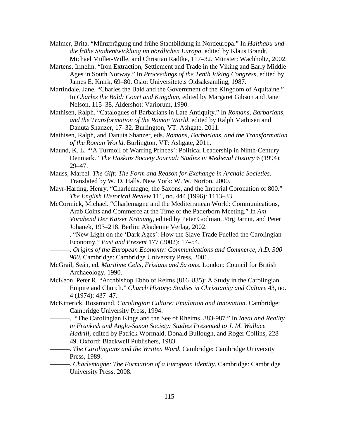Malmer, Brita. "Münzprägung und frühe Stadtbildung in Nordeuropa." In *Haithabu und die frühe Stadtentwicklung im nördlichen Europa*, edited by Klaus Brandt, Michael Müller-Wille, and Christian Radtke, 117–32. Münster: Wachholtz, 2002.

Martens, Irmelin. "Iron Extraction, Settlement and Trade in the Viking and Early Middle Ages in South Norway." In *Proceedings of the Tenth Viking Congress*, edited by James E. Knirk, 69–80. Oslo: Universitetets Oldsaksamling, 1987.

Martindale, Jane. "Charles the Bald and the Government of the Kingdom of Aquitaine." In *Charles the Bald: Court and Kingdom*, edited by Margaret Gibson and Janet Nelson, 115–38. Aldershot: Variorum, 1990.

Mathisen, Ralph. "Catalogues of Barbarians in Late Antiquity." In *Romans, Barbarians, and the Transformation of the Roman World*, edited by Ralph Mathisen and Danuta Shanzer, 17–32. Burlington, VT: Ashgate, 2011.

Mathisen, Ralph, and Danuta Shanzer, eds. *Romans, Barbarians, and the Transformation of the Roman World*. Burlington, VT: Ashgate, 2011.

Maund, K. L. "'A Turmoil of Warring Princes': Political Leadership in Ninth-Century Denmark." *The Haskins Society Journal: Studies in Medieval History* 6 (1994): 29–47.

Mauss, Marcel. *The Gift: The Form and Reason for Exchange in Archaic Societies*. Translated by W. D. Halls. New York: W. W. Norton, 2000.

Mayr-Harting, Henry. "Charlemagne, the Saxons, and the Imperial Coronation of 800." *The English Historical Review* 111, no. 444 (1996): 1113–33.

McCormick, Michael. "Charlemagne and the Mediterranean World: Communications, Arab Coins and Commerce at the Time of the Paderborn Meeting." In *Am Vorabend Der Kaiser Krönung*, edited by Peter Godman, Jörg Jarnut, and Peter Johanek, 193–218. Berlin: Akademie Verlag, 2002.

———. "New Light on the 'Dark Ages': How the Slave Trade Fuelled the Carolingian Economy." *Past and Present* 177 (2002): 17–54.

———. *Origins of the European Economy: Communications and Commerce, A.D. 300 900*. Cambridge: Cambridge University Press, 2001.

McGrail, Seán, ed. *Maritime Celts, Frisians and Saxons*. London: Council for British Archaeology, 1990.

McKeon, Peter R. "Archbishop Ebbo of Reims (816–835): A Study in the Carolingian Empire and Church." *Church History: Studies in Christianity and Culture* 43, no. 4 (1974): 437–47.

McKitterick, Rosamond. *Carolingian Culture: Emulation and Innovation*. Cambridge: Cambridge University Press, 1994.

———. "The Carolingian Kings and the See of Rheims, 883-987." In *Ideal and Reality in Frankish and Anglo-Saxon Society: Studies Presented to J. M. Wallace Hadrill*, edited by Patrick Wormald, Donald Bullough, and Roger Collins, 228 49. Oxford: Blackwell Publishers, 1983.

———. *The Carolingians and the Written Word*. Cambridge: Cambridge University Press, 1989.

———. *Charlemagne: The Formation of a European Identity*. Cambridge: Cambridge University Press, 2008.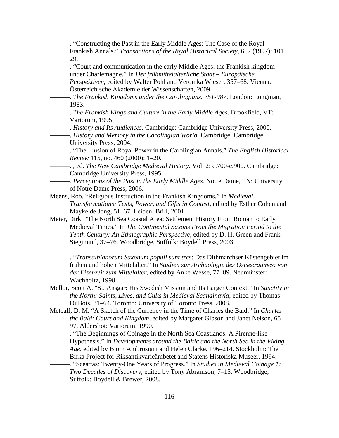| - "Constructing the Past in the Early Middle Ages: The Case of the Royal                  |
|-------------------------------------------------------------------------------------------|
| Frankish Annals." Transactions of the Royal Historical Society, 6, 7 (1997): 101          |
| 29.                                                                                       |
| . "Court and communication in the early Middle Ages: the Frankish kingdom                 |
| under Charlemagne." In Der frühmittelalterliche Staat - Europäische                       |
| Perspektiven, edited by Walter Pohl and Veronika Wieser, 357–68. Vienna:                  |
| Österreichische Akademie der Wissenschaften, 2009.                                        |
| -. The Frankish Kingdoms under the Carolingians, 751-987. London: Longman,                |
| 1983.                                                                                     |
| -. The Frankish Kings and Culture in the Early Middle Ages. Brookfield, VT:               |
| Variorum, 1995.                                                                           |
|                                                                                           |
|                                                                                           |
| University Press, 2004.                                                                   |
|                                                                                           |
| Review 115, no. 460 (2000): 1-20.                                                         |
| , ed. The New Cambridge Medieval History. Vol. 2: c.700-c.900. Cambridge:                 |
| Cambridge University Press, 1995.                                                         |
| - Perceptions of the Past in the Early Middle Ages. Notre Dame, IN: University            |
| of Notre Dame Press, 2006.                                                                |
| Meens, Rob. "Religious Instruction in the Frankish Kingdoms." In Medieval                 |
| Transformations: Texts, Power, and Gifts in Context, edited by Esther Cohen and           |
| Mayke de Jong, 51-67. Leiden: Brill, 2001.                                                |
| Meier, Dirk. "The North Sea Coastal Area: Settlement History From Roman to Early          |
| Medieval Times." In The Continental Saxons From the Migration Period to the               |
| Tenth Century: An Ethnographic Perspective, edited by D. H. Green and Frank               |
| Siegmund, 37-76. Woodbridge, Suffolk: Boydell Press, 2003.                                |
|                                                                                           |
| -. "Transalbianorum Saxonum populi sunt tres: Das Dithmarchser Küstengebiet im            |
| frühen und hohen Mittelalter." In Studien zur Archäologie des Ostseeraumes: von           |
| der Eisenzeit zum Mittelalter, edited by Anke Wesse, 77-89. Neumünster:                   |
| Wachholtz, 1998.                                                                          |
| Mellor, Scott A. "St. Ansgar: His Swedish Mission and Its Larger Context." In Sanctity in |
| the North: Saints, Lives, and Cults in Medieval Scandinavia, edited by Thomas             |
| DuBois, 31–64. Toronto: University of Toronto Press, 2008.                                |

Metcalf, D. M. "A Sketch of the Currency in the Time of Charles the Bald." In *Charles the Bald: Court and Kingdom*, edited by Margaret Gibson and Janet Nelson, 65 97. Aldershot: Variorum, 1990.

———. "The Beginnings of Coinage in the North Sea Coastlands: A Pirenne-like Hypothesis." In *Developments around the Baltic and the North Sea in the Viking Age*, edited by Björn Ambrosiani and Helen Clarke, 196–214. Stockholm: The Birka Project for Riksantikvarieämbetet and Statens Historiska Museer, 1994.

———. "Sceattas: Twenty-One Years of Progress." In *Studies in Medieval Coinage 1: Two Decades of Discovery*, edited by Tony Abramson, 7–15. Woodbridge, Suffolk: Boydell & Brewer, 2008.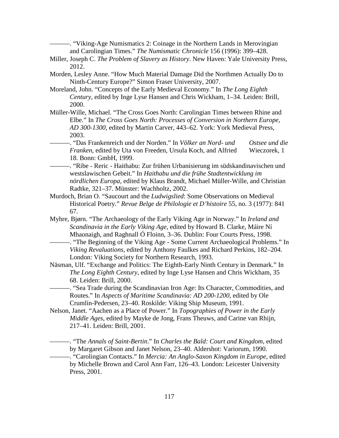———. "Viking-Age Numismatics 2: Coinage in the Northern Lands in Merovingian and Carolingian Times." *The Numismatic Chronicle* 156 (1996): 399–428.

- Miller, Joseph C. *The Problem of Slavery as History*. New Haven: Yale University Press, 2012.
- Morden, Lesley Anne. "How Much Material Damage Did the Northmen Actually Do to Ninth-Century Europe?" Simon Fraser University, 2007.
- Moreland, John. "Concepts of the Early Medieval Economy." In *The Long Eighth Century*, edited by Inge Lyse Hansen and Chris Wickham, 1–34. Leiden: Brill, 2000.
- Müller-Wille, Michael. "The Cross Goes North: Carolingian Times between Rhine and Elbe." In *The Cross Goes North: Processes of Conversion in Northern Europe, AD 300-1300*, edited by Martin Carver, 443–62. York: York Medieval Press, 2003.
	- ———. "Das Frankenreich und der Norden." In *Völker an Nord- und Ostsee und die Franken*, edited by Uta von Freeden, Ursula Koch, and Alfried Wieczorek, 1 18. Bonn: GmbH, 1999.
- ———. "Ribe Reric Haithabu: Zur frühen Urbanisierung im südskandinavischen und westslawischen Gebeit." In *Haithabu und die frühe Stadtentwicklung im nördlichen Europa*, edited by Klaus Brandt, Michael Müller-Wille, and Christian Radtke, 321–37. Münster: Wachholtz, 2002.
- Murdoch, Brian O. "Saucourt and the *Ludwigslied*: Some Observations on Medieval Historical Poetry." *Revue Belge de Philologie et D'histoire* 55, no. 3 (1977): 841 67.
- Myhre, Bjørn. "The Archaeology of the Early Viking Age in Norway." In *Ireland and Scandinavia in the Early Viking Age*, edited by Howard B. Clarke, Máire Ní Mhaonaigh, and Raghnall Ó Floinn, 3–36. Dublin: Four Courts Press, 1998.
- –. "The Beginning of the Viking Age Some Current Archaeological Problems." In *Viking Revaluations*, edited by Anthony Faulkes and Richard Perkins, 182–204. London: Viking Society for Northern Research, 1993.
- Näsman, Ulf. "Exchange and Politics: The Eighth-Early Ninth Century in Denmark." In *The Long Eighth Century*, edited by Inge Lyse Hansen and Chris Wickham, 35 68. Leiden: Brill, 2000.
	- ———. "Sea Trade during the Scandinavian Iron Age: Its Character, Commodities, and Routes." In *Aspects of Maritime Scandinavia: AD 200-1200*, edited by Ole Crumlin-Pedersen, 23–40. Roskilde: Viking Ship Museum, 1991.
- Nelson, Janet. "Aachen as a Place of Power." In *Topographies of Power in the Early Middle Ages*, edited by Mayke de Jong, Frans Theuws, and Carine van Rhijn, 217–41. Leiden: Brill, 2001.

———. "The *Annals of Saint-Bertin*." In *Charles the Bald: Court and Kingdom*, edited by Margaret Gibson and Janet Nelson, 23–40. Aldershot: Variorum, 1990.

———. "Carolingian Contacts." In *Mercia: An Anglo-Saxon Kingdom in Europe*, edited by Michelle Brown and Carol Ann Farr, 126–43. London: Leicester University Press, 2001.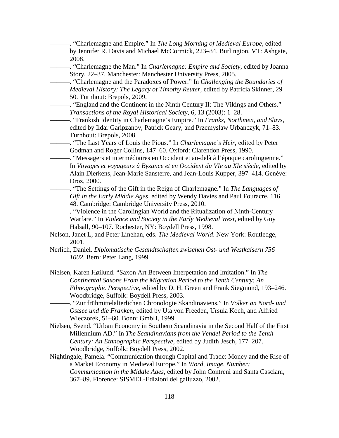———. "Charlemagne and Empire." In *The Long Morning of Medieval Europe*, edited by Jennifer R. Davis and Michael McCormick, 223–34. Burlington, VT: Ashgate, 2008.

———. "Charlemagne the Man." In *Charlemagne: Empire and Society*, edited by Joanna Story, 22–37. Manchester: Manchester University Press, 2005.

———. "Charlemagne and the Paradoxes of Power." In *Challenging the Boundaries of Medieval History: The Legacy of Timothy Reuter*, edited by Patricia Skinner, 29 50. Turnhout: Brepols, 2009.

———. "England and the Continent in the Ninth Century II: The Vikings and Others." *Transactions of the Royal Historical Society*, 6, 13 (2003): 1–28.

———. "Frankish Identity in Charlemagne's Empire." In *Franks, Northmen, and Slavs*, edited by Ildar Garipzanov, Patrick Geary, and Przemyslaw Urbanczyk, 71–83. Turnhout: Brepols, 2008.

———. "The Last Years of Louis the Pious." In *Charlemagne's Heir*, edited by Peter Godman and Roger Collins, 147–60. Oxford: Clarendon Press, 1990.

———. "Messagers et intermédiaires en Occident et au-delà à l'époque carolingienne." In *Voyages et voyageurs à Byzance et en Occident du VIe au XIe siècle*, edited by Alain Dierkens, Jean-Marie Sansterre, and Jean-Louis Kupper, 397–414. Genève: Droz, 2000.

———. "The Settings of the Gift in the Reign of Charlemagne." In *The Languages of Gift in the Early Middle Ages*, edited by Wendy Davies and Paul Fouracre, 116 48. Cambridge: Cambridge University Press, 2010.

- ———. "Violence in the Carolingian World and the Ritualization of Ninth-Century Warfare." In *Violence and Society in the Early Medieval West*, edited by Guy Halsall, 90–107. Rochester, NY: Boydell Press, 1998.
- Nelson, Janet L, and Peter Linehan, eds. *The Medieval World*. New York: Routledge, 2001.
- Nerlich, Daniel. *Diplomatische Gesandtschaften zwischen Ost- und Westkaisern 756 1002*. Bern: Peter Lang, 1999.

Nielsen, Karen Høilund. "Saxon Art Between Interpetation and Imitation." In *The Continental Saxons From the Migration Period to the Tenth Century: An Ethnographic Perspective*, edited by D. H. Green and Frank Siegmund, 193–246. Woodbridge, Suffolk: Boydell Press, 2003.

———. "Zur frühmittelalterlichen Chronologie Skandinaviens." In *Völker an Nord- und Ostsee und die Franken*, edited by Uta von Freeden, Ursula Koch, and Alfried Wieczorek, 51–60. Bonn: GmbH, 1999.

- Nielsen, Svend. "Urban Economy in Southern Scandinavia in the Second Half of the First Millennium AD." In *The Scandinavians from the Vendel Period to the Tenth Century: An Ethnographic Perspective*, edited by Judith Jesch, 177–207. Woodbridge, Suffolk: Boydell Press, 2002.
- Nightingale, Pamela. "Communication through Capital and Trade: Money and the Rise of a Market Economy in Medieval Europe." In *Word, Image, Number: Communication in the Middle Ages*, edited by John Contreni and Santa Casciani, 367–89. Florence: SISMEL-Edizioni del galluzzo, 2002.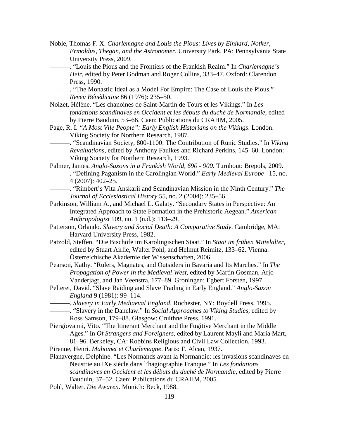- Noble, Thomas F. X. *Charlemagne and Louis the Pious: Lives by Einhard, Notker, Ermoldus, Thegan, and the Astronomer*. University Park, PA: Pennsylvania State University Press, 2009.
	- ———. "Louis the Pious and the Frontiers of the Frankish Realm." In *Charlemagne's Heir*, edited by Peter Godman and Roger Collins, 333–47. Oxford: Clarendon Press, 1990.

———. "The Monastic Ideal as a Model For Empire: The Case of Louis the Pious." *Reveu Bénédictine* 86 (1976): 235–50.

- Noizet, Hélène. "Les chanoines de Saint-Martin de Tours et les Vikings." In *Les fondations scandinaves en Occident et les débuts du duché de Normandie*, edited by Pierre Bauduin, 53–66. Caen: Publications du CRAHM, 2005.
- Page, R. I. *"A Most Vile People": Early English Historians on the Vikings*. London: Viking Society for Northern Research, 1987.
	- ———. "Scandinavian Society, 800-1100: The Contribution of Runic Studies." In *Viking Revaluations*, edited by Anthony Faulkes and Richard Perkins, 145–60. London: Viking Society for Northern Research, 1993.
- Palmer, James. *Anglo-Saxons in a Frankish World, 690 - 900*. Turnhout: Brepols, 2009. ———. "Defining Paganism in the Carolingian World." *Early Medieval Europe* 15, no. 4 (2007): 402–25.
	- ———. "Rimbert's Vita Anskarii and Scandinavian Mission in the Ninth Century." *The Journal of Ecclesiastical History* 55, no. 2 (2004): 235–56.
- Parkinson, William A., and Michael L. Galaty. "Secondary States in Perspective: An Integrated Approach to State Formation in the Prehistoric Aegean." *American Anthropologist* 109, no. 1 (n.d.): 113–29.
- Patterson, Orlando. *Slavery and Social Death: A Comparative Study*. Cambridge, MA: Harvard University Press, 1982.
- Patzold, Steffen. "Die Bischöfe im Karolingischen Staat." In *Staat im frühen Mittelalter*, edited by Stuart Airlie, Walter Pohl, and Helmut Reimitz, 133–62. Vienna: Österreichische Akademie der Wissenschaften, 2006.
- Pearson, Kathy. "Rulers, Magnates, and Outsiders in Bavaria and Its Marches." In *The Propagation of Power in the Medieval West*, edited by Martin Gosman, Arjo Vanderjagt, and Jan Veenstra, 177–89. Groningen: Egbert Forsten, 1997.
- Pelteret, David. "Slave Raiding and Slave Trading in Early England." *Anglo-Saxon England* 9 (1981): 99–114.
- ———. *Slavery in Early Mediaeval England*. Rochester, NY: Boydell Press, 1995.
- ———. "Slavery in the Danelaw." In *Social Approaches to Viking Studies*, edited by Ross Samson, 179–88. Glasgow: Cruithne Press, 1991.
- Piergiovanni, Vito. "The Itinerant Merchant and the Fugitive Merchant in the Middle Ages." In *Of Strangers and Foreigners*, edited by Laurent Mayli and Maria Mart, 81–96. Berkeley, CA: Robbins Religious and Civil Law Collection, 1993.
- Pirenne, Henri. *Mahomet et Charlemagne*. Paris: F. Alcan, 1937.
- Planavergne, Delphine. "Les Normands avant la Normandie: les invasions scandinaves en Neustrie au IXe siècle dans l'hagiographie Franque." In *Les fondations scandinaves en Occident et les débuts du duché de Normandie*, edited by Pierre Bauduin, 37–52. Caen: Publications du CRAHM, 2005.
- Pohl, Walter. *Die Awaren*. Munich: Beck, 1988.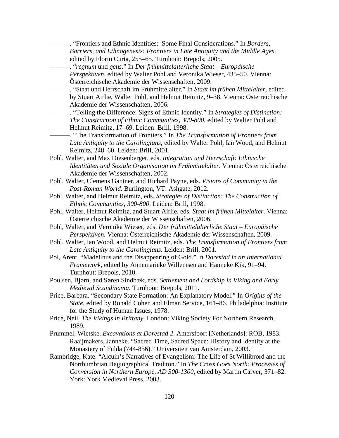| -. "Frontiers and Ethnic Identities: Some Final Considerations." In Borders,                 |
|----------------------------------------------------------------------------------------------|
| Barriers, and Ethnogenesis: Frontiers in Late Antiquity and the Middle Ages,                 |
| edited by Florin Curta, 255–65. Turnhout: Brepols, 2005.                                     |
| . "regnum und gens." In Der frühmittelalterliche Staat – Europäische                         |
| Perspektiven, edited by Walter Pohl and Veronika Wieser, 435–50. Vienna:                     |
| Österreichische Akademie der Wissenschaften, 2009.                                           |
| -. "Staat und Herrschaft im Frühmittelalter." In Staat im frühen Mittelalter, edited         |
| by Stuart Airlie, Walter Pohl, and Helmut Reimitz, 9-38. Vienna: Österreichische             |
| Akademie der Wissenschaften, 2006.                                                           |
| . "Telling the Difference: Signs of Ethnic Identity." In Strategies of Distinction:          |
| The Construction of Ethnic Communities, 300-800, edited by Walter Pohl and                   |
| Helmut Reimitz, 17-69. Leiden: Brill, 1998.                                                  |
| . "The Transformation of Frontiers." In The Transformation of Frontiers from                 |
| Late Antiquity to the Carolingians, edited by Walter Pohl, Ian Wood, and Helmut              |
| Reimitz, 248-60. Leiden: Brill, 2001.                                                        |
| Pohl, Walter, and Max Diesenberger, eds. Integration und Herrschaft: Ethnische               |
| Identitäten und Soziale Organisation im Frühmittelalter. Vienna: Österreichische             |
| Akademie der Wissenschaften, 2002.                                                           |
| Pohl, Walter, Clemens Gantner, and Richard Payne, eds. Visions of Community in the           |
| Post-Roman World. Burlington, VT: Ashgate, 2012.                                             |
| Pohl, Walter, and Helmut Reimitz, eds. Strategies of Distinction: The Construction of        |
| Ethnic Communities, 300-800. Leiden: Brill, 1998.                                            |
| Pohl, Walter, Helmut Reimitz, and Stuart Airlie, eds. Staat im frühen Mittelalter. Vienna:   |
| Österreichische Akademie der Wissenschaften, 2006.                                           |
| Pohl, Walter, and Veronika Wieser, eds. Der frühmittelalterliche Staat - Europäische         |
| Perspektiven. Vienna: Österreichische Akademie der Wissenschaften, 2009.                     |
| Pohl, Walter, Ian Wood, and Helmut Reimitz, eds. The Transformation of Frontiers from        |
| Late Antiquity to the Carolingians. Leiden: Brill, 2001.                                     |
| Pol, Arent. "Madelinus and the Disappearing of Gold." In <i>Dorestad in an International</i> |
| Framework, edited by Annemarieke Willemsen and Hanneke Kik, 91-94.                           |
| Turnhout: Brepols, 2010.                                                                     |
| Poulsen, Bjørn, and Søren Sindbæk, eds. Settlement and Lordship in Viking and Early          |
| Medieval Scandinavia. Turnhout: Brepols, 2011.                                               |

Price, Barbara. "Secondary State Formation: An Explanatory Model." In *Origins of the State*, edited by Ronald Cohen and Elman Service, 161–86. Philadelphia: Institute for the Study of Human Issues, 1978.

Price, Neil. *The Vikings in Brittany*. London: Viking Society For Northern Research, 1989.

Prummel, Wietske. *Excavations at Dorestad 2*. Amersfoort [Netherlands]: ROB, 1983. Raaijmakers, Janneke. "Sacred Time, Sacred Space: History and Identity at the Monastery of Fulda (744-856)." Universiteit van Amsterdam, 2003.

Rambridge, Kate. "Alcuin's Narratives of Evangelism: The Life of St Willibrord and the Northumbrian Hagiographical Traditon." In *The Cross Goes North: Processes of Conversion in Northern Europe, AD 300-1300*, edited by Martin Carver, 371–82. York: York Medieval Press, 2003.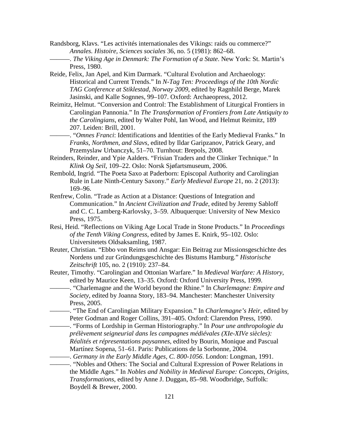- Randsborg, Klavs. "Les activités internationales des Vikings: raids ou commerce?" *Annales. Histoire, Sciences sociales* 36, no. 5 (1981): 862–68.
	- ———. *The Viking Age in Denmark: The Formation of a State*. New York: St. Martin's Press, 1980.
- Reide, Felix, Jan Apel, and Kim Darmark. "Cultural Evolution and Archaeology: Historical and Current Trends." In *N-Tag Ten: Proceedings of the 10th Nordic TAG Conference at Stiklestad, Norway 2009*, edited by Ragnhild Berge, Marek Jasinski, and Kalle Sognnes, 99–107. Oxford: Archaeopress, 2012.
- Reimitz, Helmut. "Conversion and Control: The Establishment of Liturgical Frontiers in Carolingian Pannonia." In *The Transformation of Frontiers from Late Antiquity to the Carolingians*, edited by Walter Pohl, Ian Wood, and Helmut Reimitz, 189 207. Leiden: Brill, 2001.
	- ———. "*Omnes Franci*: Identifications and Identities of the Early Medieval Franks." In *Franks, Northmen, and Slavs*, edited by Ildar Garipzanov, Patrick Geary, and Przemyslaw Urbanczyk, 51–70. Turnhout: Brepols, 2008.
- Reinders, Reinder, and Ypie Aalders. "Frisian Traders and the Clinker Technique." In *Klink Og Seil*, 109–22. Oslo: Norsk Sjøfartsmuseum, 2006.
- Rembold, Ingrid. "The Poeta Saxo at Paderborn: Episcopal Authority and Carolingian Rule in Late Ninth-Century Saxony." *Early Medieval Europe* 21, no. 2 (2013): 169–96.
- Renfrew, Colin. "Trade as Action at a Distance: Questions of Integration and Communication." In *Ancient Civilization and Trade*, edited by Jeremy Sabloff and C. C. Lamberg-Karlovsky, 3–59. Albuquerque: University of New Mexico Press, 1975.
- Resi, Heid. "Reflections on Viking Age Local Trade in Stone Products." In *Proceedings of the Tenth Viking Congress*, edited by James E. Knirk, 95–102. Oslo: Universitetets Oldsaksamling, 1987.
- Reuter, Christian. "Ebbo von Reims und Ansgar: Ein Beitrag zur Missionsgeschichte des Nordens und zur Gründungsgeschichte des Bistums Hamburg." *Historische Zeitschrift* 105, no. 2 (1910): 237–84.
- Reuter, Timothy. "Carolingian and Ottonian Warfare." In *Medieval Warfare: A History*, edited by Maurice Keen, 13–35. Oxford: Oxford University Press, 1999.
	- ———. "Charlemagne and the World beyond the Rhine." In *Charlemagne: Empire and Society*, edited by Joanna Story, 183–94. Manchester: Manchester University Press, 2005.
- ———. "The End of Carolingian Military Expansion." In *Charlemagne's Heir*, edited by Peter Godman and Roger Collins, 391–405. Oxford: Clarendon Press, 1990.
	- ———. "Forms of Lordship in German Historiography." In *Pour une anthropologie du prélèvement seigneurial dans les campagnes médiévales (XIe-XIVe siècles): Réalités et répresentations paysannes*, edited by Bourin, Monique and Pascual Martínez Sopena, 51–61. Paris: Publications de la Sorbonne, 2004.
- ———. *Germany in the Early Middle Ages, C. 800-1056*. London: Longman, 1991.
	- ———. "Nobles and Others: The Social and Cultural Expression of Power Relations in the Middle Ages." In *Nobles and Nobility in Medieval Europe: Concepts, Origins, Transformations*, edited by Anne J. Duggan, 85–98. Woodbridge, Suffolk: Boydell & Brewer, 2000.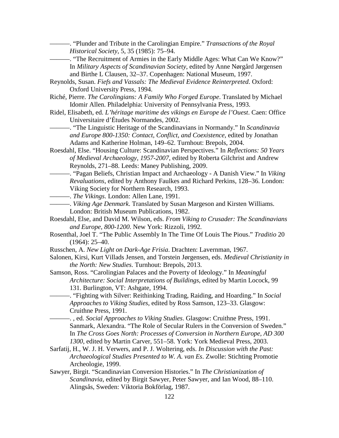———. "Plunder and Tribute in the Carolingian Empire." *Transactions of the Royal Historical Society*, 5, 35 (1985): 75–94.

- ———. "The Recruitment of Armies in the Early Middle Ages: What Can We Know?" In *Military Aspects of Scandinavian Society*, edited by Anne Nørgård Jørgensen and Birthe L Clausen, 32–37. Copenhagen: National Museum, 1997.
- Reynolds, Susan. *Fiefs and Vassals: The Medieval Evidence Reinterpreted*. Oxford: Oxford University Press, 1994.
- Riché, Pierre. *The Carolingians: A Family Who Forged Europe*. Translated by Michael Idomir Allen. Philadelphia: University of Pennsylvania Press, 1993.
- Ridel, Elisabeth, ed. *L'héritage maritime des vikings en Europe de l'Ouest*. Caen: Office Universitaire d'Études Normandes, 2002.
	- ———. "The Linguistic Heritage of the Scandinavians in Normandy." In *Scandinavia and Europe 800-1350: Contact, Conflict, and Coexistence*, edited by Jonathan Adams and Katherine Holman, 149–62. Turnhout: Brepols, 2004.
- Roesdahl, Else. "Housing Culture: Scandinavian Perspectives." In *Reflections: 50 Years of Medieval Archaeology, 1957-2007*, edited by Roberta Gilchrist and Andrew Reynolds, 271–88. Leeds: Maney Publishing, 2009.
- ———. "Pagan Beliefs, Christian Impact and Archaeology A Danish View." In *Viking Revaluations*, edited by Anthony Faulkes and Richard Perkins, 128–36. London: Viking Society for Northern Research, 1993.
- ———. *The Vikings*. London: Allen Lane, 1991.
- ———. *Viking Age Denmark*. Translated by Susan Margeson and Kirsten Williams. London: British Museum Publications, 1982.
- Roesdahl, Else, and David M. Wilson, eds. *From Viking to Crusader: The Scandinavians and Europe, 800-1200*. New York: Rizzoli, 1992.
- Rosenthal, Joel T. "The Public Assembly In The Time Of Louis The Pious." *Traditio* 20  $(1964): 25-40.$
- Russchen, A. *New Light on Dark-Age Frisia*. Drachten: Lavernman, 1967.
- Salonen, Kirsi, Kurt Villads Jensen, and Torstein Jørgensen, eds. *Medieval Christianity in the North: New Studies*. Turnhout: Brepols, 2013.
- Samson, Ross. "Carolingian Palaces and the Poverty of Ideology." In *Meaningful Architecture: Social Interpretations of Buildings*, edited by Martin Locock, 99 131. Burlington, VT: Ashgate, 1994.
	- ———. "Fighting with Silver: Reithinking Trading, Raiding, and Hoarding." In *Social Approaches to Viking Studies*, edited by Ross Samson, 123–33. Glasgow: Cruithne Press, 1991.
	- ———. , ed. *Social Approaches to Viking Studies*. Glasgow: Cruithne Press, 1991. Sanmark, Alexandra. "The Role of Secular Rulers in the Conversion of Sweden." In *The Cross Goes North: Processes of Conversion in Northern Europe, AD 300 1300*, edited by Martin Carver, 551–58. York: York Medieval Press, 2003.
- Sarfatij, H., W. J. H. Verwers, and P. J. Woltering, eds. *In Discussion with the Past: Archaeological Studies Presented to W. A. van Es*. Zwolle: Stichting Promotie Archeologie, 1999.
- Sawyer, Birgit. "Scandinavian Conversion Histories." In *The Christianization of Scandinavia*, edited by Birgit Sawyer, Peter Sawyer, and Ian Wood, 88–110. Alingsås, Sweden: Viktoria Bokförlag, 1987.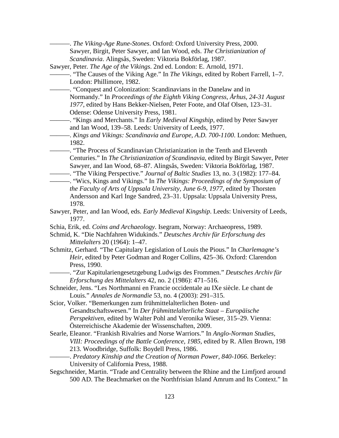| -. The Viking-Age Rune-Stones. Oxford: Oxford University Press, 2000.                  |  |
|----------------------------------------------------------------------------------------|--|
| Sawyer, Birgit, Peter Sawyer, and Ian Wood, eds. The Christianization of               |  |
| Scandinavia. Alingsås, Sweden: Viktoria Bokförlag, 1987.                               |  |
| Sawyer, Peter. The Age of the Vikings. 2nd ed. London: E. Arnold, 1971.                |  |
|                                                                                        |  |
| London: Phillimore, 1982.                                                              |  |
| - "Conquest and Colonization: Scandinavians in the Danelaw and in                      |  |
| Normandy." In Proceedings of the Eighth Viking Congress, Århus, 24-31 August           |  |
| 1977, edited by Hans Bekker-Nielsen, Peter Foote, and Olaf Olsen, 123-31.              |  |
| Odense: Odense University Press, 1981.                                                 |  |
| -. "Kings and Merchants." In Early Medieval Kingship, edited by Peter Sawyer           |  |
| and Ian Wood, 139–58. Leeds: University of Leeds, 1977.                                |  |
|                                                                                        |  |
| 1982.                                                                                  |  |
| -. "The Process of Scandinavian Christianization in the Tenth and Eleventh             |  |
| Centuries." In The Christianization of Scandinavia, edited by Birgit Sawyer, Peter     |  |
| Sawyer, and Ian Wood, 68-87. Alingsås, Sweden: Viktoria Bokförlag, 1987.               |  |
| - - The Viking Perspective." Journal of Baltic Studies 13, no. 3 (1982): 177-84.       |  |
| - "Wics, Kings and Vikings." In The Vikings: Proceedings of the Symposium of           |  |
| the Faculty of Arts of Uppsala University, June 6-9, 1977, edited by Thorsten          |  |
| Andersson and Karl Inge Sandred, 23–31. Uppsala: Uppsala University Press,             |  |
| 1978.                                                                                  |  |
| Sawyer, Peter, and Ian Wood, eds. Early Medieval Kingship. Leeds: University of Leeds, |  |
| 1977.                                                                                  |  |
| Schia, Erik, ed. Coins and Archaeology. Isegram, Norway: Archaeopress, 1989.           |  |
| Schmid, K. "Die Nachfahren Widukinds." Deutsches Archiv für Erforschung des            |  |
| Mittelalters 20 (1964): 1-47.                                                          |  |
| Schmitz, Gerhard. "The Capitulary Legislation of Louis the Pious." In Charlemagne's    |  |
| Heir, edited by Peter Godman and Roger Collins, 425-36. Oxford: Clarendon              |  |
| Press, 1990.                                                                           |  |
|                                                                                        |  |
| Erforschung des Mittelalters 42, no. 2 (1986): 471-516.                                |  |
| Schneider, Jens. "Les Northmanni en Francie occidentale au IXe siècle. Le chant de     |  |
| Louis." Annales de Normandie 53, no. 4 (2003): 291–315.                                |  |
| Scior, Volker. "Bemerkungen zum frühmittelalterlichen Boten- und                       |  |
| Gesandtschaftswesen." In Der frühmittelalterliche Staat – Europäische                  |  |
| Perspektiven, edited by Walter Pohl and Veronika Wieser, 315–29. Vienna:               |  |
| Österreichische Akademie der Wissenschaften, 2009.                                     |  |
| Searle, Eleanor. "Frankish Rivalries and Norse Warriors." In Anglo-Norman Studies,     |  |
| VIII: Proceedings of the Battle Conference, 1985, edited by R. Allen Brown, 198        |  |
| 213. Woodbridge, Suffolk: Boydell Press, 1986.                                         |  |
|                                                                                        |  |
| University of California Press, 1988.                                                  |  |
| Segschneider, Martin. "Trade and Centrality between the Rhine and the Limfjord around  |  |
| 500 AD. The Beachmarket on the Northfrisian Island Amrum and Its Context." In          |  |
|                                                                                        |  |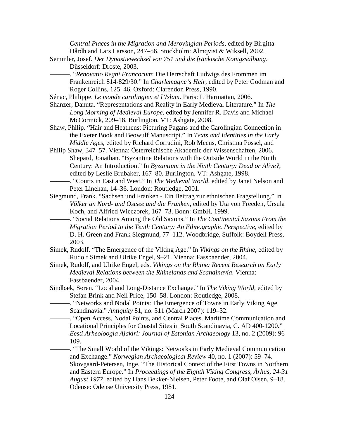*Central Places in the Migration and Merovingian Periods*, edited by Birgitta Hårdh and Lars Larsson, 247–56. Stockholm: Almqvist & Wiksell, 2002.

- Semmler, Josef. *Der Dynastiewechsel von 751 und die fränkische Königssalbung*. Düsseldorf: Droste, 2003.
- ———. "*Renovatio Regni Francorum*: Die Herrschaft Ludwigs des Frommen im Frankenreich 814-829/30." In *Charlemagne's Heir*, edited by Peter Godman and Roger Collins, 125–46. Oxford: Clarendon Press, 1990.
- Sénac, Philippe. *Le monde carolingien et l'Islam*. Paris: L'Harmattan, 2006.
- Shanzer, Danuta. "Representations and Reality in Early Medieval Literature." In *The Long Morning of Medieval Europe*, edited by Jennifer R. Davis and Michael McCormick, 209–18. Burlington, VT: Ashgate, 2008.
- Shaw, Philip. "Hair and Heathens: Picturing Pagans and the Carolingian Connection in the Exeter Book and Beowulf Manuscript." In *Texts and Identities in the Early Middle Ages*, edited by Richard Corradini, Rob Meens, Christina Pössel, and
- Philip Shaw, 347–57. Vienna: Österreichische Akademie der Wissenschaften, 2006. Shepard, Jonathan. "Byzantine Relations with the Outside World in the Ninth Century: An Introduction." In *Byzantium in the Ninth Century: Dead or Alive?*, edited by Leslie Brubaker, 167–80. Burlington, VT: Ashgate, 1998.
- -. "Courts in East and West." In *The Medieval World*, edited by Janet Nelson and Peter Linehan, 14–36. London: Routledge, 2001.
- Siegmund, Frank. "Sachsen und Franken Ein Beitrag zur ethnischen Fragstellung." In *Völker an Nord- und Ostsee und die Franken*, edited by Uta von Freeden, Ursula Koch, and Alfried Wieczorek, 167–73. Bonn: GmbH, 1999.
- ———. "Social Relations Among the Old Saxons." In *The Continental Saxons From the Migration Period to the Tenth Century: An Ethnographic Perspective*, edited by D. H. Green and Frank Siegmund, 77–112. Woodbridge, Suffolk: Boydell Press, 2003.
- Simek, Rudolf. "The Emergence of the Viking Age." In *Vikings on the Rhine*, edited by Rudolf Simek and Ulrike Engel, 9–21. Vienna: Fassbaender, 2004.
- Simek, Rudolf, and Ulrike Engel, eds. *Vikings on the Rhine: Recent Research on Early Medieval Relations between the Rhinelands and Scandinavia*. Vienna: Fassbaender, 2004.
- Sindbæk, Søren. "Local and Long-Distance Exchange." In *The Viking World*, edited by Stefan Brink and Neil Price, 150–58. London: Routledge, 2008.
- -. "Networks and Nodal Points: The Emergence of Towns in Early Viking Age Scandinavia." *Antiquity* 81, no. 311 (March 2007): 119–32.
	- ———. "Open Access, Nodal Points, and Central Places. Maritime Communication and Locational Principles for Coastal Sites in South Scandinavia, C. AD 400-1200." *Eesti Arheoloogia Ajakiri: Journal of Estonian Archaeology* 13, no. 2 (2009): 96 109.
- ———. "The Small World of the Vikings: Networks in Early Medieval Communication and Exchange." *Norwegian Archaeological Review* 40, no. 1 (2007): 59–74. Skovgaard-Petersen, Inge. "The Historical Context of the First Towns in Northern and Eastern Europe." In *Proceedings of the Eighth Viking Congress, Århus, 24-31 August 1977*, edited by Hans Bekker-Nielsen, Peter Foote, and Olaf Olsen, 9–18. Odense: Odense University Press, 1981.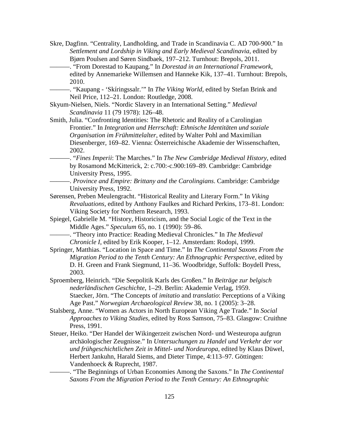- Skre, Dagfinn. "Centrality, Landholding, and Trade in Scandinavia C. AD 700-900." In *Settlement and Lordship in Viking and Early Medieval Scandinavia*, edited by Bjørn Poulsen and Søren Sindbaek, 197–212. Turnhout: Brepols, 2011.
- ———. "From Dorestad to Kaupang." In *Dorestad in an International Framework*, edited by Annemarieke Willemsen and Hanneke Kik, 137–41. Turnhout: Brepols, 2010.
	- ———. "Kaupang 'Skíringssalr.'" In *The Viking World*, edited by Stefan Brink and Neil Price, 112–21. London: Routledge, 2008.
- Skyum-Nielsen, Niels. "Nordic Slavery in an International Setting." *Medieval Scandinavia* 11 (79 1978): 126–48.
- Smith, Julia. "Confronting Identities: The Rhetoric and Reality of a Carolingian Frontier." In *Integration und Herrschaft: Ethnische Identitäten und soziale Organisation im Frühmittelalter*, edited by Walter Pohl and Maximilian Diesenberger, 169–82. Vienna: Österreichische Akademie der Wissenschaften, 2002.
	- ———. "*Fines Imperii*: The Marches." In *The New Cambridge Medieval History*, edited by Rosamond McKitterick, 2: c.700:-c.900:169–89. Cambridge: Cambridge University Press, 1995.
	- ———. *Province and Empire: Brittany and the Carolingians*. Cambridge: Cambridge University Press, 1992.
- Sørensen, Preben Meulengracht. "Historical Reality and Literary Form." In *Viking Revaluations*, edited by Anthony Faulkes and Richard Perkins, 173–81. London: Viking Society for Northern Research, 1993.
- Spiegel, Gabrielle M. "History, Historicism, and the Social Logic of the Text in the Middle Ages." *Speculum* 65, no. 1 (1990): 59–86.
	- ———. "Theory into Practice: Reading Medieval Chronicles." In *The Medieval Chronicle I*, edited by Erik Kooper, 1–12. Amsterdam: Rodopi, 1999.
- Springer, Matthias. "Location in Space and Time." In *The Continental Saxons From the Migration Period to the Tenth Century: An Ethnographic Perspective*, edited by D. H. Green and Frank Siegmund, 11–36. Woodbridge, Suffolk: Boydell Press, 2003.

Sproemberg, Heinrich. "Die Seepolitik Karls des Großen." In *Beiträge zur belgisch nederländischen Geschichte*, 1–29. Berlin: Akademie Verlag, 1959. Staecker, Jörn. "The Concepts of *imitatio* and *translatio*: Perceptions of a Viking Age Past." *Norwegian Archaeological Review* 38, no. 1 (2005): 3–28.

- Stalsberg, Anne. "Women as Actors in North European Viking Age Trade." In *Social Approaches to Viking Studies*, edited by Ross Samson, 75–83. Glasgow: Cruithne Press, 1991.
- Steuer, Heiko. "Der Handel der Wikingerzeit zwischen Nord- und Westeuropa aufgrun archäologischer Zeugnisse." In *Untersuchungen zu Handel und Verkehr der vor und frühgeschichtlichen Zeit in Mittel- und Nordeuropa*, edited by Klaus Düwel, Herbert Jankuhn, Harald Siems, and Dieter Timpe, 4:113–97. Göttingen: Vandenhoeck & Ruprecht, 1987.

———. "The Beginnings of Urban Economies Among the Saxons." In *The Continental Saxons From the Migration Period to the Tenth Century: An Ethnographic*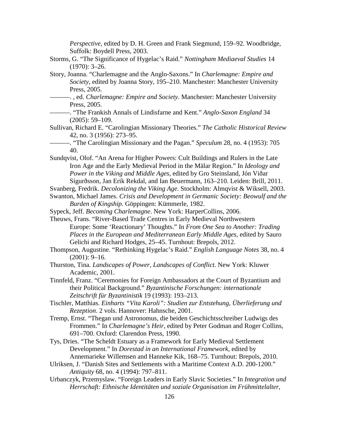*Perspective*, edited by D. H. Green and Frank Siegmund, 159–92. Woodbridge, Suffolk: Boydell Press, 2003.

- Storms, G. "The Significance of Hygelac's Raid." *Nottingham Mediaeval Studies* 14 (1970): 3–26.
- Story, Joanna. "Charlemagne and the Anglo-Saxons." In *Charlemagne: Empire and Society*, edited by Joanna Story, 195–210. Manchester: Manchester University Press, 2005.
	- ———. , ed. *Charlemagne: Empire and Society*. Manchester: Manchester University Press, 2005.
	- ———. "The Frankish Annals of Lindisfarne and Kent." *Anglo-Saxon England* 34 (2005): 59–109.

Sullivan, Richard E. "Carolingian Missionary Theories." *The Catholic Historical Review* 42, no. 3 (1956): 273–95.

———. "The Carolingian Missionary and the Pagan." *Speculum* 28, no. 4 (1953): 705 40.

Sundqvist, Olof. "An Arena for Higher Powers: Cult Buildings and Rulers in the Late Iron Age and the Early Medieval Period in the Mälar Region." In *Ideology and Power in the Viking and Middle Ages*, edited by Gro Steinsland, Jón Viðar Sigurðsson, Jan Erik Rekdal, and Ian Beuermann, 163–210. Leiden: Brill, 2011.

Svanberg, Fredrik. *Decolonizing the Viking Age*. Stockholm: Almqvist & Wiksell, 2003.

- Swanton, Michael James. *Crisis and Development in Germanic Society: Beowulf and the Burden of Kingship*. Göppingen: Kümmerle, 1982.
- Sypeck, Jeff. *Becoming Charlemagne*. New York: HarperCollins, 2006.
- Theuws, Frans. "River-Based Trade Centres in Early Medieval Northwestern Europe: Some 'Reactionary' Thoughts." In *From One Sea to Another: Trading Places in the European and Mediterranean Early Middle Ages*, edited by Sauro Gelichi and Richard Hodges, 25–45. Turnhout: Brepols, 2012.
- Thompson, Augustine. "Rethinking Hygelac's Raid." *English Language Notes* 38, no. 4  $(2001): 9-16.$
- Thurston, Tina. *Landscapes of Power, Landscapes of Conflict*. New York: Kluwer Academic, 2001.
- Tinnfeld, Franz. "Ceremonies for Foreign Ambassadors at the Court of Byzantium and their Political Background." *Byzantinische Forschungen: internationale Zeitschrift für Byzantinistik* 19 (1993): 193–213.
- Tischler, Matthias. *Einharts "Vita Karoli": Studien zur Entstehung, Überlieferung und Rezeption*. 2 vols. Hannover: Hahnsche, 2001.
- Tremp, Ernst. "Thegan und Astronomus, die beiden Geschichtsschreiber Ludwigs des Frommen." In *Charlemagne's Heir*, edited by Peter Godman and Roger Collins, 691–700. Oxford: Clarendon Press, 1990.

Tys, Dries. "The Scheldt Estuary as a Framework for Early Medieval Settlement Development." In *Dorestad in an International Framework*, edited by Annemarieke Willemsen and Hanneke Kik, 168–75. Turnhout: Brepols, 2010.

- Ulriksen, J. "Danish Sites and Settlements with a Maritime Context A.D. 200-1200." *Antiquity* 68, no. 4 (1994): 797–811.
- Urbanczyk, Przemyslaw. "Foreign Leaders in Early Slavic Societies." In *Integration und Herrschaft: Ethnische Identitäten und soziale Organisation im Frühmittelalter*,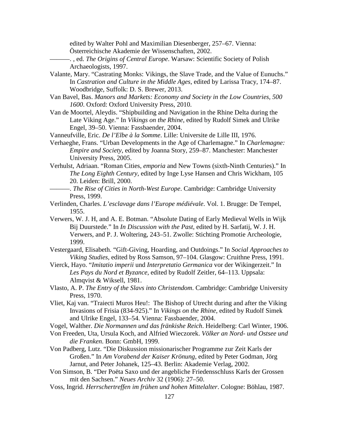edited by Walter Pohl and Maximilian Diesenberger, 257–67. Vienna: Österreichische Akademie der Wissenschaften, 2002.

- ———. , ed. *The Origins of Central Europe*. Warsaw: Scientific Society of Polish Archaeologists, 1997.
- Valante, Mary. "Castrating Monks: Vikings, the Slave Trade, and the Value of Eunuchs." In *Castration and Culture in the Middle Ages*, edited by Larissa Tracy, 174–87. Woodbridge, Suffolk: D. S. Brewer, 2013.
- Van Bavel, Bas. *Manors and Markets: Economy and Society in the Low Countries, 500 1600*. Oxford: Oxford University Press, 2010.
- Van de Moortel, Aleydis. "Shipbuilding and Navigation in the Rhine Delta during the Late Viking Age." In *Vikings on the Rhine*, edited by Rudolf Simek and Ulrike Engel, 39–50. Vienna: Fassbaender, 2004.
- Vanneufville, Eric. *De l'Elbe à la Somme*. Lille: Universite de Lille III, 1976.
- Verhaeghe, Frans. "Urban Developments in the Age of Charlemagne." In *Charlemagne: Empire and Society*, edited by Joanna Story, 259–87. Manchester: Manchester University Press, 2005.
- Verhulst, Adriaan. "Roman Cities, *emporia* and New Towns (sixth-Ninth Centuries)." In *The Long Eighth Century*, edited by Inge Lyse Hansen and Chris Wickham, 105 20. Leiden: Brill, 2000.
	- ———. *The Rise of Cities in North-West Europe*. Cambridge: Cambridge University Press, 1999.
- Verlinden, Charles. *L'esclavage dans l'Europe médiévale*. Vol. 1. Brugge: De Tempel, 1955.
- Verwers, W. J. H, and A. E. Botman. "Absolute Dating of Early Medieval Wells in Wijk Bij Duurstede." In *In Discussion with the Past*, edited by H. Sarfatij, W. J. H. Verwers, and P. J. Woltering, 243–51. Zwolle: Stichting Promotie Archeologie, 1999.
- Vestergaard, Elisabeth. "Gift-Giving, Hoarding, and Outdoings." In *Social Approaches to Viking Studies*, edited by Ross Samson, 97–104. Glasgow: Cruithne Press, 1991.
- Vierck, Hayo. "*Imitatio imperii* und *Interpretatio Germanica* vor der Wikingerzeit." In *Les Pays du Nord et Byzance*, edited by Rudolf Zeitler, 64–113. Uppsala: Almqvist & Wiksell, 1981.
- Vlasto, A. P. *The Entry of the Slavs into Christendom*. Cambridge: Cambridge University Press, 1970.
- Vliet, Kaj van. "Traiecti Muros Heu!: The Bishop of Utrecht during and after the Viking Invasions of Frisia (834-925)." In *Vikings on the Rhine*, edited by Rudolf Simek and Ulrike Engel, 133–54. Vienna: Fassbaender, 2004.
- Vogel, Walther. *Die Normannen und das fränkishe Reich*. Heidelberg: Carl Winter, 1906.
- Von Freeden, Uta, Ursula Koch, and Alfried Wieczorek. *Völker an Nord- und Ostsee und die Franken*. Bonn: GmbH, 1999.
- Von Padberg, Lutz. "Die Diskussion missionarischer Programme zur Zeit Karls der Großen." In *Am Vorabend der Kaiser Krönung*, edited by Peter Godman, Jörg Jarnut, and Peter Johanek, 125–43. Berlin: Akademie Verlag, 2002.
- Von Simson, B. "Der Poëta Saxo und der angebliche Friedensschluss Karls der Grossen mit den Sachsen." *Neues Archiv* 32 (1906): 27–50.
- Voss, Ingrid. *Herrschertreffen im frühen und hohen Mittelalter*. Cologne: Böhlau, 1987.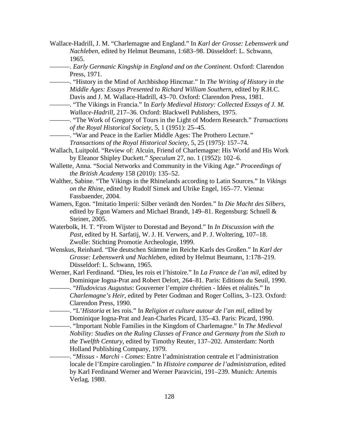- Wallace-Hadrill, J. M. "Charlemagne and England." In *Karl der Grosse: Lebenswerk und Nachleben*, edited by Helmut Beumann, 1:683–98. Düsseldorf: L. Schwann, 1965.
	- ———. *Early Germanic Kingship in England and on the Continent*. Oxford: Clarendon Press, 1971.
- ———. "History in the Mind of Archbishop Hincmar." In *The Writing of History in the Middle Ages: Essays Presented to Richard William Southern*, edited by R.H.C. Davis and J. M. Wallace-Hadrill, 43–70. Oxford: Clarendon Press, 1981.
- ———. "The Vikings in Francia." In *Early Medieval History: Collected Essays of J. M. Wallace-Hadrill*, 217–36. Oxford: Blackwell Publishers, 1975.
- ———. "The Work of Gregory of Tours in the Light of Modern Research." *Transactions of the Royal Historical Society*, 5, 1 (1951): 25–45.
- ———. "War and Peace in the Earlier Middle Ages: The Prothero Lecture." *Transactions of the Royal Historical Society*, 5, 25 (1975): 157–74.
- Wallach, Luitpold. "Review of: Alcuin, Friend of Charlemagne: His World and His Work by Eleanor Shipley Duckett." *Speculum* 27, no. 1 (1952): 102–6.
- Wallette, Anna. "Social Networks and Community in the Viking Age." *Proceedings of the British Academy* 158 (2010): 135–52.
- Walther, Sabine. "The Vikings in the Rhinelands according to Latin Sources." In *Vikings on the Rhine*, edited by Rudolf Simek and Ulrike Engel, 165–77. Vienna: Fassbaender, 2004.
- Wamers, Egon. "Imitatio Imperii: Silber verändt den Norden." In *Die Macht des Silbers*, edited by Egon Wamers and Michael Brandt, 149–81. Regensburg: Schnell & Steiner, 2005.
- Waterbolk, H. T. "From Wijster to Dorestad and Beyond." In *In Discussion with the Past*, edited by H. Sarfatij, W. J. H. Verwers, and P. J. Woltering, 107–18. Zwolle: Stichting Promotie Archeologie, 1999.
- Wenskus, Reinhard. "Die deutschen Stämme im Reiche Karls des Großen." In *Karl der Grosse: Lebenswerk und Nachleben*, edited by Helmut Beumann, 1:178–219. Düsseldorf: L. Schwann, 1965.
- Werner, Karl Ferdinand. "Dieu, les rois et l'histoire." In *La France de l'an mil*, edited by Dominique Iogna-Prat and Robert Delort, 264–81. Paris: Editions du Seuil, 1990.
	- ———. "*Hludovicus Augustus*: Gouverner l'empire chrétien Idées et réalités." In *Charlemagne's Heir*, edited by Peter Godman and Roger Collins, 3–123. Oxford: Clarendon Press, 1990.
- ———. "L'*Historia* et les rois." In *Religion et culture autour de l'an mil*, edited by Dominique Iogna-Prat and Jean-Charles Picard, 135–43. Paris: Picard, 1990.
	- ———. "Important Noble Families in the Kingdom of Charlemagne." In *The Medieval Nobility: Studies on the Ruling Classes of France and Germany from the Sixth to the Twelfth Century*, edited by Timothy Reuter, 137–202. Amsterdam: North Holland Publishing Company, 1979.
	- ———. "*Missus - Marchi - Comes*: Entre l'administration centrale et l'administration locale de l'Empire carolingien." In *Histoire comparee de l'administration*, edited by Karl Ferdinand Werner and Werner Paravicini, 191–239. Munich: Artemis Verlag, 1980.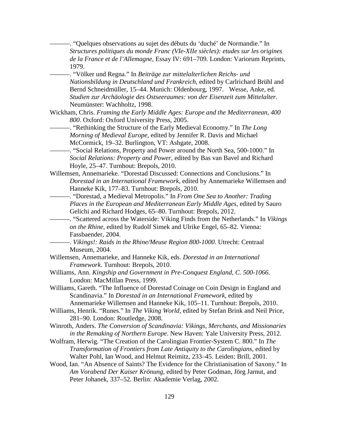———. "Quelques observations au sujet des débuts du 'duché' de Normandie." In *Structures politiques du monde Franc (VIe-XIIe siècles): etudes sur les origines de la France et de l'Allemagne*, Essay IV: 691–709. London: Variorum Reprints, 1979.

- ———. "Völker und Regna." In *Beiträge zur mittelalterlichen Reichs- und Nationsbildung in Deutschland und Frankreich*, edited by Carlrichard Brühl and Bernd Schneidmüller, 15–44. Munich: Oldenbourg, 1997. Wesse, Anke, ed. *Studien zur Archäologie des Ostseeraumes: von der Eisenzeit zum Mittelalter*. Neumünster: Wachholtz, 1998.
- Wickham, Chris. *Framing the Early Middle Ages: Europe and the Mediterranean, 400 800*. Oxford: Oxford University Press, 2005.
	- ———. "Rethinking the Structure of the Early Medieval Economy." In *The Long Morning of Medieval Europe*, edited by Jennifer R. Davis and Michael McCormick, 19–32. Burlington, VT: Ashgate, 2008.
		- -. "Social Relations, Property and Power around the North Sea, 500-1000." In *Social Relations: Property and Power*, edited by Bas van Bavel and Richard Hoyle, 25–47. Turnhout: Brepols, 2010.
- Willemsen, Annemarieke. "Dorestad Discussed: Connections and Conclusions." In *Dorestad in an International Framework*, edited by Annemarieke Willemsen and Hanneke Kik, 177–83. Turnhout: Brepols, 2010.
	- ———. "Dorestad, a Medieval Metropolis." In *From One Sea to Another: Trading Places in the European and Mediterranean Early Middle Ages*, edited by Sauro Gelichi and Richard Hodges, 65–80. Turnhout: Brepols, 2012.
	- ———. "Scattered across the Waterside: Viking Finds from the Netherlands." In *Vikings on the Rhine*, edited by Rudolf Simek and Ulrike Engel, 65–82. Vienna: Fassbaender, 2004.
		- ———. *Vikings!: Raids in the Rhine/Meuse Region 800-1000*. Utrecht: Centraal Museum, 2004.
- Willemsen, Annemarieke, and Hanneke Kik, eds. *Dorestad in an International Framework*. Turnhout: Brepols, 2010.
- Williams, Ann. *Kingship and Government in Pre-Conquest England, C. 500-1066*. London: MacMillan Press, 1999.
- Williams, Gareth. "The Influence of Dorestad Coinage on Coin Design in England and Scandinavia." In *Dorestad in an International Framework*, edited by Annemarieke Willemsen and Hanneke Kik, 105–11. Turnhout: Brepols, 2010.
- Williams, Henrik. "Runes." In *The Viking World*, edited by Stefan Brink and Neil Price, 281–90. London: Routledge, 2008.
- Winroth, Anders. *The Conversion of Scandinavia: Vikings, Merchants, and Missionaries in the Remaking of Northern Europe*. New Haven: Yale University Press, 2012.
- Wolfram, Herwig. "The Creation of the Carolingian Frontier-System C. 800." In *The Transformation of Frontiers from Late Antiquity to the Carolingians*, edited by Walter Pohl, Ian Wood, and Helmut Reimitz, 233–45. Leiden: Brill, 2001.
- Wood, Ian. "An Absence of Saints? The Evidence for the Christianisation of Saxony." In *Am Vorabend Der Kaiser Krönung*, edited by Peter Godman, Jörg Jarnut, and Peter Johanek, 337–52. Berlin: Akademie Verlag, 2002.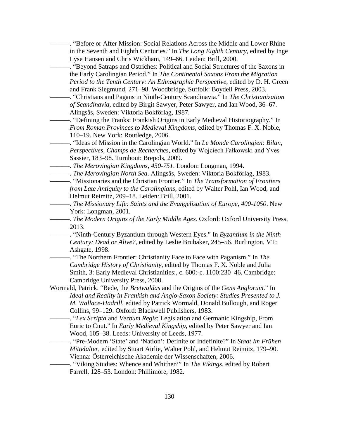———. "Before or After Mission: Social Relations Across the Middle and Lower Rhine in the Seventh and Eighth Centuries." In *The Long Eighth Century*, edited by Inge Lyse Hansen and Chris Wickham, 149–66. Leiden: Brill, 2000.

———. "Beyond Satraps and Ostriches: Political and Social Structures of the Saxons in the Early Carolingian Period." In *The Continental Saxons From the Migration Period to the Tenth Century: An Ethnographic Perspective*, edited by D. H. Green and Frank Siegmund, 271–98. Woodbridge, Suffolk: Boydell Press, 2003.

———. "Christians and Pagans in Ninth-Century Scandinavia." In *The Christianization of Scandinavia*, edited by Birgit Sawyer, Peter Sawyer, and Ian Wood, 36–67. Alingsås, Sweden: Viktoria Bokförlag, 1987.

———. "Defining the Franks: Frankish Origins in Early Medieval Historiography." In *From Roman Provinces to Medieval Kingdoms*, edited by Thomas F. X. Noble, 110–19. New York: Routledge, 2006.

- ———. "Ideas of Mission in the Carolingian World." In *Le Monde Carolingien: Bilan, Perspectives, Champs de Recherches*, edited by Wojciech Fałkowski and Yves Sassier, 183–98. Turnhout: Brepols, 2009.
- ———. *The Merovingian Kingdoms, 450-751*. London: Longman, 1994.
- ———. *The Merovingian North Sea*. Alingsås, Sweden: Viktoria Bokförlag, 1983.

———. "Missionaries and the Christian Frontier." In *The Transformation of Frontiers from Late Antiquity to the Carolingians*, edited by Walter Pohl, Ian Wood, and Helmut Reimitz, 209–18. Leiden: Brill, 2001.

- ———. *The Missionary Life: Saints and the Evangelisation of Europe, 400-1050*. New York: Longman, 2001.
- ———. *The Modern Origins of the Early Middle Ages*. Oxford: Oxford University Press, 2013.

———. "Ninth-Century Byzantium through Western Eyes." In *Byzantium in the Ninth Century: Dead or Alive?*, edited by Leslie Brubaker, 245–56. Burlington, VT: Ashgate, 1998.

———. "The Northern Frontier: Christianity Face to Face with Paganism." In *The Cambridge History of Christianity*, edited by Thomas F. X. Noble and Julia Smith, 3: Early Medieval Christianities:, c. 600:-c. 1100:230–46. Cambridge: Cambridge University Press, 2008.

Wormald, Patrick. "Bede, the *Bretwaldas* and the Origins of the *Gens Anglorum*." In *Ideal and Reality in Frankish and Anglo-Saxon Society: Studies Presented to J. M. Wallace-Hadrill*, edited by Patrick Wormald, Donald Bullough, and Roger Collins, 99–129. Oxford: Blackwell Publishers, 1983.

———. "*Lex Scripta* and *Verbum Regis*: Legislation and Germanic Kingship, From Euric to Cnut." In *Early Medieval Kingship*, edited by Peter Sawyer and Ian Wood, 105–38. Leeds: University of Leeds, 1977.

———. "Pre-Modern 'State' and 'Nation': Definite or Indefinite?" In *Staat Im Frühen Mittelalter*, edited by Stuart Airlie, Walter Pohl, and Helmut Reimitz, 179–90. Vienna: Österreichische Akademie der Wissenschaften, 2006.

———. "Viking Studies: Whence and Whither?" In *The Vikings*, edited by Robert Farrell, 128–53. London: Phillimore, 1982.